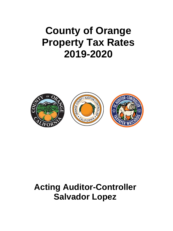## **County of Orange Property Tax Rates 2019-2020**



## **Acting Auditor-Controller Salvador Lopez**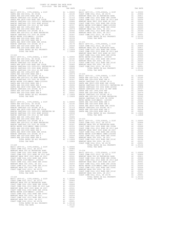|                                                                                                                     |          |                                                                                                                                                                                                                                                                                                                                                                                                              | NEWPORT |
|---------------------------------------------------------------------------------------------------------------------|----------|--------------------------------------------------------------------------------------------------------------------------------------------------------------------------------------------------------------------------------------------------------------------------------------------------------------------------------------------------------------------------------------------------------------|---------|
| $15 - 226$                                                                                                          |          |                                                                                                                                                                                                                                                                                                                                                                                                              | COAST C |
|                                                                                                                     |          |                                                                                                                                                                                                                                                                                                                                                                                                              |         |
|                                                                                                                     |          |                                                                                                                                                                                                                                                                                                                                                                                                              |         |
|                                                                                                                     |          |                                                                                                                                                                                                                                                                                                                                                                                                              |         |
|                                                                                                                     |          |                                                                                                                                                                                                                                                                                                                                                                                                              |         |
|                                                                                                                     |          |                                                                                                                                                                                                                                                                                                                                                                                                              |         |
|                                                                                                                     |          |                                                                                                                                                                                                                                                                                                                                                                                                              |         |
|                                                                                                                     |          |                                                                                                                                                                                                                                                                                                                                                                                                              |         |
|                                                                                                                     |          |                                                                                                                                                                                                                                                                                                                                                                                                              |         |
|                                                                                                                     |          |                                                                                                                                                                                                                                                                                                                                                                                                              |         |
|                                                                                                                     |          |                                                                                                                                                                                                                                                                                                                                                                                                              |         |
|                                                                                                                     |          |                                                                                                                                                                                                                                                                                                                                                                                                              |         |
|                                                                                                                     |          |                                                                                                                                                                                                                                                                                                                                                                                                              |         |
|                                                                                                                     |          |                                                                                                                                                                                                                                                                                                                                                                                                              |         |
|                                                                                                                     |          |                                                                                                                                                                                                                                                                                                                                                                                                              |         |
|                                                                                                                     |          |                                                                                                                                                                                                                                                                                                                                                                                                              |         |
|                                                                                                                     |          |                                                                                                                                                                                                                                                                                                                                                                                                              |         |
|                                                                                                                     |          |                                                                                                                                                                                                                                                                                                                                                                                                              |         |
|                                                                                                                     |          |                                                                                                                                                                                                                                                                                                                                                                                                              |         |
|                                                                                                                     |          |                                                                                                                                                                                                                                                                                                                                                                                                              |         |
|                                                                                                                     |          |                                                                                                                                                                                                                                                                                                                                                                                                              |         |
|                                                                                                                     |          |                                                                                                                                                                                                                                                                                                                                                                                                              |         |
|                                                                                                                     |          |                                                                                                                                                                                                                                                                                                                                                                                                              |         |
|                                                                                                                     |          |                                                                                                                                                                                                                                                                                                                                                                                                              |         |
|                                                                                                                     |          |                                                                                                                                                                                                                                                                                                                                                                                                              |         |
|                                                                                                                     |          |                                                                                                                                                                                                                                                                                                                                                                                                              |         |
|                                                                                                                     |          |                                                                                                                                                                                                                                                                                                                                                                                                              |         |
|                                                                                                                     |          |                                                                                                                                                                                                                                                                                                                                                                                                              |         |
|                                                                                                                     |          |                                                                                                                                                                                                                                                                                                                                                                                                              |         |
|                                                                                                                     |          |                                                                                                                                                                                                                                                                                                                                                                                                              |         |
|                                                                                                                     |          |                                                                                                                                                                                                                                                                                                                                                                                                              |         |
|                                                                                                                     |          |                                                                                                                                                                                                                                                                                                                                                                                                              |         |
|                                                                                                                     |          |                                                                                                                                                                                                                                                                                                                                                                                                              |         |
|                                                                                                                     |          |                                                                                                                                                                                                                                                                                                                                                                                                              |         |
|                                                                                                                     |          |                                                                                                                                                                                                                                                                                                                                                                                                              |         |
|                                                                                                                     |          |                                                                                                                                                                                                                                                                                                                                                                                                              |         |
|                                                                                                                     |          |                                                                                                                                                                                                                                                                                                                                                                                                              |         |
|                                                                                                                     |          |                                                                                                                                                                                                                                                                                                                                                                                                              |         |
|                                                                                                                     |          |                                                                                                                                                                                                                                                                                                                                                                                                              |         |
| $15 - 228$<br>BASIC LEVY-CO., CITY, SCHOOL, & DIST                                                                  |          | A1 1.00000                                                                                                                                                                                                                                                                                                                                                                                                   |         |
| COAST COMM COLL 2012, SR 2017D                                                                                      |          | A1 .00906                                                                                                                                                                                                                                                                                                                                                                                                    |         |
| NEWPORT MESA USD GO REFUNDING BOND                                                                                  |          |                                                                                                                                                                                                                                                                                                                                                                                                              |         |
| COAST COMM COLL 2002 BOND SER 2006B<br>COAST COMM COLL 2002 BOND SER 2006B<br>COAST COMM COLL 2012 BOND SR 2013 A&B |          |                                                                                                                                                                                                                                                                                                                                                                                                              |         |
| NEWPORT MESA UNIF 2005 BOND SR 2007                                                                                 |          |                                                                                                                                                                                                                                                                                                                                                                                                              |         |
| COAST COMM COLL 2002 BOND SER 2003A                                                                                 |          |                                                                                                                                                                                                                                                                                                                                                                                                              |         |
| METRO WATER DIST-MWDOC- 1205999                                                                                     |          |                                                                                                                                                                                                                                                                                                                                                                                                              |         |
| COAST COMM COLL 2002 BOND SER 2006C                                                                                 |          |                                                                                                                                                                                                                                                                                                                                                                                                              |         |
| NEWPORT MESA USD 2005, SR 2011<br>COAST COMM COLL 2012 BOND SER 2016C                                               |          |                                                                                                                                                                                                                                                                                                                                                                                                              |         |
| NEWPORT MESA USD 2005, SR 2017                                                                                      |          |                                                                                                                                                                                                                                                                                                                                                                                                              |         |
| COAST COMM COLL 2012, SR 2017E                                                                                      |          |                                                                                                                                                                                                                                                                                                                                                                                                              |         |
| TOTAL RATES ON ALL PROPERTY                                                                                         |          |                                                                                                                                                                                                                                                                                                                                                                                                              |         |
| TOTAL TAX RATE                                                                                                      |          | $\begin{tabular}{llllll} \texttt{A1} & .00906 \\ \texttt{A1} & .00811 & 15-234 \\ \texttt{A1} & .00666 & \texttt{BASIC L} \\ \texttt{A1} & .00554 & \texttt{COAST C} \\ \texttt{A1} & .00554 & \texttt{NEWPORT C} \\ \texttt{A1} & .00455 & \texttt{COAST C} \\ \texttt{A1} & .00350 & \texttt{COAST C} \\ \texttt{A1} & .00324 & \texttt{NEWPORT C} \\ \texttt{A1} & .00194 & \texttt{METRO W} \\ \texttt{$ | COAST C |
| $15 - 229$                                                                                                          |          |                                                                                                                                                                                                                                                                                                                                                                                                              |         |
| BASIC LEVY-CO., CITY, SCHOOL, & DIST COAST COMM COLL 2012, SR 2017D                                                 |          | A1 1.00000                                                                                                                                                                                                                                                                                                                                                                                                   |         |
|                                                                                                                     |          | A1 .00906                                                                                                                                                                                                                                                                                                                                                                                                    |         |
| NEWPORT MESA USD GO REFUNDING BOND                                                                                  | A1       | .00811                                                                                                                                                                                                                                                                                                                                                                                                       |         |
| COAST COMM COLL 2002 BOND SER 2006B                                                                                 | A1<br>A1 | .00666<br>.00554                                                                                                                                                                                                                                                                                                                                                                                             |         |
| COAST COMM COLL 2012 BOND SR 2013 A&B<br>NEWPORT MESA UNIF 2005 BOND SR 2007<br>NEWPORT MESA UNIF 2005 BOND SR 2007 | A1       | .00541                                                                                                                                                                                                                                                                                                                                                                                                       |         |
| COAST COMM COLL 2002 BOND SER 2003A                                                                                 | A1       | .00455                                                                                                                                                                                                                                                                                                                                                                                                       |         |
| METRO WATER DIST-MWDOC- 1205999<br>METRO WATER DIST-MWDOC- 1205999<br>COAST COMM COLL 2002 BOND SER 2006C           | A1       | .00350                                                                                                                                                                                                                                                                                                                                                                                                       |         |
| NEWPORT MESA USD 2005, SR 2011                                                                                      |          | A1 .00324<br>A1 .00203                                                                                                                                                                                                                                                                                                                                                                                       |         |
| COAST COMM COLL 2012 BOND SER 2016C                                                                                 | A1       | .00194                                                                                                                                                                                                                                                                                                                                                                                                       |         |
| NEWPORT MESA USD 2005, SR 2017                                                                                      | A1       | .00127                                                                                                                                                                                                                                                                                                                                                                                                       |         |
| COAST COMM COLL 2012, SR 2017E                                                                                      | A1       | .00001                                                                                                                                                                                                                                                                                                                                                                                                       |         |
| TOTAL RATES ON ALL PROPERTY<br>TOTAL TAX RATE                                                                       |          | A1 1.05132<br>1.05132                                                                                                                                                                                                                                                                                                                                                                                        |         |
|                                                                                                                     |          | $-152-$                                                                                                                                                                                                                                                                                                                                                                                                      |         |
|                                                                                                                     |          |                                                                                                                                                                                                                                                                                                                                                                                                              |         |

| COUNTY OF ORANGE TAX RATE BOOK<br>2019-2020 TRA TAX RATES |          |                                                                                                                                                                                                                                     |          |
|-----------------------------------------------------------|----------|-------------------------------------------------------------------------------------------------------------------------------------------------------------------------------------------------------------------------------------|----------|
| DISTRICT                                                  | TAX RATE | DISTRICT                                                                                                                                                                                                                            | TAX RATE |
|                                                           |          |                                                                                                                                                                                                                                     |          |
|                                                           |          |                                                                                                                                                                                                                                     |          |
|                                                           |          |                                                                                                                                                                                                                                     |          |
|                                                           |          |                                                                                                                                                                                                                                     |          |
|                                                           |          |                                                                                                                                                                                                                                     |          |
|                                                           |          |                                                                                                                                                                                                                                     |          |
|                                                           |          |                                                                                                                                                                                                                                     |          |
|                                                           |          |                                                                                                                                                                                                                                     |          |
|                                                           |          |                                                                                                                                                                                                                                     |          |
|                                                           |          |                                                                                                                                                                                                                                     |          |
|                                                           |          |                                                                                                                                                                                                                                     |          |
|                                                           |          |                                                                                                                                                                                                                                     |          |
|                                                           |          |                                                                                                                                                                                                                                     |          |
|                                                           |          |                                                                                                                                                                                                                                     |          |
|                                                           |          |                                                                                                                                                                                                                                     |          |
|                                                           |          |                                                                                                                                                                                                                                     |          |
|                                                           |          |                                                                                                                                                                                                                                     |          |
|                                                           |          |                                                                                                                                                                                                                                     |          |
|                                                           |          |                                                                                                                                                                                                                                     |          |
|                                                           |          |                                                                                                                                                                                                                                     |          |
|                                                           |          |                                                                                                                                                                                                                                     |          |
|                                                           |          |                                                                                                                                                                                                                                     |          |
|                                                           |          |                                                                                                                                                                                                                                     |          |
|                                                           |          |                                                                                                                                                                                                                                     |          |
|                                                           |          |                                                                                                                                                                                                                                     |          |
|                                                           |          |                                                                                                                                                                                                                                     |          |
|                                                           |          |                                                                                                                                                                                                                                     |          |
|                                                           |          |                                                                                                                                                                                                                                     |          |
|                                                           |          |                                                                                                                                                                                                                                     |          |
|                                                           |          |                                                                                                                                                                                                                                     |          |
|                                                           |          |                                                                                                                                                                                                                                     |          |
|                                                           |          |                                                                                                                                                                                                                                     |          |
|                                                           |          |                                                                                                                                                                                                                                     |          |
|                                                           |          |                                                                                                                                                                                                                                     |          |
|                                                           |          |                                                                                                                                                                                                                                     |          |
|                                                           |          |                                                                                                                                                                                                                                     |          |
|                                                           |          |                                                                                                                                                                                                                                     |          |
|                                                           |          |                                                                                                                                                                                                                                     |          |
|                                                           |          |                                                                                                                                                                                                                                     |          |
|                                                           |          |                                                                                                                                                                                                                                     |          |
|                                                           |          |                                                                                                                                                                                                                                     |          |
|                                                           |          |                                                                                                                                                                                                                                     |          |
|                                                           |          |                                                                                                                                                                                                                                     |          |
|                                                           |          |                                                                                                                                                                                                                                     |          |
|                                                           |          |                                                                                                                                                                                                                                     |          |
|                                                           |          |                                                                                                                                                                                                                                     |          |
|                                                           |          |                                                                                                                                                                                                                                     |          |
|                                                           |          |                                                                                                                                                                                                                                     |          |
|                                                           |          |                                                                                                                                                                                                                                     |          |
|                                                           |          |                                                                                                                                                                                                                                     |          |
|                                                           |          |                                                                                                                                                                                                                                     |          |
|                                                           |          |                                                                                                                                                                                                                                     |          |
|                                                           |          |                                                                                                                                                                                                                                     |          |
|                                                           |          |                                                                                                                                                                                                                                     |          |
|                                                           |          |                                                                                                                                                                                                                                     |          |
|                                                           |          |                                                                                                                                                                                                                                     |          |
|                                                           |          |                                                                                                                                                                                                                                     |          |
|                                                           |          |                                                                                                                                                                                                                                     |          |
|                                                           |          |                                                                                                                                                                                                                                     |          |
|                                                           |          |                                                                                                                                                                                                                                     |          |
|                                                           |          |                                                                                                                                                                                                                                     |          |
|                                                           |          |                                                                                                                                                                                                                                     |          |
|                                                           |          |                                                                                                                                                                                                                                     |          |
|                                                           |          |                                                                                                                                                                                                                                     |          |
|                                                           |          |                                                                                                                                                                                                                                     |          |
|                                                           |          |                                                                                                                                                                                                                                     |          |
|                                                           |          |                                                                                                                                                                                                                                     |          |
|                                                           |          |                                                                                                                                                                                                                                     |          |
|                                                           |          |                                                                                                                                                                                                                                     |          |
|                                                           |          |                                                                                                                                                                                                                                     |          |
|                                                           |          |                                                                                                                                                                                                                                     |          |
|                                                           |          |                                                                                                                                                                                                                                     |          |
|                                                           |          |                                                                                                                                                                                                                                     |          |
|                                                           |          |                                                                                                                                                                                                                                     |          |
|                                                           |          |                                                                                                                                                                                                                                     |          |
|                                                           |          |                                                                                                                                                                                                                                     |          |
|                                                           |          | SANTA AN INITE-1399 BOND SER 20028<br>SANTA DRIVING SANTIAGO OCE STIPM SER 20028<br>SANTA NA ILORDER SANTA DEL 2002 SOND SER AN 1.00012 METRO WATER DIST-PANCE COMP-1205399<br>SANTA NA ENCE DEVI-ORD SER DE SANTA DE SANTA DE SANT |          |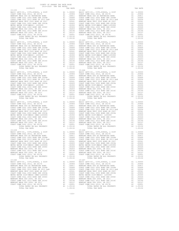DISTRICT TAX RATE DISTRICT TAX RATE  $\begin{tabular}{ c| c| c|c|c} \hline 15-235 & 15-241 & 1.00000 & 18-241 & 1.00000 & 18-241 & 1.00000 & 18-241 & 1.00000 & 18-241 & 1.00000 & 18-241 & 1.00000 & 18-241 & 1.00000 & 1.00000 & 1.00000 & 1.00000 & 1.00000 & 1.00000 & 1.00000 & 1.00000 & 1.00000 & 1$  15-238 15-245 15-239 15-246 15-240 15-247

 $\begin{tabular}{ c| c| c|c|c} \hline 15-236 & 15-243 & 1.00000 & 18-243 & 1.00000 & 18-243 & 1.00000 & 18-243 & 1.00000 & 18-243 & 1.00000 & 1.00000 & 1.00000 & 1.00000 & 1.00000 & 1.00000 & 1.00000 & 1.00000 & 1.00000 & 1.00000 & 1.00000 & 1.00000 & 1.00000 &$  $\begin{tabular}{cccccccc} 15-237 & 15-24 & 15-0000 & 15-24 & 100000 & 15-24 & 100000 & 15-24 & 100000 & 15-24 & 100000 & 15-24 & 100000 & 15-24 & 100000 & 15-24 & 100000 & 15-24 & 100000 & 15-24 & 100000 & 15-24 & 100000 & 15-24 & 100000 & 15-24 & 100000 & 15-24 &$  TOTAL TAX RATE 1.05132 TOTAL TAX RATE 1.05132 BASIC LEVY-CO., CITY,SCHOOL, & DIST A1 1.00000 BASIC LEVY-CO., CITY,SCHOOL, & DIST A1 1.00000 COAST COMM COLL 2012, SR 2017D A1 .00906 COAST COMM COLL 2012, SR 2017D A1 .00906 NEWPORT MESA USD GO REFUNDING BOND A1 .00811 NEWPORT MESA USD GO REFUNDING BOND A1 .00811 COAST COMM COLL 2002 BOND SER 2006B A1 .00666 COAST COMM COLL 2002 BOND SER 2006B A1 .00666 COAST COMM COLL 2012 BOND SR 2013 A&B A1 .00554 COAST COMM COLL 2012 BOND SR 2013 A&B A1 .00554 NEWPORT MESA UNIF 2005 BOND SR 2007 A1 .00541 NEWPORT MESA UNIF 2005 BOND SR 2007 A1 .00541 COAST COMM COLL 2002 BOND SER 2003A A1 .00455 COAST COMM COLL 2002 BOND SER 2003A A1 .00455 METRO WATER DIST-MWDOC CMWD-1205999 A1 .00350 METRO WATER DIST-MWDOC- 1205999 A1 .00350 COAST COMM COLL 2002 BOND SER 2006C A1 .00324 COAST COMM COLL 2002 BOND SER 2006C A1 .00324 NEWPORT MESA USD 2005, SR 2011 A1 .00203 NEWPORT MESA USD 2005, SR 2011 A1 .00203 COAST COMM COLL 2012 BOND SER 2016C A1 .00194 COAST COMM COLL 2012 BOND SER 2016C A1 .00194 NEWPORT MESA USD 2005, SR 2017 A1 .00127 NEWPORT MESA USD 2005, SR 2017 A1 .00127 COAST COMM COLL 2012, SR 2017E A1 .00001 COAST COMM COLL 2012, SR 2017E A1 .00001 TOTAL RATES ON ALL PROPERTY A1 1.05132 TOTAL RATES ON ALL PROPERTY A1 1.05132 TOTAL TAX RATE 1.05132 TOTAL TAX RATE 1.05132 BASIC LEVY-CO., CITY,SCHOOL, & DIST A1 1.00000 BASIC LEVY-CO., CITY,SCHOOL, & DIST A1 1.00000 COAST COMM COLL 2012, SR 2017D A1 .00906 COAST COMM COLL 2012, SR 2017D A1 .00906 NEWPORT MESA USD GO REFUNDING BOND A1 .00811 NEWPORT MESA USD GO REFUNDING BOND A1 .00811 COAST COMM COLL 2002 BOND SER 2006B A1 .00666 COAST COMM COLL 2002 BOND SER 2006B A1 .00666 COAST COMM COLL 2012 BOND SR 2013 A&B A1 .00554 COAST COMM COLL 2012 BOND SR 2013 A&B A1 .00554 NEWPORT MESA UNIF 2005 BOND SR 2007 A1 .00541 NEWPORT MESA UNIF 2005 BOND SR 2007 A1 .00541 COAST COMM COLL 2002 BOND SER 2003A A1 .00455 COAST COMM COLL 2002 BOND SER 2003A A1 .00455 METRO WATER DIST-MWDOC CMWD-1205999 A1 .00350 METRO WATER DIST-MWDOC CMWD-1205999 A1 .00350 COAST COMM COLL 2002 BOND SER 2006C A1 .00324 COAST COMM COLL 2002 BOND SER 2006C A1 .00324 NEWPORT MESA USD 2005, SR 2011 A1 .00203 NEWPORT MESA USD 2005, SR 2011 A1 .00203 COAST COMM COLL 2012 BOND SER 2016C A1 .00194 COAST COMM COLL 2012 BOND SER 2016C A1 .00194 NEWPORT MESA USD 2005, SR 2017 A1 .00127 NEWPORT MESA USD 2005, SR 2017 A1 .00127 COAST COMM COLL 2012, SR 2017E A1 .00001 COAST COMM COLL 2012, SR 2017E A1 .00001 TOTAL RATES ON ALL PROPERTY A1 1.05132 TOTAL RATES ON ALL PROPERTY A1 1.05132 TOTAL TAX RATE 1.05132 TOTAL TAX RATE 1.05132 BASIC LEVY-CO., CITY,SCHOOL, & DIST A1 1.00000 BASIC LEVY-CO., CITY,SCHOOL, & DIST A1 1.00000 COAST COMM COLL 2012, SR 2017D A1 .00906 COAST COMM COLL 2012, SR 2017D A1 .00906 NEWPORT MESA USD GO REFUNDING BOND A1 .00811 NEWPORT MESA USD GO REFUNDING BOND A1 .00811 COAST COMM COLL 2002 BOND SER 2006B A1 .00666 COAST COMM COLL 2002 BOND SER 2006B A1 .00666 COAST COMM COLL 2012 BOND SR 2013 A&B A1 .00554 COAST COMM COLL 2012 BOND SR 2013 A&B A1 .00554 NEWPORT MESA UNIF 2005 BOND SR 2007 A1 .00541 NEWPORT MESA UNIF 2005 BOND SR 2007 A1 .00541  $\begin{tabular}{l|c|c|c|c|c|c|c} \multicolumn{4}{c}{CCAST COM M COLL 2002 BOND SER 2004M 20LL 2002 BOND SER 2004M 20LL 2002 BOND SER 2004M 20LL 2002 BOND SER 2004M 20LL 2002 BOND SER 2004M 20LL 2002 BOND SER 2004M 20LL 2002 BOND SER 2004M 20LL 2002 BOND SER 2004M 20LL 2002 BOND SER 2004M 20LL 2002 BOND SER 2004M 20LL 20$ 

COUNTY OF ORANGE TAX RATE BOOK 2019-2020 TRA TAX RATES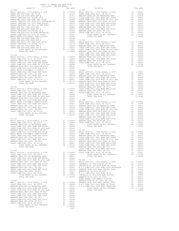-154-

| COUNTY OF ORANGE TAX RATE BOOK<br>2019-2020 TRA TAX RATES |  |                                                                                                                                                                                                                               |  |
|-----------------------------------------------------------|--|-------------------------------------------------------------------------------------------------------------------------------------------------------------------------------------------------------------------------------|--|
|                                                           |  |                                                                                                                                                                                                                               |  |
|                                                           |  |                                                                                                                                                                                                                               |  |
|                                                           |  |                                                                                                                                                                                                                               |  |
|                                                           |  |                                                                                                                                                                                                                               |  |
|                                                           |  |                                                                                                                                                                                                                               |  |
|                                                           |  |                                                                                                                                                                                                                               |  |
|                                                           |  |                                                                                                                                                                                                                               |  |
|                                                           |  |                                                                                                                                                                                                                               |  |
|                                                           |  |                                                                                                                                                                                                                               |  |
|                                                           |  |                                                                                                                                                                                                                               |  |
|                                                           |  |                                                                                                                                                                                                                               |  |
|                                                           |  |                                                                                                                                                                                                                               |  |
|                                                           |  |                                                                                                                                                                                                                               |  |
|                                                           |  |                                                                                                                                                                                                                               |  |
|                                                           |  |                                                                                                                                                                                                                               |  |
|                                                           |  |                                                                                                                                                                                                                               |  |
|                                                           |  |                                                                                                                                                                                                                               |  |
|                                                           |  |                                                                                                                                                                                                                               |  |
|                                                           |  |                                                                                                                                                                                                                               |  |
|                                                           |  |                                                                                                                                                                                                                               |  |
|                                                           |  |                                                                                                                                                                                                                               |  |
|                                                           |  |                                                                                                                                                                                                                               |  |
|                                                           |  |                                                                                                                                                                                                                               |  |
|                                                           |  |                                                                                                                                                                                                                               |  |
|                                                           |  |                                                                                                                                                                                                                               |  |
|                                                           |  |                                                                                                                                                                                                                               |  |
|                                                           |  |                                                                                                                                                                                                                               |  |
|                                                           |  |                                                                                                                                                                                                                               |  |
|                                                           |  |                                                                                                                                                                                                                               |  |
|                                                           |  |                                                                                                                                                                                                                               |  |
|                                                           |  |                                                                                                                                                                                                                               |  |
|                                                           |  |                                                                                                                                                                                                                               |  |
|                                                           |  |                                                                                                                                                                                                                               |  |
|                                                           |  |                                                                                                                                                                                                                               |  |
|                                                           |  |                                                                                                                                                                                                                               |  |
|                                                           |  |                                                                                                                                                                                                                               |  |
|                                                           |  |                                                                                                                                                                                                                               |  |
|                                                           |  |                                                                                                                                                                                                                               |  |
|                                                           |  |                                                                                                                                                                                                                               |  |
|                                                           |  |                                                                                                                                                                                                                               |  |
|                                                           |  |                                                                                                                                                                                                                               |  |
|                                                           |  |                                                                                                                                                                                                                               |  |
|                                                           |  |                                                                                                                                                                                                                               |  |
|                                                           |  |                                                                                                                                                                                                                               |  |
|                                                           |  |                                                                                                                                                                                                                               |  |
|                                                           |  |                                                                                                                                                                                                                               |  |
|                                                           |  |                                                                                                                                                                                                                               |  |
|                                                           |  |                                                                                                                                                                                                                               |  |
|                                                           |  |                                                                                                                                                                                                                               |  |
|                                                           |  |                                                                                                                                                                                                                               |  |
|                                                           |  |                                                                                                                                                                                                                               |  |
|                                                           |  |                                                                                                                                                                                                                               |  |
|                                                           |  |                                                                                                                                                                                                                               |  |
|                                                           |  |                                                                                                                                                                                                                               |  |
|                                                           |  |                                                                                                                                                                                                                               |  |
|                                                           |  |                                                                                                                                                                                                                               |  |
|                                                           |  |                                                                                                                                                                                                                               |  |
|                                                           |  |                                                                                                                                                                                                                               |  |
|                                                           |  |                                                                                                                                                                                                                               |  |
|                                                           |  |                                                                                                                                                                                                                               |  |
|                                                           |  |                                                                                                                                                                                                                               |  |
|                                                           |  |                                                                                                                                                                                                                               |  |
|                                                           |  |                                                                                                                                                                                                                               |  |
|                                                           |  |                                                                                                                                                                                                                               |  |
|                                                           |  |                                                                                                                                                                                                                               |  |
|                                                           |  |                                                                                                                                                                                                                               |  |
|                                                           |  |                                                                                                                                                                                                                               |  |
|                                                           |  |                                                                                                                                                                                                                               |  |
|                                                           |  |                                                                                                                                                                                                                               |  |
|                                                           |  |                                                                                                                                                                                                                               |  |
|                                                           |  |                                                                                                                                                                                                                               |  |
|                                                           |  |                                                                                                                                                                                                                               |  |
|                                                           |  |                                                                                                                                                                                                                               |  |
|                                                           |  |                                                                                                                                                                                                                               |  |
|                                                           |  | COAST COMM COLL 2002 9000 SER 2003 AL 1.00045 PARTIC LEVY-CO, (TY, SCHOOL AU 11, 00000 SER 2013 AL 1.00000 SER 2013 AL 1.00000 SER 2013 AL 1.00000 SER 2013 AL 1.00000 SER 2014 AL 1.00000 SER 2014 AL 1.00000 SER 2014 AL 1. |  |
|                                                           |  |                                                                                                                                                                                                                               |  |
|                                                           |  |                                                                                                                                                                                                                               |  |
|                                                           |  |                                                                                                                                                                                                                               |  |
|                                                           |  |                                                                                                                                                                                                                               |  |
|                                                           |  |                                                                                                                                                                                                                               |  |
|                                                           |  |                                                                                                                                                                                                                               |  |
|                                                           |  |                                                                                                                                                                                                                               |  |
|                                                           |  |                                                                                                                                                                                                                               |  |
|                                                           |  |                                                                                                                                                                                                                               |  |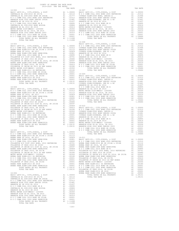| DISTRICT   | TAX RATE | DISTRICT<br>16-007 | TAX RATE |
|------------|----------|--------------------|----------|
| $16 - 002$ |          |                    |          |
|            |          |                    |          |
|            |          |                    |          |
|            |          |                    |          |
|            |          |                    |          |
|            |          |                    |          |
|            |          |                    |          |
|            |          |                    |          |
|            |          |                    |          |
|            |          |                    |          |
|            |          |                    |          |
|            |          |                    |          |
|            |          |                    |          |
|            |          |                    |          |
|            |          |                    |          |
|            |          |                    |          |
|            |          | $16 - 008$         |          |
|            |          |                    |          |
|            |          |                    |          |
|            |          |                    |          |
|            |          |                    |          |
|            |          |                    |          |
|            |          |                    |          |
|            |          |                    |          |
|            |          |                    |          |
|            |          |                    |          |
|            |          |                    |          |
|            |          |                    |          |
|            |          |                    |          |
|            |          |                    |          |
|            |          |                    |          |
|            |          |                    |          |
|            |          |                    |          |
|            |          |                    |          |
|            |          |                    |          |
|            |          |                    |          |
|            |          |                    |          |
|            |          |                    |          |
|            |          |                    |          |
|            |          |                    |          |
|            |          |                    |          |
|            |          |                    |          |
|            |          |                    |          |
|            |          |                    |          |
|            |          |                    |          |
|            |          |                    |          |
|            |          |                    |          |
|            |          |                    |          |
|            |          |                    |          |
|            |          |                    |          |
|            |          |                    |          |
|            |          |                    |          |
|            |          |                    |          |
|            |          |                    |          |
|            |          |                    |          |
|            |          |                    |          |
|            |          |                    |          |
|            |          |                    |          |
|            |          |                    |          |
|            |          |                    |          |
|            |          |                    |          |
|            |          |                    |          |
|            |          |                    |          |
|            |          |                    |          |
|            |          |                    |          |
|            |          |                    |          |
|            |          |                    |          |
|            |          |                    |          |
|            |          |                    |          |
|            |          |                    |          |
|            |          |                    |          |
|            |          |                    |          |
|            |          |                    |          |
|            |          |                    |          |
|            |          |                    |          |
|            |          |                    |          |
|            |          |                    |          |
|            |          |                    |          |
|            |          |                    |          |
|            |          |                    |          |
|            |          |                    |          |
|            |          |                    |          |
|            |          |                    |          |
|            |          |                    |          |
|            |          |                    |          |
|            |          |                    |          |
|            |          |                    |          |
|            |          |                    |          |
|            |          |                    |          |
|            |          |                    |          |
|            |          |                    |          |
|            |          |                    |          |
|            |          |                    |          |
|            |          |                    |          |

## $\begin{tabular}{l|c|c|c} \multicolumn{1}{c}{ARAHEIM HSE} & A1 & .00414 & .00414 \\ \multicolumn{1}{c}{MERRO WATER DIST-MWDOC- 1205999} & A1 & .00350 \\ \multicolumn{1}{c}{ANAHEM HIGH GO EL 2014, SR 2015} & A1 & .00326 \\ \multicolumn{1}{c}{ANAHEM HIGH GO EL 2014, SR 2015} & A1 & .00326 \\ \multicolumn{1}{c}{N O C COMM COLL 2014 BOND SREH 2003} & A1 & .00001 \\ \multicolumn{$

COUNTY OF ORANGE TAX RATE BOOK 2019-2020 TRA TAX RATES

- 
- $-155-$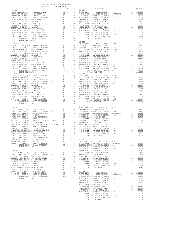| 2019-2020 TRA TAX RATES<br>DISTRICT                                                                                                                                                                                                 | TAX RATE | DISTRICT   | TAX RATE |
|-------------------------------------------------------------------------------------------------------------------------------------------------------------------------------------------------------------------------------------|----------|------------|----------|
| $16 - 012$                                                                                                                                                                                                                          |          | $16 - 017$ |          |
|                                                                                                                                                                                                                                     |          |            |          |
|                                                                                                                                                                                                                                     |          |            |          |
|                                                                                                                                                                                                                                     |          |            |          |
|                                                                                                                                                                                                                                     |          |            |          |
|                                                                                                                                                                                                                                     |          |            |          |
|                                                                                                                                                                                                                                     |          |            |          |
|                                                                                                                                                                                                                                     |          |            |          |
|                                                                                                                                                                                                                                     |          | $16 - 018$ |          |
|                                                                                                                                                                                                                                     |          |            |          |
|                                                                                                                                                                                                                                     |          |            |          |
|                                                                                                                                                                                                                                     |          |            |          |
|                                                                                                                                                                                                                                     |          |            |          |
|                                                                                                                                                                                                                                     |          |            |          |
|                                                                                                                                                                                                                                     |          |            |          |
|                                                                                                                                                                                                                                     |          |            |          |
|                                                                                                                                                                                                                                     |          |            |          |
|                                                                                                                                                                                                                                     |          |            |          |
|                                                                                                                                                                                                                                     |          | $16 - 019$ |          |
|                                                                                                                                                                                                                                     |          |            |          |
|                                                                                                                                                                                                                                     |          |            |          |
|                                                                                                                                                                                                                                     |          |            |          |
|                                                                                                                                                                                                                                     |          |            |          |
|                                                                                                                                                                                                                                     |          |            |          |
|                                                                                                                                                                                                                                     |          |            |          |
|                                                                                                                                                                                                                                     |          |            |          |
|                                                                                                                                                                                                                                     | 1.11498  |            |          |
| TOTAL TAX RATE                                                                                                                                                                                                                      |          |            |          |
|                                                                                                                                                                                                                                     |          |            |          |
|                                                                                                                                                                                                                                     |          |            |          |
|                                                                                                                                                                                                                                     |          |            |          |
|                                                                                                                                                                                                                                     |          |            |          |
|                                                                                                                                                                                                                                     |          |            |          |
|                                                                                                                                                                                                                                     |          |            |          |
|                                                                                                                                                                                                                                     |          |            |          |
|                                                                                                                                                                                                                                     |          |            |          |
|                                                                                                                                                                                                                                     |          |            |          |
|                                                                                                                                                                                                                                     |          |            |          |
|                                                                                                                                                                                                                                     |          |            |          |
|                                                                                                                                                                                                                                     |          |            |          |
|                                                                                                                                                                                                                                     |          |            |          |
|                                                                                                                                                                                                                                     |          |            |          |
|                                                                                                                                                                                                                                     |          |            |          |
|                                                                                                                                                                                                                                     |          |            |          |
|                                                                                                                                                                                                                                     |          |            |          |
|                                                                                                                                                                                                                                     |          |            |          |
|                                                                                                                                                                                                                                     |          |            |          |
|                                                                                                                                                                                                                                     |          |            |          |
| 102314 RARK ELEM-2013 (NORTHOLOGY) (1991)<br>102 COMM COLL 2014 ROBIN 2016, 2014 2016 (1992)<br>102 COMM COLL 2014 ROBIN 2016, 2016 (1992) (1992) (1992) (1992) (1992) (1992) (1993) (1993)<br>102 COMM COLL 2014 ROBIN 2018) (1993 |          |            |          |
|                                                                                                                                                                                                                                     |          |            |          |
|                                                                                                                                                                                                                                     |          |            |          |
|                                                                                                                                                                                                                                     |          |            |          |
|                                                                                                                                                                                                                                     |          |            |          |
|                                                                                                                                                                                                                                     |          |            |          |
|                                                                                                                                                                                                                                     |          |            |          |
|                                                                                                                                                                                                                                     |          |            |          |

## COUNTY OF ORANGE TAX RATE BOOK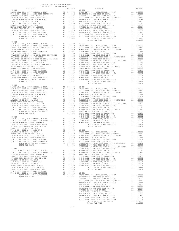| COUNTY OF ORANGE TAX RATE BOOK<br>2019-2020 TRA TAX RATES |  |                                         |          |
|-----------------------------------------------------------|--|-----------------------------------------|----------|
| DISTRICT                                                  |  | TRA TAX RATES<br>TAX RATE TAX PRESERICT | TAX RATE |
| $16 - 023$                                                |  | $16 - 030$                              |          |
|                                                           |  |                                         |          |
|                                                           |  |                                         |          |
| $16 - 025$                                                |  |                                         |          |
|                                                           |  |                                         |          |
|                                                           |  |                                         |          |
|                                                           |  |                                         |          |
|                                                           |  |                                         |          |
|                                                           |  |                                         |          |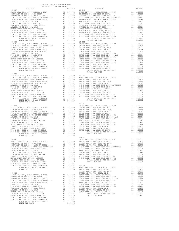| DISTRICT   |  | TAX RATE DISTRICT | TAX RATE |
|------------|--|-------------------|----------|
|            |  |                   |          |
|            |  |                   |          |
|            |  |                   |          |
|            |  |                   |          |
|            |  |                   |          |
|            |  |                   |          |
|            |  |                   |          |
|            |  |                   |          |
|            |  |                   |          |
|            |  |                   |          |
|            |  |                   |          |
|            |  |                   |          |
|            |  |                   |          |
|            |  |                   |          |
|            |  |                   |          |
|            |  |                   |          |
|            |  |                   |          |
|            |  |                   |          |
|            |  |                   |          |
|            |  |                   |          |
|            |  |                   |          |
| $16 - 039$ |  |                   |          |
|            |  |                   |          |
|            |  |                   |          |
|            |  |                   |          |
|            |  |                   |          |
|            |  |                   |          |
|            |  |                   |          |
|            |  |                   |          |
|            |  |                   |          |
|            |  |                   |          |
|            |  |                   |          |
|            |  |                   |          |
|            |  |                   |          |
|            |  |                   |          |
|            |  |                   |          |
|            |  |                   |          |
|            |  |                   |          |
|            |  |                   |          |
|            |  |                   |          |
|            |  |                   |          |
|            |  |                   |          |
|            |  |                   |          |
|            |  |                   |          |
|            |  |                   |          |
|            |  |                   |          |
|            |  |                   |          |
|            |  |                   |          |
|            |  |                   |          |
|            |  |                   |          |
|            |  |                   |          |
|            |  |                   |          |
|            |  |                   |          |
|            |  |                   |          |
|            |  |                   |          |
|            |  |                   |          |
|            |  |                   |          |
|            |  |                   |          |
|            |  |                   |          |
|            |  |                   |          |
|            |  |                   |          |
|            |  |                   |          |
|            |  |                   |          |
|            |  |                   |          |
|            |  |                   |          |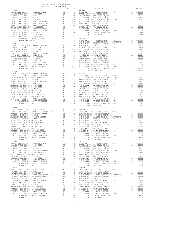|            | TOTAL TAX RATE | 1.09449 |
|------------|----------------|---------|
|            |                |         |
| $17 - 008$ |                |         |
|            |                |         |
|            |                |         |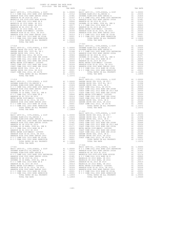| COUNTY OF ORANGE TAX RATE BOOK      |          |                                                                                                                                                                                                                                                                                                                                                                                                                                                |          |
|-------------------------------------|----------|------------------------------------------------------------------------------------------------------------------------------------------------------------------------------------------------------------------------------------------------------------------------------------------------------------------------------------------------------------------------------------------------------------------------------------------------|----------|
| 2019-2020 TRA TAX RATES<br>DISTRICT | TAX RATE | DISTRICT                                                                                                                                                                                                                                                                                                                                                                                                                                       | TAX RATE |
| $17 - 017$                          |          | $17 - 022$                                                                                                                                                                                                                                                                                                                                                                                                                                     |          |
|                                     |          |                                                                                                                                                                                                                                                                                                                                                                                                                                                |          |
|                                     |          |                                                                                                                                                                                                                                                                                                                                                                                                                                                |          |
| TOTAL TAX RATE                      | 1.12859  | $\begin{tabular}{l c c c c c c c c} \multicolumn{1}{c}{A} \multicolumn{1}{c}{A} \multicolumn{1}{c}{A} \multicolumn{1}{c}{A} \multicolumn{1}{c}{A} \multicolumn{1}{c}{A} \multicolumn{1}{c}{A} \multicolumn{1}{c}{A} \multicolumn{1}{c}{A} \multicolumn{1}{c}{A} \multicolumn{1}{c}{A} \multicolumn{1}{c}{A} \multicolumn{1}{c}{A} \multicolumn{1}{c}{A} \multicolumn{1}{c}{A} \multicolumn{1}{c}{A} \multicolumn{1}{c}{A} \multicolumn{1}{c}{$ |          |
|                                     |          | $17 - 026$                                                                                                                                                                                                                                                                                                                                                                                                                                     |          |

-160-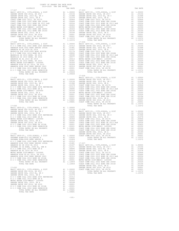| COUNTY OF ORANGE TAX RATE BOOK<br>2019-2020 TRA TAX RATES |  |  |
|-----------------------------------------------------------|--|--|
|                                                           |  |  |
|                                                           |  |  |
|                                                           |  |  |
|                                                           |  |  |
|                                                           |  |  |
|                                                           |  |  |
|                                                           |  |  |
|                                                           |  |  |
|                                                           |  |  |
|                                                           |  |  |
|                                                           |  |  |
|                                                           |  |  |
|                                                           |  |  |
|                                                           |  |  |
|                                                           |  |  |
|                                                           |  |  |
|                                                           |  |  |
|                                                           |  |  |
|                                                           |  |  |
|                                                           |  |  |
|                                                           |  |  |
|                                                           |  |  |
|                                                           |  |  |
|                                                           |  |  |
|                                                           |  |  |
|                                                           |  |  |
|                                                           |  |  |
|                                                           |  |  |
|                                                           |  |  |
|                                                           |  |  |
|                                                           |  |  |
|                                                           |  |  |
|                                                           |  |  |
|                                                           |  |  |
|                                                           |  |  |
|                                                           |  |  |
|                                                           |  |  |
|                                                           |  |  |
|                                                           |  |  |
|                                                           |  |  |
|                                                           |  |  |
|                                                           |  |  |
|                                                           |  |  |
|                                                           |  |  |
|                                                           |  |  |
|                                                           |  |  |
|                                                           |  |  |
|                                                           |  |  |
|                                                           |  |  |
|                                                           |  |  |
|                                                           |  |  |
|                                                           |  |  |
|                                                           |  |  |
|                                                           |  |  |
|                                                           |  |  |
|                                                           |  |  |
|                                                           |  |  |
|                                                           |  |  |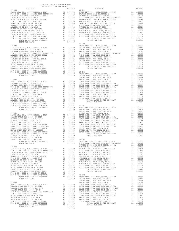|                                                                                                                                                                                                                                                                                                                                                                                                                                               | 17-044                          |  |
|-----------------------------------------------------------------------------------------------------------------------------------------------------------------------------------------------------------------------------------------------------------------------------------------------------------------------------------------------------------------------------------------------------------------------------------------------|---------------------------------|--|
|                                                                                                                                                                                                                                                                                                                                                                                                                                               |                                 |  |
|                                                                                                                                                                                                                                                                                                                                                                                                                                               |                                 |  |
|                                                                                                                                                                                                                                                                                                                                                                                                                                               |                                 |  |
|                                                                                                                                                                                                                                                                                                                                                                                                                                               |                                 |  |
|                                                                                                                                                                                                                                                                                                                                                                                                                                               |                                 |  |
|                                                                                                                                                                                                                                                                                                                                                                                                                                               |                                 |  |
|                                                                                                                                                                                                                                                                                                                                                                                                                                               |                                 |  |
|                                                                                                                                                                                                                                                                                                                                                                                                                                               |                                 |  |
|                                                                                                                                                                                                                                                                                                                                                                                                                                               |                                 |  |
|                                                                                                                                                                                                                                                                                                                                                                                                                                               |                                 |  |
|                                                                                                                                                                                                                                                                                                                                                                                                                                               |                                 |  |
|                                                                                                                                                                                                                                                                                                                                                                                                                                               |                                 |  |
|                                                                                                                                                                                                                                                                                                                                                                                                                                               |                                 |  |
|                                                                                                                                                                                                                                                                                                                                                                                                                                               |                                 |  |
| TOTAL TAX RATE                                                                                                                                                                                                                                                                                                                                                                                                                                | 1.09449                         |  |
|                                                                                                                                                                                                                                                                                                                                                                                                                                               | $17 - 045$                      |  |
| $17 - 039$                                                                                                                                                                                                                                                                                                                                                                                                                                    | BASIC L                         |  |
|                                                                                                                                                                                                                                                                                                                                                                                                                                               |                                 |  |
|                                                                                                                                                                                                                                                                                                                                                                                                                                               |                                 |  |
|                                                                                                                                                                                                                                                                                                                                                                                                                                               |                                 |  |
|                                                                                                                                                                                                                                                                                                                                                                                                                                               |                                 |  |
|                                                                                                                                                                                                                                                                                                                                                                                                                                               |                                 |  |
|                                                                                                                                                                                                                                                                                                                                                                                                                                               |                                 |  |
|                                                                                                                                                                                                                                                                                                                                                                                                                                               |                                 |  |
|                                                                                                                                                                                                                                                                                                                                                                                                                                               |                                 |  |
|                                                                                                                                                                                                                                                                                                                                                                                                                                               |                                 |  |
|                                                                                                                                                                                                                                                                                                                                                                                                                                               |                                 |  |
|                                                                                                                                                                                                                                                                                                                                                                                                                                               |                                 |  |
|                                                                                                                                                                                                                                                                                                                                                                                                                                               |                                 |  |
|                                                                                                                                                                                                                                                                                                                                                                                                                                               |                                 |  |
|                                                                                                                                                                                                                                                                                                                                                                                                                                               |                                 |  |
|                                                                                                                                                                                                                                                                                                                                                                                                                                               | GARDEN                          |  |
| $17 - 040$                                                                                                                                                                                                                                                                                                                                                                                                                                    | GARDEN                          |  |
|                                                                                                                                                                                                                                                                                                                                                                                                                                               |                                 |  |
|                                                                                                                                                                                                                                                                                                                                                                                                                                               |                                 |  |
|                                                                                                                                                                                                                                                                                                                                                                                                                                               |                                 |  |
|                                                                                                                                                                                                                                                                                                                                                                                                                                               |                                 |  |
|                                                                                                                                                                                                                                                                                                                                                                                                                                               |                                 |  |
|                                                                                                                                                                                                                                                                                                                                                                                                                                               |                                 |  |
|                                                                                                                                                                                                                                                                                                                                                                                                                                               |                                 |  |
|                                                                                                                                                                                                                                                                                                                                                                                                                                               |                                 |  |
|                                                                                                                                                                                                                                                                                                                                                                                                                                               |                                 |  |
|                                                                                                                                                                                                                                                                                                                                                                                                                                               |                                 |  |
|                                                                                                                                                                                                                                                                                                                                                                                                                                               |                                 |  |
|                                                                                                                                                                                                                                                                                                                                                                                                                                               |                                 |  |
|                                                                                                                                                                                                                                                                                                                                                                                                                                               |                                 |  |
|                                                                                                                                                                                                                                                                                                                                                                                                                                               |                                 |  |
| $17 - 041$                                                                                                                                                                                                                                                                                                                                                                                                                                    | GARDEN                          |  |
|                                                                                                                                                                                                                                                                                                                                                                                                                                               | GARDEN                          |  |
|                                                                                                                                                                                                                                                                                                                                                                                                                                               |                                 |  |
|                                                                                                                                                                                                                                                                                                                                                                                                                                               |                                 |  |
|                                                                                                                                                                                                                                                                                                                                                                                                                                               |                                 |  |
|                                                                                                                                                                                                                                                                                                                                                                                                                                               |                                 |  |
|                                                                                                                                                                                                                                                                                                                                                                                                                                               |                                 |  |
|                                                                                                                                                                                                                                                                                                                                                                                                                                               |                                 |  |
|                                                                                                                                                                                                                                                                                                                                                                                                                                               |                                 |  |
|                                                                                                                                                                                                                                                                                                                                                                                                                                               |                                 |  |
|                                                                                                                                                                                                                                                                                                                                                                                                                                               |                                 |  |
|                                                                                                                                                                                                                                                                                                                                                                                                                                               |                                 |  |
|                                                                                                                                                                                                                                                                                                                                                                                                                                               |                                 |  |
|                                                                                                                                                                                                                                                                                                                                                                                                                                               |                                 |  |
|                                                                                                                                                                                                                                                                                                                                                                                                                                               |                                 |  |
| A1 1.10372<br>TOTAL RATES ON ALL PROPERTY                                                                                                                                                                                                                                                                                                                                                                                                     |                                 |  |
| TOTAL TAX RATE                                                                                                                                                                                                                                                                                                                                                                                                                                | 1.10372 BASIC L<br>1.10372 NOCC |  |
| $17 - 042$                                                                                                                                                                                                                                                                                                                                                                                                                                    | ANAHEIM                         |  |
|                                                                                                                                                                                                                                                                                                                                                                                                                                               | ANAHEIM                         |  |
|                                                                                                                                                                                                                                                                                                                                                                                                                                               |                                 |  |
|                                                                                                                                                                                                                                                                                                                                                                                                                                               |                                 |  |
|                                                                                                                                                                                                                                                                                                                                                                                                                                               |                                 |  |
|                                                                                                                                                                                                                                                                                                                                                                                                                                               |                                 |  |
|                                                                                                                                                                                                                                                                                                                                                                                                                                               |                                 |  |
|                                                                                                                                                                                                                                                                                                                                                                                                                                               |                                 |  |
|                                                                                                                                                                                                                                                                                                                                                                                                                                               |                                 |  |
|                                                                                                                                                                                                                                                                                                                                                                                                                                               |                                 |  |
|                                                                                                                                                                                                                                                                                                                                                                                                                                               |                                 |  |
|                                                                                                                                                                                                                                                                                                                                                                                                                                               |                                 |  |
|                                                                                                                                                                                                                                                                                                                                                                                                                                               |                                 |  |
|                                                                                                                                                                                                                                                                                                                                                                                                                                               |                                 |  |
|                                                                                                                                                                                                                                                                                                                                                                                                                                               |                                 |  |
|                                                                                                                                                                                                                                                                                                                                                                                                                                               |                                 |  |
|                                                                                                                                                                                                                                                                                                                                                                                                                                               | GARDEN                          |  |
| $\begin{tabular}{l c c c c c} 17-042 & \multicolumn{1}{c}{AMABEM} \\ \hline \texttt{BASIC} & \multicolumn{1}{c}{AMABEM} & \multicolumn{1}{c}{AMABEM} \\ \hline \texttt{N} & \multicolumn{1}{c}{O} & \multicolumn{1}{c}{C} & \multicolumn{1}{c}{AMABEM} \\ \hline \texttt{N} & \multicolumn{1}{c}{O} & \multicolumn{1}{c}{C} & \multicolumn{1}{c}{O} \\ \hline \texttt{ANABEM} & \multicolumn{1}{c}{HIGH} & 2002 & \multicolumn{1}{c}{BOND} &$ |                                 |  |
|                                                                                                                                                                                                                                                                                                                                                                                                                                               |                                 |  |
|                                                                                                                                                                                                                                                                                                                                                                                                                                               |                                 |  |
|                                                                                                                                                                                                                                                                                                                                                                                                                                               |                                 |  |
|                                                                                                                                                                                                                                                                                                                                                                                                                                               |                                 |  |
|                                                                                                                                                                                                                                                                                                                                                                                                                                               |                                 |  |
|                                                                                                                                                                                                                                                                                                                                                                                                                                               |                                 |  |
|                                                                                                                                                                                                                                                                                                                                                                                                                                               |                                 |  |
|                                                                                                                                                                                                                                                                                                                                                                                                                                               |                                 |  |
|                                                                                                                                                                                                                                                                                                                                                                                                                                               |                                 |  |
|                                                                                                                                                                                                                                                                                                                                                                                                                                               |                                 |  |
|                                                                                                                                                                                                                                                                                                                                                                                                                                               |                                 |  |

| DISTRICT   | TAX RATE | DISTRICT   | TAX RATE |
|------------|----------|------------|----------|
| $17 - 038$ |          | $17 - 044$ |          |
|            |          |            |          |
|            |          |            |          |
|            |          |            |          |
|            |          |            |          |
|            |          |            |          |
|            |          |            |          |
|            |          |            |          |
|            |          |            |          |
|            |          |            |          |
|            |          |            |          |
|            |          |            |          |
|            |          |            |          |
|            |          |            |          |
|            |          |            |          |
|            |          |            |          |
|            |          |            |          |
|            |          |            |          |
|            |          | $17 - 045$ |          |
|            |          |            |          |
|            |          |            |          |
|            |          |            |          |
|            |          |            |          |
|            |          |            |          |
|            |          |            |          |
|            |          |            |          |
|            |          |            |          |
|            |          |            |          |
|            |          |            |          |
|            |          |            |          |
|            |          |            |          |
|            |          |            |          |
|            |          |            |          |
|            |          |            |          |
|            |          |            |          |
|            |          |            |          |
|            |          |            |          |
|            |          |            |          |
|            |          |            |          |
|            |          |            |          |
|            |          |            |          |
|            |          |            |          |
|            |          |            |          |
|            |          |            |          |
|            |          |            |          |
|            |          |            |          |
|            |          |            |          |
|            |          |            |          |
|            |          |            |          |
|            |          |            |          |
|            |          |            |          |
|            |          |            |          |
|            |          |            |          |
|            |          |            |          |
|            |          |            |          |
|            |          |            |          |
|            |          |            |          |
|            |          |            |          |
|            |          |            |          |
|            |          |            |          |
|            |          |            |          |
|            |          |            |          |
|            |          |            |          |
|            |          |            |          |
|            |          |            |          |
|            |          |            |          |
|            |          |            |          |
|            |          |            |          |
|            |          |            |          |
|            |          |            |          |
|            |          |            |          |
|            |          |            |          |
|            |          |            |          |
|            |          |            |          |
|            |          |            |          |
|            |          |            |          |
|            |          |            |          |
|            |          |            |          |
|            |          |            |          |
|            |          |            |          |
|            |          |            |          |
|            |          |            |          |
|            |          |            |          |
|            |          |            |          |
|            |          |            |          |
|            |          |            |          |
|            |          |            |          |
|            |          |            |          |
|            |          |            |          |
|            |          |            |          |
|            |          |            |          |
|            |          |            |          |
|            |          |            |          |
|            |          |            |          |
|            |          |            |          |
|            |          |            |          |
|            |          |            |          |
|            |          |            |          |
|            |          |            |          |
|            |          |            |          |
|            |          |            |          |
|            |          |            |          |
|            |          |            |          |
|            | $-162-$  |            |          |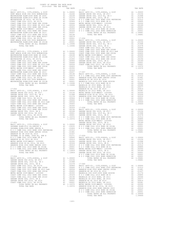| $17 - 050$                                                                                                                                                                                                                                                                                                                                                                                                                                                    |          |                                       | 17-055                                                          |
|---------------------------------------------------------------------------------------------------------------------------------------------------------------------------------------------------------------------------------------------------------------------------------------------------------------------------------------------------------------------------------------------------------------------------------------------------------------|----------|---------------------------------------|-----------------------------------------------------------------|
|                                                                                                                                                                                                                                                                                                                                                                                                                                                               |          |                                       |                                                                 |
|                                                                                                                                                                                                                                                                                                                                                                                                                                                               |          |                                       |                                                                 |
|                                                                                                                                                                                                                                                                                                                                                                                                                                                               |          |                                       |                                                                 |
|                                                                                                                                                                                                                                                                                                                                                                                                                                                               |          |                                       |                                                                 |
|                                                                                                                                                                                                                                                                                                                                                                                                                                                               |          |                                       |                                                                 |
|                                                                                                                                                                                                                                                                                                                                                                                                                                                               |          |                                       |                                                                 |
|                                                                                                                                                                                                                                                                                                                                                                                                                                                               |          |                                       |                                                                 |
|                                                                                                                                                                                                                                                                                                                                                                                                                                                               |          |                                       |                                                                 |
|                                                                                                                                                                                                                                                                                                                                                                                                                                                               |          |                                       |                                                                 |
|                                                                                                                                                                                                                                                                                                                                                                                                                                                               |          |                                       |                                                                 |
|                                                                                                                                                                                                                                                                                                                                                                                                                                                               |          |                                       |                                                                 |
|                                                                                                                                                                                                                                                                                                                                                                                                                                                               |          |                                       |                                                                 |
|                                                                                                                                                                                                                                                                                                                                                                                                                                                               |          |                                       |                                                                 |
|                                                                                                                                                                                                                                                                                                                                                                                                                                                               |          |                                       |                                                                 |
|                                                                                                                                                                                                                                                                                                                                                                                                                                                               |          |                                       |                                                                 |
|                                                                                                                                                                                                                                                                                                                                                                                                                                                               |          |                                       |                                                                 |
|                                                                                                                                                                                                                                                                                                                                                                                                                                                               |          |                                       | COAST C                                                         |
| $17 - 051$                                                                                                                                                                                                                                                                                                                                                                                                                                                    |          |                                       | COAST C                                                         |
|                                                                                                                                                                                                                                                                                                                                                                                                                                                               |          |                                       |                                                                 |
|                                                                                                                                                                                                                                                                                                                                                                                                                                                               |          |                                       |                                                                 |
|                                                                                                                                                                                                                                                                                                                                                                                                                                                               |          |                                       |                                                                 |
|                                                                                                                                                                                                                                                                                                                                                                                                                                                               |          |                                       |                                                                 |
|                                                                                                                                                                                                                                                                                                                                                                                                                                                               |          |                                       |                                                                 |
|                                                                                                                                                                                                                                                                                                                                                                                                                                                               |          |                                       |                                                                 |
|                                                                                                                                                                                                                                                                                                                                                                                                                                                               |          |                                       |                                                                 |
|                                                                                                                                                                                                                                                                                                                                                                                                                                                               |          |                                       |                                                                 |
|                                                                                                                                                                                                                                                                                                                                                                                                                                                               |          |                                       |                                                                 |
|                                                                                                                                                                                                                                                                                                                                                                                                                                                               |          |                                       |                                                                 |
|                                                                                                                                                                                                                                                                                                                                                                                                                                                               |          |                                       |                                                                 |
|                                                                                                                                                                                                                                                                                                                                                                                                                                                               |          |                                       |                                                                 |
|                                                                                                                                                                                                                                                                                                                                                                                                                                                               |          |                                       |                                                                 |
|                                                                                                                                                                                                                                                                                                                                                                                                                                                               |          |                                       |                                                                 |
|                                                                                                                                                                                                                                                                                                                                                                                                                                                               |          |                                       |                                                                 |
|                                                                                                                                                                                                                                                                                                                                                                                                                                                               |          |                                       |                                                                 |
|                                                                                                                                                                                                                                                                                                                                                                                                                                                               |          |                                       |                                                                 |
|                                                                                                                                                                                                                                                                                                                                                                                                                                                               |          |                                       | MAGNOLI                                                         |
| $17 - 052$<br>$\begin{tabular}{l c c c c} \multicolumn{1}{c}{17-052} & \multicolumn{1}{c}{\bf ANABEN} \\ \multicolumn{1}{c}{\bf BASIC LEVY-CO.}, & $\mathsf{CITY},\mathsf{SCROOL}, & $\mathsf{6}\text{ DIST}$ & \multicolumn{1}{c}{\bf ANABEN} \\ \multicolumn{1}{c}{\bf GARDEN GROVE USD}, & $\mathsf{2016},\mathsf{ SR 2017}$ & \multicolumn{1}{c}{\bf A1} & 0.03156 & \multicolumn{1}{c}{\bf METRO WACNOL} \\ \multicolumn{1}{c}{\bf GARDEN GROVE USD}, &$ |          |                                       | ANAHEIM                                                         |
|                                                                                                                                                                                                                                                                                                                                                                                                                                                               |          |                                       |                                                                 |
|                                                                                                                                                                                                                                                                                                                                                                                                                                                               |          |                                       |                                                                 |
|                                                                                                                                                                                                                                                                                                                                                                                                                                                               |          |                                       |                                                                 |
|                                                                                                                                                                                                                                                                                                                                                                                                                                                               |          |                                       |                                                                 |
|                                                                                                                                                                                                                                                                                                                                                                                                                                                               |          |                                       |                                                                 |
|                                                                                                                                                                                                                                                                                                                                                                                                                                                               |          |                                       |                                                                 |
|                                                                                                                                                                                                                                                                                                                                                                                                                                                               |          |                                       |                                                                 |
|                                                                                                                                                                                                                                                                                                                                                                                                                                                               |          |                                       |                                                                 |
|                                                                                                                                                                                                                                                                                                                                                                                                                                                               |          |                                       |                                                                 |
|                                                                                                                                                                                                                                                                                                                                                                                                                                                               |          |                                       |                                                                 |
|                                                                                                                                                                                                                                                                                                                                                                                                                                                               |          |                                       |                                                                 |
|                                                                                                                                                                                                                                                                                                                                                                                                                                                               |          |                                       |                                                                 |
|                                                                                                                                                                                                                                                                                                                                                                                                                                                               |          |                                       |                                                                 |
|                                                                                                                                                                                                                                                                                                                                                                                                                                                               |          |                                       | METRO W                                                         |
|                                                                                                                                                                                                                                                                                                                                                                                                                                                               |          |                                       |                                                                 |
| $\begin{tabular}{lllllllllllll} \textbf{17--053} & \textbf{GARDEN} & \textbf{GARDEN} \\ \textbf{BASIC LEVY-CO.}, & \textbf{CITY}, & \textbf{SCHOOL}, & \textbf{4} & \textbf{DIST} & \textbf{A1} & \textbf{1.00000} & \textbf{GARDEN} \\ \textbf{SAVANNA ELEM-2012 EL}, & \textbf{SERIES A} & \textbf{A1} & \textbf{03035} & \textbf{N} & \textbf{O} & \textbf{C} & \textbf{C} \\ \textbf{SAVANNA ELEM-2008 BOND SREIES A} & \$                                |          |                                       |                                                                 |
|                                                                                                                                                                                                                                                                                                                                                                                                                                                               |          |                                       |                                                                 |
|                                                                                                                                                                                                                                                                                                                                                                                                                                                               |          |                                       |                                                                 |
|                                                                                                                                                                                                                                                                                                                                                                                                                                                               |          |                                       |                                                                 |
|                                                                                                                                                                                                                                                                                                                                                                                                                                                               |          |                                       |                                                                 |
|                                                                                                                                                                                                                                                                                                                                                                                                                                                               |          |                                       |                                                                 |
|                                                                                                                                                                                                                                                                                                                                                                                                                                                               |          |                                       |                                                                 |
|                                                                                                                                                                                                                                                                                                                                                                                                                                                               |          |                                       |                                                                 |
| METRO WATER DIST-MWDOC- 1205999                                                                                                                                                                                                                                                                                                                                                                                                                               | A1 -     | .00350                                | GARDEN                                                          |
| ANAHEIM HIGH GO EL 2014, SR 2015                                                                                                                                                                                                                                                                                                                                                                                                                              | A1       | .00326                                | GARDEN                                                          |
| ANAHEIM HIGH 2002 BOND SERIES 2003                                                                                                                                                                                                                                                                                                                                                                                                                            | A1       | .00310                                | NOCC                                                            |
| N O C COMM COLL 2014 BOND SR 2016A<br>N O C COMM COLL 2002 BOND SER#2003B                                                                                                                                                                                                                                                                                                                                                                                     | A1<br>A1 | .00001<br>.00001                      | NOCC<br>METRO W                                                 |
| TOTAL RATES ON ALL PROPERTY                                                                                                                                                                                                                                                                                                                                                                                                                                   |          | A1 .00001 METROW<br>A1 1.12859 GARDEN |                                                                 |
| TOTAL TAX RATE                                                                                                                                                                                                                                                                                                                                                                                                                                                |          | 1.12859                               | GARDEN                                                          |
|                                                                                                                                                                                                                                                                                                                                                                                                                                                               |          |                                       | NOCC                                                            |
| $17 - 054$                                                                                                                                                                                                                                                                                                                                                                                                                                                    |          |                                       | NOCC                                                            |
| BASIC LEVY-CO., CITY, SCHOOL, & DIST                                                                                                                                                                                                                                                                                                                                                                                                                          | A1       | 1.00000                               |                                                                 |
| GARDEN GROVE USD 2016, SR 2017                                                                                                                                                                                                                                                                                                                                                                                                                                | A1       | .03156                                |                                                                 |
| GARDEN GROVE USD, 2010 EL, SR C<br>GARDEN GROVE USD, 2010, SR B                                                                                                                                                                                                                                                                                                                                                                                               | A1       | .01998                                |                                                                 |
|                                                                                                                                                                                                                                                                                                                                                                                                                                                               | A1       | .01578                                | $17 - 060$<br>17-060<br>BASIC L                                 |
| COAST COMM COLL 2012, SR 2017D<br>COAST COMM COLL 2002 BOND SER 2006B                                                                                                                                                                                                                                                                                                                                                                                         | A1       | A1 .00906                             |                                                                 |
| COAST COMM COLL 2012 BOND SR 2013 A&B                                                                                                                                                                                                                                                                                                                                                                                                                         | A1       |                                       | .00506 BASIC<br>.00666 NOCC<br>.00554 ANAHEIM<br>.00455 ANAHEIM |
| COAST COMM COLL 2002 BOND SER 2003A                                                                                                                                                                                                                                                                                                                                                                                                                           | A1       |                                       |                                                                 |
| METRO WATER DIST-MWDOC- 1205999                                                                                                                                                                                                                                                                                                                                                                                                                               | A1       | .00350                                | MAGNOLI                                                         |
| COAST COMM COLL 2002 BOND SER 2006C                                                                                                                                                                                                                                                                                                                                                                                                                           |          | 11 .00330 MHONOLI<br>A1 .00324 NOCC   |                                                                 |
| COAST COMM COLL 2012 BOND SER 2016C                                                                                                                                                                                                                                                                                                                                                                                                                           | A1       | .00194                                | MAGNOLI                                                         |
| GARDEN GROVE USD, 2010, SR A                                                                                                                                                                                                                                                                                                                                                                                                                                  |          | A1 .00189 MAGNOLI                     |                                                                 |

| OAST COMM COLL ZUIZ BOND SER ZUI6C |
|------------------------------------|
| ARDEN GROVE USD, 2010, SR A        |
| ARDEN GROVE USD 2016, SR 2019      |
| OAST COMM COLL 2012, SR 2017E      |
| TOTAL RATES ON ALL PROPERTY        |
| MORAT MAY DAMP                     |

| COUNTY OF ORANGE TAX RATE BOOK |  |  |
|--------------------------------|--|--|
|                                |  |  |
|                                |  |  |
|                                |  |  |
|                                |  |  |
|                                |  |  |
|                                |  |  |
|                                |  |  |
|                                |  |  |
|                                |  |  |
|                                |  |  |
|                                |  |  |
|                                |  |  |
|                                |  |  |
|                                |  |  |
|                                |  |  |
|                                |  |  |
|                                |  |  |
|                                |  |  |
|                                |  |  |
|                                |  |  |
|                                |  |  |
|                                |  |  |
|                                |  |  |
|                                |  |  |
|                                |  |  |
|                                |  |  |
|                                |  |  |
|                                |  |  |
|                                |  |  |
|                                |  |  |
|                                |  |  |
|                                |  |  |
|                                |  |  |
|                                |  |  |
|                                |  |  |
|                                |  |  |
|                                |  |  |
|                                |  |  |
|                                |  |  |
|                                |  |  |
|                                |  |  |
|                                |  |  |
|                                |  |  |
|                                |  |  |
|                                |  |  |
|                                |  |  |
|                                |  |  |
|                                |  |  |
|                                |  |  |
|                                |  |  |
|                                |  |  |
|                                |  |  |
|                                |  |  |
|                                |  |  |
|                                |  |  |
|                                |  |  |
|                                |  |  |
|                                |  |  |
|                                |  |  |
|                                |  |  |
|                                |  |  |
|                                |  |  |
|                                |  |  |
|                                |  |  |
|                                |  |  |
|                                |  |  |
|                                |  |  |
|                                |  |  |
|                                |  |  |
|                                |  |  |
|                                |  |  |
|                                |  |  |
|                                |  |  |
|                                |  |  |
|                                |  |  |
|                                |  |  |
|                                |  |  |
|                                |  |  |
|                                |  |  |
|                                |  |  |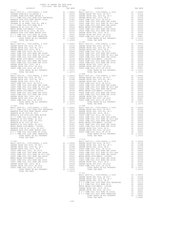| COUNTY OF ORANGE TAX RATE BOOK<br>2019-2020 TRA TAX RATES        |          |                |          |
|------------------------------------------------------------------|----------|----------------|----------|
| DISTRICT                                                         | TAX RATE | DISTRICT       | TAX RATE |
|                                                                  |          |                |          |
|                                                                  |          |                |          |
|                                                                  |          |                |          |
|                                                                  |          |                |          |
|                                                                  |          |                |          |
|                                                                  |          |                |          |
|                                                                  |          |                |          |
|                                                                  |          |                |          |
|                                                                  |          |                |          |
|                                                                  |          |                |          |
|                                                                  |          |                |          |
|                                                                  |          |                |          |
|                                                                  |          |                |          |
|                                                                  |          |                |          |
|                                                                  |          |                |          |
|                                                                  |          |                |          |
|                                                                  |          |                |          |
|                                                                  |          |                |          |
|                                                                  |          |                |          |
|                                                                  |          |                |          |
|                                                                  |          |                |          |
|                                                                  |          |                |          |
|                                                                  |          |                |          |
|                                                                  |          |                |          |
|                                                                  |          |                |          |
|                                                                  |          |                |          |
|                                                                  |          |                |          |
|                                                                  |          |                |          |
|                                                                  |          |                |          |
|                                                                  |          |                |          |
|                                                                  |          |                |          |
|                                                                  |          |                |          |
|                                                                  |          |                |          |
|                                                                  |          |                |          |
|                                                                  |          |                |          |
|                                                                  |          |                |          |
|                                                                  |          |                |          |
|                                                                  |          |                |          |
|                                                                  |          |                |          |
|                                                                  |          |                |          |
|                                                                  |          |                |          |
|                                                                  |          |                |          |
|                                                                  |          |                |          |
|                                                                  |          |                |          |
|                                                                  |          |                |          |
|                                                                  |          |                |          |
|                                                                  |          |                |          |
|                                                                  |          |                |          |
|                                                                  |          |                |          |
|                                                                  |          |                |          |
|                                                                  |          |                |          |
|                                                                  |          |                |          |
|                                                                  |          |                |          |
|                                                                  |          |                |          |
|                                                                  |          |                |          |
|                                                                  |          |                |          |
|                                                                  |          |                |          |
|                                                                  |          |                |          |
|                                                                  |          |                |          |
|                                                                  |          |                |          |
|                                                                  |          |                |          |
|                                                                  |          |                |          |
|                                                                  |          |                |          |
|                                                                  |          |                |          |
|                                                                  |          |                |          |
| TOTAL RATES ON ALL PROPERTY A1 1.09449<br>TOTAL TAX RATE 1.09449 |          | TOTAL TAX RATE | 1.10372  |
|                                                                  |          |                |          |
|                                                                  |          | 17-070         |          |
|                                                                  |          |                |          |
|                                                                  |          |                |          |
|                                                                  |          |                |          |
|                                                                  |          |                |          |
|                                                                  |          |                |          |
|                                                                  |          |                |          |
|                                                                  |          |                |          |
|                                                                  |          |                |          |
|                                                                  |          |                |          |
|                                                                  |          |                |          |
|                                                                  |          |                |          |
|                                                                  |          |                |          |
|                                                                  |          |                |          |
|                                                                  |          |                |          |

| <b>DISTMICT</b> | IAA RAIB | <b>DISIDIUI</b> | IAA RAIB |
|-----------------|----------|-----------------|----------|
|                 |          |                 |          |
|                 |          |                 |          |
|                 |          |                 |          |
|                 |          |                 |          |
|                 |          |                 |          |
|                 |          |                 |          |
|                 |          |                 |          |
|                 |          |                 |          |
|                 |          |                 |          |
|                 |          |                 |          |
|                 |          |                 |          |
|                 |          |                 |          |
|                 |          |                 |          |
|                 |          |                 |          |
|                 |          |                 |          |
|                 |          |                 |          |
|                 |          |                 |          |
|                 |          |                 |          |
|                 |          |                 |          |
|                 |          |                 |          |
|                 |          |                 |          |
|                 |          |                 |          |
|                 |          |                 |          |
|                 |          |                 |          |
|                 |          |                 |          |
|                 |          |                 |          |
|                 |          |                 |          |
|                 |          |                 |          |
|                 |          |                 |          |
|                 |          |                 |          |
|                 |          |                 |          |
|                 |          |                 |          |
|                 |          |                 |          |
|                 |          |                 |          |
|                 |          |                 |          |
|                 |          |                 |          |
|                 |          |                 |          |
|                 |          |                 |          |
|                 |          |                 |          |
|                 |          |                 |          |
|                 |          |                 |          |
|                 |          |                 |          |
|                 |          |                 |          |
|                 |          |                 |          |
|                 |          |                 |          |
|                 |          |                 |          |
|                 |          |                 |          |
|                 |          |                 |          |
|                 |          |                 |          |
|                 |          |                 |          |
|                 |          |                 |          |
|                 |          |                 |          |
|                 |          |                 |          |
|                 |          |                 |          |
|                 |          |                 |          |
|                 |          |                 |          |
|                 |          |                 |          |
|                 |          |                 |          |
|                 |          |                 |          |
|                 |          |                 |          |
|                 |          |                 |          |
|                 |          |                 |          |
|                 |          |                 |          |
|                 |          |                 |          |
|                 |          |                 |          |
|                 |          |                 |          |
|                 |          |                 |          |
|                 |          |                 |          |
|                 |          |                 |          |
|                 |          |                 |          |
|                 |          |                 |          |
|                 |          |                 |          |
|                 |          |                 |          |
|                 |          |                 |          |
|                 |          |                 |          |
|                 |          |                 |          |
|                 |          |                 |          |
|                 |          |                 |          |
|                 |          |                 |          |
|                 |          |                 |          |
|                 |          |                 |          |
|                 |          |                 |          |
|                 |          |                 |          |
|                 |          |                 |          |
|                 |          |                 |          |
|                 |          |                 |          |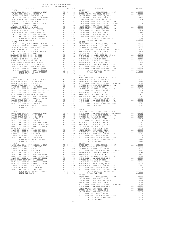17-072 17-077 17-073 17-078

 DISTRICT TAX RATE DISTRICT TAX RATE BASIC LEVY-CO., CITY,SCHOOL, & DIST A1 1.00000 BASIC LEVY-CO., CITY,SCHOOL, & DIST A1 1.00000 SAVANNA ELEM-2012 EL,SERIES A A1 .03035 GARDEN GROVE USD 2016, SR 2017 A1 .03156 SAVANNA ELEM-2008 BOND SERIES A A1 .01826 GARDEN GROVE USD, 2010 EL, SR C A1 .01998 N O C COMM COLL 2002 BOND 2005 REFUNDING A1 .01512 GARDEN GROVE USD, 2010, SR B A1 .01578 ANAHEIM HIGH 2002 BOND SERIES 2002A A1 .01481 COAST COMM COLL 2012, SR 2017D A1 .00906 ANAHEIM HS SR 2018 EL 2014 A1 .01437 COAST COMM COLL 2002 BOND SER 2006B A1 .00666 SAVANNA SD GO BOND, 2008 EL, SER B A1 .01271 COAST COMM COLL 2012 BOND SR 2013 A&B A1 .00554 N O C COMM COLL 2014 BOND SR B A1 .00895 COAST COMM COLL 2002 BOND SER 2003A A1 .00455 ANAHEIM HS EL 2014 SR 2019 A1 .00414 METRO WATER DIST-MWDOC- 1205999 A1 .00350 METRO WATER DIST-MWDOC- 1205999 A1 .00350 COAST COMM COLL 2002 BOND SER 2006C A1 .00324 ANAHEIM HIGH GO EL 2014, SR 2015 A1 .00326 COAST COMM COLL 2012 BOND SER 2016C A1 .00194 ANAHEIM HIGH 2002 BOND SERIES 2003 A1 .00310 GARDEN GROVE USD, 2010, SR A A1 .00189 N O C COMM COLL 2014 BOND SR 2016A A1 .00001 GARDEN GROVE USD 2016, SR 2019 A1 .00001 N O C COMM COLL 2002 BOND SER#2003B A1 .00001 COAST COMM COLL 2012, SR 2017E A1 .00001 TOTAL RATES ON ALL PROPERTY A1 1.12859 TOTAL RATES ON ALL PROPERTY A1 1.10372 TOTAL TAX RATE 1.12859 TOTAL TAX RATE 1.10372 RAGENCIENT (FOUTY, SCHOOL & DISTRIBATION BASIC LEVY-CO., CITY, SCHOOL & DATABELM HIGH 2002 BOND 2003 ANAHEIM HIGH 2002 BOND 2005 RETUNDING ANAHEIM HIGH 2002 BOND 2005 RETUNDING ANAHEIM HIGH 2002 BOND 2005 RETUNDING ANAHEIM 17-079 17-074 BASIC LEVY-CO., CITY,SCHOOL, & DIST A1 1.00000 BASIC LEVY-CO., CITY,SCHOOL, & DIST A1 1.00000 SAVANNA ELEM-2012 EL,SERIES A A1 .03035 GARDEN GROVE USD 2016, SR 2017 A1 .03156 SAVANNA ELEM-2008 BOND SERIES A A1 .01826 GARDEN GROVE USD, 2010 EL, SR C A1 .01998 N O C COMM COLL 2002 BOND 2005 REFUNDING A1 .01512 GARDEN GROVE USD, 2010, SR B A1 .01578 ANAHEIM HIGH 2002 BOND SERIES 2002A A1 .01481 COAST COMM COLL 2012, SR 2017D A1 .00906 ANAHEIM HS SR 2018 EL 2014 A1 .01437 COAST COMM COLL 2002 BOND SER 2006B A1 .00666 SAVANNA SD GO BOND, 2008 EL, SER B A1 .01271 COAST COMM COLL 2012 BOND SR 2013 A&B A1 .00554 N O C COMM COLL 2014 BOND SR B A1 .00895 COAST COMM COLL 2002 BOND SER 2003A A1 .00455 ANAHEIM HS EL 2014 SR 2019 A1 .00414 METRO WATER DIST-MWDOC- 1205999 A1 .00350 METRO WATER DIST-MWDOC- 1205999 A1 .00350 COAST COMM COLL 2002 BOND SER 2006C A1 .00324 ANAHEIM HIGH GO EL 2014, SR 2015 A1 .00326 COAST COMM COLL 2012 BOND SER 2016C A1 .00194 ANAHEIM HIGH 2002 BOND SERIES 2003 A1 .00310 GARDEN GROVE USD, 2010, SR A A1 .00189 N O C COMM COLL 2014 BOND SR 2016A A1 .00001 GARDEN GROVE USD 2016, SR 2019 A1 .00001 N O C COMM COLL 2002 BOND SER#2003B A1 .00001 COAST COMM COLL 2012, SR 2017E A1 .00001 TOTAL RATES ON ALL PROPERTY A1 1.12859 TOTAL RATES ON ALL PROPERTY A1 1.10372 TOTAL TAX RATE 1.12859 TOTAL TAX RATE 1.10372 17-080 17-075 BASIC LEVY-CO., CITY,SCHOOL, & DIST A1 1.00000 BASIC LEVY-CO., CITY,SCHOOL, & DIST A1 1.00000 N O C COMM COLL 2002 BOND 2005 REFUNDING A1 .01512 GARDEN GROVE USD 2016, SR 2017 A1 .03156 ANAHEIM HIGH 2002 BOND SERIES 2002A A1 .01481 GARDEN GROVE USD, 2010 EL, SR C A1 .01998 ANAHEIM HS SR 2018 EL 2014 A1 .01437 GARDEN GROVE USD, 2010, SR B A1 .01578 MAGNOLIA SCH DIST-2000 BOND #2005R A1 .01174 COAST COMM COLL 2012, SR 2017D A1 .00906 N O C COMM COLL 2014 BOND SR B A1 .00895 COAST COMM COLL 2002 BOND SER 2006B A1 .00666 MAGNOLIA SD 2010 BOND, SR 2011 A1 .00590 COAST COMM COLL 2012 BOND SR 2013 A&B A1 .00554 MAGNOLIA SD 2010 BOND, SR 2016 A1 .00577 COAST COMM COLL 2002 BOND SER 2003A A1 .00455 ANAHEIM HS EL 2014 SR 2019 A1 .00414 METRO WATER DIST-MWDOC- 1205999 A1 .00350 MAGNOLIA SD 2010 BOND, SR 2013 A1 .00381 COAST COMM COLL 2002 BOND SER 2006C A1 .00324 METRO WATER DIST-MWDOC- 1205999 A1 .00350 COAST COMM COLL 2012 BOND SER 2016C A1 .00194 ANAHEIM HIGH GO EL 2014, SR 2015 A1 .00326 GARDEN GROVE USD, 2010, SR A A1 .00189 ANAHEIM HIGH 2002 BOND SERIES 2003 A1 .00310 GARDEN GROVE USD 2016, SR 2019 A1 .00001 N O C COMM COLL 2014 BOND SR 2016A A1 .00001 COAST COMM COLL 2012, SR 2017E A1 .00001 N O C COMM COLL 2002 BOND SER#2003B A1 .00001 TOTAL RATES ON ALL PROPERTY A1 1.10372 TOTAL RATES ON ALL PROPERTY A1 1.09449 TOTAL TAX RATE 1.10372 TOTAL TAX RATE 1.09449 17-076 17-081 ABADEM GROF CLEV"-CO., CTTY, SCHOOL, A DISTORTION AND BASIC LEV"-CO., CTTY, SCHOOL, A DISTORTENT (AND AN ALL ORD AN AN ALL ORD AN AN ALL ORD AN ALL ORD AN AN ALL ORD AN AN ALL ORD AN AN ALL ORD AN AN ALL ORD AN AN ALL ORD BASIC LEVY-CO., CITY,SCHOOL, & DIST A1 1.00000 GARDEN GROVE USD 2016, SR 2017 A1 .03156 GARDEN GROVE USD, 2010 EL, SR C A1 .01998 GARDEN GROVE USD, 2010, SR B A1 .01578 N O C COMM COLL 2002 BOND 2005 REFUNDING A1 .01512 N O C COMM COLL 2014 BOND SR B A1 .00895 METRO WATER DIST-MWDOC- 1205999 A1 .00350 GARDEN GROVE USD, 2010, SR A A1 .00189 GARDEN GROVE USD 2016, SR 2019 A1 .00001 N O C COMM COLL 2014 BOND SR 2016A A1 .00001 N O C COMM COLL 2002 BOND SER#2003B A1 .00001 TOTAL RATES ON ALL PROPERTY A1 1.09681 TOTAL TAX RATE 1.09681 -165-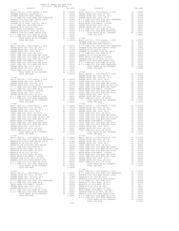17-083 17-089

 DISTRICT TAX RATE DISTRICT TAX RATE BASIC LEVY-CO., CITY, SCHOOL, & DIST<br>
SAVANNA ELEM-2008 BOND SERIES A<br>
Al 0.03035 GARDEN GROVE USD, 2010 EL, SR C<br>
Al 0.03035 GARDEN GROVE USD, 2010 EL, SR C<br>
ANAHEIM HIGH 2002 BOND SERIES 2002A<br>
ANAHEIM HIGH 2002 BOND SER  $\begin{tabular}{l|c|c|c|c|c} \multicolumn{1}{c}{\textbf{N} o C COMO COL} \multicolumn{1}{c}{\textbf{C} C COMO} \multicolumn{1}{c}{\textbf{C} C COMO} \multicolumn{1}{c}{\textbf{C} C COMO} \multicolumn{1}{c}{\textbf{C} C COMO} \multicolumn{1}{c}{\textbf{C} C COMO} \multicolumn{1}{c}{\textbf{C} C COMO} \multicolumn{1}{c}{\textbf{C} C COMO} \multicolumn{1}{c}{\textbf{C} C COMO} \multicolumn{1}{c}{\textbf{C} C COMO} \multicolumn{1}{c}{\$  SAVANNA ELEM-2012 EL,SERIES A A1 .03035 17-084 SAVANNA ELEM-2008 BOND SERIES A A1 .01826 BASIC LEVY-CO., CITY,SCHOOL, & DIST A1 1.00000 N O C COMM COLL 2002 BOND 2005 REFUNDING A1 .01512 GARDEN GROVE USD 2016, SR 2017 A1 .03156 ANAHEIM HIGH 2002 BOND SERIES 2002A A1 .01481 GARDEN GROVE USD, 2010 EL, SR C A1 .01998 ANAHEIM HS SR 2018 EL 2014 A1 .01437 GARDEN GROVE USD, 2010, SR B A1 .01578 SAVANNA SD GO BOND, 2008 EL, SER B A1 .01271 COAST COMM COLL 2012, SR 2017D A1 .00906 N O C COMM COLL 2014 BOND SR B A1 .00895 COAST COMM COLL 2002 BOND SER 2006B A1 .00666 ANAHEIM HS EL 2014 SR 2019 A1 .00414 COAST COMM COLL 2012 BOND SR 2013 A&B A1 .00554 METRO WATER DIST-MWDOC- 1205999 A1 .00350 COAST COMM COLL 2002 BOND SER 2003A A1 .00455 ANAHEIM HIGH GO EL 2014, SR 2015 A1 .00326 METRO WATER DIST-MWDOC- 1205999 A1 .00350 ANAHEIM HIGH 2002 BOND SERIES 2003 A1 .00310 COAST COMM COLL 2002 BOND SER 2006C A1 .00324 N O C COMM COLL 2014 BOND SR 2016A A1 .00001 COAST COMM COLL 2012 BOND SER 2016C A1 .00194 N O C COMM COLL 2002 BOND SER#2003B A1 .00001 GARDEN GROVE USD, 2010, SR A A1 .00189 TOTAL RATES ON ALL PROPERTY A1 1.12859 GARDEN GROVE USD 2016, SR 2019 A1 .00001 TOTAL TAX RATE 1.12859 COAST COMM COLL 2012, SR 2017E<br>TOTAL RATES ON ALL PROPERTY AN 1.10372 17-091<br>TOTAL TAX RATE NALL PROPERTY AN 1.10372 BASIC LEVY-CO., CITY,SCHOOL, & DIST A1 1.00000 GARDEN GROVE USD 2016, SR 2017 A1 .03156 17-085 GARDEN GROVE USD, 2010 EL, SR C A1 .01998 BASIC LEVY-CO., CITY,SCHOOL, & DIST A1 1.00000 GARDEN GROVE USD, 2010, SR B A1 .01578 GARDEN GROVE USD 2016, SR 2017 A1 .03156 COAST COMM COLL 2012, SR 2017D A1 .00906 GARDEN GROVE USD, 2010 EL, SR C A1 .01998 COAST COMM COLL 2002 BOND SER 2006B A1 .00666 GARDEN GROVE USD, 2010, SR B A1 .01578 COAST COMM COLL 2012 BOND SR 2013 A&B A1 .00554 N O C COMM COLL 2002 BOND 2005 REFUNDING A1 .01512 COAST COMM COLL 2002 BOND SER 2003A A1 .00455 N O C COMM COLL 2014 BOND SR B A1 .00895 METRO WATER DIST-MWDOC- 1205999 A1 .00350 METRO WATER DIST-MWDOC- 1205999 A1 .00350 COAST COMM COLL 2002 BOND SER 2006C A1 .00324 GARDEN GROVE USD, 2010, SR A A1 .00189 COAST COMM COLL 2012 BOND SER 2016C A1 .00194 GARDEN GROVE USD 2016, SR 2019 A1 .00001 GARDEN GROVE USD, 2010, SR A A1 .00189 N O C COMM COLL 2014 BOND SR 2016A A1 .00001 GARDEN GROVE USD 2016, SR 2019 A1 .00001 N O C COMM COLL 2002 BOND SER#2003B A1 .00001 COAST COMM COLL 2012, SR 2017E A1 .00001 TOTAL RATES ON ALL PROPERTY A1 1.09681 TOTAL RATES ON ALL PROPERTY A1 1.10372 TOTAL TAX RATE 1.09681 TOTAL TAX RATE 1.10372 17-086 17-092 BASIC LEVY-CO., CITY,SCHOOL, & DIST A1 1.00000 BASIC LEVY-CO., CITY,SCHOOL, & DIST A1 1.00000 GARDEN GROVE USD 2016, SR 2017 A1 .03156 GARDEN GROVE USD 2016, SR 2017 A1 .03156 GARDEN GROVE USD, 2010 EL, SR C A1 .01998 GARDEN GROVE USD, 2010 EL, SR C A1 .01998 GARDEN GROVE USD, 2010, SR B A1 .01578 GARDEN GROVE USD, 2010, SR B A1 .01578 COAST COMM COLL 2012, SR 2017D A1 .00906 COAST COMM COLL 2012, SR 2017D A1 .00906 COAST COMM COLL 2002 BOND SER 2006B A1 .00666 COAST COMM COLL 2002 BOND SER 2006B A1 .00666 COAST COMM COLL 2012 BOND SR 2013 A&B A1 .00554 COAST COMM COLL 2012 BOND SR 2013 A&B A1 .00554 COAST COMM COLL 2002 BOND SER 2003A A1 .00455 COAST COMM COLL 2002 BOND SER 2003A A1 .00455 METRO WATER DIST-MWDOC- 1205999 A1 .00350 METRO WATER DIST-MWDOC- 1205999 A1 .00350 COAST COMM COLL 2002 BOND SER 2006C A1 .00324 COAST COMM COLL 2002 BOND SER 2006C A1 .00324 COAST COMM COLL 2012 BOND SER 2016C A1 .00194 COAST COMM COLL 2012 BOND SER 2016C A1 .00194 GARDEN GROVE USD, 2010, SR A A1 .00189 GARDEN GROVE USD, 2010, SR A A1 .00189 GARDEN GROVE USD 2016, SR 2019 A1 .00001 GARDEN GROVE USD 2016, SR 2019 A1 .00001 COAST COMM COLL 2012, SR 2017E A1 .00001 COAST COMM COLL 2012, SR 2017E A1 .00001 TOTAL RATES ON ALL PROPERTY A1 1.10372 TOTAL RATES ON ALL PROPERTY A1 1.10372 TOTAL TAX RATE 1.10372 TOTAL TAX RATE 1.10372 17-087 17-093 AREY LEVY-CO, CITY, SCHOOL, & DIST<br>
NO COOM COLL 2002 BOND 2005 REFUNDING ALL 0.01502 GARDEN GROVE USD 2016, SR 2017 ALL 0.00000 BOND SERETIN HIGH 2002 BOND SERET 2002<br>
NAREIM HIGH 2002 BOND SERET 2002<br>
NAREIM HIGH 2002 BO 17-088 BASIC LEVY-CO., CITY,SCHOOL, & DIST A1 1.00000 BASIC LEVY-CO., CITY,SCHOOL, & DIST A1 1.00000 N O C COMM COLL 2002 BOND 2005 REFUNDING A1 .01512 GARDEN GROVE USD 2016, SR 2017 A1 .03156 ANAHEIM HIGH 2002 BOND SERIES 2002A A1 .01481 GARDEN GROVE USD, 2010 EL, SR C A1 .01998 ANAHEIM HS SR 2018 EL 2014 A1 .01437 GARDEN GROVE USD, 2010, SR B A1 .01578 MAGNOLIA SCH DIST-2000 BOND #2005R A1 .01174 N O C COMM COLL 2002 BOND 2005 REFUNDING A1 .01512 N O C COMM COLL 2014 BOND SR B A1 .00895 N O C COMM COLL 2014 BOND SR B A1 .00895 MAGNOLIA SD 2010 BOND, SR 2011 A1 .00590 METRO WATER DIST-MWDOC- 1205999 A1 .00350 MAGNOLIA SD 2010 BOND, SR 2016 A1 .00577 GARDEN GROVE USD, 2010, SR A A1 .00189 ANAHEIM HS EL 2014 SR 2019 A1 .00414 GARDEN GROVE USD 2016, SR 2019 A1 .00001 MAGNOLIA SD 2010 BOND, SR 2013 A1 .00381 N O C COMM COLL 2014 BOND SR 2016A A1 .00001 METRO WATER DIST-MWDOC- 1205999 A1 .00350 N O C COMM COLL 2002 BOND SER#2003B A1 .00001 ANAHEIM HIGH GO EL 2014, SR 2015 A1 .00326 TOTAL RATES ON ALL PROPERTY A1 1.09681 ANAHEIM HIGH 2002 BOND SERIES 2003 A1 .00310 TOTAL TAX RATE 1.09681 N O C COMM COLL 2014 BOND SR 2016A A1 .00001 N O C COMM COLL 2002 BOND SER#2003B A1 .00001 TOTAL RATES ON ALL PROPERTY A1 1.09449 TOTAL TAX RATE 1.09449 -166-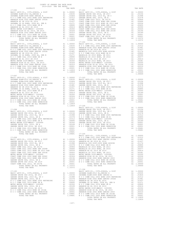| $17 - 095$                                                                   |               |                                                                                                                                                                                                                                                      | 17-101                    |
|------------------------------------------------------------------------------|---------------|------------------------------------------------------------------------------------------------------------------------------------------------------------------------------------------------------------------------------------------------------|---------------------------|
|                                                                              |               |                                                                                                                                                                                                                                                      |                           |
|                                                                              |               |                                                                                                                                                                                                                                                      |                           |
|                                                                              |               |                                                                                                                                                                                                                                                      |                           |
|                                                                              |               |                                                                                                                                                                                                                                                      |                           |
|                                                                              |               |                                                                                                                                                                                                                                                      |                           |
|                                                                              |               |                                                                                                                                                                                                                                                      |                           |
|                                                                              |               |                                                                                                                                                                                                                                                      |                           |
|                                                                              |               |                                                                                                                                                                                                                                                      |                           |
|                                                                              |               |                                                                                                                                                                                                                                                      |                           |
|                                                                              |               |                                                                                                                                                                                                                                                      |                           |
|                                                                              |               |                                                                                                                                                                                                                                                      |                           |
| TOTAL TAX RATE                                                               |               | 1.12859                                                                                                                                                                                                                                              |                           |
|                                                                              |               |                                                                                                                                                                                                                                                      |                           |
|                                                                              |               |                                                                                                                                                                                                                                                      |                           |
|                                                                              |               |                                                                                                                                                                                                                                                      |                           |
|                                                                              |               |                                                                                                                                                                                                                                                      |                           |
|                                                                              |               |                                                                                                                                                                                                                                                      |                           |
|                                                                              |               |                                                                                                                                                                                                                                                      |                           |
|                                                                              |               |                                                                                                                                                                                                                                                      |                           |
|                                                                              |               |                                                                                                                                                                                                                                                      |                           |
|                                                                              |               |                                                                                                                                                                                                                                                      |                           |
|                                                                              |               |                                                                                                                                                                                                                                                      |                           |
|                                                                              |               |                                                                                                                                                                                                                                                      |                           |
| TOTAL TAX RATE                                                               |               | 1,12859                                                                                                                                                                                                                                              |                           |
|                                                                              |               |                                                                                                                                                                                                                                                      |                           |
| $17 - 097$                                                                   |               |                                                                                                                                                                                                                                                      |                           |
|                                                                              |               |                                                                                                                                                                                                                                                      |                           |
|                                                                              |               |                                                                                                                                                                                                                                                      |                           |
|                                                                              |               |                                                                                                                                                                                                                                                      |                           |
|                                                                              |               |                                                                                                                                                                                                                                                      |                           |
|                                                                              |               |                                                                                                                                                                                                                                                      |                           |
|                                                                              |               |                                                                                                                                                                                                                                                      |                           |
|                                                                              |               |                                                                                                                                                                                                                                                      |                           |
|                                                                              |               |                                                                                                                                                                                                                                                      |                           |
|                                                                              |               |                                                                                                                                                                                                                                                      |                           |
|                                                                              |               |                                                                                                                                                                                                                                                      |                           |
|                                                                              |               |                                                                                                                                                                                                                                                      |                           |
| TOTAL TAX RATE                                                               |               | 1.12859 17-104<br>BASIC L                                                                                                                                                                                                                            |                           |
|                                                                              |               |                                                                                                                                                                                                                                                      |                           |
|                                                                              |               |                                                                                                                                                                                                                                                      |                           |
|                                                                              |               |                                                                                                                                                                                                                                                      |                           |
|                                                                              |               |                                                                                                                                                                                                                                                      |                           |
|                                                                              |               |                                                                                                                                                                                                                                                      |                           |
|                                                                              |               |                                                                                                                                                                                                                                                      |                           |
|                                                                              |               |                                                                                                                                                                                                                                                      |                           |
|                                                                              |               |                                                                                                                                                                                                                                                      |                           |
|                                                                              |               |                                                                                                                                                                                                                                                      |                           |
|                                                                              |               |                                                                                                                                                                                                                                                      |                           |
|                                                                              |               |                                                                                                                                                                                                                                                      |                           |
| $17 - 099$                                                                   |               |                                                                                                                                                                                                                                                      | BASIC L<br>$N$ O C C      |
| BASIC LEVY-CO., CITY, SCHOOL, & DIST                                         |               | A1 1.00000 ANAHEIM                                                                                                                                                                                                                                   |                           |
| GARDEN GROVE USD 2016, SR 2017                                               | A1            | .01998                                                                                                                                                                                                                                               | .03156 ANAHEIM<br>MAGNOLI |
| GARDEN GROVE USD, 2010 EL, SR C<br>GARDEN GROVE USD, 2010, SR B              | A1<br>A1      | .01578                                                                                                                                                                                                                                               | NOCC                      |
| COAST COMM COLL 2012, SR 2017D                                               |               |                                                                                                                                                                                                                                                      |                           |
| COAST COMM COLL 2002 BOND SER 2006B                                          |               |                                                                                                                                                                                                                                                      |                           |
| COAST COMM COLL 2012 BOND SR 2013 A&B<br>COAST COMM COLL 2002 BOND SER 2003A |               |                                                                                                                                                                                                                                                      |                           |
| METRO WATER DIST-MWDOC- 1205999                                              |               | A1 00578 NOCCOR<br>A1 00906 MAGNOLI<br>A1 00666 MAGNOLI<br>A1 00666 MAGNOLI<br>A1 00455 MAGNOLI<br>A1 00350 METRO W<br>A1 00324 ANAHEIM<br>A1 00194 ANAHEIM<br>A1 00189 NOCCOR                                                                       |                           |
| COAST COMM COLL 2002 BOND SER 2006C<br>COAST COMM COLL 2012 BOND SER 2016C   |               |                                                                                                                                                                                                                                                      |                           |
| GARDEN GROVE USD, 2010, SR A                                                 |               |                                                                                                                                                                                                                                                      |                           |
| GARDEN GROVE USD 2016, SR 2019                                               |               |                                                                                                                                                                                                                                                      |                           |
| COAST COMM COLL 2012, SR 2017E<br>TOTAL RATES ON ALL PROPERTY                | $\mathtt{Al}$ | .00001<br>A1 1.10372                                                                                                                                                                                                                                 |                           |
| TOTAL TAX RATE                                                               |               | 1.10372                                                                                                                                                                                                                                              |                           |
|                                                                              |               |                                                                                                                                                                                                                                                      | $17 - 106$                |
| $17 - 100$<br>BASIC LEVY-CO., CITY, SCHOOL, & DIST                           |               | A1 1.00000                                                                                                                                                                                                                                           | BASIC L<br>SAVANNA        |
| GARDEN GROVE USD 2016, SR 2017                                               |               |                                                                                                                                                                                                                                                      |                           |
| GARDEN GROVE USD, 2010 EL, SR C                                              |               |                                                                                                                                                                                                                                                      |                           |
| GARDEN GROVE USD, 2010, SR B<br>N O C COMM COLL 2002 BOND 2005 REFUNDING     |               |                                                                                                                                                                                                                                                      |                           |
| N O C COMM COLL 2014 BOND SR B                                               |               |                                                                                                                                                                                                                                                      |                           |
| METRO WATER DIST-MWDOC- 1205999                                              |               |                                                                                                                                                                                                                                                      |                           |
| GARDEN GROVE USD, 2010, SR A<br>GARDEN GROVE USD 2016, SR 2019               |               | A1 1.0000 SAVANNA<br>A1 .03156 SAVANNA<br>A1 .01578 NAMAEEM<br>A1 .01578 NAMAEEM<br>A1 .01512 NAMAEEM<br>A1 .00895 SAVANNA<br>A1 .00350 NOCC<br>A1 .00001 NAMAEEM<br>A1 .00001 NAMAEEM<br>A1 .00001 NAMAEEM<br>A1 .00001 NAMAEEM<br>A1 .00001 NAMAEE |                           |
| N O C COMM COLL 2014 BOND SR 2016A                                           |               |                                                                                                                                                                                                                                                      |                           |
| N O C COMM COLL 2002 BOND SER#2003B                                          |               |                                                                                                                                                                                                                                                      |                           |
| TOTAL RATES ON ALL PROPERTY<br>momer mass                                    |               | 00001                                                                                                                                                                                                                                                |                           |

| COUNTY OF ORANGE TAX RATE BOOK<br>2010-2020 - The Basic District Design<br>2019-2020 TRA TAX RATES                                                                                                                                                                                                                                                |  |                |         |
|---------------------------------------------------------------------------------------------------------------------------------------------------------------------------------------------------------------------------------------------------------------------------------------------------------------------------------------------------|--|----------------|---------|
|                                                                                                                                                                                                                                                                                                                                                   |  |                |         |
|                                                                                                                                                                                                                                                                                                                                                   |  |                |         |
|                                                                                                                                                                                                                                                                                                                                                   |  |                |         |
|                                                                                                                                                                                                                                                                                                                                                   |  |                |         |
|                                                                                                                                                                                                                                                                                                                                                   |  |                |         |
|                                                                                                                                                                                                                                                                                                                                                   |  |                |         |
|                                                                                                                                                                                                                                                                                                                                                   |  |                |         |
|                                                                                                                                                                                                                                                                                                                                                   |  |                |         |
|                                                                                                                                                                                                                                                                                                                                                   |  |                |         |
|                                                                                                                                                                                                                                                                                                                                                   |  |                |         |
|                                                                                                                                                                                                                                                                                                                                                   |  |                |         |
|                                                                                                                                                                                                                                                                                                                                                   |  |                |         |
|                                                                                                                                                                                                                                                                                                                                                   |  |                |         |
| $17 - 096$                                                                                                                                                                                                                                                                                                                                        |  | $17 - 102$     |         |
|                                                                                                                                                                                                                                                                                                                                                   |  |                |         |
|                                                                                                                                                                                                                                                                                                                                                   |  |                |         |
|                                                                                                                                                                                                                                                                                                                                                   |  |                |         |
|                                                                                                                                                                                                                                                                                                                                                   |  |                |         |
|                                                                                                                                                                                                                                                                                                                                                   |  |                |         |
|                                                                                                                                                                                                                                                                                                                                                   |  |                |         |
|                                                                                                                                                                                                                                                                                                                                                   |  |                |         |
|                                                                                                                                                                                                                                                                                                                                                   |  |                |         |
|                                                                                                                                                                                                                                                                                                                                                   |  |                |         |
|                                                                                                                                                                                                                                                                                                                                                   |  |                |         |
|                                                                                                                                                                                                                                                                                                                                                   |  |                |         |
|                                                                                                                                                                                                                                                                                                                                                   |  |                |         |
| $17 - 097$                                                                                                                                                                                                                                                                                                                                        |  |                |         |
|                                                                                                                                                                                                                                                                                                                                                   |  |                |         |
|                                                                                                                                                                                                                                                                                                                                                   |  |                |         |
|                                                                                                                                                                                                                                                                                                                                                   |  |                |         |
|                                                                                                                                                                                                                                                                                                                                                   |  |                |         |
|                                                                                                                                                                                                                                                                                                                                                   |  |                |         |
|                                                                                                                                                                                                                                                                                                                                                   |  |                |         |
|                                                                                                                                                                                                                                                                                                                                                   |  |                |         |
|                                                                                                                                                                                                                                                                                                                                                   |  |                |         |
|                                                                                                                                                                                                                                                                                                                                                   |  |                |         |
|                                                                                                                                                                                                                                                                                                                                                   |  |                |         |
|                                                                                                                                                                                                                                                                                                                                                   |  |                |         |
|                                                                                                                                                                                                                                                                                                                                                   |  |                |         |
|                                                                                                                                                                                                                                                                                                                                                   |  |                |         |
|                                                                                                                                                                                                                                                                                                                                                   |  |                |         |
|                                                                                                                                                                                                                                                                                                                                                   |  |                |         |
|                                                                                                                                                                                                                                                                                                                                                   |  |                |         |
|                                                                                                                                                                                                                                                                                                                                                   |  |                |         |
|                                                                                                                                                                                                                                                                                                                                                   |  |                |         |
|                                                                                                                                                                                                                                                                                                                                                   |  |                |         |
|                                                                                                                                                                                                                                                                                                                                                   |  |                |         |
|                                                                                                                                                                                                                                                                                                                                                   |  |                |         |
| $\begin{tabular}{cccc} \textbf{17--098} & \textbf{1.12859} & \textbf{1.12859} & \textbf{1.12859} & \textbf{1.12859} & \textbf{1.12859} & \textbf{1.12859} & \textbf{1.12859} & \textbf{1.12859} & \textbf{1.12859} & \textbf{1.12859} & \textbf{1.12859} & \textbf{1.12859} & \textbf{1.12859} & \textbf{1.12859} & \textbf{1.12859} & \textbf{1$ |  |                |         |
|                                                                                                                                                                                                                                                                                                                                                   |  |                |         |
|                                                                                                                                                                                                                                                                                                                                                   |  |                |         |
|                                                                                                                                                                                                                                                                                                                                                   |  |                |         |
|                                                                                                                                                                                                                                                                                                                                                   |  |                |         |
|                                                                                                                                                                                                                                                                                                                                                   |  |                |         |
|                                                                                                                                                                                                                                                                                                                                                   |  |                |         |
|                                                                                                                                                                                                                                                                                                                                                   |  |                |         |
|                                                                                                                                                                                                                                                                                                                                                   |  |                |         |
|                                                                                                                                                                                                                                                                                                                                                   |  |                |         |
|                                                                                                                                                                                                                                                                                                                                                   |  |                |         |
|                                                                                                                                                                                                                                                                                                                                                   |  |                |         |
|                                                                                                                                                                                                                                                                                                                                                   |  |                |         |
|                                                                                                                                                                                                                                                                                                                                                   |  |                |         |
|                                                                                                                                                                                                                                                                                                                                                   |  |                |         |
|                                                                                                                                                                                                                                                                                                                                                   |  |                |         |
|                                                                                                                                                                                                                                                                                                                                                   |  |                |         |
|                                                                                                                                                                                                                                                                                                                                                   |  |                |         |
|                                                                                                                                                                                                                                                                                                                                                   |  |                |         |
|                                                                                                                                                                                                                                                                                                                                                   |  |                |         |
|                                                                                                                                                                                                                                                                                                                                                   |  |                |         |
|                                                                                                                                                                                                                                                                                                                                                   |  |                |         |
|                                                                                                                                                                                                                                                                                                                                                   |  |                |         |
|                                                                                                                                                                                                                                                                                                                                                   |  |                |         |
|                                                                                                                                                                                                                                                                                                                                                   |  |                |         |
|                                                                                                                                                                                                                                                                                                                                                   |  | TOTAL TAX RATE | 1.12859 |
|                                                                                                                                                                                                                                                                                                                                                   |  |                |         |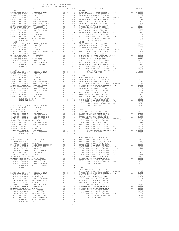| COUNTY OF ORANGE TAX RATE BOOK<br>$\begin{tabular}{ccccc} & $\textsc{1}$ & $\textsc{1}$ & $\textsc{1}$ & $\textsc{1}$ & $\textsc{1}$ & $\textsc{1}$ \\ & & & & & & & & \textsc{1}$ \\ \textsc{15} & & & & & & & \textsc{10} \\ \textsc{2019-2020} & \textsc{1} & \textsc{1} & \textsc{1} & \textsc{1} & \textsc{1} & \textsc{1} \\ \textsc{2019-2020} & \textsc{1} & \textsc{1} & \textsc{1} & \textsc{1} & \textsc{1} & \textsc{1} & \textsc{1} & \textsc{1} \\ \end{$ |            |                        |          |
|-------------------------------------------------------------------------------------------------------------------------------------------------------------------------------------------------------------------------------------------------------------------------------------------------------------------------------------------------------------------------------------------------------------------------------------------------------------------------|------------|------------------------|----------|
| $17 - 107$                                                                                                                                                                                                                                                                                                                                                                                                                                                              | A TAX RATE | DISTRICT<br>$17 - 113$ | TAX RATE |
|                                                                                                                                                                                                                                                                                                                                                                                                                                                                         |            |                        |          |
|                                                                                                                                                                                                                                                                                                                                                                                                                                                                         |            |                        |          |
|                                                                                                                                                                                                                                                                                                                                                                                                                                                                         |            |                        |          |
|                                                                                                                                                                                                                                                                                                                                                                                                                                                                         | 1.10372    |                        |          |
|                                                                                                                                                                                                                                                                                                                                                                                                                                                                         |            | $17 - 902$             |          |
|                                                                                                                                                                                                                                                                                                                                                                                                                                                                         |            |                        |          |

-168-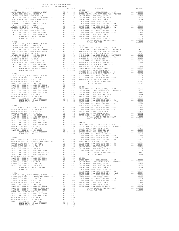| TAX RATE<br>DISTRICT                                                                                                                                                                                                                                                                                                                                                                                                   |         |
|------------------------------------------------------------------------------------------------------------------------------------------------------------------------------------------------------------------------------------------------------------------------------------------------------------------------------------------------------------------------------------------------------------------------|---------|
|                                                                                                                                                                                                                                                                                                                                                                                                                        |         |
|                                                                                                                                                                                                                                                                                                                                                                                                                        |         |
|                                                                                                                                                                                                                                                                                                                                                                                                                        |         |
|                                                                                                                                                                                                                                                                                                                                                                                                                        |         |
|                                                                                                                                                                                                                                                                                                                                                                                                                        |         |
|                                                                                                                                                                                                                                                                                                                                                                                                                        |         |
|                                                                                                                                                                                                                                                                                                                                                                                                                        |         |
|                                                                                                                                                                                                                                                                                                                                                                                                                        |         |
|                                                                                                                                                                                                                                                                                                                                                                                                                        |         |
|                                                                                                                                                                                                                                                                                                                                                                                                                        |         |
|                                                                                                                                                                                                                                                                                                                                                                                                                        |         |
|                                                                                                                                                                                                                                                                                                                                                                                                                        |         |
| $17 - 905$                                                                                                                                                                                                                                                                                                                                                                                                             |         |
|                                                                                                                                                                                                                                                                                                                                                                                                                        |         |
|                                                                                                                                                                                                                                                                                                                                                                                                                        |         |
|                                                                                                                                                                                                                                                                                                                                                                                                                        |         |
|                                                                                                                                                                                                                                                                                                                                                                                                                        |         |
|                                                                                                                                                                                                                                                                                                                                                                                                                        |         |
|                                                                                                                                                                                                                                                                                                                                                                                                                        |         |
|                                                                                                                                                                                                                                                                                                                                                                                                                        |         |
|                                                                                                                                                                                                                                                                                                                                                                                                                        |         |
|                                                                                                                                                                                                                                                                                                                                                                                                                        |         |
|                                                                                                                                                                                                                                                                                                                                                                                                                        |         |
|                                                                                                                                                                                                                                                                                                                                                                                                                        | ANAHEIM |
| $17 - 906$                                                                                                                                                                                                                                                                                                                                                                                                             | ANAHEIM |
|                                                                                                                                                                                                                                                                                                                                                                                                                        |         |
|                                                                                                                                                                                                                                                                                                                                                                                                                        |         |
|                                                                                                                                                                                                                                                                                                                                                                                                                        |         |
|                                                                                                                                                                                                                                                                                                                                                                                                                        |         |
|                                                                                                                                                                                                                                                                                                                                                                                                                        |         |
|                                                                                                                                                                                                                                                                                                                                                                                                                        |         |
|                                                                                                                                                                                                                                                                                                                                                                                                                        |         |
|                                                                                                                                                                                                                                                                                                                                                                                                                        |         |
|                                                                                                                                                                                                                                                                                                                                                                                                                        |         |
|                                                                                                                                                                                                                                                                                                                                                                                                                        |         |
|                                                                                                                                                                                                                                                                                                                                                                                                                        |         |
| $17 - 907$                                                                                                                                                                                                                                                                                                                                                                                                             | METRO W |
| $\begin{tabular}{l c c c c} \hline 17-907 & \text{METRO} & \text{METRO} \\ \hline \text{BASIC LEVY-CO.}, & \text{CITY, SCHOOL}, & \text{D IST} & \text{A1} & 1.00000 & \text{COAST C} \\ \text{GARDEN GROYE USD}, & \text{2010} & \text{EL}, & \text{SR} & \text{A1} & .03156 & \text{COAST C} \\ \text{GARDEN GROYE USD}, & \text{2010, SR B} & \text{A1} & .01998 & \text{GARDEN} \\ \text{COAST COMM COLL 2012, SR$ |         |
|                                                                                                                                                                                                                                                                                                                                                                                                                        |         |
|                                                                                                                                                                                                                                                                                                                                                                                                                        |         |
|                                                                                                                                                                                                                                                                                                                                                                                                                        |         |
|                                                                                                                                                                                                                                                                                                                                                                                                                        |         |
|                                                                                                                                                                                                                                                                                                                                                                                                                        |         |
|                                                                                                                                                                                                                                                                                                                                                                                                                        |         |
|                                                                                                                                                                                                                                                                                                                                                                                                                        |         |
|                                                                                                                                                                                                                                                                                                                                                                                                                        |         |
|                                                                                                                                                                                                                                                                                                                                                                                                                        |         |
|                                                                                                                                                                                                                                                                                                                                                                                                                        |         |
|                                                                                                                                                                                                                                                                                                                                                                                                                        | COAST C |
| $18 - 000$                                                                                                                                                                                                                                                                                                                                                                                                             | COAST C |
|                                                                                                                                                                                                                                                                                                                                                                                                                        |         |
|                                                                                                                                                                                                                                                                                                                                                                                                                        |         |
|                                                                                                                                                                                                                                                                                                                                                                                                                        |         |
|                                                                                                                                                                                                                                                                                                                                                                                                                        |         |
|                                                                                                                                                                                                                                                                                                                                                                                                                        |         |
|                                                                                                                                                                                                                                                                                                                                                                                                                        |         |
|                                                                                                                                                                                                                                                                                                                                                                                                                        |         |
|                                                                                                                                                                                                                                                                                                                                                                                                                        |         |
|                                                                                                                                                                                                                                                                                                                                                                                                                        |         |
|                                                                                                                                                                                                                                                                                                                                                                                                                        |         |
|                                                                                                                                                                                                                                                                                                                                                                                                                        |         |
|                                                                                                                                                                                                                                                                                                                                                                                                                        |         |
|                                                                                                                                                                                                                                                                                                                                                                                                                        | COAST C |
|                                                                                                                                                                                                                                                                                                                                                                                                                        |         |
|                                                                                                                                                                                                                                                                                                                                                                                                                        |         |
|                                                                                                                                                                                                                                                                                                                                                                                                                        |         |
|                                                                                                                                                                                                                                                                                                                                                                                                                        |         |
|                                                                                                                                                                                                                                                                                                                                                                                                                        |         |
|                                                                                                                                                                                                                                                                                                                                                                                                                        |         |
|                                                                                                                                                                                                                                                                                                                                                                                                                        |         |
|                                                                                                                                                                                                                                                                                                                                                                                                                        |         |
|                                                                                                                                                                                                                                                                                                                                                                                                                        |         |
|                                                                                                                                                                                                                                                                                                                                                                                                                        |         |
|                                                                                                                                                                                                                                                                                                                                                                                                                        |         |
|                                                                                                                                                                                                                                                                                                                                                                                                                        |         |
| $-169-$                                                                                                                                                                                                                                                                                                                                                                                                                |         |

| 2019-2020 TRA TAX RATES<br>DISTRICT | TAX RATE | DISTRICT   | TAX RATE |
|-------------------------------------|----------|------------|----------|
| $17 - 904$                          |          | $18 - 002$ |          |
|                                     |          |            |          |
|                                     |          |            |          |
|                                     |          |            |          |
|                                     |          |            |          |
|                                     |          |            |          |
|                                     |          |            |          |
|                                     |          |            |          |
|                                     |          |            |          |
|                                     |          |            |          |
|                                     |          |            |          |
|                                     |          |            |          |
|                                     |          |            |          |
|                                     |          |            |          |
|                                     |          |            |          |
|                                     |          |            |          |
|                                     |          |            |          |
|                                     |          |            |          |
|                                     |          |            |          |
|                                     |          |            |          |
|                                     |          |            |          |
|                                     |          |            |          |
|                                     |          |            |          |
|                                     |          |            |          |
|                                     |          |            |          |
|                                     |          |            |          |
|                                     |          |            |          |
|                                     |          |            |          |
|                                     |          |            |          |
|                                     |          |            |          |
|                                     |          |            |          |
|                                     |          |            |          |
|                                     |          |            |          |
|                                     |          |            |          |
|                                     |          |            |          |
|                                     |          |            |          |
|                                     |          |            |          |
|                                     |          |            |          |
|                                     |          |            |          |
|                                     |          |            |          |
|                                     |          |            |          |
|                                     |          |            |          |
|                                     |          |            |          |
|                                     |          |            |          |
|                                     |          |            |          |
|                                     |          |            |          |
|                                     |          |            |          |
|                                     |          |            |          |
|                                     |          |            |          |
|                                     |          |            |          |
|                                     |          |            |          |
|                                     |          |            |          |
|                                     |          |            |          |
|                                     |          |            |          |
|                                     |          |            |          |
|                                     |          |            |          |
|                                     |          |            |          |
|                                     |          |            |          |
|                                     |          |            |          |
|                                     |          |            |          |
|                                     |          |            |          |
|                                     |          |            |          |
|                                     |          |            |          |
|                                     |          |            |          |
|                                     |          |            |          |
|                                     |          |            |          |
|                                     |          |            |          |
|                                     |          |            |          |
|                                     |          |            |          |
|                                     |          |            |          |
|                                     |          |            |          |
|                                     |          |            |          |
|                                     |          |            |          |
|                                     |          |            |          |
|                                     |          |            |          |
|                                     |          |            |          |
|                                     |          |            |          |
|                                     |          |            |          |
|                                     |          |            |          |
|                                     |          |            |          |
|                                     |          |            |          |
|                                     |          |            |          |
|                                     |          |            |          |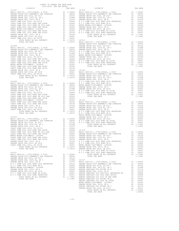| COUNTY OF ORANGE TAX RATE BOOK<br>$\begin{minipage}{0.5\textwidth} \begin{tabular}{c} \multicolumn{2}{c}{\textwidth} \begin{tabular}{c} $\color{red}\text{1} & $\color{red}\text{1} & $\color{red}\text{1} & $\color{red}\text{1} & $\color{blue}\text{1} & $\color{blue}\text{1} & $\color{blue}\text{1} & $\color{blue}\text{1} & $\color{blue}\text{1} & $\color{blue}\text{1} & $\color{blue}\text{1} & $\color{blue}\text{1} & $\color{blue}\text{1} & $\color{blue}\text{1} & $\color{blue}\text{1} & $\color{blue}\text{1} & $\color{blue}\text{1} & $\color{blue}\text{$ |  | RA TAX RATES<br>TAX RATE<br>DISTRICT | TAX RATE |
|----------------------------------------------------------------------------------------------------------------------------------------------------------------------------------------------------------------------------------------------------------------------------------------------------------------------------------------------------------------------------------------------------------------------------------------------------------------------------------------------------------------------------------------------------------------------------------|--|--------------------------------------|----------|
| $18 - 007$                                                                                                                                                                                                                                                                                                                                                                                                                                                                                                                                                                       |  | $18 - 012$                           |          |
|                                                                                                                                                                                                                                                                                                                                                                                                                                                                                                                                                                                  |  |                                      |          |
|                                                                                                                                                                                                                                                                                                                                                                                                                                                                                                                                                                                  |  |                                      |          |
|                                                                                                                                                                                                                                                                                                                                                                                                                                                                                                                                                                                  |  |                                      |          |
|                                                                                                                                                                                                                                                                                                                                                                                                                                                                                                                                                                                  |  |                                      |          |
|                                                                                                                                                                                                                                                                                                                                                                                                                                                                                                                                                                                  |  |                                      |          |
|                                                                                                                                                                                                                                                                                                                                                                                                                                                                                                                                                                                  |  |                                      |          |
|                                                                                                                                                                                                                                                                                                                                                                                                                                                                                                                                                                                  |  |                                      |          |
|                                                                                                                                                                                                                                                                                                                                                                                                                                                                                                                                                                                  |  |                                      |          |
|                                                                                                                                                                                                                                                                                                                                                                                                                                                                                                                                                                                  |  |                                      |          |
|                                                                                                                                                                                                                                                                                                                                                                                                                                                                                                                                                                                  |  |                                      |          |
|                                                                                                                                                                                                                                                                                                                                                                                                                                                                                                                                                                                  |  |                                      |          |
|                                                                                                                                                                                                                                                                                                                                                                                                                                                                                                                                                                                  |  |                                      |          |
|                                                                                                                                                                                                                                                                                                                                                                                                                                                                                                                                                                                  |  |                                      |          |
|                                                                                                                                                                                                                                                                                                                                                                                                                                                                                                                                                                                  |  |                                      |          |
|                                                                                                                                                                                                                                                                                                                                                                                                                                                                                                                                                                                  |  |                                      |          |
|                                                                                                                                                                                                                                                                                                                                                                                                                                                                                                                                                                                  |  |                                      |          |
|                                                                                                                                                                                                                                                                                                                                                                                                                                                                                                                                                                                  |  |                                      |          |
|                                                                                                                                                                                                                                                                                                                                                                                                                                                                                                                                                                                  |  |                                      |          |
|                                                                                                                                                                                                                                                                                                                                                                                                                                                                                                                                                                                  |  |                                      |          |
|                                                                                                                                                                                                                                                                                                                                                                                                                                                                                                                                                                                  |  |                                      |          |
|                                                                                                                                                                                                                                                                                                                                                                                                                                                                                                                                                                                  |  |                                      |          |
|                                                                                                                                                                                                                                                                                                                                                                                                                                                                                                                                                                                  |  |                                      |          |
|                                                                                                                                                                                                                                                                                                                                                                                                                                                                                                                                                                                  |  |                                      |          |
|                                                                                                                                                                                                                                                                                                                                                                                                                                                                                                                                                                                  |  |                                      |          |
|                                                                                                                                                                                                                                                                                                                                                                                                                                                                                                                                                                                  |  |                                      |          |
|                                                                                                                                                                                                                                                                                                                                                                                                                                                                                                                                                                                  |  |                                      |          |
|                                                                                                                                                                                                                                                                                                                                                                                                                                                                                                                                                                                  |  |                                      |          |
|                                                                                                                                                                                                                                                                                                                                                                                                                                                                                                                                                                                  |  |                                      |          |
|                                                                                                                                                                                                                                                                                                                                                                                                                                                                                                                                                                                  |  |                                      |          |
|                                                                                                                                                                                                                                                                                                                                                                                                                                                                                                                                                                                  |  |                                      |          |
|                                                                                                                                                                                                                                                                                                                                                                                                                                                                                                                                                                                  |  |                                      |          |
|                                                                                                                                                                                                                                                                                                                                                                                                                                                                                                                                                                                  |  |                                      |          |
|                                                                                                                                                                                                                                                                                                                                                                                                                                                                                                                                                                                  |  |                                      |          |
|                                                                                                                                                                                                                                                                                                                                                                                                                                                                                                                                                                                  |  |                                      |          |
|                                                                                                                                                                                                                                                                                                                                                                                                                                                                                                                                                                                  |  |                                      |          |
|                                                                                                                                                                                                                                                                                                                                                                                                                                                                                                                                                                                  |  |                                      |          |
|                                                                                                                                                                                                                                                                                                                                                                                                                                                                                                                                                                                  |  |                                      |          |
|                                                                                                                                                                                                                                                                                                                                                                                                                                                                                                                                                                                  |  |                                      |          |
|                                                                                                                                                                                                                                                                                                                                                                                                                                                                                                                                                                                  |  |                                      |          |
|                                                                                                                                                                                                                                                                                                                                                                                                                                                                                                                                                                                  |  |                                      |          |
|                                                                                                                                                                                                                                                                                                                                                                                                                                                                                                                                                                                  |  |                                      |          |
|                                                                                                                                                                                                                                                                                                                                                                                                                                                                                                                                                                                  |  |                                      |          |
|                                                                                                                                                                                                                                                                                                                                                                                                                                                                                                                                                                                  |  |                                      |          |
|                                                                                                                                                                                                                                                                                                                                                                                                                                                                                                                                                                                  |  |                                      |          |
|                                                                                                                                                                                                                                                                                                                                                                                                                                                                                                                                                                                  |  |                                      |          |
|                                                                                                                                                                                                                                                                                                                                                                                                                                                                                                                                                                                  |  |                                      |          |
|                                                                                                                                                                                                                                                                                                                                                                                                                                                                                                                                                                                  |  |                                      |          |
|                                                                                                                                                                                                                                                                                                                                                                                                                                                                                                                                                                                  |  |                                      |          |
|                                                                                                                                                                                                                                                                                                                                                                                                                                                                                                                                                                                  |  |                                      |          |
|                                                                                                                                                                                                                                                                                                                                                                                                                                                                                                                                                                                  |  |                                      |          |
|                                                                                                                                                                                                                                                                                                                                                                                                                                                                                                                                                                                  |  |                                      |          |
|                                                                                                                                                                                                                                                                                                                                                                                                                                                                                                                                                                                  |  |                                      |          |
|                                                                                                                                                                                                                                                                                                                                                                                                                                                                                                                                                                                  |  |                                      |          |
|                                                                                                                                                                                                                                                                                                                                                                                                                                                                                                                                                                                  |  |                                      |          |
|                                                                                                                                                                                                                                                                                                                                                                                                                                                                                                                                                                                  |  |                                      |          |
|                                                                                                                                                                                                                                                                                                                                                                                                                                                                                                                                                                                  |  |                                      |          |
|                                                                                                                                                                                                                                                                                                                                                                                                                                                                                                                                                                                  |  |                                      |          |
|                                                                                                                                                                                                                                                                                                                                                                                                                                                                                                                                                                                  |  |                                      |          |
|                                                                                                                                                                                                                                                                                                                                                                                                                                                                                                                                                                                  |  |                                      |          |
|                                                                                                                                                                                                                                                                                                                                                                                                                                                                                                                                                                                  |  |                                      |          |
|                                                                                                                                                                                                                                                                                                                                                                                                                                                                                                                                                                                  |  |                                      |          |
|                                                                                                                                                                                                                                                                                                                                                                                                                                                                                                                                                                                  |  |                                      |          |
|                                                                                                                                                                                                                                                                                                                                                                                                                                                                                                                                                                                  |  |                                      |          |
|                                                                                                                                                                                                                                                                                                                                                                                                                                                                                                                                                                                  |  |                                      |          |
|                                                                                                                                                                                                                                                                                                                                                                                                                                                                                                                                                                                  |  |                                      |          |
|                                                                                                                                                                                                                                                                                                                                                                                                                                                                                                                                                                                  |  |                                      |          |
|                                                                                                                                                                                                                                                                                                                                                                                                                                                                                                                                                                                  |  |                                      |          |
|                                                                                                                                                                                                                                                                                                                                                                                                                                                                                                                                                                                  |  |                                      |          |
|                                                                                                                                                                                                                                                                                                                                                                                                                                                                                                                                                                                  |  |                                      |          |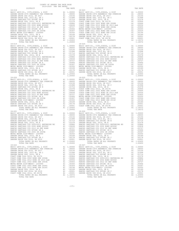| COUNTY OF ORANGE TAX RATE BOOK<br>2019-2020 TRA TAX RATES |          |                                                                                                                                                                                                                                                                    |          |
|-----------------------------------------------------------|----------|--------------------------------------------------------------------------------------------------------------------------------------------------------------------------------------------------------------------------------------------------------------------|----------|
| DISTRICT                                                  | TAX RATE | DISTRICT                                                                                                                                                                                                                                                           | TAX RATE |
| $18 - 018$                                                |          | $18 - 023$                                                                                                                                                                                                                                                         |          |
|                                                           |          |                                                                                                                                                                                                                                                                    |          |
|                                                           |          |                                                                                                                                                                                                                                                                    |          |
|                                                           |          |                                                                                                                                                                                                                                                                    |          |
|                                                           |          |                                                                                                                                                                                                                                                                    |          |
|                                                           |          |                                                                                                                                                                                                                                                                    |          |
| $18 - 020$                                                |          | $18 - 025$                                                                                                                                                                                                                                                         |          |
|                                                           |          |                                                                                                                                                                                                                                                                    |          |
|                                                           |          | $\begin{tabular}{cccc} 1.20450 & 1.20450 & 1.20450 & 1.20450 & 1.20450 & 1.20450 & 1.20450 & 1.20450 & 1.20450 & 1.20450 & 1.20450 & 1.20450 & 1.20450 & 1.20450 & 1.20450 & 1.20450 & 1.20450 & 1.20450 & 1.20450 & 1.20450 & 1.20450 & 1.20450 & 1.20450 & 1.20$ |          |
|                                                           |          |                                                                                                                                                                                                                                                                    |          |
|                                                           |          |                                                                                                                                                                                                                                                                    |          |
|                                                           |          |                                                                                                                                                                                                                                                                    |          |
|                                                           |          |                                                                                                                                                                                                                                                                    |          |
|                                                           |          |                                                                                                                                                                                                                                                                    |          |
|                                                           |          |                                                                                                                                                                                                                                                                    |          |

-171-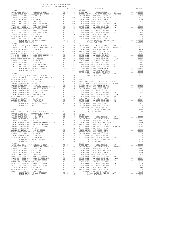| 2019-2020 TRA TAX RATES<br>DISTRICT | TAX RATE | DISTRICT                                                                                                                                                                                                                                                                                                         | TAX RATE |
|-------------------------------------|----------|------------------------------------------------------------------------------------------------------------------------------------------------------------------------------------------------------------------------------------------------------------------------------------------------------------------|----------|
|                                     |          |                                                                                                                                                                                                                                                                                                                  |          |
|                                     |          |                                                                                                                                                                                                                                                                                                                  |          |
|                                     |          |                                                                                                                                                                                                                                                                                                                  |          |
|                                     |          |                                                                                                                                                                                                                                                                                                                  |          |
|                                     |          |                                                                                                                                                                                                                                                                                                                  |          |
|                                     |          |                                                                                                                                                                                                                                                                                                                  |          |
|                                     |          |                                                                                                                                                                                                                                                                                                                  |          |
|                                     |          |                                                                                                                                                                                                                                                                                                                  |          |
|                                     |          |                                                                                                                                                                                                                                                                                                                  |          |
|                                     |          |                                                                                                                                                                                                                                                                                                                  |          |
|                                     |          |                                                                                                                                                                                                                                                                                                                  |          |
|                                     |          |                                                                                                                                                                                                                                                                                                                  |          |
|                                     |          |                                                                                                                                                                                                                                                                                                                  |          |
|                                     |          |                                                                                                                                                                                                                                                                                                                  |          |
|                                     |          |                                                                                                                                                                                                                                                                                                                  |          |
|                                     |          |                                                                                                                                                                                                                                                                                                                  |          |
|                                     |          |                                                                                                                                                                                                                                                                                                                  |          |
|                                     |          |                                                                                                                                                                                                                                                                                                                  |          |
|                                     |          |                                                                                                                                                                                                                                                                                                                  |          |
|                                     |          |                                                                                                                                                                                                                                                                                                                  |          |
|                                     |          |                                                                                                                                                                                                                                                                                                                  |          |
|                                     |          |                                                                                                                                                                                                                                                                                                                  |          |
|                                     |          |                                                                                                                                                                                                                                                                                                                  |          |
|                                     |          |                                                                                                                                                                                                                                                                                                                  |          |
|                                     |          |                                                                                                                                                                                                                                                                                                                  |          |
|                                     |          |                                                                                                                                                                                                                                                                                                                  |          |
|                                     |          |                                                                                                                                                                                                                                                                                                                  |          |
|                                     |          |                                                                                                                                                                                                                                                                                                                  |          |
|                                     |          |                                                                                                                                                                                                                                                                                                                  |          |
|                                     |          |                                                                                                                                                                                                                                                                                                                  |          |
|                                     |          |                                                                                                                                                                                                                                                                                                                  |          |
|                                     |          |                                                                                                                                                                                                                                                                                                                  |          |
|                                     |          |                                                                                                                                                                                                                                                                                                                  |          |
|                                     |          |                                                                                                                                                                                                                                                                                                                  |          |
|                                     |          |                                                                                                                                                                                                                                                                                                                  |          |
|                                     |          |                                                                                                                                                                                                                                                                                                                  |          |
|                                     |          |                                                                                                                                                                                                                                                                                                                  |          |
|                                     |          |                                                                                                                                                                                                                                                                                                                  |          |
|                                     |          |                                                                                                                                                                                                                                                                                                                  |          |
|                                     |          |                                                                                                                                                                                                                                                                                                                  |          |
|                                     |          |                                                                                                                                                                                                                                                                                                                  |          |
|                                     |          |                                                                                                                                                                                                                                                                                                                  |          |
|                                     |          |                                                                                                                                                                                                                                                                                                                  |          |
|                                     |          |                                                                                                                                                                                                                                                                                                                  |          |
|                                     |          |                                                                                                                                                                                                                                                                                                                  |          |
|                                     |          |                                                                                                                                                                                                                                                                                                                  |          |
|                                     |          |                                                                                                                                                                                                                                                                                                                  |          |
|                                     |          |                                                                                                                                                                                                                                                                                                                  |          |
|                                     |          |                                                                                                                                                                                                                                                                                                                  |          |
|                                     |          |                                                                                                                                                                                                                                                                                                                  |          |
|                                     |          |                                                                                                                                                                                                                                                                                                                  |          |
|                                     |          |                                                                                                                                                                                                                                                                                                                  |          |
|                                     |          |                                                                                                                                                                                                                                                                                                                  |          |
|                                     |          |                                                                                                                                                                                                                                                                                                                  |          |
|                                     |          |                                                                                                                                                                                                                                                                                                                  |          |
|                                     |          |                                                                                                                                                                                                                                                                                                                  |          |
|                                     |          |                                                                                                                                                                                                                                                                                                                  |          |
|                                     |          |                                                                                                                                                                                                                                                                                                                  |          |
|                                     |          |                                                                                                                                                                                                                                                                                                                  |          |
|                                     |          |                                                                                                                                                                                                                                                                                                                  |          |
|                                     |          |                                                                                                                                                                                                                                                                                                                  |          |
|                                     |          |                                                                                                                                                                                                                                                                                                                  |          |
|                                     |          |                                                                                                                                                                                                                                                                                                                  |          |
|                                     |          |                                                                                                                                                                                                                                                                                                                  |          |
|                                     |          |                                                                                                                                                                                                                                                                                                                  |          |
|                                     |          |                                                                                                                                                                                                                                                                                                                  |          |
|                                     |          |                                                                                                                                                                                                                                                                                                                  |          |
|                                     |          |                                                                                                                                                                                                                                                                                                                  |          |
|                                     |          |                                                                                                                                                                                                                                                                                                                  |          |
|                                     |          |                                                                                                                                                                                                                                                                                                                  |          |
|                                     |          |                                                                                                                                                                                                                                                                                                                  |          |
|                                     |          |                                                                                                                                                                                                                                                                                                                  |          |
|                                     |          |                                                                                                                                                                                                                                                                                                                  |          |
|                                     |          |                                                                                                                                                                                                                                                                                                                  |          |
|                                     |          |                                                                                                                                                                                                                                                                                                                  |          |
|                                     |          |                                                                                                                                                                                                                                                                                                                  |          |
|                                     |          | $\begin{tabular}{l cccccccc} \textbf{RAMER} GONR UMS & N.A. 0119 & N.O. COMM COL 100001 & N. 0119 & N. 0119 & N. 0119 & N. 0119 & N. 0119 & N. 0119 & N. 0119 & N. 0119 & N. 0119 & N. 0119 & N. 0119 & N. 0119 & N. 0119 & N. 0119 & N. 0119 & N. 0119 & N. 0119 & N. 0119 & N. 0119 & N. 0119 & N. 0119 & N. $ |          |
|                                     |          |                                                                                                                                                                                                                                                                                                                  |          |

COUNTY OF ORANGE TAX RATE BOOK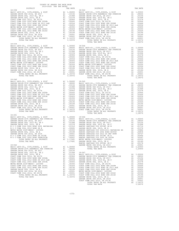| COUNTY OF ORANGE TAX RATE BOOK<br>2019-2020 TRA TAX RATES |                |         |
|-----------------------------------------------------------|----------------|---------|
|                                                           |                |         |
|                                                           | TOTAL TAX RATE | 1.18372 |
| $18 - 039$<br>$18 - 040$                                  | TOTAL TAX RATE | 1.18372 |
|                                                           |                |         |
| $18 - 041$                                                |                |         |
|                                                           |                |         |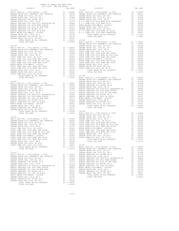| COUNTY OF ORANGE TAX RATE BOOK<br>2019-2020 TRA TAX RATES |          |                                                                                                                                                                                                                                                                                                      |          |  |
|-----------------------------------------------------------|----------|------------------------------------------------------------------------------------------------------------------------------------------------------------------------------------------------------------------------------------------------------------------------------------------------------|----------|--|
| DISTRICT                                                  | TAX RATE | DISTRICT                                                                                                                                                                                                                                                                                             | TAX RATE |  |
| $18 - 048$                                                |          | 18-053                                                                                                                                                                                                                                                                                               |          |  |
|                                                           |          |                                                                                                                                                                                                                                                                                                      |          |  |
|                                                           |          |                                                                                                                                                                                                                                                                                                      |          |  |
|                                                           |          |                                                                                                                                                                                                                                                                                                      |          |  |
|                                                           |          |                                                                                                                                                                                                                                                                                                      |          |  |
|                                                           |          |                                                                                                                                                                                                                                                                                                      |          |  |
|                                                           |          |                                                                                                                                                                                                                                                                                                      |          |  |
|                                                           |          |                                                                                                                                                                                                                                                                                                      |          |  |
|                                                           |          |                                                                                                                                                                                                                                                                                                      |          |  |
|                                                           |          |                                                                                                                                                                                                                                                                                                      |          |  |
|                                                           |          |                                                                                                                                                                                                                                                                                                      |          |  |
|                                                           |          |                                                                                                                                                                                                                                                                                                      |          |  |
|                                                           |          |                                                                                                                                                                                                                                                                                                      |          |  |
|                                                           |          |                                                                                                                                                                                                                                                                                                      |          |  |
|                                                           |          |                                                                                                                                                                                                                                                                                                      |          |  |
|                                                           |          |                                                                                                                                                                                                                                                                                                      |          |  |
|                                                           |          |                                                                                                                                                                                                                                                                                                      |          |  |
|                                                           |          |                                                                                                                                                                                                                                                                                                      |          |  |
|                                                           |          |                                                                                                                                                                                                                                                                                                      |          |  |
|                                                           |          |                                                                                                                                                                                                                                                                                                      |          |  |
|                                                           |          |                                                                                                                                                                                                                                                                                                      |          |  |
|                                                           |          |                                                                                                                                                                                                                                                                                                      |          |  |
|                                                           |          |                                                                                                                                                                                                                                                                                                      |          |  |
|                                                           |          |                                                                                                                                                                                                                                                                                                      |          |  |
|                                                           |          |                                                                                                                                                                                                                                                                                                      |          |  |
|                                                           |          |                                                                                                                                                                                                                                                                                                      |          |  |
|                                                           |          |                                                                                                                                                                                                                                                                                                      |          |  |
|                                                           |          |                                                                                                                                                                                                                                                                                                      |          |  |
|                                                           |          |                                                                                                                                                                                                                                                                                                      |          |  |
|                                                           |          |                                                                                                                                                                                                                                                                                                      |          |  |
|                                                           |          |                                                                                                                                                                                                                                                                                                      |          |  |
|                                                           |          |                                                                                                                                                                                                                                                                                                      |          |  |
|                                                           |          |                                                                                                                                                                                                                                                                                                      |          |  |
|                                                           |          |                                                                                                                                                                                                                                                                                                      |          |  |
|                                                           |          |                                                                                                                                                                                                                                                                                                      |          |  |
|                                                           |          |                                                                                                                                                                                                                                                                                                      |          |  |
|                                                           |          |                                                                                                                                                                                                                                                                                                      |          |  |
|                                                           |          |                                                                                                                                                                                                                                                                                                      |          |  |
|                                                           |          |                                                                                                                                                                                                                                                                                                      |          |  |
|                                                           |          |                                                                                                                                                                                                                                                                                                      |          |  |
|                                                           |          |                                                                                                                                                                                                                                                                                                      |          |  |
|                                                           |          |                                                                                                                                                                                                                                                                                                      |          |  |
|                                                           |          |                                                                                                                                                                                                                                                                                                      |          |  |
|                                                           |          |                                                                                                                                                                                                                                                                                                      |          |  |
|                                                           |          |                                                                                                                                                                                                                                                                                                      |          |  |
|                                                           |          |                                                                                                                                                                                                                                                                                                      |          |  |
|                                                           |          |                                                                                                                                                                                                                                                                                                      |          |  |
|                                                           |          |                                                                                                                                                                                                                                                                                                      |          |  |
|                                                           |          |                                                                                                                                                                                                                                                                                                      |          |  |
|                                                           |          |                                                                                                                                                                                                                                                                                                      |          |  |
|                                                           |          | $\begin{tabular}{cccccccc} TOTAL RATES ON ALL PROBERT & & & & & 1.20450 & 18-056 & & & & 1.20450 & 18-056 & & & & 1.20450 & 18-056 & & & & 1.20450 & 1.20450 & 1.20450 & 1.20450 & 1.20450 & 1.20450 & 1.20450 & 1.20450 & 1.20450 & 1.20450 & 1.20450 & 1.20450 & 1.20450 & 1.20450 & 1.20450 & 1.$ |          |  |
|                                                           |          |                                                                                                                                                                                                                                                                                                      |          |  |
|                                                           |          |                                                                                                                                                                                                                                                                                                      |          |  |
|                                                           |          |                                                                                                                                                                                                                                                                                                      |          |  |
|                                                           |          |                                                                                                                                                                                                                                                                                                      |          |  |
|                                                           |          |                                                                                                                                                                                                                                                                                                      |          |  |
|                                                           |          |                                                                                                                                                                                                                                                                                                      |          |  |
|                                                           |          |                                                                                                                                                                                                                                                                                                      |          |  |
|                                                           |          |                                                                                                                                                                                                                                                                                                      |          |  |
|                                                           |          |                                                                                                                                                                                                                                                                                                      |          |  |
|                                                           |          |                                                                                                                                                                                                                                                                                                      |          |  |
|                                                           |          |                                                                                                                                                                                                                                                                                                      |          |  |
|                                                           |          |                                                                                                                                                                                                                                                                                                      |          |  |
|                                                           |          | COAST COME COLL 2012 BORD BIR 20166 (2012 TONG SCART COME COAST COME SON SERVICE AND 1.00124 COAST COME COLL 2012 BORD BIR 20166 (2013 POND ERR 2016 2013 PORT COMES CORP. 12013 2016 2013 2016 (2013 2016 2014 2016 2014 201                                                                        |          |  |
|                                                           |          |                                                                                                                                                                                                                                                                                                      |          |  |
|                                                           |          |                                                                                                                                                                                                                                                                                                      |          |  |
|                                                           |          |                                                                                                                                                                                                                                                                                                      |          |  |
|                                                           |          |                                                                                                                                                                                                                                                                                                      |          |  |
|                                                           |          |                                                                                                                                                                                                                                                                                                      |          |  |
|                                                           |          |                                                                                                                                                                                                                                                                                                      |          |  |
|                                                           |          |                                                                                                                                                                                                                                                                                                      |          |  |
|                                                           |          |                                                                                                                                                                                                                                                                                                      |          |  |
|                                                           |          |                                                                                                                                                                                                                                                                                                      |          |  |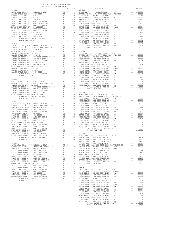| COUNTY OF ORANGE TAX RATE BOOK<br>2019-2020 TRA TAX RATES |  |                                                                                                                                                                                                                                     |  |
|-----------------------------------------------------------|--|-------------------------------------------------------------------------------------------------------------------------------------------------------------------------------------------------------------------------------------|--|
|                                                           |  |                                                                                                                                                                                                                                     |  |
|                                                           |  |                                                                                                                                                                                                                                     |  |
|                                                           |  |                                                                                                                                                                                                                                     |  |
|                                                           |  |                                                                                                                                                                                                                                     |  |
|                                                           |  |                                                                                                                                                                                                                                     |  |
|                                                           |  |                                                                                                                                                                                                                                     |  |
|                                                           |  |                                                                                                                                                                                                                                     |  |
|                                                           |  |                                                                                                                                                                                                                                     |  |
|                                                           |  |                                                                                                                                                                                                                                     |  |
|                                                           |  |                                                                                                                                                                                                                                     |  |
|                                                           |  |                                                                                                                                                                                                                                     |  |
|                                                           |  |                                                                                                                                                                                                                                     |  |
|                                                           |  |                                                                                                                                                                                                                                     |  |
|                                                           |  |                                                                                                                                                                                                                                     |  |
|                                                           |  |                                                                                                                                                                                                                                     |  |
|                                                           |  |                                                                                                                                                                                                                                     |  |
|                                                           |  |                                                                                                                                                                                                                                     |  |
|                                                           |  |                                                                                                                                                                                                                                     |  |
|                                                           |  |                                                                                                                                                                                                                                     |  |
|                                                           |  |                                                                                                                                                                                                                                     |  |
|                                                           |  |                                                                                                                                                                                                                                     |  |
|                                                           |  |                                                                                                                                                                                                                                     |  |
|                                                           |  |                                                                                                                                                                                                                                     |  |
|                                                           |  |                                                                                                                                                                                                                                     |  |
|                                                           |  |                                                                                                                                                                                                                                     |  |
|                                                           |  |                                                                                                                                                                                                                                     |  |
|                                                           |  |                                                                                                                                                                                                                                     |  |
|                                                           |  |                                                                                                                                                                                                                                     |  |
|                                                           |  |                                                                                                                                                                                                                                     |  |
|                                                           |  |                                                                                                                                                                                                                                     |  |
|                                                           |  |                                                                                                                                                                                                                                     |  |
|                                                           |  |                                                                                                                                                                                                                                     |  |
|                                                           |  |                                                                                                                                                                                                                                     |  |
|                                                           |  |                                                                                                                                                                                                                                     |  |
|                                                           |  |                                                                                                                                                                                                                                     |  |
|                                                           |  |                                                                                                                                                                                                                                     |  |
|                                                           |  |                                                                                                                                                                                                                                     |  |
|                                                           |  |                                                                                                                                                                                                                                     |  |
|                                                           |  |                                                                                                                                                                                                                                     |  |
|                                                           |  |                                                                                                                                                                                                                                     |  |
|                                                           |  |                                                                                                                                                                                                                                     |  |
|                                                           |  |                                                                                                                                                                                                                                     |  |
|                                                           |  |                                                                                                                                                                                                                                     |  |
|                                                           |  |                                                                                                                                                                                                                                     |  |
|                                                           |  |                                                                                                                                                                                                                                     |  |
|                                                           |  |                                                                                                                                                                                                                                     |  |
|                                                           |  |                                                                                                                                                                                                                                     |  |
|                                                           |  |                                                                                                                                                                                                                                     |  |
|                                                           |  |                                                                                                                                                                                                                                     |  |
|                                                           |  |                                                                                                                                                                                                                                     |  |
|                                                           |  |                                                                                                                                                                                                                                     |  |
|                                                           |  |                                                                                                                                                                                                                                     |  |
|                                                           |  |                                                                                                                                                                                                                                     |  |
|                                                           |  |                                                                                                                                                                                                                                     |  |
|                                                           |  |                                                                                                                                                                                                                                     |  |
|                                                           |  |                                                                                                                                                                                                                                     |  |
|                                                           |  |                                                                                                                                                                                                                                     |  |
|                                                           |  |                                                                                                                                                                                                                                     |  |
|                                                           |  |                                                                                                                                                                                                                                     |  |
|                                                           |  |                                                                                                                                                                                                                                     |  |
|                                                           |  |                                                                                                                                                                                                                                     |  |
|                                                           |  |                                                                                                                                                                                                                                     |  |
|                                                           |  |                                                                                                                                                                                                                                     |  |
|                                                           |  |                                                                                                                                                                                                                                     |  |
|                                                           |  |                                                                                                                                                                                                                                     |  |
|                                                           |  |                                                                                                                                                                                                                                     |  |
|                                                           |  |                                                                                                                                                                                                                                     |  |
|                                                           |  |                                                                                                                                                                                                                                     |  |
|                                                           |  |                                                                                                                                                                                                                                     |  |
|                                                           |  | COAST COME COLL 2013 AND 1930 11200011128 ALL 2000011128-066<br>WESTHINGER ELEM-COLL 2013 BAD 1000011128-066<br>WESTHINGER ELEM-COLL 2013 DRAMA AND 2013 2113 1000011128 ALL 2010016<br>TOTAL FAX RATE (EVA-COLL 2013 DRAMA AND 201 |  |
|                                                           |  |                                                                                                                                                                                                                                     |  |
|                                                           |  |                                                                                                                                                                                                                                     |  |
|                                                           |  |                                                                                                                                                                                                                                     |  |
|                                                           |  |                                                                                                                                                                                                                                     |  |
|                                                           |  |                                                                                                                                                                                                                                     |  |
|                                                           |  |                                                                                                                                                                                                                                     |  |
|                                                           |  |                                                                                                                                                                                                                                     |  |
|                                                           |  |                                                                                                                                                                                                                                     |  |

| 2019-2020 TRA TAX RATES |          |          |          |
|-------------------------|----------|----------|----------|
| DISTRICT                | TAX RATE | DISTRICT | TAX RATE |
|                         |          |          |          |
|                         |          |          |          |
|                         |          |          |          |
|                         |          |          |          |
|                         |          |          |          |
|                         |          |          |          |
|                         |          |          |          |
|                         |          |          |          |
|                         |          |          |          |
|                         |          |          |          |
|                         |          |          |          |
|                         |          |          |          |
|                         |          |          |          |
|                         |          |          |          |
|                         |          |          |          |
|                         |          |          |          |
|                         |          |          |          |
|                         |          |          |          |
|                         |          |          |          |
|                         |          |          |          |
|                         |          |          |          |
|                         |          |          |          |
|                         |          |          |          |
|                         |          |          |          |
|                         |          |          |          |
|                         |          |          |          |
|                         |          |          |          |
|                         |          |          |          |
|                         |          |          |          |
|                         |          |          |          |
|                         |          |          |          |
|                         |          |          |          |
|                         |          |          |          |
|                         |          |          |          |
|                         |          |          |          |
|                         |          |          |          |
|                         |          |          |          |
|                         |          |          |          |
|                         |          |          |          |
|                         |          |          |          |
|                         |          |          |          |
|                         |          |          |          |
|                         |          |          |          |
|                         |          |          |          |
|                         |          |          |          |
|                         |          |          |          |
|                         |          |          |          |
|                         |          |          |          |
|                         |          |          |          |
|                         |          |          |          |
|                         |          |          |          |
|                         |          |          |          |
|                         |          |          |          |
|                         |          |          |          |
|                         |          |          |          |
|                         |          |          |          |
|                         |          |          |          |
|                         |          |          |          |
|                         |          |          |          |
|                         |          |          |          |
|                         |          |          |          |
|                         |          |          |          |
|                         |          |          |          |
|                         |          |          |          |
|                         |          |          |          |
|                         |          |          |          |
|                         |          |          |          |
|                         |          |          |          |
|                         |          |          |          |
|                         |          |          |          |
|                         |          |          |          |
|                         |          |          |          |
|                         |          |          |          |
|                         |          |          |          |
|                         |          |          |          |
|                         |          |          |          |
|                         |          |          |          |
|                         |          |          |          |
|                         |          |          |          |
|                         |          |          |          |
|                         |          |          |          |
|                         | $-175-$  |          |          |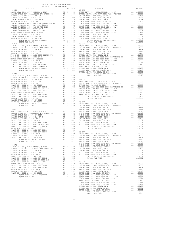| $-11111121$<br>2019-2020 TRA TAX RATES | $-1111$ |  |  |
|----------------------------------------|---------|--|--|
|                                        |         |  |  |
|                                        |         |  |  |
|                                        |         |  |  |
|                                        |         |  |  |
|                                        |         |  |  |
|                                        |         |  |  |
|                                        |         |  |  |
|                                        |         |  |  |
|                                        |         |  |  |
|                                        |         |  |  |
|                                        |         |  |  |
|                                        |         |  |  |
|                                        |         |  |  |
|                                        |         |  |  |
|                                        |         |  |  |
|                                        |         |  |  |
|                                        |         |  |  |
|                                        |         |  |  |
|                                        |         |  |  |
|                                        |         |  |  |
|                                        |         |  |  |
|                                        |         |  |  |
|                                        |         |  |  |
|                                        |         |  |  |
|                                        |         |  |  |
|                                        |         |  |  |
|                                        |         |  |  |
|                                        |         |  |  |
|                                        |         |  |  |
|                                        |         |  |  |
|                                        |         |  |  |
|                                        |         |  |  |
|                                        |         |  |  |
|                                        |         |  |  |
|                                        |         |  |  |
|                                        |         |  |  |
|                                        |         |  |  |
|                                        |         |  |  |
|                                        |         |  |  |
|                                        |         |  |  |
|                                        |         |  |  |
|                                        |         |  |  |
|                                        |         |  |  |
|                                        |         |  |  |
|                                        |         |  |  |
|                                        |         |  |  |
|                                        |         |  |  |
|                                        |         |  |  |
|                                        |         |  |  |
|                                        |         |  |  |
|                                        |         |  |  |
|                                        |         |  |  |
|                                        |         |  |  |
|                                        |         |  |  |
|                                        |         |  |  |
|                                        |         |  |  |
|                                        |         |  |  |
|                                        |         |  |  |
|                                        |         |  |  |
|                                        |         |  |  |
|                                        |         |  |  |
|                                        |         |  |  |
|                                        |         |  |  |
|                                        |         |  |  |
|                                        |         |  |  |
|                                        |         |  |  |
|                                        |         |  |  |
|                                        |         |  |  |
|                                        |         |  |  |
|                                        |         |  |  |
|                                        |         |  |  |
|                                        |         |  |  |
|                                        |         |  |  |
|                                        |         |  |  |
|                                        |         |  |  |
|                                        |         |  |  |
|                                        |         |  |  |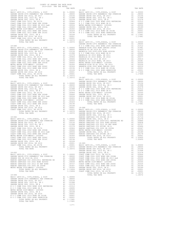| COUNTY OF ORANGE TAX RATE BOOK                                                                                                                                                                                                |         |  |
|-------------------------------------------------------------------------------------------------------------------------------------------------------------------------------------------------------------------------------|---------|--|
|                                                                                                                                                                                                                               |         |  |
|                                                                                                                                                                                                                               |         |  |
|                                                                                                                                                                                                                               |         |  |
|                                                                                                                                                                                                                               |         |  |
|                                                                                                                                                                                                                               |         |  |
|                                                                                                                                                                                                                               |         |  |
|                                                                                                                                                                                                                               |         |  |
|                                                                                                                                                                                                                               |         |  |
|                                                                                                                                                                                                                               |         |  |
|                                                                                                                                                                                                                               |         |  |
|                                                                                                                                                                                                                               |         |  |
|                                                                                                                                                                                                                               |         |  |
|                                                                                                                                                                                                                               |         |  |
|                                                                                                                                                                                                                               |         |  |
|                                                                                                                                                                                                                               |         |  |
|                                                                                                                                                                                                                               |         |  |
|                                                                                                                                                                                                                               |         |  |
|                                                                                                                                                                                                                               |         |  |
|                                                                                                                                                                                                                               |         |  |
|                                                                                                                                                                                                                               |         |  |
|                                                                                                                                                                                                                               |         |  |
|                                                                                                                                                                                                                               |         |  |
|                                                                                                                                                                                                                               |         |  |
|                                                                                                                                                                                                                               |         |  |
|                                                                                                                                                                                                                               |         |  |
|                                                                                                                                                                                                                               |         |  |
|                                                                                                                                                                                                                               |         |  |
|                                                                                                                                                                                                                               |         |  |
|                                                                                                                                                                                                                               |         |  |
|                                                                                                                                                                                                                               |         |  |
|                                                                                                                                                                                                                               |         |  |
|                                                                                                                                                                                                                               |         |  |
|                                                                                                                                                                                                                               |         |  |
|                                                                                                                                                                                                                               |         |  |
|                                                                                                                                                                                                                               |         |  |
|                                                                                                                                                                                                                               |         |  |
|                                                                                                                                                                                                                               |         |  |
|                                                                                                                                                                                                                               |         |  |
|                                                                                                                                                                                                                               |         |  |
|                                                                                                                                                                                                                               |         |  |
|                                                                                                                                                                                                                               |         |  |
|                                                                                                                                                                                                                               |         |  |
|                                                                                                                                                                                                                               |         |  |
|                                                                                                                                                                                                                               |         |  |
|                                                                                                                                                                                                                               |         |  |
|                                                                                                                                                                                                                               |         |  |
|                                                                                                                                                                                                                               |         |  |
|                                                                                                                                                                                                                               |         |  |
|                                                                                                                                                                                                                               |         |  |
|                                                                                                                                                                                                                               |         |  |
|                                                                                                                                                                                                                               |         |  |
|                                                                                                                                                                                                                               |         |  |
|                                                                                                                                                                                                                               |         |  |
|                                                                                                                                                                                                                               |         |  |
|                                                                                                                                                                                                                               |         |  |
|                                                                                                                                                                                                                               |         |  |
|                                                                                                                                                                                                                               |         |  |
|                                                                                                                                                                                                                               |         |  |
|                                                                                                                                                                                                                               |         |  |
| COAPT COMPARENT 2012 SERVI 30.000 12.0000 12.0000 12.0000 12.0000 12.0000 12.0000 12.0000 12.0000 12.0000 12.0000 12.0000 12.0000 12.0000 12.0000 12.0000 12.0000 12.0000 12.0000 12.0000 12.0000 12.0000 12.0000 12.0000 12. |         |  |
|                                                                                                                                                                                                                               |         |  |
|                                                                                                                                                                                                                               |         |  |
|                                                                                                                                                                                                                               |         |  |
|                                                                                                                                                                                                                               |         |  |
|                                                                                                                                                                                                                               |         |  |
|                                                                                                                                                                                                                               |         |  |
|                                                                                                                                                                                                                               |         |  |
|                                                                                                                                                                                                                               |         |  |
|                                                                                                                                                                                                                               |         |  |
|                                                                                                                                                                                                                               |         |  |
|                                                                                                                                                                                                                               |         |  |
|                                                                                                                                                                                                                               |         |  |
|                                                                                                                                                                                                                               |         |  |
|                                                                                                                                                                                                                               |         |  |
|                                                                                                                                                                                                                               |         |  |
|                                                                                                                                                                                                                               |         |  |
|                                                                                                                                                                                                                               |         |  |
|                                                                                                                                                                                                                               |         |  |
|                                                                                                                                                                                                                               |         |  |
|                                                                                                                                                                                                                               |         |  |
|                                                                                                                                                                                                                               |         |  |
|                                                                                                                                                                                                                               |         |  |
|                                                                                                                                                                                                                               |         |  |
| TOTAL TAX RATE                                                                                                                                                                                                                | 1.17681 |  |

-177-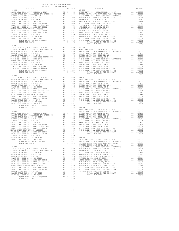| COUNTY OF ORANGE TAX RATE BOOK      |                |          |          |
|-------------------------------------|----------------|----------|----------|
| 2019-2020 TRA TAX RATES<br>DISTRICT | TAX RATE       | DISTRICT | TAX RATE |
| $18 - 090$                          |                | 18-095   |          |
| $18 - 091$                          |                |          |          |
| $18 - 092$                          |                |          |          |
| TOTAL TAX RATE                      | 1.18372 18-098 |          |          |
|                                     |                |          |          |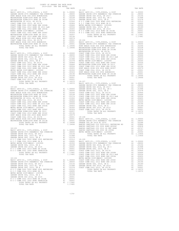| 2019-2020 TRA TAX RATES<br>DISTRICT | TAX RATE | DISTRICT | TAX RATE |
|-------------------------------------|----------|----------|----------|
|                                     |          |          |          |
|                                     |          |          |          |
|                                     |          |          |          |
|                                     |          |          |          |
|                                     |          |          |          |
|                                     |          |          |          |
|                                     |          |          |          |
|                                     |          |          |          |
|                                     |          |          |          |
|                                     |          |          |          |
|                                     |          |          |          |
|                                     |          |          |          |
|                                     |          |          |          |
|                                     |          |          |          |
|                                     |          |          |          |
|                                     |          |          |          |
|                                     |          |          |          |
|                                     |          |          |          |
|                                     |          |          |          |
|                                     |          |          |          |
|                                     |          |          |          |
|                                     |          |          |          |
|                                     |          |          |          |
|                                     |          |          |          |
|                                     |          |          |          |
|                                     |          |          |          |
|                                     |          |          |          |
|                                     |          |          |          |
|                                     |          |          |          |
|                                     |          |          |          |
|                                     |          |          |          |
|                                     |          |          |          |
|                                     |          |          |          |
|                                     |          |          |          |
|                                     |          |          |          |
|                                     |          |          |          |
|                                     |          |          |          |
|                                     |          |          |          |
|                                     |          |          |          |
|                                     |          |          |          |
|                                     |          |          |          |
|                                     |          |          |          |
|                                     |          |          |          |
|                                     |          |          |          |
|                                     |          |          |          |
|                                     |          |          |          |
|                                     |          |          |          |
|                                     |          |          |          |
|                                     |          |          |          |
|                                     |          |          |          |
|                                     |          |          |          |
|                                     |          |          |          |
|                                     |          |          |          |
|                                     |          |          |          |
|                                     |          |          |          |
|                                     |          |          |          |
|                                     |          |          |          |
|                                     |          |          |          |
|                                     |          |          |          |
|                                     |          |          |          |
|                                     |          |          |          |
|                                     |          |          |          |
|                                     |          |          |          |
|                                     |          |          |          |
|                                     |          |          |          |
|                                     |          |          |          |
|                                     |          |          |          |
|                                     |          |          |          |
|                                     |          |          |          |
|                                     |          |          |          |
|                                     |          |          |          |
|                                     |          |          |          |
|                                     |          |          |          |
|                                     |          |          |          |
|                                     |          |          |          |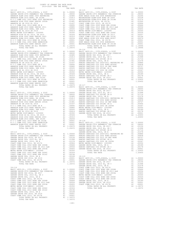| ---------<br>18-110                                                    |                                                                                            | TTTT TATTI                          | $18 - 115$        |
|------------------------------------------------------------------------|--------------------------------------------------------------------------------------------|-------------------------------------|-------------------|
|                                                                        |                                                                                            |                                     |                   |
|                                                                        |                                                                                            |                                     |                   |
|                                                                        |                                                                                            |                                     |                   |
|                                                                        |                                                                                            |                                     |                   |
|                                                                        |                                                                                            |                                     |                   |
|                                                                        |                                                                                            |                                     |                   |
|                                                                        |                                                                                            |                                     |                   |
|                                                                        |                                                                                            |                                     |                   |
|                                                                        |                                                                                            |                                     |                   |
|                                                                        |                                                                                            |                                     |                   |
|                                                                        |                                                                                            |                                     |                   |
|                                                                        |                                                                                            |                                     |                   |
|                                                                        |                                                                                            |                                     |                   |
| TOTAL TAX RATE                                                         |                                                                                            | 1.20670                             |                   |
|                                                                        |                                                                                            |                                     | $18 - 116$        |
|                                                                        |                                                                                            |                                     |                   |
|                                                                        |                                                                                            |                                     |                   |
|                                                                        |                                                                                            |                                     |                   |
|                                                                        |                                                                                            |                                     |                   |
|                                                                        |                                                                                            |                                     |                   |
|                                                                        |                                                                                            |                                     |                   |
|                                                                        |                                                                                            |                                     |                   |
|                                                                        |                                                                                            |                                     |                   |
|                                                                        |                                                                                            |                                     |                   |
|                                                                        |                                                                                            |                                     |                   |
|                                                                        |                                                                                            |                                     |                   |
|                                                                        |                                                                                            |                                     |                   |
|                                                                        |                                                                                            |                                     |                   |
|                                                                        |                                                                                            |                                     |                   |
|                                                                        |                                                                                            |                                     | GARDEN            |
| $18 - 112$                                                             |                                                                                            |                                     | GARDEN            |
|                                                                        |                                                                                            |                                     |                   |
|                                                                        |                                                                                            |                                     |                   |
|                                                                        |                                                                                            |                                     |                   |
|                                                                        |                                                                                            |                                     |                   |
|                                                                        |                                                                                            |                                     |                   |
|                                                                        |                                                                                            |                                     |                   |
|                                                                        |                                                                                            |                                     |                   |
|                                                                        |                                                                                            |                                     |                   |
|                                                                        |                                                                                            |                                     |                   |
|                                                                        |                                                                                            |                                     |                   |
|                                                                        |                                                                                            |                                     |                   |
|                                                                        |                                                                                            |                                     |                   |
|                                                                        |                                                                                            |                                     |                   |
|                                                                        |                                                                                            |                                     |                   |
|                                                                        |                                                                                            |                                     | RANCHO            |
|                                                                        |                                                                                            |                                     |                   |
|                                                                        |                                                                                            |                                     |                   |
|                                                                        |                                                                                            |                                     |                   |
|                                                                        |                                                                                            |                                     |                   |
|                                                                        |                                                                                            |                                     |                   |
| COAST COMM COLL 2012, SR 2017D<br>COAST COMM COLL 2002 BOND SER 2006B  | A1 .00906 mains .<br>A1 .00666 GARDEN<br>A1 .00554 RANCHO<br>A1 .00455 GARDEN<br>A1 .00350 |                                     |                   |
| COAST COMM COLL 2012 BOND SR 2013 A&B                                  |                                                                                            |                                     |                   |
| COAST COMM COLL 2002 BOND SER 2003A                                    |                                                                                            |                                     |                   |
| METRO WATER DIST-MWDOC- 1205999<br>COAST COMM COLL 2002 BOND SER 2006C |                                                                                            |                                     |                   |
| COAST COMM COLL 2012 BOND SER 2016C                                    |                                                                                            | A1 .00324<br>A1 .00194<br>A1 .00189 |                   |
| GARDEN GROVE USD, 2010, SR A<br>GARDEN GROVE USD 2016, SR 2019         |                                                                                            |                                     |                   |
| COAST COMM COLL 2012, SR 2017E                                         |                                                                                            |                                     |                   |
| TOTAL RATES ON ALL PROPERTY                                            |                                                                                            |                                     | GARDEN<br>GARDEN  |
| TOTAL TAX RATE                                                         |                                                                                            | 1.18372                             |                   |
| 18-114                                                                 |                                                                                            |                                     | GARDEN<br>COAST C |
|                                                                        |                                                                                            |                                     |                   |
|                                                                        |                                                                                            |                                     |                   |
|                                                                        |                                                                                            |                                     |                   |
|                                                                        |                                                                                            |                                     |                   |
|                                                                        |                                                                                            |                                     |                   |
|                                                                        |                                                                                            |                                     |                   |
|                                                                        |                                                                                            |                                     |                   |
| COAST COMM COLL 2002 BOND SER 2006C                                    |                                                                                            | A1.00324                            |                   |
| COAST COMM COLL 2012 BOND SER 2016C                                    |                                                                                            | A1.00194                            |                   |
| GARDEN GROVE USD, 2010, SR A<br>GARDEN GROVE USD 2016, SR 2019         | A1<br>A1                                                                                   | .00189<br>.00001                    |                   |
| COAST COMM COLL 2012, SR 2017E                                         | A1                                                                                         | .00001                              |                   |
| TOTAL RATES ON ALL PROPERTY                                            |                                                                                            | A1 1.18372                          |                   |
| TOTAL TAX RATE                                                         |                                                                                            | 1.18372                             |                   |

| COUNTY OF ORANGE TAX RATE BOOK |  |  |
|--------------------------------|--|--|
|                                |  |  |
|                                |  |  |
|                                |  |  |
|                                |  |  |
|                                |  |  |
|                                |  |  |
|                                |  |  |
|                                |  |  |
|                                |  |  |
|                                |  |  |
|                                |  |  |
|                                |  |  |
|                                |  |  |
|                                |  |  |
|                                |  |  |
|                                |  |  |
|                                |  |  |
|                                |  |  |
|                                |  |  |
|                                |  |  |
|                                |  |  |
|                                |  |  |
|                                |  |  |
|                                |  |  |
|                                |  |  |
|                                |  |  |
|                                |  |  |
|                                |  |  |
|                                |  |  |
|                                |  |  |
|                                |  |  |
|                                |  |  |
|                                |  |  |
|                                |  |  |
|                                |  |  |
|                                |  |  |
|                                |  |  |
|                                |  |  |
|                                |  |  |
|                                |  |  |
|                                |  |  |
|                                |  |  |
|                                |  |  |
|                                |  |  |
|                                |  |  |
|                                |  |  |
|                                |  |  |
|                                |  |  |
|                                |  |  |
|                                |  |  |
|                                |  |  |
|                                |  |  |
|                                |  |  |
|                                |  |  |
|                                |  |  |
|                                |  |  |
|                                |  |  |
|                                |  |  |
|                                |  |  |
|                                |  |  |
|                                |  |  |

-180-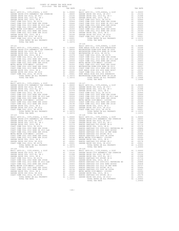| 2019-2020 TRA TAX RATES<br>DISTRICT | TAX RATE | DISTRICT                                                                                                                                                                                                                               | TAX RATE |
|-------------------------------------|----------|----------------------------------------------------------------------------------------------------------------------------------------------------------------------------------------------------------------------------------------|----------|
| $18 - 120$                          |          | $18 - 125$                                                                                                                                                                                                                             |          |
|                                     |          |                                                                                                                                                                                                                                        |          |
|                                     |          |                                                                                                                                                                                                                                        |          |
|                                     |          |                                                                                                                                                                                                                                        |          |
|                                     |          |                                                                                                                                                                                                                                        |          |
|                                     |          |                                                                                                                                                                                                                                        |          |
| TOTAL TAX RATE                      | 1.18372  | $18 - 126$                                                                                                                                                                                                                             |          |
|                                     |          |                                                                                                                                                                                                                                        |          |
|                                     |          |                                                                                                                                                                                                                                        |          |
|                                     |          |                                                                                                                                                                                                                                        |          |
|                                     |          |                                                                                                                                                                                                                                        |          |
|                                     |          |                                                                                                                                                                                                                                        |          |
|                                     |          |                                                                                                                                                                                                                                        |          |
|                                     |          |                                                                                                                                                                                                                                        |          |
|                                     |          |                                                                                                                                                                                                                                        |          |
|                                     |          |                                                                                                                                                                                                                                        |          |
| $18 - 122$                          |          |                                                                                                                                                                                                                                        |          |
|                                     |          |                                                                                                                                                                                                                                        |          |
|                                     |          |                                                                                                                                                                                                                                        |          |
|                                     |          |                                                                                                                                                                                                                                        |          |
|                                     |          |                                                                                                                                                                                                                                        |          |
|                                     |          |                                                                                                                                                                                                                                        |          |
|                                     |          |                                                                                                                                                                                                                                        |          |
|                                     |          |                                                                                                                                                                                                                                        |          |
|                                     |          |                                                                                                                                                                                                                                        |          |
|                                     |          |                                                                                                                                                                                                                                        |          |
|                                     |          |                                                                                                                                                                                                                                        |          |
|                                     |          |                                                                                                                                                                                                                                        |          |
|                                     |          |                                                                                                                                                                                                                                        |          |
|                                     |          |                                                                                                                                                                                                                                        |          |
|                                     |          |                                                                                                                                                                                                                                        |          |
|                                     |          |                                                                                                                                                                                                                                        |          |
|                                     |          |                                                                                                                                                                                                                                        |          |
|                                     |          |                                                                                                                                                                                                                                        |          |
|                                     |          |                                                                                                                                                                                                                                        |          |
|                                     |          |                                                                                                                                                                                                                                        |          |
|                                     |          |                                                                                                                                                                                                                                        |          |
|                                     |          |                                                                                                                                                                                                                                        |          |
|                                     |          |                                                                                                                                                                                                                                        |          |
|                                     |          |                                                                                                                                                                                                                                        |          |
|                                     |          | METRO MATRIC DESISSES (1993)<br>COAST COME COLL 2010 2 BANCO AND SER 2010 1200 2 BANCO SANTAGO CCD 2010 2 BANCO SANTAGO COLL 2012<br>COAST COME COLL 2012 2 BANCO SANTAGO COLL 2012 2 BANCO SANTAGO COLL 2013<br>CABREM GEOVE USING IN |          |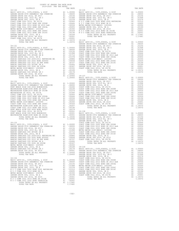| 2019-2020 TRA TAX RATES<br>DISTRICT | TAX RATE | DISTRICT   | TAX RATE |
|-------------------------------------|----------|------------|----------|
| $18 - 130$                          |          | $18 - 135$ |          |
|                                     |          |            |          |
|                                     |          |            |          |
|                                     |          |            |          |
|                                     |          |            |          |
|                                     |          |            |          |
|                                     |          |            |          |
|                                     |          |            |          |
|                                     |          |            |          |
|                                     |          |            |          |
|                                     |          |            |          |
|                                     |          |            |          |
|                                     |          |            |          |
|                                     |          |            |          |
|                                     |          |            |          |
|                                     |          |            |          |
|                                     |          |            |          |
|                                     |          |            |          |
|                                     |          |            |          |
|                                     |          |            |          |
|                                     |          |            |          |
|                                     |          |            |          |
|                                     |          |            |          |
|                                     |          |            |          |
|                                     |          |            |          |
|                                     |          |            |          |
|                                     |          |            |          |
|                                     |          |            |          |
|                                     |          |            |          |
|                                     |          |            |          |
|                                     |          |            |          |
|                                     |          |            |          |
|                                     |          |            |          |
|                                     |          |            |          |
|                                     |          |            |          |
|                                     |          |            |          |
|                                     |          |            |          |
|                                     |          |            |          |
|                                     |          |            |          |
|                                     |          |            |          |
|                                     |          |            |          |
|                                     |          |            |          |
|                                     |          |            |          |
|                                     |          |            |          |
|                                     |          |            |          |
|                                     |          |            |          |
|                                     |          |            |          |
|                                     |          |            |          |
|                                     |          |            |          |
|                                     |          |            |          |
|                                     |          |            |          |
|                                     |          |            |          |
|                                     |          |            |          |
|                                     |          |            |          |
|                                     |          |            |          |
|                                     |          |            |          |
|                                     |          |            |          |
|                                     |          |            |          |
|                                     |          |            |          |
|                                     |          |            |          |
|                                     |          |            |          |
|                                     |          |            |          |
|                                     |          |            |          |
|                                     |          |            |          |
|                                     |          |            |          |
|                                     |          |            |          |
|                                     |          |            |          |
|                                     |          |            |          |
|                                     |          |            |          |
|                                     |          |            |          |
|                                     |          |            |          |
|                                     |          |            |          |
|                                     |          |            |          |
|                                     |          |            |          |
|                                     |          |            |          |
|                                     |          |            |          |
|                                     |          |            |          |
|                                     |          |            |          |
|                                     |          |            |          |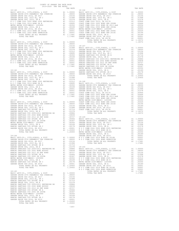| DISTRICT                                                                                                                                                                                                                      | TAX RATE | DISTRICT | TAX RATE |
|-------------------------------------------------------------------------------------------------------------------------------------------------------------------------------------------------------------------------------|----------|----------|----------|
|                                                                                                                                                                                                                               |          |          |          |
|                                                                                                                                                                                                                               |          |          |          |
|                                                                                                                                                                                                                               |          |          |          |
|                                                                                                                                                                                                                               |          |          |          |
|                                                                                                                                                                                                                               |          |          |          |
|                                                                                                                                                                                                                               |          |          |          |
|                                                                                                                                                                                                                               |          |          |          |
|                                                                                                                                                                                                                               |          |          |          |
|                                                                                                                                                                                                                               |          |          |          |
|                                                                                                                                                                                                                               |          |          |          |
|                                                                                                                                                                                                                               |          |          |          |
|                                                                                                                                                                                                                               |          |          |          |
|                                                                                                                                                                                                                               |          |          |          |
|                                                                                                                                                                                                                               |          |          |          |
|                                                                                                                                                                                                                               |          |          |          |
|                                                                                                                                                                                                                               |          |          |          |
|                                                                                                                                                                                                                               |          |          |          |
|                                                                                                                                                                                                                               |          |          |          |
|                                                                                                                                                                                                                               |          |          |          |
|                                                                                                                                                                                                                               |          |          |          |
|                                                                                                                                                                                                                               |          |          |          |
|                                                                                                                                                                                                                               |          |          |          |
|                                                                                                                                                                                                                               |          |          |          |
|                                                                                                                                                                                                                               |          |          |          |
|                                                                                                                                                                                                                               |          |          |          |
|                                                                                                                                                                                                                               |          |          |          |
|                                                                                                                                                                                                                               |          |          |          |
|                                                                                                                                                                                                                               |          |          |          |
|                                                                                                                                                                                                                               |          |          |          |
|                                                                                                                                                                                                                               |          |          |          |
|                                                                                                                                                                                                                               |          |          |          |
|                                                                                                                                                                                                                               |          |          |          |
|                                                                                                                                                                                                                               |          |          |          |
|                                                                                                                                                                                                                               |          |          |          |
|                                                                                                                                                                                                                               |          |          |          |
|                                                                                                                                                                                                                               |          |          |          |
|                                                                                                                                                                                                                               |          |          |          |
|                                                                                                                                                                                                                               |          |          |          |
|                                                                                                                                                                                                                               |          |          |          |
|                                                                                                                                                                                                                               |          |          |          |
|                                                                                                                                                                                                                               |          |          |          |
|                                                                                                                                                                                                                               |          |          |          |
|                                                                                                                                                                                                                               |          |          |          |
|                                                                                                                                                                                                                               |          |          |          |
|                                                                                                                                                                                                                               |          |          |          |
|                                                                                                                                                                                                                               |          |          |          |
|                                                                                                                                                                                                                               |          |          |          |
|                                                                                                                                                                                                                               |          |          |          |
|                                                                                                                                                                                                                               |          |          |          |
|                                                                                                                                                                                                                               |          |          |          |
|                                                                                                                                                                                                                               |          |          |          |
|                                                                                                                                                                                                                               |          |          |          |
|                                                                                                                                                                                                                               |          |          |          |
|                                                                                                                                                                                                                               |          |          |          |
|                                                                                                                                                                                                                               |          |          |          |
|                                                                                                                                                                                                                               |          |          |          |
|                                                                                                                                                                                                                               |          |          |          |
|                                                                                                                                                                                                                               |          |          |          |
|                                                                                                                                                                                                                               |          |          |          |
|                                                                                                                                                                                                                               |          |          |          |
|                                                                                                                                                                                                                               |          |          |          |
|                                                                                                                                                                                                                               |          |          |          |
|                                                                                                                                                                                                                               |          |          |          |
|                                                                                                                                                                                                                               |          |          |          |
|                                                                                                                                                                                                                               |          |          |          |
|                                                                                                                                                                                                                               |          |          |          |
|                                                                                                                                                                                                                               |          |          |          |
|                                                                                                                                                                                                                               |          |          |          |
|                                                                                                                                                                                                                               |          |          |          |
|                                                                                                                                                                                                                               |          |          |          |
|                                                                                                                                                                                                                               |          |          |          |
|                                                                                                                                                                                                                               |          |          |          |
|                                                                                                                                                                                                                               |          |          |          |
|                                                                                                                                                                                                                               |          |          |          |
|                                                                                                                                                                                                                               |          |          |          |
|                                                                                                                                                                                                                               |          |          |          |
|                                                                                                                                                                                                                               |          |          |          |
|                                                                                                                                                                                                                               |          |          |          |
|                                                                                                                                                                                                                               |          |          |          |
|                                                                                                                                                                                                                               |          |          |          |
|                                                                                                                                                                                                                               |          |          |          |
|                                                                                                                                                                                                                               |          |          |          |
|                                                                                                                                                                                                                               |          |          |          |
|                                                                                                                                                                                                                               |          |          |          |
|                                                                                                                                                                                                                               |          |          |          |
|                                                                                                                                                                                                                               |          |          |          |
|                                                                                                                                                                                                                               |          |          |          |
|                                                                                                                                                                                                                               |          |          |          |
|                                                                                                                                                                                                                               |          |          |          |
|                                                                                                                                                                                                                               |          |          |          |
|                                                                                                                                                                                                                               |          |          |          |
|                                                                                                                                                                                                                               |          |          |          |
| 18–140 (1971) (1971) (1972) (1972) (1972) (1972) (1972) (1972) (1972) (1972) (1972) (1972) (1972) (1972) (1972) (1972) (1972) (1972) (1972) (1972) (1972) (1972) (1972) (1972) (1972) (1972) (1972) (1972) (1972) (1972) (197 |          |          |          |
|                                                                                                                                                                                                                               |          |          |          |
|                                                                                                                                                                                                                               |          |          |          |
|                                                                                                                                                                                                                               |          |          |          |
|                                                                                                                                                                                                                               |          |          |          |

COUNTY OF ORANGE TAX RATE BOOK 2019-2020 TRA TAX RATES

-183-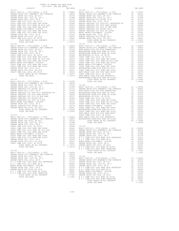| COUNTY OF ORANGE TAX RATE BOOK<br>2019-2020 TRA TAX RATES |          |          |          |
|-----------------------------------------------------------|----------|----------|----------|
| DISTRICT                                                  | TAX RATE | DISTRICT | TAX RATE |
|                                                           |          |          |          |
|                                                           |          |          |          |
|                                                           |          |          |          |
|                                                           |          |          |          |
|                                                           |          |          |          |
|                                                           |          |          |          |
|                                                           |          |          |          |
|                                                           |          |          |          |
|                                                           |          |          |          |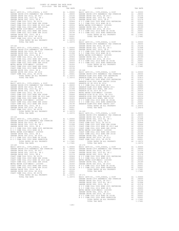| COUNTY OF ORANGE TAX RATE BOOK<br>2019-2020 TRA TAX RATES |          |                                                                                                                                                                                                                                                                                                                    |          |
|-----------------------------------------------------------|----------|--------------------------------------------------------------------------------------------------------------------------------------------------------------------------------------------------------------------------------------------------------------------------------------------------------------------|----------|
| DISTRICT<br>$18 - 161$                                    | TAX RATE | DISTRICT<br>18-166                                                                                                                                                                                                                                                                                                 | TAX RATE |
|                                                           |          |                                                                                                                                                                                                                                                                                                                    |          |
|                                                           |          |                                                                                                                                                                                                                                                                                                                    |          |
|                                                           |          |                                                                                                                                                                                                                                                                                                                    |          |
|                                                           |          |                                                                                                                                                                                                                                                                                                                    |          |
|                                                           |          |                                                                                                                                                                                                                                                                                                                    |          |
|                                                           |          |                                                                                                                                                                                                                                                                                                                    |          |
|                                                           |          |                                                                                                                                                                                                                                                                                                                    |          |
|                                                           |          |                                                                                                                                                                                                                                                                                                                    |          |
|                                                           |          |                                                                                                                                                                                                                                                                                                                    |          |
|                                                           |          |                                                                                                                                                                                                                                                                                                                    |          |
|                                                           |          |                                                                                                                                                                                                                                                                                                                    |          |
|                                                           |          |                                                                                                                                                                                                                                                                                                                    |          |
|                                                           |          |                                                                                                                                                                                                                                                                                                                    |          |
|                                                           |          |                                                                                                                                                                                                                                                                                                                    |          |
|                                                           |          |                                                                                                                                                                                                                                                                                                                    |          |
|                                                           |          |                                                                                                                                                                                                                                                                                                                    |          |
|                                                           |          |                                                                                                                                                                                                                                                                                                                    |          |
|                                                           |          |                                                                                                                                                                                                                                                                                                                    |          |
|                                                           |          |                                                                                                                                                                                                                                                                                                                    |          |
|                                                           |          |                                                                                                                                                                                                                                                                                                                    |          |
|                                                           |          |                                                                                                                                                                                                                                                                                                                    |          |
|                                                           |          |                                                                                                                                                                                                                                                                                                                    |          |
|                                                           |          |                                                                                                                                                                                                                                                                                                                    |          |
|                                                           |          |                                                                                                                                                                                                                                                                                                                    |          |
|                                                           |          |                                                                                                                                                                                                                                                                                                                    |          |
|                                                           |          |                                                                                                                                                                                                                                                                                                                    |          |
|                                                           |          |                                                                                                                                                                                                                                                                                                                    |          |
|                                                           |          |                                                                                                                                                                                                                                                                                                                    |          |
|                                                           |          |                                                                                                                                                                                                                                                                                                                    |          |
|                                                           |          |                                                                                                                                                                                                                                                                                                                    |          |
|                                                           |          |                                                                                                                                                                                                                                                                                                                    |          |
|                                                           |          | $\begin{tabular}{cccccc} TOTAL RATES ON ALL PROBERTY & & & & & 1.18372 & 18-169 & & & & 1.18372 & 18-169 & & & & 1.18372 & 18-169 & & & & 1.100000 & 18-164 & & & & 1.00000 & 18-164 & & & & 1.00000 & 18-164 & & & & 1.00000 & 18-164 & & & & 1.00000 & 18-164 & & & & 1.00000 & 18-164 & & & & 1.00000 & 18-164$ |          |
|                                                           |          |                                                                                                                                                                                                                                                                                                                    |          |
|                                                           |          |                                                                                                                                                                                                                                                                                                                    |          |
|                                                           |          |                                                                                                                                                                                                                                                                                                                    |          |
|                                                           |          |                                                                                                                                                                                                                                                                                                                    |          |
|                                                           |          |                                                                                                                                                                                                                                                                                                                    |          |
|                                                           |          |                                                                                                                                                                                                                                                                                                                    |          |
|                                                           |          |                                                                                                                                                                                                                                                                                                                    |          |
|                                                           |          |                                                                                                                                                                                                                                                                                                                    |          |
|                                                           |          |                                                                                                                                                                                                                                                                                                                    |          |
|                                                           |          |                                                                                                                                                                                                                                                                                                                    |          |
|                                                           |          |                                                                                                                                                                                                                                                                                                                    |          |
|                                                           |          |                                                                                                                                                                                                                                                                                                                    |          |
|                                                           |          |                                                                                                                                                                                                                                                                                                                    |          |
|                                                           |          |                                                                                                                                                                                                                                                                                                                    |          |
|                                                           |          |                                                                                                                                                                                                                                                                                                                    |          |
|                                                           |          |                                                                                                                                                                                                                                                                                                                    |          |
|                                                           |          |                                                                                                                                                                                                                                                                                                                    |          |
|                                                           |          |                                                                                                                                                                                                                                                                                                                    |          |
|                                                           |          |                                                                                                                                                                                                                                                                                                                    |          |
|                                                           |          |                                                                                                                                                                                                                                                                                                                    |          |
|                                                           |          |                                                                                                                                                                                                                                                                                                                    |          |
|                                                           |          |                                                                                                                                                                                                                                                                                                                    |          |
|                                                           |          |                                                                                                                                                                                                                                                                                                                    |          |
|                                                           |          |                                                                                                                                                                                                                                                                                                                    |          |
|                                                           |          |                                                                                                                                                                                                                                                                                                                    |          |
|                                                           |          |                                                                                                                                                                                                                                                                                                                    |          |
|                                                           |          |                                                                                                                                                                                                                                                                                                                    |          |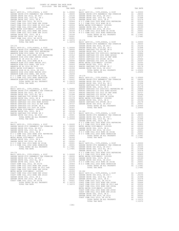| DISTRICT   | 2019-2020 TRA TAX RATES | TAX RATE | DISTRICT   | TAX RATE |
|------------|-------------------------|----------|------------|----------|
| $18 - 172$ |                         |          | $18 - 177$ |          |
|            |                         |          |            |          |
|            |                         |          |            |          |
|            |                         |          |            |          |
|            |                         |          |            |          |
|            |                         |          |            |          |
|            |                         |          |            |          |
|            |                         |          |            |          |
|            |                         |          |            |          |
|            |                         |          |            |          |
|            |                         |          |            |          |
|            |                         |          |            |          |
|            |                         |          |            |          |
|            |                         |          |            |          |
|            |                         |          |            |          |
|            |                         |          |            |          |
|            |                         |          |            |          |
|            |                         |          |            |          |
|            |                         |          |            |          |
|            |                         |          |            |          |
|            |                         |          |            |          |
|            |                         |          |            |          |
|            |                         |          |            |          |
|            |                         |          |            |          |
|            |                         |          |            |          |
|            |                         |          |            |          |
|            |                         |          |            |          |
|            |                         |          |            |          |
|            |                         |          |            |          |
|            |                         |          |            |          |
|            |                         |          |            |          |
|            |                         |          |            |          |
|            |                         |          |            |          |
|            |                         |          |            |          |
|            |                         |          |            |          |
|            |                         |          |            |          |
|            |                         |          |            |          |
|            |                         |          |            |          |
|            |                         |          |            |          |
|            |                         |          |            |          |
|            |                         |          |            |          |
|            |                         |          |            |          |
|            |                         |          |            |          |
|            |                         |          |            |          |
|            |                         |          |            |          |
|            |                         |          |            |          |
|            |                         |          |            |          |
|            |                         |          |            |          |
|            |                         |          |            |          |
|            |                         |          |            |          |
|            |                         |          |            |          |
|            |                         |          |            |          |
|            |                         |          |            |          |
|            |                         |          |            |          |
|            |                         |          |            |          |
|            |                         |          |            |          |
|            |                         |          |            |          |
|            |                         |          |            |          |
|            |                         |          |            |          |
|            |                         |          |            |          |
|            |                         |          |            |          |
|            |                         |          |            |          |
|            |                         |          |            |          |
|            |                         |          |            |          |
|            |                         |          |            |          |
|            |                         |          |            |          |
|            |                         |          |            |          |
|            |                         |          |            |          |
|            |                         |          |            |          |
|            |                         |          |            |          |
|            |                         |          |            |          |
|            |                         |          |            |          |
|            |                         |          |            |          |
|            |                         |          |            |          |
|            |                         |          |            |          |
|            |                         |          |            |          |
|            |                         |          |            |          |
|            |                         |          |            |          |
|            |                         |          |            |          |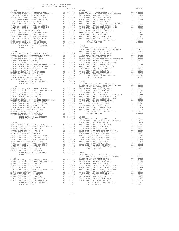| COUNTY OF ORANGE TAX RATE BOOK<br>2019-2020 TRA TAX RATES |  |  |  |
|-----------------------------------------------------------|--|--|--|
|                                                           |  |  |  |
|                                                           |  |  |  |
|                                                           |  |  |  |
|                                                           |  |  |  |
|                                                           |  |  |  |
|                                                           |  |  |  |
|                                                           |  |  |  |
|                                                           |  |  |  |
|                                                           |  |  |  |
|                                                           |  |  |  |
|                                                           |  |  |  |
|                                                           |  |  |  |
|                                                           |  |  |  |
|                                                           |  |  |  |
|                                                           |  |  |  |
|                                                           |  |  |  |
|                                                           |  |  |  |
|                                                           |  |  |  |
|                                                           |  |  |  |
|                                                           |  |  |  |
|                                                           |  |  |  |
|                                                           |  |  |  |
|                                                           |  |  |  |
|                                                           |  |  |  |
|                                                           |  |  |  |
|                                                           |  |  |  |
|                                                           |  |  |  |
|                                                           |  |  |  |
|                                                           |  |  |  |
|                                                           |  |  |  |
|                                                           |  |  |  |
|                                                           |  |  |  |
|                                                           |  |  |  |
|                                                           |  |  |  |
|                                                           |  |  |  |
|                                                           |  |  |  |
|                                                           |  |  |  |
|                                                           |  |  |  |
|                                                           |  |  |  |
|                                                           |  |  |  |
|                                                           |  |  |  |
|                                                           |  |  |  |
|                                                           |  |  |  |
|                                                           |  |  |  |
|                                                           |  |  |  |
|                                                           |  |  |  |
|                                                           |  |  |  |
|                                                           |  |  |  |
|                                                           |  |  |  |
|                                                           |  |  |  |
|                                                           |  |  |  |
|                                                           |  |  |  |
|                                                           |  |  |  |
|                                                           |  |  |  |
|                                                           |  |  |  |
|                                                           |  |  |  |
|                                                           |  |  |  |
|                                                           |  |  |  |
|                                                           |  |  |  |
|                                                           |  |  |  |
|                                                           |  |  |  |
|                                                           |  |  |  |
|                                                           |  |  |  |
|                                                           |  |  |  |
|                                                           |  |  |  |
|                                                           |  |  |  |
|                                                           |  |  |  |
|                                                           |  |  |  |
|                                                           |  |  |  |
|                                                           |  |  |  |
|                                                           |  |  |  |
|                                                           |  |  |  |
|                                                           |  |  |  |
|                                                           |  |  |  |
|                                                           |  |  |  |
|                                                           |  |  |  |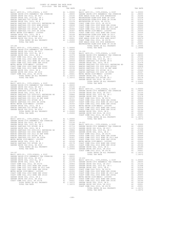| COUNTY OF ORANGE TAX RATE BOOK |  |                                                                                                                                                                                                                                                                                                                                                                                                                        |  |
|--------------------------------|--|------------------------------------------------------------------------------------------------------------------------------------------------------------------------------------------------------------------------------------------------------------------------------------------------------------------------------------------------------------------------------------------------------------------------|--|
|                                |  |                                                                                                                                                                                                                                                                                                                                                                                                                        |  |
|                                |  |                                                                                                                                                                                                                                                                                                                                                                                                                        |  |
|                                |  |                                                                                                                                                                                                                                                                                                                                                                                                                        |  |
|                                |  |                                                                                                                                                                                                                                                                                                                                                                                                                        |  |
|                                |  |                                                                                                                                                                                                                                                                                                                                                                                                                        |  |
|                                |  |                                                                                                                                                                                                                                                                                                                                                                                                                        |  |
|                                |  |                                                                                                                                                                                                                                                                                                                                                                                                                        |  |
|                                |  |                                                                                                                                                                                                                                                                                                                                                                                                                        |  |
|                                |  |                                                                                                                                                                                                                                                                                                                                                                                                                        |  |
|                                |  |                                                                                                                                                                                                                                                                                                                                                                                                                        |  |
|                                |  |                                                                                                                                                                                                                                                                                                                                                                                                                        |  |
|                                |  |                                                                                                                                                                                                                                                                                                                                                                                                                        |  |
|                                |  |                                                                                                                                                                                                                                                                                                                                                                                                                        |  |
|                                |  |                                                                                                                                                                                                                                                                                                                                                                                                                        |  |
|                                |  |                                                                                                                                                                                                                                                                                                                                                                                                                        |  |
|                                |  |                                                                                                                                                                                                                                                                                                                                                                                                                        |  |
|                                |  |                                                                                                                                                                                                                                                                                                                                                                                                                        |  |
|                                |  |                                                                                                                                                                                                                                                                                                                                                                                                                        |  |
|                                |  |                                                                                                                                                                                                                                                                                                                                                                                                                        |  |
|                                |  |                                                                                                                                                                                                                                                                                                                                                                                                                        |  |
|                                |  |                                                                                                                                                                                                                                                                                                                                                                                                                        |  |
|                                |  |                                                                                                                                                                                                                                                                                                                                                                                                                        |  |
|                                |  |                                                                                                                                                                                                                                                                                                                                                                                                                        |  |
|                                |  |                                                                                                                                                                                                                                                                                                                                                                                                                        |  |
|                                |  |                                                                                                                                                                                                                                                                                                                                                                                                                        |  |
|                                |  |                                                                                                                                                                                                                                                                                                                                                                                                                        |  |
|                                |  |                                                                                                                                                                                                                                                                                                                                                                                                                        |  |
|                                |  |                                                                                                                                                                                                                                                                                                                                                                                                                        |  |
|                                |  |                                                                                                                                                                                                                                                                                                                                                                                                                        |  |
|                                |  |                                                                                                                                                                                                                                                                                                                                                                                                                        |  |
|                                |  |                                                                                                                                                                                                                                                                                                                                                                                                                        |  |
|                                |  |                                                                                                                                                                                                                                                                                                                                                                                                                        |  |
|                                |  |                                                                                                                                                                                                                                                                                                                                                                                                                        |  |
|                                |  |                                                                                                                                                                                                                                                                                                                                                                                                                        |  |
|                                |  |                                                                                                                                                                                                                                                                                                                                                                                                                        |  |
|                                |  |                                                                                                                                                                                                                                                                                                                                                                                                                        |  |
|                                |  |                                                                                                                                                                                                                                                                                                                                                                                                                        |  |
|                                |  |                                                                                                                                                                                                                                                                                                                                                                                                                        |  |
|                                |  |                                                                                                                                                                                                                                                                                                                                                                                                                        |  |
|                                |  |                                                                                                                                                                                                                                                                                                                                                                                                                        |  |
|                                |  |                                                                                                                                                                                                                                                                                                                                                                                                                        |  |
|                                |  |                                                                                                                                                                                                                                                                                                                                                                                                                        |  |
|                                |  |                                                                                                                                                                                                                                                                                                                                                                                                                        |  |
|                                |  |                                                                                                                                                                                                                                                                                                                                                                                                                        |  |
|                                |  |                                                                                                                                                                                                                                                                                                                                                                                                                        |  |
|                                |  |                                                                                                                                                                                                                                                                                                                                                                                                                        |  |
|                                |  |                                                                                                                                                                                                                                                                                                                                                                                                                        |  |
|                                |  |                                                                                                                                                                                                                                                                                                                                                                                                                        |  |
|                                |  |                                                                                                                                                                                                                                                                                                                                                                                                                        |  |
|                                |  |                                                                                                                                                                                                                                                                                                                                                                                                                        |  |
|                                |  |                                                                                                                                                                                                                                                                                                                                                                                                                        |  |
|                                |  |                                                                                                                                                                                                                                                                                                                                                                                                                        |  |
|                                |  |                                                                                                                                                                                                                                                                                                                                                                                                                        |  |
|                                |  |                                                                                                                                                                                                                                                                                                                                                                                                                        |  |
|                                |  |                                                                                                                                                                                                                                                                                                                                                                                                                        |  |
|                                |  |                                                                                                                                                                                                                                                                                                                                                                                                                        |  |
|                                |  |                                                                                                                                                                                                                                                                                                                                                                                                                        |  |
|                                |  |                                                                                                                                                                                                                                                                                                                                                                                                                        |  |
|                                |  |                                                                                                                                                                                                                                                                                                                                                                                                                        |  |
|                                |  |                                                                                                                                                                                                                                                                                                                                                                                                                        |  |
|                                |  |                                                                                                                                                                                                                                                                                                                                                                                                                        |  |
|                                |  |                                                                                                                                                                                                                                                                                                                                                                                                                        |  |
|                                |  |                                                                                                                                                                                                                                                                                                                                                                                                                        |  |
|                                |  | $\begin{array}{cccccccc} \text{RAMCGC SARTING CCT2 O02, COMD 42006-0.50085} & \text{AA} & 0.00538 & \text{GAMDR} & \text{GAMDR} & \text{GAMDR} & \text{GAMDR} & \text{GAMDR} & \text{GAMDR} & \text{GAMDR} & \text{GAMDR} & \text{GAMDR} & \text{GAMDR} & \text{GAMDR} & \text{GAMDR} & \text{GAMDR} & \text{GAMDR} & \text{GAMDR} & \text{GAMDR} & \text{GAMDR} & \text{GAMDR} & \text{GAMDR} & \text{GAMDR} & \text$ |  |
|                                |  |                                                                                                                                                                                                                                                                                                                                                                                                                        |  |
|                                |  |                                                                                                                                                                                                                                                                                                                                                                                                                        |  |
|                                |  |                                                                                                                                                                                                                                                                                                                                                                                                                        |  |
|                                |  |                                                                                                                                                                                                                                                                                                                                                                                                                        |  |
|                                |  |                                                                                                                                                                                                                                                                                                                                                                                                                        |  |
|                                |  |                                                                                                                                                                                                                                                                                                                                                                                                                        |  |
|                                |  |                                                                                                                                                                                                                                                                                                                                                                                                                        |  |
|                                |  |                                                                                                                                                                                                                                                                                                                                                                                                                        |  |
|                                |  |                                                                                                                                                                                                                                                                                                                                                                                                                        |  |
|                                |  |                                                                                                                                                                                                                                                                                                                                                                                                                        |  |
|                                |  |                                                                                                                                                                                                                                                                                                                                                                                                                        |  |
|                                |  |                                                                                                                                                                                                                                                                                                                                                                                                                        |  |
|                                |  |                                                                                                                                                                                                                                                                                                                                                                                                                        |  |
|                                |  |                                                                                                                                                                                                                                                                                                                                                                                                                        |  |
|                                |  |                                                                                                                                                                                                                                                                                                                                                                                                                        |  |
|                                |  |                                                                                                                                                                                                                                                                                                                                                                                                                        |  |
|                                |  |                                                                                                                                                                                                                                                                                                                                                                                                                        |  |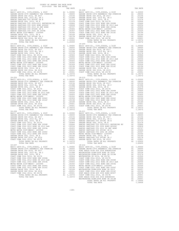| COUNTY OF ORANGE TAX RATE BOOK<br>2019-2020 TRA TAX RATES |          |                                                                                                                                                                                                                                          |          |
|-----------------------------------------------------------|----------|------------------------------------------------------------------------------------------------------------------------------------------------------------------------------------------------------------------------------------------|----------|
| DISTRICT<br>$18 - 203$                                    | TAX RATE | DISTRICT<br>$18 - 208$                                                                                                                                                                                                                   | TAX RATE |
|                                                           |          |                                                                                                                                                                                                                                          |          |
|                                                           |          |                                                                                                                                                                                                                                          |          |
|                                                           |          |                                                                                                                                                                                                                                          |          |
|                                                           |          |                                                                                                                                                                                                                                          |          |
|                                                           |          | METRO WATER DIST-198020-1 2005999<br>COART COME COLL 2002 DOND SER 2016<br>COART COME COLL 2002 DOND SER 2016<br>CARDER GEORE (2003 DOND SER 2016)<br>CARDER GEORE (2003 DOND SER 2019<br>CARDER GEORE (2003 DOND SER 2019<br>COART COME |          |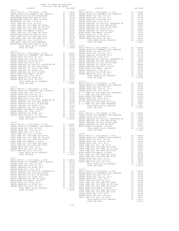| COUNTY OF ORANGE TAX RATE BOOK |  |                                                                                                                                                                                                                                                                                                                                                                                                                        |  |
|--------------------------------|--|------------------------------------------------------------------------------------------------------------------------------------------------------------------------------------------------------------------------------------------------------------------------------------------------------------------------------------------------------------------------------------------------------------------------|--|
|                                |  |                                                                                                                                                                                                                                                                                                                                                                                                                        |  |
|                                |  |                                                                                                                                                                                                                                                                                                                                                                                                                        |  |
|                                |  |                                                                                                                                                                                                                                                                                                                                                                                                                        |  |
|                                |  |                                                                                                                                                                                                                                                                                                                                                                                                                        |  |
|                                |  |                                                                                                                                                                                                                                                                                                                                                                                                                        |  |
|                                |  |                                                                                                                                                                                                                                                                                                                                                                                                                        |  |
|                                |  |                                                                                                                                                                                                                                                                                                                                                                                                                        |  |
|                                |  |                                                                                                                                                                                                                                                                                                                                                                                                                        |  |
|                                |  |                                                                                                                                                                                                                                                                                                                                                                                                                        |  |
|                                |  |                                                                                                                                                                                                                                                                                                                                                                                                                        |  |
|                                |  |                                                                                                                                                                                                                                                                                                                                                                                                                        |  |
|                                |  |                                                                                                                                                                                                                                                                                                                                                                                                                        |  |
|                                |  |                                                                                                                                                                                                                                                                                                                                                                                                                        |  |
|                                |  |                                                                                                                                                                                                                                                                                                                                                                                                                        |  |
|                                |  |                                                                                                                                                                                                                                                                                                                                                                                                                        |  |
|                                |  |                                                                                                                                                                                                                                                                                                                                                                                                                        |  |
|                                |  |                                                                                                                                                                                                                                                                                                                                                                                                                        |  |
|                                |  |                                                                                                                                                                                                                                                                                                                                                                                                                        |  |
|                                |  |                                                                                                                                                                                                                                                                                                                                                                                                                        |  |
|                                |  |                                                                                                                                                                                                                                                                                                                                                                                                                        |  |
|                                |  |                                                                                                                                                                                                                                                                                                                                                                                                                        |  |
|                                |  |                                                                                                                                                                                                                                                                                                                                                                                                                        |  |
|                                |  |                                                                                                                                                                                                                                                                                                                                                                                                                        |  |
|                                |  |                                                                                                                                                                                                                                                                                                                                                                                                                        |  |
|                                |  |                                                                                                                                                                                                                                                                                                                                                                                                                        |  |
|                                |  |                                                                                                                                                                                                                                                                                                                                                                                                                        |  |
|                                |  |                                                                                                                                                                                                                                                                                                                                                                                                                        |  |
|                                |  |                                                                                                                                                                                                                                                                                                                                                                                                                        |  |
|                                |  |                                                                                                                                                                                                                                                                                                                                                                                                                        |  |
|                                |  |                                                                                                                                                                                                                                                                                                                                                                                                                        |  |
|                                |  |                                                                                                                                                                                                                                                                                                                                                                                                                        |  |
|                                |  |                                                                                                                                                                                                                                                                                                                                                                                                                        |  |
|                                |  |                                                                                                                                                                                                                                                                                                                                                                                                                        |  |
|                                |  |                                                                                                                                                                                                                                                                                                                                                                                                                        |  |
|                                |  |                                                                                                                                                                                                                                                                                                                                                                                                                        |  |
|                                |  |                                                                                                                                                                                                                                                                                                                                                                                                                        |  |
|                                |  |                                                                                                                                                                                                                                                                                                                                                                                                                        |  |
|                                |  |                                                                                                                                                                                                                                                                                                                                                                                                                        |  |
|                                |  |                                                                                                                                                                                                                                                                                                                                                                                                                        |  |
|                                |  |                                                                                                                                                                                                                                                                                                                                                                                                                        |  |
|                                |  |                                                                                                                                                                                                                                                                                                                                                                                                                        |  |
|                                |  |                                                                                                                                                                                                                                                                                                                                                                                                                        |  |
|                                |  |                                                                                                                                                                                                                                                                                                                                                                                                                        |  |
|                                |  |                                                                                                                                                                                                                                                                                                                                                                                                                        |  |
|                                |  |                                                                                                                                                                                                                                                                                                                                                                                                                        |  |
|                                |  |                                                                                                                                                                                                                                                                                                                                                                                                                        |  |
|                                |  |                                                                                                                                                                                                                                                                                                                                                                                                                        |  |
|                                |  |                                                                                                                                                                                                                                                                                                                                                                                                                        |  |
|                                |  |                                                                                                                                                                                                                                                                                                                                                                                                                        |  |
|                                |  | $\begin{array}{cccccccccccc} \textbf{CMSR} & \textbf{CMSR} & \textbf{SMSR} & \textbf{SMSR} & \textbf{SMSR} & \textbf{SMSR} & \textbf{SMSR} & \textbf{SMSR} & \textbf{SMSR} & \textbf{SMSR} & \textbf{SMSR} & \textbf{SMSR} & \textbf{SMSR} & \textbf{SMSR} & \textbf{SMSR} & \textbf{SMSR} & \textbf{SMSR} & \textbf{SMSR} & \textbf{SMSR} & \textbf{SMSR} & \textbf{SMSR} & \textbf{SMSR} & \textbf{SMSR} & \textbf{$ |  |
|                                |  |                                                                                                                                                                                                                                                                                                                                                                                                                        |  |
|                                |  |                                                                                                                                                                                                                                                                                                                                                                                                                        |  |
|                                |  |                                                                                                                                                                                                                                                                                                                                                                                                                        |  |
|                                |  |                                                                                                                                                                                                                                                                                                                                                                                                                        |  |
|                                |  |                                                                                                                                                                                                                                                                                                                                                                                                                        |  |
|                                |  |                                                                                                                                                                                                                                                                                                                                                                                                                        |  |
|                                |  |                                                                                                                                                                                                                                                                                                                                                                                                                        |  |
|                                |  |                                                                                                                                                                                                                                                                                                                                                                                                                        |  |
|                                |  |                                                                                                                                                                                                                                                                                                                                                                                                                        |  |
|                                |  |                                                                                                                                                                                                                                                                                                                                                                                                                        |  |
|                                |  |                                                                                                                                                                                                                                                                                                                                                                                                                        |  |
|                                |  |                                                                                                                                                                                                                                                                                                                                                                                                                        |  |
|                                |  |                                                                                                                                                                                                                                                                                                                                                                                                                        |  |
|                                |  |                                                                                                                                                                                                                                                                                                                                                                                                                        |  |
|                                |  |                                                                                                                                                                                                                                                                                                                                                                                                                        |  |
|                                |  |                                                                                                                                                                                                                                                                                                                                                                                                                        |  |
|                                |  |                                                                                                                                                                                                                                                                                                                                                                                                                        |  |
|                                |  |                                                                                                                                                                                                                                                                                                                                                                                                                        |  |
|                                |  |                                                                                                                                                                                                                                                                                                                                                                                                                        |  |
|                                |  |                                                                                                                                                                                                                                                                                                                                                                                                                        |  |
|                                |  |                                                                                                                                                                                                                                                                                                                                                                                                                        |  |
|                                |  |                                                                                                                                                                                                                                                                                                                                                                                                                        |  |
|                                |  |                                                                                                                                                                                                                                                                                                                                                                                                                        |  |
|                                |  |                                                                                                                                                                                                                                                                                                                                                                                                                        |  |
|                                |  |                                                                                                                                                                                                                                                                                                                                                                                                                        |  |
|                                |  |                                                                                                                                                                                                                                                                                                                                                                                                                        |  |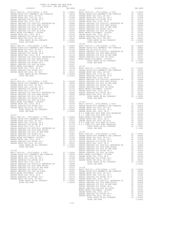| COUNTY OF ORANGE TAX RATE BOOK<br>2019-2020 TRA TAX RATES |          |                                                                                                                                                                                                                                     |          |
|-----------------------------------------------------------|----------|-------------------------------------------------------------------------------------------------------------------------------------------------------------------------------------------------------------------------------------|----------|
| DISTRICT<br>$18 - 224$                                    | TAX RATE | DISTRICT<br>$18 - 229$                                                                                                                                                                                                              | TAX RATE |
|                                                           |          |                                                                                                                                                                                                                                     |          |
|                                                           |          |                                                                                                                                                                                                                                     |          |
|                                                           |          |                                                                                                                                                                                                                                     |          |
|                                                           |          |                                                                                                                                                                                                                                     |          |
|                                                           |          |                                                                                                                                                                                                                                     |          |
|                                                           |          |                                                                                                                                                                                                                                     |          |
|                                                           |          |                                                                                                                                                                                                                                     |          |
|                                                           |          |                                                                                                                                                                                                                                     |          |
|                                                           |          |                                                                                                                                                                                                                                     |          |
|                                                           |          |                                                                                                                                                                                                                                     |          |
|                                                           |          |                                                                                                                                                                                                                                     |          |
|                                                           |          |                                                                                                                                                                                                                                     |          |
|                                                           |          |                                                                                                                                                                                                                                     |          |
|                                                           |          |                                                                                                                                                                                                                                     |          |
|                                                           |          |                                                                                                                                                                                                                                     |          |
|                                                           |          |                                                                                                                                                                                                                                     |          |
|                                                           |          |                                                                                                                                                                                                                                     |          |
|                                                           |          |                                                                                                                                                                                                                                     |          |
|                                                           |          |                                                                                                                                                                                                                                     |          |
|                                                           |          |                                                                                                                                                                                                                                     |          |
|                                                           |          |                                                                                                                                                                                                                                     |          |
|                                                           |          |                                                                                                                                                                                                                                     |          |
|                                                           |          |                                                                                                                                                                                                                                     |          |
|                                                           |          |                                                                                                                                                                                                                                     |          |
|                                                           |          |                                                                                                                                                                                                                                     |          |
|                                                           |          |                                                                                                                                                                                                                                     |          |
|                                                           |          |                                                                                                                                                                                                                                     |          |
|                                                           |          |                                                                                                                                                                                                                                     |          |
|                                                           |          |                                                                                                                                                                                                                                     |          |
|                                                           |          |                                                                                                                                                                                                                                     |          |
|                                                           |          |                                                                                                                                                                                                                                     |          |
|                                                           |          |                                                                                                                                                                                                                                     |          |
|                                                           |          |                                                                                                                                                                                                                                     |          |
|                                                           |          |                                                                                                                                                                                                                                     |          |
|                                                           |          |                                                                                                                                                                                                                                     |          |
|                                                           |          |                                                                                                                                                                                                                                     |          |
|                                                           |          |                                                                                                                                                                                                                                     |          |
|                                                           |          |                                                                                                                                                                                                                                     |          |
|                                                           |          |                                                                                                                                                                                                                                     |          |
|                                                           |          |                                                                                                                                                                                                                                     |          |
|                                                           |          |                                                                                                                                                                                                                                     |          |
|                                                           |          |                                                                                                                                                                                                                                     |          |
|                                                           |          |                                                                                                                                                                                                                                     |          |
|                                                           |          |                                                                                                                                                                                                                                     |          |
|                                                           |          |                                                                                                                                                                                                                                     |          |
|                                                           |          |                                                                                                                                                                                                                                     |          |
|                                                           |          |                                                                                                                                                                                                                                     |          |
|                                                           |          |                                                                                                                                                                                                                                     |          |
|                                                           |          |                                                                                                                                                                                                                                     |          |
|                                                           |          |                                                                                                                                                                                                                                     |          |
|                                                           |          |                                                                                                                                                                                                                                     |          |
|                                                           |          |                                                                                                                                                                                                                                     |          |
|                                                           |          |                                                                                                                                                                                                                                     |          |
|                                                           |          |                                                                                                                                                                                                                                     |          |
|                                                           |          |                                                                                                                                                                                                                                     |          |
|                                                           |          |                                                                                                                                                                                                                                     |          |
|                                                           |          |                                                                                                                                                                                                                                     |          |
|                                                           |          |                                                                                                                                                                                                                                     |          |
|                                                           |          |                                                                                                                                                                                                                                     |          |
|                                                           |          |                                                                                                                                                                                                                                     |          |
|                                                           |          |                                                                                                                                                                                                                                     |          |
|                                                           |          |                                                                                                                                                                                                                                     |          |
|                                                           |          |                                                                                                                                                                                                                                     |          |
|                                                           |          |                                                                                                                                                                                                                                     |          |
|                                                           |          |                                                                                                                                                                                                                                     |          |
|                                                           |          |                                                                                                                                                                                                                                     |          |
|                                                           |          |                                                                                                                                                                                                                                     |          |
|                                                           |          |                                                                                                                                                                                                                                     |          |
|                                                           |          |                                                                                                                                                                                                                                     |          |
|                                                           |          |                                                                                                                                                                                                                                     |          |
|                                                           |          |                                                                                                                                                                                                                                     |          |
|                                                           |          | ARACHO SUNTIFICATION COLORIZOR (1991) 1120000<br>MARCHO SUNTIFICATION COLORIZOR (1991) 11200000<br>MARCHO SUNTIFICATION COLORIZOR (1991) 2003 (1991) 2003 (1992) 2003 (1992) 2003 (1993) 2003 (1993)<br>MARCHO SUNTIFICATION COLORI |          |
|                                                           |          |                                                                                                                                                                                                                                     |          |
|                                                           |          |                                                                                                                                                                                                                                     |          |
|                                                           |          |                                                                                                                                                                                                                                     |          |
|                                                           |          |                                                                                                                                                                                                                                     |          |
|                                                           |          |                                                                                                                                                                                                                                     |          |
|                                                           |          |                                                                                                                                                                                                                                     |          |
|                                                           |          |                                                                                                                                                                                                                                     |          |
|                                                           |          |                                                                                                                                                                                                                                     |          |
|                                                           |          | TOTAL TAX RATE                                                                                                                                                                                                                      | 1.20450  |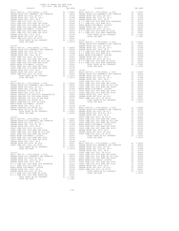| <b>CONTROLL OF A SUPER CONTROLL OF A SUPER CONTROLL OF A SUPER CONTROLL OF A SUPER CONTROLL OF A SUPER CONTROLL OF A SUPER CONTROLL OF A SUPER CONTROLL OF A SUPER CONTROLL OF A SUPER CONTROLL OF A SUPER CONTROLL OF A SUPER </b> |  |  |
|-------------------------------------------------------------------------------------------------------------------------------------------------------------------------------------------------------------------------------------|--|--|
|                                                                                                                                                                                                                                     |  |  |
|                                                                                                                                                                                                                                     |  |  |
|                                                                                                                                                                                                                                     |  |  |
|                                                                                                                                                                                                                                     |  |  |
|                                                                                                                                                                                                                                     |  |  |
|                                                                                                                                                                                                                                     |  |  |
|                                                                                                                                                                                                                                     |  |  |
|                                                                                                                                                                                                                                     |  |  |
|                                                                                                                                                                                                                                     |  |  |
|                                                                                                                                                                                                                                     |  |  |
|                                                                                                                                                                                                                                     |  |  |
|                                                                                                                                                                                                                                     |  |  |
|                                                                                                                                                                                                                                     |  |  |
|                                                                                                                                                                                                                                     |  |  |
|                                                                                                                                                                                                                                     |  |  |
|                                                                                                                                                                                                                                     |  |  |
|                                                                                                                                                                                                                                     |  |  |
|                                                                                                                                                                                                                                     |  |  |
|                                                                                                                                                                                                                                     |  |  |
|                                                                                                                                                                                                                                     |  |  |
|                                                                                                                                                                                                                                     |  |  |
|                                                                                                                                                                                                                                     |  |  |
|                                                                                                                                                                                                                                     |  |  |
|                                                                                                                                                                                                                                     |  |  |
|                                                                                                                                                                                                                                     |  |  |
|                                                                                                                                                                                                                                     |  |  |
|                                                                                                                                                                                                                                     |  |  |
|                                                                                                                                                                                                                                     |  |  |
|                                                                                                                                                                                                                                     |  |  |
|                                                                                                                                                                                                                                     |  |  |
|                                                                                                                                                                                                                                     |  |  |
|                                                                                                                                                                                                                                     |  |  |
|                                                                                                                                                                                                                                     |  |  |
|                                                                                                                                                                                                                                     |  |  |
|                                                                                                                                                                                                                                     |  |  |
|                                                                                                                                                                                                                                     |  |  |
|                                                                                                                                                                                                                                     |  |  |
|                                                                                                                                                                                                                                     |  |  |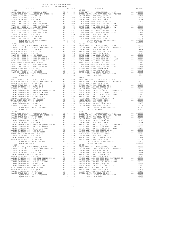| COUNTY OF ORANGE TAX RATE BOOK<br>2019-2020 TRA TAX RATES |          |            |          |
|-----------------------------------------------------------|----------|------------|----------|
| DISTRICT                                                  | TAX RATE | DISTRICT   | TAX RATE |
| $18 - 245$                                                |          | 18-250     |          |
|                                                           |          |            |          |
|                                                           |          |            |          |
|                                                           |          |            |          |
|                                                           |          |            |          |
|                                                           |          |            |          |
|                                                           |          |            |          |
|                                                           |          |            |          |
|                                                           |          |            |          |
|                                                           |          |            |          |
|                                                           |          |            |          |
|                                                           |          |            |          |
|                                                           |          |            |          |
|                                                           |          |            |          |
|                                                           |          |            |          |
|                                                           |          |            |          |
|                                                           |          |            |          |
|                                                           |          |            |          |
|                                                           |          |            |          |
|                                                           |          |            |          |
|                                                           |          |            |          |
|                                                           |          |            |          |
|                                                           |          |            |          |
|                                                           |          | $18 - 252$ |          |
|                                                           |          |            |          |
|                                                           |          |            |          |
|                                                           |          |            |          |
|                                                           |          |            |          |
|                                                           |          |            |          |
|                                                           |          |            |          |
|                                                           |          |            |          |
|                                                           |          |            |          |
|                                                           |          |            |          |
|                                                           |          |            |          |
|                                                           |          |            |          |
|                                                           |          |            |          |
|                                                           |          |            |          |
|                                                           |          |            |          |
|                                                           |          |            |          |
|                                                           |          |            |          |
|                                                           |          |            |          |
|                                                           |          |            |          |
|                                                           |          |            |          |
|                                                           |          |            |          |
|                                                           |          |            |          |
|                                                           |          |            |          |
|                                                           |          |            |          |
|                                                           |          |            |          |
|                                                           |          |            |          |
|                                                           |          |            |          |
|                                                           |          |            |          |
|                                                           |          |            |          |
|                                                           |          |            |          |
|                                                           |          |            |          |
|                                                           |          |            |          |
|                                                           |          |            |          |
|                                                           |          |            |          |
|                                                           |          |            |          |
|                                                           |          |            |          |
|                                                           |          |            |          |

-193-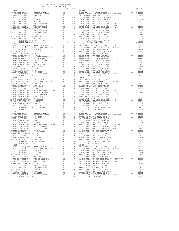| COUNTY OF ORANGE TAX RATE BOOK<br>2019-2020 TRA TAX RATES |          |          |          |
|-----------------------------------------------------------|----------|----------|----------|
| DISTRICT                                                  | TAX RATE | DISTRICT | TAX RATE |
| $18 - 255$                                                |          | 18-260   |          |
|                                                           |          |          |          |
|                                                           |          |          |          |
|                                                           |          |          |          |
|                                                           |          |          |          |
|                                                           |          |          |          |
|                                                           |          |          |          |
|                                                           |          |          |          |
|                                                           |          |          |          |
|                                                           |          |          |          |
|                                                           |          |          |          |
|                                                           |          |          |          |
|                                                           |          |          |          |
|                                                           |          |          |          |
|                                                           |          |          |          |

-194-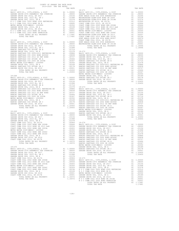| COUNTY OF ORANGE TAX RATE BOOK<br>2019-2020 TRA TAX RATES |          |                                                                                                                                                                                                                                         |          |
|-----------------------------------------------------------|----------|-----------------------------------------------------------------------------------------------------------------------------------------------------------------------------------------------------------------------------------------|----------|
| DISTRICT                                                  | TAX RATE | DISTRICT                                                                                                                                                                                                                                | TAX RATE |
|                                                           |          | $18 - 271$                                                                                                                                                                                                                              |          |
|                                                           |          |                                                                                                                                                                                                                                         |          |
|                                                           |          |                                                                                                                                                                                                                                         |          |
|                                                           |          |                                                                                                                                                                                                                                         |          |
|                                                           |          |                                                                                                                                                                                                                                         |          |
|                                                           |          |                                                                                                                                                                                                                                         |          |
|                                                           |          |                                                                                                                                                                                                                                         |          |
|                                                           |          |                                                                                                                                                                                                                                         |          |
|                                                           |          |                                                                                                                                                                                                                                         |          |
|                                                           |          |                                                                                                                                                                                                                                         |          |
|                                                           |          |                                                                                                                                                                                                                                         |          |
|                                                           |          |                                                                                                                                                                                                                                         |          |
|                                                           |          |                                                                                                                                                                                                                                         |          |
|                                                           |          |                                                                                                                                                                                                                                         |          |
|                                                           |          |                                                                                                                                                                                                                                         |          |
|                                                           |          |                                                                                                                                                                                                                                         |          |
|                                                           |          |                                                                                                                                                                                                                                         |          |
|                                                           |          |                                                                                                                                                                                                                                         |          |
|                                                           |          |                                                                                                                                                                                                                                         |          |
|                                                           |          |                                                                                                                                                                                                                                         |          |
|                                                           |          |                                                                                                                                                                                                                                         |          |
|                                                           |          |                                                                                                                                                                                                                                         |          |
|                                                           |          |                                                                                                                                                                                                                                         |          |
|                                                           |          |                                                                                                                                                                                                                                         |          |
|                                                           |          |                                                                                                                                                                                                                                         |          |
|                                                           |          |                                                                                                                                                                                                                                         |          |
|                                                           |          |                                                                                                                                                                                                                                         |          |
|                                                           |          |                                                                                                                                                                                                                                         |          |
|                                                           |          |                                                                                                                                                                                                                                         |          |
|                                                           |          |                                                                                                                                                                                                                                         |          |
|                                                           |          |                                                                                                                                                                                                                                         |          |
|                                                           |          |                                                                                                                                                                                                                                         |          |
|                                                           |          |                                                                                                                                                                                                                                         |          |
|                                                           |          |                                                                                                                                                                                                                                         |          |
|                                                           |          |                                                                                                                                                                                                                                         |          |
|                                                           |          |                                                                                                                                                                                                                                         |          |
|                                                           |          |                                                                                                                                                                                                                                         |          |
|                                                           |          |                                                                                                                                                                                                                                         |          |
|                                                           |          |                                                                                                                                                                                                                                         |          |
|                                                           |          |                                                                                                                                                                                                                                         |          |
|                                                           |          |                                                                                                                                                                                                                                         |          |
|                                                           |          |                                                                                                                                                                                                                                         |          |
|                                                           |          |                                                                                                                                                                                                                                         |          |
|                                                           |          |                                                                                                                                                                                                                                         |          |
|                                                           |          |                                                                                                                                                                                                                                         |          |
|                                                           |          |                                                                                                                                                                                                                                         |          |
|                                                           |          |                                                                                                                                                                                                                                         |          |
|                                                           |          |                                                                                                                                                                                                                                         |          |
|                                                           |          |                                                                                                                                                                                                                                         |          |
|                                                           |          |                                                                                                                                                                                                                                         |          |
|                                                           |          |                                                                                                                                                                                                                                         |          |
|                                                           |          |                                                                                                                                                                                                                                         |          |
|                                                           |          |                                                                                                                                                                                                                                         |          |
|                                                           |          |                                                                                                                                                                                                                                         |          |
|                                                           |          |                                                                                                                                                                                                                                         |          |
|                                                           |          |                                                                                                                                                                                                                                         |          |
|                                                           |          |                                                                                                                                                                                                                                         |          |
|                                                           |          |                                                                                                                                                                                                                                         |          |
|                                                           |          |                                                                                                                                                                                                                                         |          |
|                                                           |          |                                                                                                                                                                                                                                         |          |
|                                                           |          |                                                                                                                                                                                                                                         |          |
|                                                           |          |                                                                                                                                                                                                                                         |          |
|                                                           |          |                                                                                                                                                                                                                                         |          |
|                                                           |          |                                                                                                                                                                                                                                         |          |
|                                                           |          |                                                                                                                                                                                                                                         |          |
|                                                           |          |                                                                                                                                                                                                                                         |          |
|                                                           |          |                                                                                                                                                                                                                                         |          |
|                                                           |          |                                                                                                                                                                                                                                         |          |
|                                                           |          | MERIN ANTRE DISPINSIONER AND A 1,00359<br>COART COME COLL 2002 BOND SER 20050<br>CARDER GEORET CON COLL 2013 BOND SER 2015<br>CARDER GEORET COLL 2013 BOND SER 2015<br>CARDER GEORET COLL 2015 BOND SER 2015<br>COART COME COLL 2015 BO |          |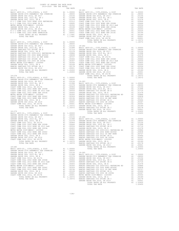| 2019-2020 TRA TAX RATES |                                                                                                                                                                                                                                         |  |
|-------------------------|-----------------------------------------------------------------------------------------------------------------------------------------------------------------------------------------------------------------------------------------|--|
|                         |                                                                                                                                                                                                                                         |  |
|                         |                                                                                                                                                                                                                                         |  |
|                         |                                                                                                                                                                                                                                         |  |
|                         |                                                                                                                                                                                                                                         |  |
|                         |                                                                                                                                                                                                                                         |  |
|                         |                                                                                                                                                                                                                                         |  |
|                         |                                                                                                                                                                                                                                         |  |
|                         |                                                                                                                                                                                                                                         |  |
|                         |                                                                                                                                                                                                                                         |  |
|                         |                                                                                                                                                                                                                                         |  |
|                         |                                                                                                                                                                                                                                         |  |
|                         |                                                                                                                                                                                                                                         |  |
|                         |                                                                                                                                                                                                                                         |  |
|                         |                                                                                                                                                                                                                                         |  |
|                         |                                                                                                                                                                                                                                         |  |
|                         |                                                                                                                                                                                                                                         |  |
|                         |                                                                                                                                                                                                                                         |  |
|                         |                                                                                                                                                                                                                                         |  |
|                         |                                                                                                                                                                                                                                         |  |
|                         |                                                                                                                                                                                                                                         |  |
|                         |                                                                                                                                                                                                                                         |  |
|                         |                                                                                                                                                                                                                                         |  |
|                         |                                                                                                                                                                                                                                         |  |
|                         |                                                                                                                                                                                                                                         |  |
|                         |                                                                                                                                                                                                                                         |  |
|                         |                                                                                                                                                                                                                                         |  |
|                         |                                                                                                                                                                                                                                         |  |
|                         |                                                                                                                                                                                                                                         |  |
|                         |                                                                                                                                                                                                                                         |  |
|                         |                                                                                                                                                                                                                                         |  |
|                         |                                                                                                                                                                                                                                         |  |
|                         |                                                                                                                                                                                                                                         |  |
|                         |                                                                                                                                                                                                                                         |  |
|                         |                                                                                                                                                                                                                                         |  |
|                         |                                                                                                                                                                                                                                         |  |
|                         |                                                                                                                                                                                                                                         |  |
|                         |                                                                                                                                                                                                                                         |  |
|                         |                                                                                                                                                                                                                                         |  |
|                         |                                                                                                                                                                                                                                         |  |
|                         |                                                                                                                                                                                                                                         |  |
|                         |                                                                                                                                                                                                                                         |  |
|                         |                                                                                                                                                                                                                                         |  |
|                         |                                                                                                                                                                                                                                         |  |
|                         |                                                                                                                                                                                                                                         |  |
|                         |                                                                                                                                                                                                                                         |  |
|                         |                                                                                                                                                                                                                                         |  |
|                         |                                                                                                                                                                                                                                         |  |
|                         |                                                                                                                                                                                                                                         |  |
|                         |                                                                                                                                                                                                                                         |  |
|                         |                                                                                                                                                                                                                                         |  |
|                         |                                                                                                                                                                                                                                         |  |
|                         |                                                                                                                                                                                                                                         |  |
|                         |                                                                                                                                                                                                                                         |  |
|                         |                                                                                                                                                                                                                                         |  |
|                         |                                                                                                                                                                                                                                         |  |
|                         |                                                                                                                                                                                                                                         |  |
|                         |                                                                                                                                                                                                                                         |  |
|                         |                                                                                                                                                                                                                                         |  |
|                         |                                                                                                                                                                                                                                         |  |
|                         |                                                                                                                                                                                                                                         |  |
|                         |                                                                                                                                                                                                                                         |  |
|                         |                                                                                                                                                                                                                                         |  |
|                         |                                                                                                                                                                                                                                         |  |
|                         |                                                                                                                                                                                                                                         |  |
|                         |                                                                                                                                                                                                                                         |  |
|                         |                                                                                                                                                                                                                                         |  |
|                         |                                                                                                                                                                                                                                         |  |
|                         |                                                                                                                                                                                                                                         |  |
|                         |                                                                                                                                                                                                                                         |  |
|                         |                                                                                                                                                                                                                                         |  |
|                         |                                                                                                                                                                                                                                         |  |
|                         |                                                                                                                                                                                                                                         |  |
|                         |                                                                                                                                                                                                                                         |  |
|                         |                                                                                                                                                                                                                                         |  |
|                         |                                                                                                                                                                                                                                         |  |
|                         |                                                                                                                                                                                                                                         |  |
|                         |                                                                                                                                                                                                                                         |  |
|                         |                                                                                                                                                                                                                                         |  |
|                         |                                                                                                                                                                                                                                         |  |
|                         |                                                                                                                                                                                                                                         |  |
|                         |                                                                                                                                                                                                                                         |  |
|                         | COART COME COLE 2003 BOND BER 2006<br>COART COME COLE 2012 BOND BER 2016<br>COART COME COLE 2012 BOND BER 2016<br>CARDEM GROUND AT 1.00124<br>COART COME (2012 BOND BER 2016)<br>COART COME (2012 SR AD 100131 BANCHO SANTIAGO COD 2012 |  |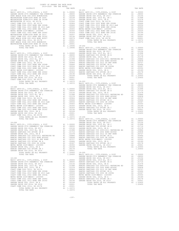| COUNTY OF ORANGE TAX RATE BOOK<br>2019-2020 TRA TAX RATES |  |  |
|-----------------------------------------------------------|--|--|
|                                                           |  |  |
|                                                           |  |  |
|                                                           |  |  |
|                                                           |  |  |
|                                                           |  |  |
|                                                           |  |  |
|                                                           |  |  |
|                                                           |  |  |
|                                                           |  |  |
|                                                           |  |  |
|                                                           |  |  |
|                                                           |  |  |
|                                                           |  |  |
|                                                           |  |  |
|                                                           |  |  |
|                                                           |  |  |
|                                                           |  |  |
|                                                           |  |  |
|                                                           |  |  |
|                                                           |  |  |
|                                                           |  |  |
|                                                           |  |  |
|                                                           |  |  |
|                                                           |  |  |
|                                                           |  |  |
|                                                           |  |  |
|                                                           |  |  |
|                                                           |  |  |
|                                                           |  |  |
|                                                           |  |  |
|                                                           |  |  |
|                                                           |  |  |
|                                                           |  |  |
|                                                           |  |  |
|                                                           |  |  |
|                                                           |  |  |
|                                                           |  |  |
|                                                           |  |  |
|                                                           |  |  |
|                                                           |  |  |
|                                                           |  |  |
|                                                           |  |  |
|                                                           |  |  |
|                                                           |  |  |
|                                                           |  |  |
|                                                           |  |  |
|                                                           |  |  |
|                                                           |  |  |
|                                                           |  |  |
|                                                           |  |  |
|                                                           |  |  |
|                                                           |  |  |
|                                                           |  |  |
|                                                           |  |  |
|                                                           |  |  |
|                                                           |  |  |
|                                                           |  |  |
|                                                           |  |  |
|                                                           |  |  |
|                                                           |  |  |
|                                                           |  |  |
|                                                           |  |  |
|                                                           |  |  |
|                                                           |  |  |
|                                                           |  |  |
|                                                           |  |  |
|                                                           |  |  |
|                                                           |  |  |
|                                                           |  |  |
|                                                           |  |  |
|                                                           |  |  |
|                                                           |  |  |
|                                                           |  |  |
|                                                           |  |  |
|                                                           |  |  |
|                                                           |  |  |
|                                                           |  |  |
|                                                           |  |  |
|                                                           |  |  |
|                                                           |  |  |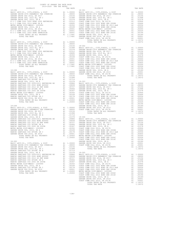| COUNTY OF ORANGE TAX RATE BOOK                                                                                                                                                                                                                                                                                                                                                                                                                                                     |  |  |
|------------------------------------------------------------------------------------------------------------------------------------------------------------------------------------------------------------------------------------------------------------------------------------------------------------------------------------------------------------------------------------------------------------------------------------------------------------------------------------|--|--|
|                                                                                                                                                                                                                                                                                                                                                                                                                                                                                    |  |  |
|                                                                                                                                                                                                                                                                                                                                                                                                                                                                                    |  |  |
|                                                                                                                                                                                                                                                                                                                                                                                                                                                                                    |  |  |
|                                                                                                                                                                                                                                                                                                                                                                                                                                                                                    |  |  |
|                                                                                                                                                                                                                                                                                                                                                                                                                                                                                    |  |  |
|                                                                                                                                                                                                                                                                                                                                                                                                                                                                                    |  |  |
|                                                                                                                                                                                                                                                                                                                                                                                                                                                                                    |  |  |
|                                                                                                                                                                                                                                                                                                                                                                                                                                                                                    |  |  |
|                                                                                                                                                                                                                                                                                                                                                                                                                                                                                    |  |  |
|                                                                                                                                                                                                                                                                                                                                                                                                                                                                                    |  |  |
|                                                                                                                                                                                                                                                                                                                                                                                                                                                                                    |  |  |
|                                                                                                                                                                                                                                                                                                                                                                                                                                                                                    |  |  |
|                                                                                                                                                                                                                                                                                                                                                                                                                                                                                    |  |  |
|                                                                                                                                                                                                                                                                                                                                                                                                                                                                                    |  |  |
|                                                                                                                                                                                                                                                                                                                                                                                                                                                                                    |  |  |
|                                                                                                                                                                                                                                                                                                                                                                                                                                                                                    |  |  |
|                                                                                                                                                                                                                                                                                                                                                                                                                                                                                    |  |  |
|                                                                                                                                                                                                                                                                                                                                                                                                                                                                                    |  |  |
|                                                                                                                                                                                                                                                                                                                                                                                                                                                                                    |  |  |
|                                                                                                                                                                                                                                                                                                                                                                                                                                                                                    |  |  |
|                                                                                                                                                                                                                                                                                                                                                                                                                                                                                    |  |  |
|                                                                                                                                                                                                                                                                                                                                                                                                                                                                                    |  |  |
|                                                                                                                                                                                                                                                                                                                                                                                                                                                                                    |  |  |
|                                                                                                                                                                                                                                                                                                                                                                                                                                                                                    |  |  |
|                                                                                                                                                                                                                                                                                                                                                                                                                                                                                    |  |  |
|                                                                                                                                                                                                                                                                                                                                                                                                                                                                                    |  |  |
|                                                                                                                                                                                                                                                                                                                                                                                                                                                                                    |  |  |
|                                                                                                                                                                                                                                                                                                                                                                                                                                                                                    |  |  |
|                                                                                                                                                                                                                                                                                                                                                                                                                                                                                    |  |  |
|                                                                                                                                                                                                                                                                                                                                                                                                                                                                                    |  |  |
|                                                                                                                                                                                                                                                                                                                                                                                                                                                                                    |  |  |
|                                                                                                                                                                                                                                                                                                                                                                                                                                                                                    |  |  |
|                                                                                                                                                                                                                                                                                                                                                                                                                                                                                    |  |  |
|                                                                                                                                                                                                                                                                                                                                                                                                                                                                                    |  |  |
|                                                                                                                                                                                                                                                                                                                                                                                                                                                                                    |  |  |
|                                                                                                                                                                                                                                                                                                                                                                                                                                                                                    |  |  |
|                                                                                                                                                                                                                                                                                                                                                                                                                                                                                    |  |  |
|                                                                                                                                                                                                                                                                                                                                                                                                                                                                                    |  |  |
|                                                                                                                                                                                                                                                                                                                                                                                                                                                                                    |  |  |
|                                                                                                                                                                                                                                                                                                                                                                                                                                                                                    |  |  |
|                                                                                                                                                                                                                                                                                                                                                                                                                                                                                    |  |  |
|                                                                                                                                                                                                                                                                                                                                                                                                                                                                                    |  |  |
|                                                                                                                                                                                                                                                                                                                                                                                                                                                                                    |  |  |
|                                                                                                                                                                                                                                                                                                                                                                                                                                                                                    |  |  |
|                                                                                                                                                                                                                                                                                                                                                                                                                                                                                    |  |  |
|                                                                                                                                                                                                                                                                                                                                                                                                                                                                                    |  |  |
|                                                                                                                                                                                                                                                                                                                                                                                                                                                                                    |  |  |
|                                                                                                                                                                                                                                                                                                                                                                                                                                                                                    |  |  |
|                                                                                                                                                                                                                                                                                                                                                                                                                                                                                    |  |  |
|                                                                                                                                                                                                                                                                                                                                                                                                                                                                                    |  |  |
|                                                                                                                                                                                                                                                                                                                                                                                                                                                                                    |  |  |
|                                                                                                                                                                                                                                                                                                                                                                                                                                                                                    |  |  |
|                                                                                                                                                                                                                                                                                                                                                                                                                                                                                    |  |  |
|                                                                                                                                                                                                                                                                                                                                                                                                                                                                                    |  |  |
|                                                                                                                                                                                                                                                                                                                                                                                                                                                                                    |  |  |
|                                                                                                                                                                                                                                                                                                                                                                                                                                                                                    |  |  |
|                                                                                                                                                                                                                                                                                                                                                                                                                                                                                    |  |  |
|                                                                                                                                                                                                                                                                                                                                                                                                                                                                                    |  |  |
|                                                                                                                                                                                                                                                                                                                                                                                                                                                                                    |  |  |
|                                                                                                                                                                                                                                                                                                                                                                                                                                                                                    |  |  |
| $\begin{tabular}{@{}c@{}}\hline \multicolumn{3}{c}{\textbf{RAREC}} \hline \multicolumn{3}{c}{\textbf{RAREC}} \hline \multicolumn{3}{c}{\textbf{RAREC}} \hline \multicolumn{3}{c}{\textbf{RAREC}} \hline \multicolumn{3}{c}{\textbf{RAREC}} \hline \multicolumn{3}{c}{\textbf{RAREC}} \hline \multicolumn{3}{c}{\textbf{RAREC}} \hline \multicolumn{3}{c}{\textbf{RAREC}} \hline \multicolumn{3}{c}{\textbf{RAREC}} \hline \multicolumn{3}{c}{\textbf{RAREC}} \hline \multicolumn{$ |  |  |
|                                                                                                                                                                                                                                                                                                                                                                                                                                                                                    |  |  |
|                                                                                                                                                                                                                                                                                                                                                                                                                                                                                    |  |  |
|                                                                                                                                                                                                                                                                                                                                                                                                                                                                                    |  |  |
|                                                                                                                                                                                                                                                                                                                                                                                                                                                                                    |  |  |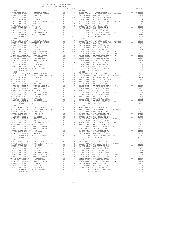|            | DISTRICT                                                        |    | TAX RATE                                                                |                                                   |
|------------|-----------------------------------------------------------------|----|-------------------------------------------------------------------------|---------------------------------------------------|
|            |                                                                 |    |                                                                         |                                                   |
|            |                                                                 |    |                                                                         |                                                   |
|            |                                                                 |    |                                                                         |                                                   |
|            |                                                                 |    |                                                                         |                                                   |
|            |                                                                 |    |                                                                         |                                                   |
|            |                                                                 |    |                                                                         |                                                   |
|            |                                                                 |    |                                                                         |                                                   |
|            |                                                                 |    |                                                                         |                                                   |
|            |                                                                 |    |                                                                         |                                                   |
|            |                                                                 |    |                                                                         |                                                   |
|            |                                                                 |    |                                                                         |                                                   |
|            |                                                                 |    |                                                                         |                                                   |
|            |                                                                 |    |                                                                         |                                                   |
|            |                                                                 |    |                                                                         |                                                   |
|            |                                                                 |    |                                                                         |                                                   |
| $18 - 307$ |                                                                 |    |                                                                         | 18-312                                            |
|            |                                                                 |    |                                                                         |                                                   |
|            |                                                                 |    |                                                                         |                                                   |
|            |                                                                 |    |                                                                         |                                                   |
|            |                                                                 |    |                                                                         |                                                   |
|            |                                                                 |    |                                                                         |                                                   |
|            |                                                                 |    |                                                                         |                                                   |
|            |                                                                 |    |                                                                         |                                                   |
|            |                                                                 |    |                                                                         |                                                   |
|            |                                                                 |    |                                                                         |                                                   |
|            |                                                                 |    |                                                                         |                                                   |
|            |                                                                 |    |                                                                         |                                                   |
|            |                                                                 |    |                                                                         |                                                   |
|            |                                                                 |    |                                                                         |                                                   |
|            |                                                                 |    |                                                                         |                                                   |
|            |                                                                 |    |                                                                         |                                                   |
|            |                                                                 |    |                                                                         |                                                   |
|            |                                                                 |    |                                                                         |                                                   |
| $18 - 308$ |                                                                 |    |                                                                         | $18 - 313$                                        |
|            |                                                                 |    |                                                                         |                                                   |
|            |                                                                 |    |                                                                         |                                                   |
|            |                                                                 |    |                                                                         |                                                   |
|            |                                                                 |    |                                                                         |                                                   |
|            |                                                                 |    |                                                                         |                                                   |
|            |                                                                 |    |                                                                         |                                                   |
|            |                                                                 |    |                                                                         |                                                   |
|            |                                                                 |    |                                                                         |                                                   |
|            |                                                                 |    |                                                                         |                                                   |
|            |                                                                 |    |                                                                         |                                                   |
|            |                                                                 |    |                                                                         |                                                   |
|            |                                                                 |    |                                                                         |                                                   |
|            |                                                                 |    |                                                                         |                                                   |
|            |                                                                 |    |                                                                         |                                                   |
|            |                                                                 |    |                                                                         |                                                   |
|            |                                                                 |    |                                                                         |                                                   |
|            | TOTAL TAX RATE                                                  |    | 1.18372                                                                 |                                                   |
| $18 - 309$ |                                                                 |    |                                                                         | $18 - 314$                                        |
|            |                                                                 |    |                                                                         |                                                   |
|            |                                                                 |    |                                                                         |                                                   |
|            |                                                                 |    |                                                                         |                                                   |
|            |                                                                 |    |                                                                         |                                                   |
|            |                                                                 |    |                                                                         |                                                   |
|            |                                                                 |    |                                                                         |                                                   |
|            |                                                                 |    |                                                                         |                                                   |
|            |                                                                 |    |                                                                         |                                                   |
|            |                                                                 |    |                                                                         |                                                   |
|            |                                                                 |    |                                                                         |                                                   |
|            |                                                                 |    |                                                                         |                                                   |
|            |                                                                 |    |                                                                         |                                                   |
|            |                                                                 |    |                                                                         |                                                   |
|            |                                                                 |    |                                                                         |                                                   |
|            |                                                                 |    |                                                                         |                                                   |
|            |                                                                 |    |                                                                         |                                                   |
|            |                                                                 |    |                                                                         |                                                   |
| 18-310     |                                                                 |    |                                                                         | $18 - 315$                                        |
|            | BASIC LEVY-CO., CITY, SCHOOL, & DIST                            | A1 | 1.00000                                                                 | BASIC L                                           |
|            | GARDEN GROVE-1974 PARAMEDIC TAX OVERRIDE                        |    | A1 .08000                                                               | GARDEN                                            |
|            | GARDEN GROVE USD 2016, SR 2017                                  | A1 | .03156                                                                  | GARDEN                                            |
|            |                                                                 | A1 | .01998                                                                  | GARDEN                                            |
|            | GARDEN GROVE USD, 2010 EL, SR C<br>GARDEN GROVE USD, 2010, SR B |    |                                                                         |                                                   |
|            | COAST COMM COLL 2012, SR 2017D                                  |    |                                                                         |                                                   |
|            | COAST COMM COLL 2002 BOND SER 2006B                             |    | A1 .01578 GARDEN<br>A1 .00906 COAST C<br>A1 .00666 COAST C<br>A1 .00666 |                                                   |
|            | COAST COMM COLL 2012 BOND SR 2013 A&B                           | A1 | .00554                                                                  | COAST C                                           |
|            | COAST COMM COLL 2002 BOND SER 2003A                             | A1 | .00455                                                                  | COAST C                                           |
|            | METRO WATER DIST-MWDOC- 1205999                                 | A1 | .00350                                                                  | METRO W                                           |
|            | COAST COMM COLL 2002 BOND SER 2006C                             | A1 |                                                                         | .00324 COAST C<br>.00194 COAST C<br>.00189 GARDEN |
|            | COAST COMM COLL 2012 BOND SER 2016C                             |    | A1 .00194                                                               |                                                   |
|            | GARDEN GROVE USD, 2010, SR A                                    | A1 |                                                                         |                                                   |
|            | GARDEN GROVE USD 2016, SR 2019                                  | A1 |                                                                         |                                                   |
|            | COAST COMM COLL 2012, SR 2017E                                  | A1 |                                                                         | .00001 GARDEN<br>.00001 COAST C                   |
|            | TOTAL RATES ON ALL PROPERTY                                     |    | A1 1.18372                                                              |                                                   |
|            | TOTAL TAX RATE                                                  |    | 1.18372                                                                 |                                                   |

| COUNTY OF ORANGE TAX RATE BOOK<br>2019-2020 TRA TAX RATES |          |          |          |
|-----------------------------------------------------------|----------|----------|----------|
| DISTRICT                                                  | TAX RATE | DISTRICT | TAX RATE |
|                                                           |          |          |          |
|                                                           |          |          |          |
|                                                           |          |          |          |
|                                                           |          |          |          |
|                                                           |          |          |          |
|                                                           |          |          |          |
| $18 - 310$                                                |          |          |          |
|                                                           |          |          |          |

-199-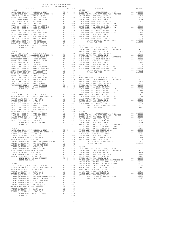| COUNTY OF ORANGE TAX RATE BOOK      |                    |          |          |
|-------------------------------------|--------------------|----------|----------|
| 2019-2020 TRA TAX RATES<br>DISTRICT |                    | DISTRICT | TAX RATE |
|                                     | TAX RATE<br>18-321 |          |          |
|                                     |                    |          |          |
|                                     |                    |          |          |
|                                     |                    |          |          |
|                                     |                    |          |          |
|                                     |                    |          |          |
|                                     |                    |          |          |
|                                     |                    |          |          |
|                                     |                    |          |          |
|                                     |                    |          |          |
|                                     |                    |          |          |
|                                     |                    |          |          |
|                                     |                    |          |          |
|                                     |                    |          |          |
|                                     |                    |          |          |
|                                     |                    |          |          |
|                                     |                    |          |          |
|                                     |                    |          |          |
|                                     |                    |          |          |
|                                     |                    |          |          |
|                                     |                    |          |          |
|                                     |                    |          |          |
|                                     |                    |          |          |
|                                     |                    |          |          |
|                                     |                    |          |          |
|                                     |                    |          |          |
|                                     |                    |          |          |
|                                     |                    |          |          |
|                                     |                    |          |          |
|                                     |                    |          |          |
|                                     |                    |          |          |
|                                     |                    |          |          |
|                                     |                    |          |          |
|                                     |                    |          |          |
|                                     |                    |          |          |
|                                     |                    |          |          |
|                                     |                    |          |          |
|                                     |                    |          |          |
|                                     |                    |          |          |
|                                     |                    |          |          |
|                                     |                    |          |          |
|                                     |                    |          |          |
|                                     |                    |          |          |
|                                     |                    |          |          |
|                                     |                    |          |          |
|                                     |                    |          |          |
|                                     |                    |          |          |
|                                     |                    |          |          |
|                                     |                    |          |          |
|                                     |                    |          |          |
|                                     |                    |          |          |
|                                     |                    |          |          |
|                                     |                    |          |          |
|                                     |                    |          |          |
|                                     |                    |          |          |
|                                     |                    |          |          |
|                                     |                    |          |          |
|                                     |                    |          |          |
|                                     |                    |          |          |
|                                     |                    |          |          |
|                                     |                    |          |          |
|                                     |                    |          |          |
|                                     |                    |          |          |
|                                     |                    |          |          |
|                                     |                    |          |          |

-200-

TOTAL TAX RATE 1.20450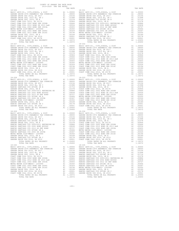| COUNTY OF ORANGE TAX RATE BOOK<br>2019-2020 TRA TAX RATES |          |          |          |
|-----------------------------------------------------------|----------|----------|----------|
| DISTRICT                                                  | TAX RATE | DISTRICT | TAX RATE |
| $18 - 326$                                                |          | 18-331   |          |
|                                                           |          |          |          |
|                                                           |          |          |          |
|                                                           |          |          |          |
|                                                           |          |          |          |
|                                                           |          |          |          |
|                                                           |          |          |          |
|                                                           |          |          |          |
|                                                           |          |          |          |
|                                                           |          |          |          |
|                                                           |          |          |          |
|                                                           |          |          |          |
|                                                           |          |          |          |
|                                                           |          |          |          |
|                                                           |          |          |          |
|                                                           |          |          |          |
|                                                           |          |          |          |
|                                                           |          |          |          |
|                                                           |          |          |          |
|                                                           |          |          |          |
|                                                           |          |          |          |
|                                                           |          |          |          |
|                                                           |          |          |          |
|                                                           |          |          |          |
|                                                           |          |          |          |
|                                                           |          |          |          |
|                                                           |          |          |          |
|                                                           |          |          |          |
|                                                           |          |          |          |
|                                                           |          |          |          |
|                                                           |          |          |          |
|                                                           |          |          |          |
|                                                           |          |          |          |
|                                                           |          |          |          |
|                                                           |          |          |          |
|                                                           |          |          |          |
|                                                           |          |          |          |
|                                                           |          |          |          |
|                                                           |          |          |          |
|                                                           |          |          |          |
|                                                           |          |          |          |
|                                                           |          |          |          |
|                                                           |          |          |          |
|                                                           |          |          |          |
|                                                           |          |          |          |
|                                                           |          |          |          |
|                                                           |          |          |          |
|                                                           |          |          |          |
|                                                           |          |          |          |
|                                                           |          |          |          |
|                                                           |          |          |          |
|                                                           |          |          |          |
|                                                           |          |          |          |
|                                                           |          |          |          |
|                                                           |          |          |          |
|                                                           |          |          |          |
|                                                           |          |          |          |
|                                                           |          |          |          |
|                                                           |          |          |          |
|                                                           |          |          |          |
|                                                           |          |          |          |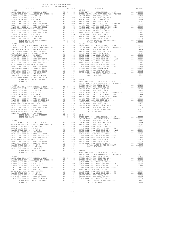| COUNTY OF ORANGE TAX RATE BOOK<br>2019-2020 TRA TAX RATES |          |          |          |
|-----------------------------------------------------------|----------|----------|----------|
| DISTRICT                                                  | TAX RATE | DISTRICT | TAX RATE |
|                                                           |          |          |          |
|                                                           |          |          |          |
|                                                           |          |          |          |
|                                                           |          |          |          |
|                                                           |          |          |          |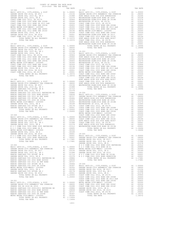COUNTY OF ORANGE TAX RATE BOOK 2019-2020 TRA TAX RATES DISTRICT TAX RATE DISTRICT TAX RATE 18-346 18-352 BASIC LEVY-CO., CITY,SCHOOL, & DIST A1 1.00000 BASIC LEVY-CO., CITY,SCHOOL, & DIST A1 1.00000 GARDEN GROVE USD 2016, SR 2017 A1 .03156 GARDEN GROVE-1974 PARAMEDIC TAX OVERRIDE A1 .08000 GARDEN GROVE USD, 2010 EL, SR C A1 .01998 HUNT BEACH HIGH SCH 2004 BOND#2004A A1 .02246 GARDEN GROVE USD, 2010, SR B A1 .01578 WESTMINSTER ELEM-2008 BOND SR 2009 A1 .02238 COAST COMM COLL 2012, SR 2017D A1 .00906 WESTMINSTER ELEM-2016 BOND SR 2018B A1 .01274 COAST COMM COLL 2002 BOND SER 2006B A1 .00666 WESTMINSTER SD 2016, SR 2017A A1 .01000 COAST COMM COLL 2012 BOND SR 2013 A&B A1 .00554 COAST COMM COLL 2012, SR 2017D A1 .00906 COAST COMM COLL 2002 BOND SER 2003A A1 .00455 COAST COMM COLL 2002 BOND SER 2006B A1 .00666 METRO WATER DIST-MWDOC- 1205999 A1 .00350 COAST COMM COLL 2012 BOND SR 2013 A&B A1 .00554 COAST COMM COLL 2002 BOND SER 2006C A1 .00324 COAST COMM COLL 2002 BOND SER 2003A A1 .00455 COAST COMM COLL 2012 BOND SER 2016C A1 .00194 METRO WATER DIST-MWDOC- 1205999 A1 .00350 GARDEN GROVE USD, 2010, SR A A1 .00189 COAST COMM COLL 2002 BOND SER 2006C A1 .00324 GARDEN GROVE USD 2016, SR 2019 A1 .00001 WESTMINSTER ELEM-2008 BOND SR 2013 A1 .00207 COAST COMM COLL 2012, SR 2017E A1 .00001 COAST COMM COLL 2012 BOND SER 2016C A1 .00194 TOTAL RATES ON ALL PROPERTY A1 1.10372 HUNT BEACH HIGH SCH 2004 BOND #2007 A1 .00079 TOTAL TAX RATE 1.10372 COAST COMM COLL 2012, SR 2017E A1 .00001 HUNT BEACH HIGH SCH 2004 BOND#2005 A1 .00001 18-347 WESTMINSTER ELEM-2008 BOND SR 2013B A1 .00001 BASIC LEVY-CO., CITY,SCHOOL, & DIST A1 1.00000 TOTAL RATES ON ALL PROPERTY A1 1.18496 GARDEN GROVE-1974 PARAMEDIC TAX OVERRIDE A1 .08000 TOTAL TAX RATE 1.18496 GARDEN GROVE USD 2016, SR 2017 A1 .03156 GARDEN GROVE USD, 2010 EL, SR C A1 .01998 18-353 GARDEN GROVE USD, 2010, SR B A1 .01578 BASIC LEVY-CO., CITY,SCHOOL, & DIST A1 1.00000 COAST COMM COLL 2012, SR 2017D A1 .00906 GARDEN GROVE-1974 PARAMEDIC TAX OVERRIDE A1 .08000 COAST COMM COLL 2002 BOND SER 2006B A1 .00666 HUNT BEACH HIGH SCH 2004 BOND#2004A A1 .02246 COAST COMM COLL 2012 BOND SR 2013 A&B A1 .00554 WESTMINSTER ELEM-2008 BOND SR 2009 A1 .02238 COAST COMM COLL 2002 BOND SER 2003A A1 .00455 WESTMINSTER ELEM-2016 BOND SR 2018B A1 .01274 METRO WATER DIST-MWDOC- 1205999 A1 .00350 WESTMINSTER SD 2016, SR 2017A A1 .01000 COAST COMM COLL 2002 BOND SER 2006C A1 .00324 COAST COMM COLL 2012, SR 2017D A1 .00906 COAST COMM COLL 2012 BOND SER 2016C A1 .00194 COAST COMM COLL 2002 BOND SER 2006B A1 .00666 GARDEN GROVE USD, 2010, SR A A1 .00189 COAST COMM COLL 2012 BOND SR 2013 A&B A1 .00554 GARDEN GROVE USD 2016, SR 2019 A1 .00001 COAST COMM COLL 2002 BOND SER 2003A A1 .00455 COAST COMM COLL 2012, SR 2017E A1 .00001 METRO WATER DIST-MWDOC- 1205999 A1 .00350 TOTAL RATES ON ALL PROPERTY A1 1.18372 COAST COMM COLL 2002 BOND SER 2006C A1 .00324 TOTAL TAX RATE 1.18372 WESTMINSTER ELEM-2008 BOND SR 2013 A1 .00207 COAST COMM COLL 2012 BOND SER 2016C A1 .00194 18-348 HUNT BEACH HIGH SCH 2004 BOND #2007 A1 .00079 BASIC LEVY-CO., CITY,SCHOOL, & DIST A1 1.00000 COAST COMM COLL 2012, SR 2017E A1 .00001 GARDEN GROVE-1974 PARAMEDIC TAX OVERRIDE A1 .08000 HUNT BEACH HIGH SCH 2004 BOND#2005 A1 .00001 GARDEN GROVE USD 2016, SR 2017 A1 .03156 WESTMINSTER ELEM-2008 BOND SR 2013B A1 .00001 GARDEN GROVE USD, 2010 EL, SR C A1 .01998 TOTAL RATES ON ALL PROPERTY A1 1.18496 RANCHO SANTIAGO CCD SFID#1 SR B A1 .01716 TOTAL TAX RATE 1.18496 GARDEN GROVE USD, 2010, SR B A1 .01578 RANCHO SANTIAGO CCD 2005+2011 REFUNDING BD A1 .00886 18-354 RANCHO SANTIAGO CCD 2002 BOND #2006C A1 .00838 BASIC LEVY-CO., CITY,SCHOOL, & DIST A1 1.00000 RANCHO SANTIAGO CCD 2012 GO REF BOND A1 .00727 GARDEN GROVE-1974 PARAMEDIC TAX OVERRIDE A1 .08000 RANCHO SANTIAGO CCD SFID#1 SR A A1 .00466 HUNT BEACH HIGH SCH 2004 BOND#2004A A1 .02246 RANCHO SANTIAGO CCD 2002 SR 2005B A1 .00367 WESTMINSTER ELEM-2008 BOND SR 2009 A1 .02238 METRO WATER DIST-MWDOC- 1205999 A1 .00350 WESTMINSTER ELEM-2016 BOND SR 2018B A1 .01274 GARDEN GROVE USD, 2010, SR A A1 .00189 WESTMINSTER SD 2016, SR 2017A A1 .01000 RANCHO SANTIAGO CCD SFID#1 SR C A1 .00178 COAST COMM COLL 2012, SR 2017D A1 .00906 GARDEN GROVE USD 2016, SR 2019 A1 .00001 COAST COMM COLL 2002 BOND SER 2006B A1 .00666 TOTAL RATES ON ALL PROPERTY A1 1.20450 COAST COMM COLL 2012 BOND SR 2013 A&B A1 .00554 TOTAL TAX RATE 1.20450 COAST COMM COLL 2002 BOND SER 2003A A1 .00455 METRO WATER DIST-MWDOC- 1205999 A1 .00350 18-349 COAST COMM COLL 2002 BOND SER 2006C A1 .00324 BASIC LEVY-CO., CITY,SCHOOL, & DIST A1 1.00000 WESTMINSTER ELEM-2008 BOND SR 2013 A1 .00207 GARDEN GROVE-1974 PARAMEDIC TAX OVERRIDE A1 .08000 COAST COMM COLL 2012 BOND SER 2016C A1 .00194 GARDEN GROVE USD 2016, SR 2017 A1 .03156 HUNT BEACH HIGH SCH 2004 BOND #2007 A1 .00079 GARDEN GROVE USD, 2010 EL, SR C A1 .01998 COAST COMM COLL 2012, SR 2017E A1 .00001 GARDEN GROVE USD, 2010, SR B A1 .01578 HUNT BEACH HIGH SCH 2004 BOND#2005 A1 .00001 N O C COMM COLL 2002 BOND 2005 REFUNDING A1 .01512 WESTMINSTER ELEM-2008 BOND SR 2013B A1 .00001 N O C COMM COLL 2014 BOND SR B A1 .00895 TOTAL RATES ON ALL PROPERTY A1 1.18496 METRO WATER DIST-MWDOC- 1205999 A1 .00350 TOTAL TAX RATE 1.18496 GARDEN GROVE USD, 2010, SR A A1 .00189 GARDEN GROVE USD 2016, SR 2019 A1 .00001 18-355 N O C COMM COLL 2014 BOND SR 2016A A1 .00001 BASIC LEVY-CO., CITY,SCHOOL, & DIST A1 1.00000 N O C COMM COLL 2002 BOND SER#2003B A1 .00001 GARDEN GROVE-1974 PARAMEDIC TAX OVERRIDE A1 .08000 TOTAL RATES ON ALL PROPERTY A1 1.17681 GARDEN GROVE USD 2016, SR 2017 A1 .03156 TOTAL TAX RATE 1.17681 GARDEN GROVE USD, 2010 EL, SR C A1 .01998 GARDEN GROVE USD, 2010, SR B A1 .01578 18-350 N O C COMM COLL 2002 BOND 2005 REFUNDING A1 .01512 BASIC LEVY-CO., CITY,SCHOOL, & DIST A1 1.00000 N O C COMM COLL 2014 BOND SR B A1 .00895 GARDEN GROVE-1974 PARAMEDIC TAX OVERRIDE A1 .08000 METRO WATER DIST-MWDOC- 1205999 A1 .00350 GARDEN GROVE USD 2016, SR 2017 A1 .03156 GARDEN GROVE USD, 2010, SR A A1 .00189 GARDEN GROVE USD, 2010 EL, SR C A1 .01998 GARDEN GROVE USD 2016, SR 2019 A1 .00001 RANCHO SANTIAGO CCD SFID#1 SR B A1 .01716 N O C COMM COLL 2014 BOND SR 2016A A1 .00001 GARDEN GROVE USD, 2010, SR B A1 .01578 N O C COMM COLL 2002 BOND SER#2003B A1 .00001 RANCHO SANTIAGO CCD 2005+2011 REFUNDING BD A1 .00886 TOTAL RATES ON ALL PROPERTY A1 1.17681 RANCHO SANTIAGO CCD 2002 BOND #2006C A1 .00838 TOTAL TAX RATE 1.17681 RANCHO SANTIAGO CCD 2012 GO REF BOND A1 .00727 RANCHO SANTIAGO CCD SFID#1 SR A A1 .00466 18-356 RANCHO SANTIAGO CCD 2002 SR 2005B A1 .00367 BASIC LEVY-CO., CITY,SCHOOL, & DIST A1 1.00000 METRO WATER DIST-MWDOC- 1205999 A1 .00350 GARDEN GROVE-1974 PARAMEDIC TAX OVERRIDE A1 .08000 GARDEN GROVE USD, 2010, SR A A1 .00189 GARDEN GROVE USD 2016, SR 2017 A1 .03156 RANCHO SANTIAGO CCD SFID#1 SR C A1 .00178 GARDEN GROVE USD, 2010 EL, SR C A1 .01998 GARDEN GROVE USD 2016, SR 2019 A1 .00001 GARDEN GROVE USD, 2010, SR B A1 .01578 TOTAL RATES ON ALL PROPERTY A1 1.20450 COAST COMM COLL 2012, SR 2017D A1 .00906 TOTAL TAX RATE 1.20450 COAST COMM COLL 2002 BOND SER 2006B A1 .00666 COAST COMM COLL 2012 BOND SR 2013 A&B A1 .00554  $\begin{tabular}{l|c|c|c|c|c} \multicolumn{4}{c}{\textbf{0.0251}} & $\textbf{0.045}\texttt{COM} & $\textbf{0.045}\texttt{COM} & $\textbf{0.045}\texttt{COM} & $\textbf{0.045}\texttt{COM} & $\textbf{0.045}\texttt{COM} & $\textbf{0.045}\texttt{COM} & $\textbf{0.045}\texttt{COM} & $\textbf{0.045}\texttt{COM} & $\textbf{0.045}\texttt{COM} & $\textbf{0.045}\texttt{COM} & $\textbf{0.045}\text$ TOTAL RATES ON ALL PROPERTY A1 1.13456 TOTAL TAX RATE 1.13456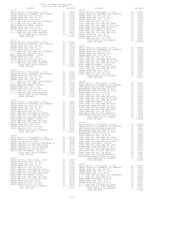| 2019-2020 TRA TAX RATES<br>KA TAA KALDO<br>TAX RATE<br>DISTRICT<br>DISTRICT | COUNTY OF ORANGE TAX RATE BOOK |  |          |
|-----------------------------------------------------------------------------|--------------------------------|--|----------|
|                                                                             |                                |  | TAX RATE |
|                                                                             |                                |  |          |
|                                                                             |                                |  |          |
|                                                                             |                                |  |          |
|                                                                             |                                |  |          |
|                                                                             |                                |  |          |
|                                                                             |                                |  |          |
|                                                                             |                                |  |          |
|                                                                             |                                |  |          |
|                                                                             |                                |  |          |
|                                                                             |                                |  |          |
|                                                                             |                                |  |          |

| TAX RATE<br>DISTRICT |  | DISTRICT | TAX RATE |
|----------------------|--|----------|----------|
|                      |  |          |          |
|                      |  |          |          |
|                      |  |          |          |
|                      |  |          |          |
|                      |  |          |          |
|                      |  |          |          |
|                      |  |          |          |
|                      |  |          |          |
|                      |  |          |          |
|                      |  |          |          |
|                      |  |          |          |
|                      |  |          |          |
|                      |  |          |          |
|                      |  |          |          |
|                      |  |          |          |
|                      |  |          |          |
|                      |  |          |          |
|                      |  |          |          |
|                      |  |          |          |
|                      |  |          |          |
|                      |  |          |          |
|                      |  |          |          |
|                      |  |          |          |
|                      |  |          |          |
|                      |  |          |          |
|                      |  |          |          |
|                      |  |          |          |
|                      |  |          |          |
|                      |  |          |          |
|                      |  |          |          |
|                      |  |          |          |
|                      |  |          |          |
|                      |  |          |          |
|                      |  |          |          |
|                      |  |          |          |
|                      |  |          |          |
|                      |  |          |          |
|                      |  |          |          |
|                      |  |          |          |
|                      |  |          |          |
|                      |  |          |          |
|                      |  |          |          |
|                      |  |          |          |
|                      |  |          |          |
|                      |  |          |          |
|                      |  |          |          |
|                      |  |          |          |
|                      |  |          |          |
|                      |  |          |          |
|                      |  |          |          |
|                      |  |          |          |
|                      |  |          |          |
|                      |  |          |          |
|                      |  |          |          |
|                      |  |          |          |
|                      |  |          |          |
|                      |  |          |          |
|                      |  |          |          |
|                      |  |          |          |
|                      |  |          |          |
|                      |  |          |          |
|                      |  |          |          |
|                      |  |          |          |
|                      |  |          |          |
|                      |  |          |          |
|                      |  |          |          |
|                      |  |          |          |
|                      |  |          |          |
|                      |  |          |          |
|                      |  |          |          |
|                      |  |          |          |
|                      |  |          |          |
|                      |  |          |          |
|                      |  |          |          |
|                      |  |          |          |
|                      |  |          |          |
|                      |  |          |          |
|                      |  |          |          |
|                      |  |          |          |
|                      |  |          |          |
|                      |  |          |          |
|                      |  |          |          |
|                      |  |          |          |
|                      |  |          |          |
|                      |  |          |          |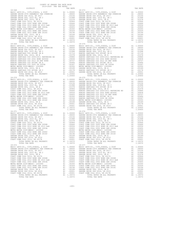| COUNTY OF ORANGE TAX RATE BOOK<br>2019-2020 TRA TAX RATES |          |                                                                                                                                                                                                                                         |          |
|-----------------------------------------------------------|----------|-----------------------------------------------------------------------------------------------------------------------------------------------------------------------------------------------------------------------------------------|----------|
| DISTRICT                                                  | TAX RATE | DISTRICT                                                                                                                                                                                                                                | TAX RATE |
| $18 - 368$                                                |          | 18-373                                                                                                                                                                                                                                  |          |
|                                                           |          |                                                                                                                                                                                                                                         |          |
|                                                           |          |                                                                                                                                                                                                                                         |          |
|                                                           |          |                                                                                                                                                                                                                                         |          |
|                                                           |          | NERIC WATER DIST-WOOD LOOSEY (MATER DESIS) METRO WATER DIST-WOOD- 12002<br>COAST COME COLL 20102 BOND SER 2016C<br>COAST COME COLL 20102 BOND SER 2016C<br>CARDEN GROUND 2012 BOND SER 2016C<br>CARDEN GROUND 2012 BOND SER 2016C<br>CA |          |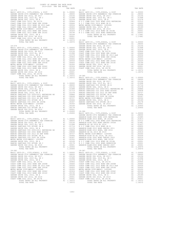| COUNTY OF ORANGE TAX RATE BOOK<br>2019-2020 TRA TAX RATES |          |                 |          |
|-----------------------------------------------------------|----------|-----------------|----------|
| DISTRICT                                                  | TAX RATE | <b>DISTRICT</b> | TAX RATE |
| $18 - 378$                                                |          | $18 - 383$      |          |
|                                                           |          |                 |          |
|                                                           |          |                 |          |
|                                                           |          |                 |          |
|                                                           |          |                 |          |
|                                                           |          |                 |          |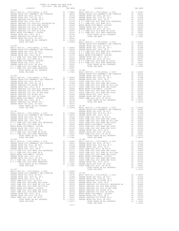| 2019-2020 TRA TAX RATES<br>DISTRICT | TAX RATE | DISTRICT       | TAX RATE |
|-------------------------------------|----------|----------------|----------|
| $18 - 388$                          |          | $18 - 394$     |          |
|                                     |          |                |          |
|                                     |          |                |          |
|                                     |          |                |          |
|                                     |          |                |          |
|                                     |          |                |          |
|                                     |          |                |          |
|                                     |          |                |          |
|                                     |          |                |          |
|                                     |          |                |          |
|                                     |          |                |          |
|                                     |          |                |          |
|                                     |          |                |          |
|                                     |          |                |          |
|                                     |          |                |          |
|                                     |          |                |          |
|                                     |          |                |          |
|                                     |          |                |          |
|                                     |          |                |          |
|                                     |          |                |          |
|                                     |          |                |          |
|                                     |          |                |          |
|                                     |          |                |          |
|                                     |          |                |          |
|                                     |          |                |          |
|                                     |          |                |          |
|                                     |          |                |          |
|                                     |          |                |          |
|                                     |          |                |          |
|                                     |          |                |          |
|                                     |          |                |          |
|                                     |          |                |          |
|                                     |          |                |          |
|                                     |          |                |          |
|                                     |          |                |          |
|                                     |          |                |          |
|                                     |          |                |          |
|                                     |          |                |          |
|                                     |          |                |          |
|                                     |          |                |          |
|                                     |          |                |          |
|                                     |          |                |          |
|                                     |          |                |          |
|                                     |          |                |          |
|                                     |          |                |          |
|                                     |          |                |          |
|                                     |          |                |          |
|                                     |          |                |          |
|                                     |          |                |          |
|                                     |          |                |          |
|                                     |          |                |          |
| TOTAL TAX RATE                      | 1.17681  | TOTAL TAX RATE | 1.18372  |
| 18-392                              |          | $18-398$       |          |
|                                     |          |                |          |
|                                     |          |                |          |
|                                     |          |                |          |
|                                     |          |                |          |
|                                     |          |                |          |
|                                     |          |                |          |
|                                     |          |                |          |
|                                     |          |                |          |
|                                     |          |                |          |
|                                     |          |                |          |
|                                     |          |                |          |
|                                     |          |                |          |
|                                     |          |                |          |
|                                     |          |                |          |
|                                     |          |                |          |
|                                     |          |                |          |
|                                     |          |                |          |
|                                     |          |                |          |
|                                     |          |                |          |
|                                     |          |                |          |
|                                     |          |                |          |
|                                     |          |                |          |
|                                     |          |                |          |
|                                     |          |                |          |
|                                     |          |                |          |
|                                     |          | TOTAL TAX RATE | 1.12450  |

-207-

COUNTY OF ORANGE TAX RATE BOOK

|    | 'I'A X         |
|----|----------------|
| A1 | $\overline{1}$ |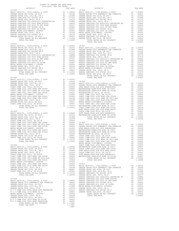| COUNTY OF ORANGE TAX RATE BOOK<br>2019-2020 TRA TAX RATES |  |                |         |
|-----------------------------------------------------------|--|----------------|---------|
|                                                           |  |                |         |
|                                                           |  |                |         |
|                                                           |  |                |         |
|                                                           |  |                |         |
|                                                           |  |                |         |
|                                                           |  |                |         |
|                                                           |  |                |         |
|                                                           |  |                |         |
|                                                           |  |                |         |
|                                                           |  |                |         |
|                                                           |  |                |         |
|                                                           |  |                |         |
|                                                           |  | TOTAL TAX RATE | 1.20450 |
| $18 - 401$                                                |  |                |         |
|                                                           |  |                |         |
|                                                           |  |                |         |
|                                                           |  |                |         |
|                                                           |  |                |         |
|                                                           |  |                |         |
|                                                           |  |                |         |
|                                                           |  |                |         |
|                                                           |  |                |         |
|                                                           |  |                |         |
|                                                           |  |                |         |
|                                                           |  |                |         |
|                                                           |  |                |         |
|                                                           |  |                |         |
|                                                           |  |                |         |
|                                                           |  |                |         |
|                                                           |  |                |         |
|                                                           |  |                |         |
|                                                           |  |                |         |
|                                                           |  |                |         |
|                                                           |  |                |         |
|                                                           |  |                |         |
|                                                           |  |                |         |
|                                                           |  |                |         |
|                                                           |  |                |         |
|                                                           |  |                |         |
|                                                           |  |                |         |
|                                                           |  |                |         |
|                                                           |  |                |         |
|                                                           |  |                |         |
|                                                           |  |                |         |
|                                                           |  |                |         |
|                                                           |  |                |         |
|                                                           |  |                |         |
|                                                           |  |                |         |
|                                                           |  |                |         |
|                                                           |  |                |         |
|                                                           |  |                |         |
|                                                           |  |                |         |
|                                                           |  |                |         |
|                                                           |  |                |         |
|                                                           |  |                |         |
|                                                           |  |                |         |
|                                                           |  |                |         |
|                                                           |  |                |         |
|                                                           |  |                |         |
|                                                           |  |                |         |
|                                                           |  |                |         |
|                                                           |  |                |         |
|                                                           |  |                |         |
|                                                           |  |                |         |
|                                                           |  |                |         |
|                                                           |  |                |         |
|                                                           |  |                |         |
|                                                           |  |                |         |
|                                                           |  |                |         |
|                                                           |  |                |         |
|                                                           |  |                |         |
|                                                           |  |                |         |
|                                                           |  |                |         |
|                                                           |  |                |         |
|                                                           |  |                |         |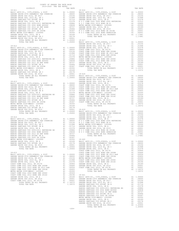| COUNTY OF ORANGE TAX RATE BOOK<br>2019-2020 TRA TAX RATES |         |                                                                                                                                                                                                                               |  |
|-----------------------------------------------------------|---------|-------------------------------------------------------------------------------------------------------------------------------------------------------------------------------------------------------------------------------|--|
|                                                           |         |                                                                                                                                                                                                                               |  |
|                                                           |         |                                                                                                                                                                                                                               |  |
|                                                           |         |                                                                                                                                                                                                                               |  |
|                                                           |         |                                                                                                                                                                                                                               |  |
|                                                           |         |                                                                                                                                                                                                                               |  |
|                                                           |         |                                                                                                                                                                                                                               |  |
|                                                           |         |                                                                                                                                                                                                                               |  |
|                                                           |         |                                                                                                                                                                                                                               |  |
|                                                           |         |                                                                                                                                                                                                                               |  |
|                                                           |         |                                                                                                                                                                                                                               |  |
|                                                           |         |                                                                                                                                                                                                                               |  |
|                                                           |         |                                                                                                                                                                                                                               |  |
|                                                           |         |                                                                                                                                                                                                                               |  |
|                                                           |         |                                                                                                                                                                                                                               |  |
|                                                           |         |                                                                                                                                                                                                                               |  |
|                                                           |         |                                                                                                                                                                                                                               |  |
|                                                           |         |                                                                                                                                                                                                                               |  |
|                                                           |         |                                                                                                                                                                                                                               |  |
|                                                           |         |                                                                                                                                                                                                                               |  |
|                                                           |         |                                                                                                                                                                                                                               |  |
|                                                           |         |                                                                                                                                                                                                                               |  |
|                                                           |         |                                                                                                                                                                                                                               |  |
|                                                           |         |                                                                                                                                                                                                                               |  |
|                                                           |         |                                                                                                                                                                                                                               |  |
|                                                           |         |                                                                                                                                                                                                                               |  |
|                                                           |         |                                                                                                                                                                                                                               |  |
|                                                           |         |                                                                                                                                                                                                                               |  |
|                                                           |         |                                                                                                                                                                                                                               |  |
|                                                           |         |                                                                                                                                                                                                                               |  |
|                                                           |         |                                                                                                                                                                                                                               |  |
|                                                           |         | Since Society of the King of Control of the Control of the Control of the Control of the Control of Control of the Control of the Control of the Control of the Control of the Control of the Control of the Control of the C |  |
|                                                           |         |                                                                                                                                                                                                                               |  |
|                                                           |         |                                                                                                                                                                                                                               |  |
|                                                           |         |                                                                                                                                                                                                                               |  |
|                                                           |         |                                                                                                                                                                                                                               |  |
|                                                           |         |                                                                                                                                                                                                                               |  |
|                                                           |         |                                                                                                                                                                                                                               |  |
|                                                           |         |                                                                                                                                                                                                                               |  |
|                                                           |         |                                                                                                                                                                                                                               |  |
|                                                           |         |                                                                                                                                                                                                                               |  |
|                                                           |         |                                                                                                                                                                                                                               |  |
|                                                           |         |                                                                                                                                                                                                                               |  |
|                                                           |         |                                                                                                                                                                                                                               |  |
|                                                           |         |                                                                                                                                                                                                                               |  |
|                                                           |         |                                                                                                                                                                                                                               |  |
|                                                           |         |                                                                                                                                                                                                                               |  |
|                                                           |         |                                                                                                                                                                                                                               |  |
|                                                           |         |                                                                                                                                                                                                                               |  |
|                                                           |         |                                                                                                                                                                                                                               |  |
|                                                           |         |                                                                                                                                                                                                                               |  |
|                                                           |         |                                                                                                                                                                                                                               |  |
|                                                           |         |                                                                                                                                                                                                                               |  |
|                                                           |         |                                                                                                                                                                                                                               |  |
|                                                           |         |                                                                                                                                                                                                                               |  |
|                                                           |         |                                                                                                                                                                                                                               |  |
|                                                           |         |                                                                                                                                                                                                                               |  |
|                                                           |         |                                                                                                                                                                                                                               |  |
|                                                           |         |                                                                                                                                                                                                                               |  |
|                                                           |         |                                                                                                                                                                                                                               |  |
|                                                           |         |                                                                                                                                                                                                                               |  |
|                                                           |         |                                                                                                                                                                                                                               |  |
|                                                           |         |                                                                                                                                                                                                                               |  |
|                                                           |         |                                                                                                                                                                                                                               |  |
|                                                           |         |                                                                                                                                                                                                                               |  |
|                                                           |         |                                                                                                                                                                                                                               |  |
|                                                           |         |                                                                                                                                                                                                                               |  |
|                                                           |         |                                                                                                                                                                                                                               |  |
|                                                           |         |                                                                                                                                                                                                                               |  |
|                                                           |         |                                                                                                                                                                                                                               |  |
|                                                           |         |                                                                                                                                                                                                                               |  |
|                                                           |         |                                                                                                                                                                                                                               |  |
|                                                           |         |                                                                                                                                                                                                                               |  |
|                                                           |         |                                                                                                                                                                                                                               |  |
|                                                           |         |                                                                                                                                                                                                                               |  |
|                                                           |         |                                                                                                                                                                                                                               |  |
|                                                           |         |                                                                                                                                                                                                                               |  |
|                                                           |         |                                                                                                                                                                                                                               |  |
|                                                           |         |                                                                                                                                                                                                                               |  |
|                                                           |         |                                                                                                                                                                                                                               |  |
|                                                           |         |                                                                                                                                                                                                                               |  |
|                                                           |         |                                                                                                                                                                                                                               |  |
|                                                           |         |                                                                                                                                                                                                                               |  |
|                                                           | $-209-$ |                                                                                                                                                                                                                               |  |

-209-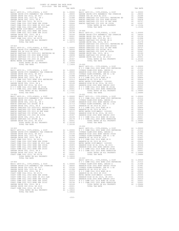| COUNTY OF ORANGE TAX RATE BOOK<br>2019-2020 TRA TAX RATES |         |            |  |
|-----------------------------------------------------------|---------|------------|--|
|                                                           |         |            |  |
|                                                           |         |            |  |
|                                                           |         |            |  |
|                                                           |         |            |  |
|                                                           |         |            |  |
|                                                           |         |            |  |
|                                                           |         |            |  |
|                                                           |         |            |  |
|                                                           |         |            |  |
|                                                           |         |            |  |
|                                                           |         |            |  |
|                                                           |         |            |  |
|                                                           |         |            |  |
|                                                           |         |            |  |
|                                                           |         |            |  |
|                                                           |         |            |  |
|                                                           |         |            |  |
|                                                           |         |            |  |
|                                                           |         |            |  |
|                                                           |         |            |  |
|                                                           |         |            |  |
|                                                           |         |            |  |
|                                                           |         |            |  |
|                                                           |         |            |  |
|                                                           |         |            |  |
|                                                           |         |            |  |
|                                                           |         |            |  |
|                                                           |         |            |  |
|                                                           |         |            |  |
|                                                           |         |            |  |
|                                                           |         |            |  |
|                                                           |         |            |  |
|                                                           |         |            |  |
|                                                           |         |            |  |
|                                                           |         |            |  |
|                                                           |         |            |  |
|                                                           |         |            |  |
|                                                           |         |            |  |
|                                                           |         |            |  |
|                                                           |         |            |  |
|                                                           |         |            |  |
|                                                           |         |            |  |
|                                                           |         |            |  |
|                                                           |         |            |  |
|                                                           |         |            |  |
|                                                           |         |            |  |
|                                                           |         |            |  |
|                                                           |         |            |  |
| TOTAL TAX RATE                                            | 1.20100 |            |  |
|                                                           |         | $19 - 002$ |  |
|                                                           |         |            |  |
|                                                           |         |            |  |
|                                                           |         |            |  |
|                                                           |         |            |  |
|                                                           |         |            |  |
|                                                           |         |            |  |
|                                                           |         |            |  |
|                                                           |         |            |  |
|                                                           |         |            |  |
|                                                           |         |            |  |
|                                                           |         |            |  |
|                                                           |         |            |  |
|                                                           |         |            |  |
|                                                           |         |            |  |
|                                                           |         |            |  |
|                                                           |         |            |  |
|                                                           |         |            |  |
|                                                           |         |            |  |
|                                                           |         |            |  |
|                                                           |         |            |  |
|                                                           |         |            |  |
|                                                           |         |            |  |
|                                                           |         |            |  |
|                                                           |         |            |  |
|                                                           |         |            |  |
|                                                           |         |            |  |
|                                                           |         |            |  |

-210-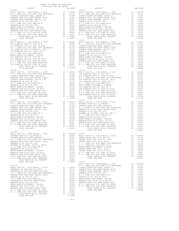| COUNTY OF ORANGE TAX RATE BOOK<br>2019-2020 TRA TAX RATES                                                                                                                                                                                                                                                                                                                                                                    |  |            |  |
|------------------------------------------------------------------------------------------------------------------------------------------------------------------------------------------------------------------------------------------------------------------------------------------------------------------------------------------------------------------------------------------------------------------------------|--|------------|--|
|                                                                                                                                                                                                                                                                                                                                                                                                                              |  |            |  |
|                                                                                                                                                                                                                                                                                                                                                                                                                              |  |            |  |
|                                                                                                                                                                                                                                                                                                                                                                                                                              |  |            |  |
|                                                                                                                                                                                                                                                                                                                                                                                                                              |  |            |  |
|                                                                                                                                                                                                                                                                                                                                                                                                                              |  |            |  |
|                                                                                                                                                                                                                                                                                                                                                                                                                              |  |            |  |
|                                                                                                                                                                                                                                                                                                                                                                                                                              |  |            |  |
|                                                                                                                                                                                                                                                                                                                                                                                                                              |  |            |  |
|                                                                                                                                                                                                                                                                                                                                                                                                                              |  |            |  |
|                                                                                                                                                                                                                                                                                                                                                                                                                              |  |            |  |
|                                                                                                                                                                                                                                                                                                                                                                                                                              |  |            |  |
|                                                                                                                                                                                                                                                                                                                                                                                                                              |  |            |  |
|                                                                                                                                                                                                                                                                                                                                                                                                                              |  |            |  |
|                                                                                                                                                                                                                                                                                                                                                                                                                              |  |            |  |
|                                                                                                                                                                                                                                                                                                                                                                                                                              |  |            |  |
|                                                                                                                                                                                                                                                                                                                                                                                                                              |  |            |  |
|                                                                                                                                                                                                                                                                                                                                                                                                                              |  |            |  |
| $19 - 007$                                                                                                                                                                                                                                                                                                                                                                                                                   |  | $19 - 013$ |  |
|                                                                                                                                                                                                                                                                                                                                                                                                                              |  |            |  |
|                                                                                                                                                                                                                                                                                                                                                                                                                              |  |            |  |
|                                                                                                                                                                                                                                                                                                                                                                                                                              |  |            |  |
|                                                                                                                                                                                                                                                                                                                                                                                                                              |  |            |  |
|                                                                                                                                                                                                                                                                                                                                                                                                                              |  |            |  |
|                                                                                                                                                                                                                                                                                                                                                                                                                              |  |            |  |
|                                                                                                                                                                                                                                                                                                                                                                                                                              |  |            |  |
|                                                                                                                                                                                                                                                                                                                                                                                                                              |  |            |  |
| $19 - 008$                                                                                                                                                                                                                                                                                                                                                                                                                   |  | $19 - 014$ |  |
| $\begin{tabular}{l cccc} \multicolumn{4}{c}{19-008}\\ \hline 19-008\\ \hline 19-008\\ \hline \multicolumn{4}{c}{19-008}\\ \hline \multicolumn{4}{c}{19-008}\\ \hline \multicolumn{4}{c}{19-008}\\ \hline \multicolumn{4}{c}{19-008}\\ \hline \multicolumn{4}{c}{19-008}\\ \hline \multicolumn{4}{c}{19-008}\\ \hline \multicolumn{4}{c}{19-008}\\ \hline \multicolumn{4}{c}{19-008}\\ \hline \multicolumn{4}{c}{19-008}\\ \$ |  |            |  |
|                                                                                                                                                                                                                                                                                                                                                                                                                              |  |            |  |
|                                                                                                                                                                                                                                                                                                                                                                                                                              |  |            |  |
|                                                                                                                                                                                                                                                                                                                                                                                                                              |  |            |  |
|                                                                                                                                                                                                                                                                                                                                                                                                                              |  |            |  |
|                                                                                                                                                                                                                                                                                                                                                                                                                              |  |            |  |
|                                                                                                                                                                                                                                                                                                                                                                                                                              |  |            |  |
|                                                                                                                                                                                                                                                                                                                                                                                                                              |  |            |  |
|                                                                                                                                                                                                                                                                                                                                                                                                                              |  |            |  |
| $19 - 009$<br>BASIC LEVY-CO., CITY, SCHOOL, & DIST A1 1.00000 19-015                                                                                                                                                                                                                                                                                                                                                         |  |            |  |
|                                                                                                                                                                                                                                                                                                                                                                                                                              |  |            |  |
|                                                                                                                                                                                                                                                                                                                                                                                                                              |  |            |  |
|                                                                                                                                                                                                                                                                                                                                                                                                                              |  |            |  |
|                                                                                                                                                                                                                                                                                                                                                                                                                              |  |            |  |
|                                                                                                                                                                                                                                                                                                                                                                                                                              |  |            |  |
|                                                                                                                                                                                                                                                                                                                                                                                                                              |  |            |  |
|                                                                                                                                                                                                                                                                                                                                                                                                                              |  |            |  |
|                                                                                                                                                                                                                                                                                                                                                                                                                              |  |            |  |
|                                                                                                                                                                                                                                                                                                                                                                                                                              |  |            |  |
|                                                                                                                                                                                                                                                                                                                                                                                                                              |  |            |  |
|                                                                                                                                                                                                                                                                                                                                                                                                                              |  |            |  |
|                                                                                                                                                                                                                                                                                                                                                                                                                              |  |            |  |
|                                                                                                                                                                                                                                                                                                                                                                                                                              |  |            |  |
|                                                                                                                                                                                                                                                                                                                                                                                                                              |  |            |  |
|                                                                                                                                                                                                                                                                                                                                                                                                                              |  |            |  |
|                                                                                                                                                                                                                                                                                                                                                                                                                              |  |            |  |
|                                                                                                                                                                                                                                                                                                                                                                                                                              |  |            |  |
|                                                                                                                                                                                                                                                                                                                                                                                                                              |  |            |  |

-211-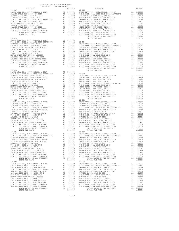| COUNTY OF ORANGE TAX RATE BOOK<br>2019-2020 TRA TAX RATES |  |                 |                                                                                                 |          |  |  |  |
|-----------------------------------------------------------|--|-----------------|-------------------------------------------------------------------------------------------------|----------|--|--|--|
| DISTRICT                                                  |  | TAX RATE 19-023 | DISTRICT                                                                                        | TAX RATE |  |  |  |
| $19 - 017$                                                |  |                 |                                                                                                 |          |  |  |  |
|                                                           |  |                 |                                                                                                 |          |  |  |  |
|                                                           |  |                 |                                                                                                 |          |  |  |  |
|                                                           |  |                 |                                                                                                 |          |  |  |  |
|                                                           |  |                 |                                                                                                 |          |  |  |  |
|                                                           |  |                 |                                                                                                 |          |  |  |  |
|                                                           |  |                 |                                                                                                 |          |  |  |  |
|                                                           |  |                 |                                                                                                 |          |  |  |  |
|                                                           |  |                 |                                                                                                 |          |  |  |  |
|                                                           |  |                 |                                                                                                 |          |  |  |  |
|                                                           |  |                 |                                                                                                 |          |  |  |  |
|                                                           |  |                 |                                                                                                 |          |  |  |  |
|                                                           |  |                 | BASIC LEVY-CO., CITY, SCHOOL, & DIST A1 1.00000 BASIC LEVY-CO., CITY, SCHOOL, & DIST A1 1.00000 |          |  |  |  |
|                                                           |  |                 |                                                                                                 |          |  |  |  |
|                                                           |  |                 |                                                                                                 |          |  |  |  |
|                                                           |  |                 |                                                                                                 |          |  |  |  |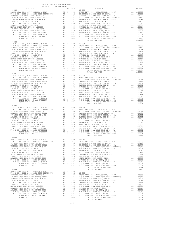| COUNTY OF ORANGE TAX RATE BOOK<br>2019-2020 TRA TAX RATES                                                                                                                                                                                                             |                |         |
|-----------------------------------------------------------------------------------------------------------------------------------------------------------------------------------------------------------------------------------------------------------------------|----------------|---------|
|                                                                                                                                                                                                                                                                       |                |         |
| $19 - 030$                                                                                                                                                                                                                                                            |                |         |
|                                                                                                                                                                                                                                                                       |                |         |
|                                                                                                                                                                                                                                                                       |                |         |
| $\begin{tabular}{l c c c c} \hline 19-032 & 19-039 & 19-039 & 19-039 & 19-039 & 19-039 & 19-039 & 10-030 & 19-039 & 10-030 & 19-039 & 10-030 & 19-039 & 10-030 & 19-039 & 10-030 & 10-030 & 10-030 & 10-030 & 10-030 & 10-030 & 10-030 & 10-030 & 10-030 & 10-030 & $ | TOTAL TAX RATE | 1.09684 |
|                                                                                                                                                                                                                                                                       |                |         |
|                                                                                                                                                                                                                                                                       |                |         |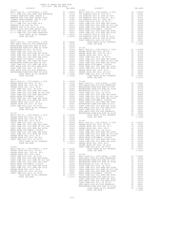| COUNTY OF ORANGE TAX RATE BOOK<br>2019-2020 TRA TAX RATES |                                                               |          |          |
|-----------------------------------------------------------|---------------------------------------------------------------|----------|----------|
| DISTRICT                                                  | $\begin{tabular}{ll} TAX RATE & \\ & 20-004 \\ \end{tabular}$ | DISTRICT | TAX RATE |
| $19 - 902$                                                |                                                               |          |          |
|                                                           |                                                               |          |          |
|                                                           |                                                               |          |          |
| $20 - 001$                                                |                                                               |          |          |
|                                                           |                                                               |          |          |
|                                                           |                                                               |          |          |

TOTAL TAX RATE 1.10496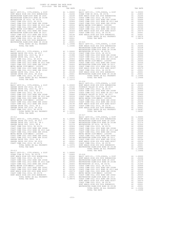| $20 - 009$<br>WESTMINSTER SD 2016, SR 2017A<br>COAST COMM COLL 2012, SR 2017D<br>COAST COMM COLL 2002 BOND SER 2006B<br>COAST COMM COLL 2012 BOND SR 2013 A&B<br>COAST COMM COLL 2002 BOND SER 2003A<br>METRO WATER DIST-MWDOC- 1205999<br>WESTMINSTER ELEM-2008 BOND SR 2013<br>COAST COMM COLL 2012 BOND SER 2016C<br>HUNT BEACH HIGH SCH 2004 BOND#2005<br>WESTMINSTER ELEM-2008 BOND SR 2013B<br>TOTAL RATES ON ALL PROPERTY<br>TOTAL TAX RATE                                                                                                                                                                          | A1                                                                          | .01000<br>$\begin{array}{ll} \text{A1} & 01000 \\ \text{A1} & 00906 \\ \text{A1} & 00666 \\ \text{A1} & 00554 \\ \text{A1} & 00350 \\ \text{A1} & 00320 \\ \text{A1} & 00320 \\ \text{A1} & 00020 \\ \text{A1} & 00194 \\ \text{A1} & 00001 \\ \text{A1} & 000001 \\ \end{array}$<br>A1 .00001<br>A1 .00001<br>A1 1.10496<br>1.10496 |
|-----------------------------------------------------------------------------------------------------------------------------------------------------------------------------------------------------------------------------------------------------------------------------------------------------------------------------------------------------------------------------------------------------------------------------------------------------------------------------------------------------------------------------------------------------------------------------------------------------------------------------|-----------------------------------------------------------------------------|--------------------------------------------------------------------------------------------------------------------------------------------------------------------------------------------------------------------------------------------------------------------------------------------------------------------------------------|
| $20 - 010$<br>BASIC LEVY-CO., CITY, SCHOOL, & DIST<br>GARDEN GROVE USD 2016, SR 2017<br>GARDEN GROVE USD, 2010 EL, SR C<br>GARDEN GROVE USD, 2010, SR B<br>COAST COMM COLL 2012, SR 2017D<br>COAST COMM COLL 2002 BOND SER 2006B<br>COAST COMM COLL 2002 BOND SER 2006B<br>COAST COMM COLL 2002 BOND SER 2003A<br>COAST COMM COLL 2002 BOND SER 2003A<br>METRO WATER DIST-MWDOC- 1205999<br>COAST COMM COLL 2002 BOND SER 2006C<br>COAST COMM COLL 2012 BOND SER 2016C<br>GARDEN GROVE USD, 2010, SR A<br>GARDEN GROVE USD 2016, SR 2019<br>COAST COMM COLL 2012, SR 2017E<br>TOTAL RATES ON ALL PROPERTY<br>TOTAL TAX RATE | A1                                                                          | A1 1.00000<br>A1 .03156<br>A1 .01598<br>A1 .01578<br>A1 .00666<br>A1 .00656<br>A1 .006554<br>A1 .00350<br>A1 .00350<br>A1 .00350<br>A1 .00350<br>A1 .00350<br>A1 .00350<br>A1 .00350<br>.00189<br>A1 .00001<br>A1 .00001<br>A1 1.10372<br>1.10372                                                                                    |
| $20 - 011$<br>BASIC LEVY-CO., CITY, SCHOOL, & DIST<br>GARDEN GROVE USD 2016, SR 2017<br>GARDEN GROVE USD, 2010 EL, SR C<br>GARDEN GROVE USD, 2010, SR B<br>COAST COMM COLL 2012, SR 2017D<br>COAST COMM COLL 2002 BOND SR 2016<br>COAST COMM COLL 2002 BOND SR 2013 A&B<br>COAST COMM COLL 2002 BOND SER 2003A<br>COAST COMM COLL 2002 BOND SER 2003A<br>METRO WATER DIST-MWDOC- 1205999<br>COAST COMM COLL 2002 BOND SER 2006C<br>COAST COMM COLL 2012 BOND SER 2016C<br>GARDEN GROVE USD, 2010, SR A<br>GARDEN GROVE USD 2016, SR 2019<br>COAST COMM COLL 2012, SR 2017E<br>TOTAL RATES ON ALL PROPERTY<br>TOTAL TAX RATE | A1<br>$\begin{array}{c}\n 11 \\  \hline\n 11 \\  \hline\n 11\n \end{array}$ | A1 1.00000<br>A1 .03156<br>A1 0101<br>A1 .03156<br>A1 .01598<br>A1 .00906<br>A1 .00666<br>A1 .00554<br>A1 .00455<br>.00350<br>.00324<br>.00194<br>.00189<br>A1 .00001<br>A1 .00001<br>A1 1.10372<br>1.10372                                                                                                                          |
| $20 - 012$<br>BASIC LEVY-CO., CITY, SCHOOL, & DIST<br>COAST COMM COLL 2012, SR 2017E<br>TOTAL RATES ON ALL PROPERTY<br>TOTAL TAX RATE                                                                                                                                                                                                                                                                                                                                                                                                                                                                                       | A1                                                                          | A1 1.00000<br>.00001<br>.00001<br>A1 1.10372<br>1.10372                                                                                                                                                                                                                                                                              |
| $20 - 013$<br>BASIC LEVY-CO., CITY, SCHOOL, & DIST<br>OCEAN VIEW SD 2016, SR 2017A<br>HUNT BEACH HIGH SCH 2004 BOND#2004A<br>COAST COMM COLL 2012, SR 2017D<br>COAST COMM COLL 2002 BOND SER 2006B<br>COAST COMM COLL 2012 BOND SR 2013 A&B<br>COAST COMM COLL 2002 BOND SER 2003A<br>METRO WATER DIST-MWDOC- 1205999<br>COAST COMM COLL 2002 BOND SER 2006C<br>COAST COMM COLL 2012 BOND SER 2016C<br>HUNT BEACH HIGH SCH 2004 BOND #2007<br>COAST COMM COLL 2012, SR 2017E                                                                                                                                                | A1<br>A1<br>A1<br>A1<br>A1<br>A1<br>A1<br>A1<br>A1<br>A1<br>A1              | A1 1.00000<br>.02800<br>.02246<br>.00906<br>.00666<br>.00554<br>.00455<br>.00350<br>.00324<br>.00194<br>.00079<br>.00001                                                                                                                                                                                                             |

 DISTRICT TAX RATE DISTRICT TAX RATE 20-009 20-014 BASIC LEVY-CO., CITY,SCHOOL, & DIST A1 1.00000 BASIC LEVY-CO., CITY,SCHOOL, & DIST A1 1.00000 HUNT BEACH HIGH SCH 2004 BOND#2004A A1 .02246 OCEAN VIEW SD 2016, SR 2017A A1 .02800 WESTMINSTER ELEM-2008 BOND SR 2009 A1 .02238 HUNT BEACH HIGH SCH 2004 BOND#2004A A1 .02246 WESTMINSTER ELEM-2016 BOND SR 2018B A1 .01274 COAST COMM COLL 2012, SR 2017D A1 .00906 WESTMINSTER SD 2016, SR 2017A A1 .01000 COAST COMM COLL 2002 BOND SER 2006B A1 .00666 COAST COMM COLL 2012, SR 2017D A1 .00906 COAST COMM COLL 2012 BOND SR 2013 A&B A1 .00554 COAST COMM COLL 2002 BOND SER 2006B A1 .00666 COAST COMM COLL 2002 BOND SER 2003A A1 .00455 COAST COMM COLL 2012 BOND SR 2013 A&B A1 .00554 METRO WATER DIST-MWDOC- 1205999 A1 .00350 COAST COMM COLL 2002 BOND SER 2003A A1 .00455 COAST COMM COLL 2002 BOND SER 2006C A1 .00324 METRO WATER DIST-MWDOC- 1205999 A1 .00350 COAST COMM COLL 2012 BOND SER 2016C A1 .00194 COAST COMM COLL 2002 BOND SER 2006C A1 .00324 HUNT BEACH HIGH SCH 2004 BOND #2007 A1 .00079 WESTMINSTER ELEM-2008 BOND SR 2013 A1 .00207 COAST COMM COLL 2012, SR 2017E A1 .00001 COAST COMM COLL 2012 BOND SER 2016C A1 .00194 HUNT BEACH HIGH SCH 2004 BOND#2005 A1 .00001 HUNT BEACH HIGH SCH 2004 BOND #2007 A1 .00079 TOTAL RATES ON ALL PROPERTY A1 1.08576 COAST COMM COLL 2012, SR 2017E A1 .00001 TOTAL TAX RATE 1.08576 WESTMINSTER ELEM-2008 BOND SR 2013B A1 .00001 20-015 TOTAL RATES ON ALL PROPERTY A1 1.10496 BASIC LEVY-CO., CITY,SCHOOL, & DIST A1 1.00000 TOTAL TAX RATE 1.10496 HUNT BEACH HIGH SCH 2004 BOND#2004A A1 .02246 WESTMINSTER ELEM-2008 BOND SR 2009 A1 .02238 20-010 WESTMINSTER ELEM-2016 BOND SR 2018B A1 .01274 BASIC LEVY-CO., CITY,SCHOOL, & DIST A1 1.00000 WESTMINSTER SD 2016, SR 2017A A1 .01000 GARDEN GROVE USD 2016, SR 2017 A1 .03156 COAST COMM COLL 2012, SR 2017D A1 .00906 GARDEN GROVE USD, 2010 EL, SR C A1 .01998 COAST COMM COLL 2002 BOND SER 2006B A1 .00666 GARDEN GROVE USD, 2010, SR B A1 .01578 COAST COMM COLL 2012 BOND SR 2013 A&B A1 .00554 COAST COMM COLL 2012, SR 2017D A1 .00906 COAST COMM COLL 2002 BOND SER 2003A A1 .00455 COAST COMM COLL 2002 BOND SER 2006B A1 .00666 METRO WATER DIST-MWDOC- 1205999 A1 .00350 COAST COMM COLL 2012 BOND SR 2013 A&B A1 .00554 COAST COMM COLL 2002 BOND SER 2006C A1 .00324 COAST COMM COLL 2002 BOND SER 2003A A1 .00455 WESTMINSTER ELEM-2008 BOND SR 2013 A1 .00207 METRO WATER DIST-MWDOC- 1205999 A1 .00350 COAST COMM COLL 2012 BOND SER 2016C A1 .00194 COAST COMM COLL 2002 BOND SER 2006C A1 .00324 HUNT BEACH HIGH SCH 2004 BOND #2007 A1 .00079 COAST COMM COLL 2012 BOND SER 2016C A1 .00194 COAST COMM COLL 2012, SR 2017E A1 .00001 GARDEN GROVE USD, 2010, SR A A1 .00189 HUNT BEACH HIGH SCH 2004 BOND#2005 A1 .00001 GARDEN GROVE USD 2016, SR 2019 A1 .00001 WESTMINSTER ELEM-2008 BOND SR 2013B A1 .00001 COAST COMM COLL 2012, SR 2017E A1 .00001 TOTAL RATES ON ALL PROPERTY A1 1.10496 TOTAL RATES ON ALL PROPERTY A1 1.10372 TOTAL TAX RATE 1.10496 20-016 20-011 BASIC LEVY-CO., CITY,SCHOOL, & DIST A1 1.00000 BASIC LEVY-CO., CITY,SCHOOL, & DIST A1 1.00000 HUNT BEACH HIGH SCH 2004 BOND#2004A A1 .02246 GARDEN GROVE USD 2016, SR 2017 A1 .03156 FOUNTAIN VALLEY SD 2016, SR 2019 A1 .02151 GARDEN GROVE USD, 2010 EL, SR C A1 .01998 COAST COMM COLL 2012, SR 2017D A1 .00906 GARDEN GROVE USD, 2010, SR B A1 .01578 COAST COMM COLL 2002 BOND SER 2006B A1 .00666 COAST COMM COLL 2012, SR 2017D A1 .00906 COAST COMM COLL 2012 BOND SR 2013 A&B A1 .00554 COAST COMM COLL 2002 BOND SER 2006B A1 .00666 FOUNTAIN VALLEY SD 2016, SR 2017 A1 .00460 COAST COMM COLL 2012 BOND SR 2013 A&B A1 .00554 COAST COMM COLL 2002 BOND SER 2003A A1 .00455 COAST COMM COLL 2002 BOND SER 2003A A1 .00455 METRO WATER DIST-MWDOC- 1205999 A1 .00350 METRO WATER DIST-MWDOC- 1205999 A1 .00350 COAST COMM COLL 2002 BOND SER 2006C A1 .00324 COAST COMM COLL 2002 BOND SER 2006C A1 .00324 COAST COMM COLL 2012 BOND SER 2016C A1 .00194 COAST COMM COLL 2012 BOND SER 2016C A1 .00194 HUNT BEACH HIGH SCH 2004 BOND #2007 A1 .00079 GARDEN GROVE USD, 2010, SR A A1 .00189 COAST COMM COLL 2012, SR 2017E A1 .00001 GARDEN GROVE USD 2016, SR 2019 A1 .00001 HUNT BEACH HIGH SCH 2004 BOND#2005 A1 .00001 COAST COMM COLL 2012, SR 2017E A1 .00001 TOTAL RATES ON ALL PROPERTY A1 1.08387 TOTAL RATES ON ALL PROPERTY A1 1.10372 TOTAL TAX RATE 1.08387 20-017 20-012 BASIC LEVY-CO., CITY,SCHOOL, & DIST A1 1.00000 BASIC LEVY-CO., CITY,SCHOOL, & DIST A1 1.00000 HUNT BEACH HIGH SCH 2004 BOND#2004A A1 .02246 GARDEN GROVE USD 2016, SR 2017 A1 .03156 WESTMINSTER ELEM-2008 BOND SR 2009 A1 .02238 GARDEN GROVE USD, 2010 EL, SR C A1 .01998 WESTMINSTER ELEM-2016 BOND SR 2018B A1 .01274 GARDEN GROVE USD, 2010, SR B A1 .01578 WESTMINSTER SD 2016, SR 2017A A1 .01000 COAST COMM COLL 2012, SR 2017D A1 .00906 COAST COMM COLL 2012, SR 2017D A1 .00906 COAST COMM COLL 2002 BOND SER 2006B A1 .00666 COAST COMM COLL 2002 BOND SER 2006B A1 .00666 COAST COMM COLL 2012 BOND SR 2013 A&B A1 .00554 COAST COMM COLL 2012 BOND SR 2013 A&B A1 .00554 COAST COMM COLL 2002 BOND SER 2003A A1 .00455 COAST COMM COLL 2002 BOND SER 2003A A1 .00455 METRO WATER DIST-MWDOC- 1205999 A1 .00350 METRO WATER DIST-MWDOC- 1205999 A1 .00350 COAST COMM COLL 2002 BOND SER 2006C A1 .00324 COAST COMM COLL 2002 BOND SER 2006C A1 .00324 COAST COMM COLL 2012 BOND SER 2016C A1 .00194 WESTMINSTER ELEM-2008 BOND SR 2013 A1 .00207 GARDEN GROVE USD, 2010, SR A A1 .00189 COAST COMM COLL 2012 BOND SER 2016C A1 .00194 GARDEN GROVE USD 2016, SR 2019 A1 .00001 HUNT BEACH HIGH SCH 2004 BOND #2007 A1 .00079 COAST COMM COLL 2012, SR 2017E A1 .00001 COAST COMM COLL 2012, SR 2017E A1 .00001 TOTAL RATES ON ALL PROPERTY A1 1.10372 HUNT BEACH HIGH SCH 2004 BOND#2005 A1 .00001 TOTAL TAX RATE 1.10372 WESTMINSTER ELEM-2008 BOND SR 2013B A1 .00001 TOTAL RATES ON ALL PROPERTY A1 1.10496 20-013 TOTAL TAX RATE 1.10496  $\begin{array}{ll} \text{A1} & 1.00000 \\ \text{A1} & .02800 \end{array}$ OCEAN VIEW SD 2016, SR 2017A A1 .02800 20-018 HUNT BEACH HIGH SCH 2004 BOND#2004A A1 .02246 BASIC LEVY-CO., CITY,SCHOOL, & DIST A1 1.00000 COAST COMM COLL 2012, SR 2017D A1 .00906 HUNT BEACH HIGH SCH 2004 BOND#2004A A1 .02246 COAST COMM COLL 2002 BOND SER 2006B A1 .00666 WESTMINSTER ELEM-2008 BOND SR 2009 A1 .02238 COAST COMM COLL 2012 BOND SR 2013 A&B A1 .00554 WESTMINSTER ELEM-2016 BOND SR 2018B A1 .01274 COAST COMM COLL 2002 BOND SER 2003A A1 .00455 WESTMINSTER SD 2016, SR 2017A A1 .01000 METRO WATER DIST-MWDOC- 1205999 A1 .00350 COAST COMM COLL 2012, SR 2017D A1 .00906 COAST COMM COLL 2002 BOND SER 2006C A1 .00324 COAST COMM COLL 2002 BOND SER 2006B A1 .00666 COAST COMM COLL 2012 BOND SER 2016C A1 .00194 COAST COMM COLL 2012 BOND SR 2013 A&B A1 .00554 HUNT BEACH HIGH SCH 2004 BOND #2007 A1 .00079 COAST COMM COLL 2002 BOND SER 2003A A1 .00455 COAST COMM COLL 2012, SR 2017E A1 .00001 METRO WATER DIST-MWDOC- 1205999 A1 .00350 HUNT BEACH HIGH SCH 2004 BOND#2005 A1 .00001 COAST COMM COLL 2002 BOND SER 2006C A1 .00324 TOTAL RATES ON ALL PROPERTY A1 1.08576 WESTMINSTER ELEM-2008 BOND SR 2013 A1 .00207 TOTAL TAX RATE 1.08576 COAST COMM COLL 2012 BOND SER 2016C A1 .00194 HUNT BEACH HIGH SCH 2004 BOND #2007 A1 .00079 COAST COMM COLL 2012, SR 2017E A1 .00001 HUNT BEACH HIGH SCH 2004 BOND#2005 A1 .00001 WESTMINSTER ELEM-2008 BOND SR 2013B A1 .00001 TOTAL RATES ON ALL PROPERTY A1 1.10496 TOTAL TAX RATE 1.10496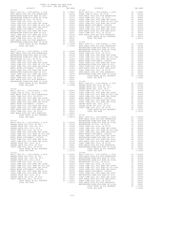| レエウエレエニエ                               |    | ina nais                                                                                                                                                                                                                       |                |
|----------------------------------------|----|--------------------------------------------------------------------------------------------------------------------------------------------------------------------------------------------------------------------------------|----------------|
| $20 - 019$                             |    |                                                                                                                                                                                                                                | $20 - 024$     |
|                                        |    |                                                                                                                                                                                                                                |                |
|                                        |    |                                                                                                                                                                                                                                |                |
|                                        |    |                                                                                                                                                                                                                                |                |
|                                        |    |                                                                                                                                                                                                                                |                |
|                                        |    |                                                                                                                                                                                                                                |                |
|                                        |    |                                                                                                                                                                                                                                |                |
|                                        |    |                                                                                                                                                                                                                                |                |
|                                        |    |                                                                                                                                                                                                                                |                |
|                                        |    |                                                                                                                                                                                                                                |                |
|                                        |    |                                                                                                                                                                                                                                |                |
|                                        |    |                                                                                                                                                                                                                                |                |
|                                        |    |                                                                                                                                                                                                                                |                |
|                                        |    |                                                                                                                                                                                                                                |                |
|                                        |    |                                                                                                                                                                                                                                |                |
|                                        |    |                                                                                                                                                                                                                                |                |
|                                        |    |                                                                                                                                                                                                                                |                |
|                                        |    |                                                                                                                                                                                                                                |                |
|                                        |    |                                                                                                                                                                                                                                |                |
|                                        |    |                                                                                                                                                                                                                                |                |
|                                        |    |                                                                                                                                                                                                                                |                |
|                                        |    |                                                                                                                                                                                                                                |                |
|                                        |    |                                                                                                                                                                                                                                |                |
|                                        |    |                                                                                                                                                                                                                                |                |
|                                        |    |                                                                                                                                                                                                                                | WESTMIN        |
| $20 - 020$                             |    |                                                                                                                                                                                                                                | WESTMIN        |
|                                        |    |                                                                                                                                                                                                                                |                |
|                                        |    |                                                                                                                                                                                                                                |                |
|                                        |    |                                                                                                                                                                                                                                |                |
|                                        |    |                                                                                                                                                                                                                                |                |
|                                        |    |                                                                                                                                                                                                                                |                |
|                                        |    |                                                                                                                                                                                                                                |                |
|                                        |    |                                                                                                                                                                                                                                |                |
|                                        |    |                                                                                                                                                                                                                                |                |
|                                        |    |                                                                                                                                                                                                                                |                |
|                                        |    |                                                                                                                                                                                                                                |                |
|                                        |    |                                                                                                                                                                                                                                |                |
|                                        |    |                                                                                                                                                                                                                                |                |
|                                        |    |                                                                                                                                                                                                                                |                |
|                                        |    |                                                                                                                                                                                                                                |                |
|                                        |    |                                                                                                                                                                                                                                |                |
|                                        |    |                                                                                                                                                                                                                                |                |
|                                        |    |                                                                                                                                                                                                                                |                |
|                                        |    |                                                                                                                                                                                                                                |                |
|                                        |    |                                                                                                                                                                                                                                |                |
|                                        |    |                                                                                                                                                                                                                                |                |
|                                        |    |                                                                                                                                                                                                                                |                |
|                                        |    |                                                                                                                                                                                                                                |                |
|                                        |    |                                                                                                                                                                                                                                |                |
|                                        |    | $\begin{tabular}{ll} 1.10496 & \texttt{BASIC L}\\ 1.10496 & \texttt{GARDEN} \end{tabular}$                                                                                                                                     |                |
|                                        |    |                                                                                                                                                                                                                                | GARDEN         |
| $20 - 021$                             |    |                                                                                                                                                                                                                                | GARDEN         |
|                                        |    |                                                                                                                                                                                                                                |                |
|                                        |    |                                                                                                                                                                                                                                |                |
|                                        |    |                                                                                                                                                                                                                                |                |
|                                        |    |                                                                                                                                                                                                                                |                |
|                                        |    |                                                                                                                                                                                                                                |                |
|                                        |    |                                                                                                                                                                                                                                |                |
|                                        |    |                                                                                                                                                                                                                                |                |
|                                        |    |                                                                                                                                                                                                                                |                |
|                                        |    |                                                                                                                                                                                                                                |                |
|                                        |    |                                                                                                                                                                                                                                |                |
|                                        |    |                                                                                                                                                                                                                                |                |
|                                        |    |                                                                                                                                                                                                                                |                |
|                                        |    |                                                                                                                                                                                                                                |                |
|                                        |    |                                                                                                                                                                                                                                |                |
|                                        |    |                                                                                                                                                                                                                                |                |
|                                        |    |                                                                                                                                                                                                                                |                |
|                                        |    |                                                                                                                                                                                                                                |                |
|                                        |    | $\begin{array}{ccc} 1.08576 & \quad 20\text{--}027 \\ 1.08576 & \quad \text{BASIC L} \end{array}$                                                                                                                              |                |
| TOTAL TAX RATE                         |    |                                                                                                                                                                                                                                |                |
|                                        |    |                                                                                                                                                                                                                                | HUNT BE        |
| $20 - 022$                             |    |                                                                                                                                                                                                                                | WESTMIN        |
|                                        |    |                                                                                                                                                                                                                                |                |
|                                        |    |                                                                                                                                                                                                                                |                |
|                                        |    |                                                                                                                                                                                                                                |                |
|                                        |    |                                                                                                                                                                                                                                |                |
|                                        |    |                                                                                                                                                                                                                                |                |
|                                        |    |                                                                                                                                                                                                                                |                |
|                                        |    |                                                                                                                                                                                                                                |                |
|                                        |    |                                                                                                                                                                                                                                |                |
|                                        |    |                                                                                                                                                                                                                                |                |
|                                        |    |                                                                                                                                                                                                                                |                |
|                                        |    |                                                                                                                                                                                                                                |                |
| COAST COMM COLL 2002 BOND SER 2006C A1 |    |                                                                                                                                                                                                                                |                |
|                                        |    |                                                                                                                                                                                                                                | .00324 COAST C |
| COAST COMM COLL 2012 BOND SER 2016C    | A1 | .00194                                                                                                                                                                                                                         | HUNT BE        |
| GARDEN GROVE USD, 2010, SR A           | A1 |                                                                                                                                                                                                                                |                |
| GARDEN GROVE USD 2016, SR 2019         | A1 | .00189 COAST C<br>.00001 HUNT BE<br>.00001 --                                                                                                                                                                                  |                |
|                                        | A1 |                                                                                                                                                                                                                                | WESTMIN        |
| COAST COMM COLL 2012, SR 2017E         |    | .00001                                                                                                                                                                                                                         |                |
| TOTAL RATES ON ALL PROPERTY            |    | A1 1.10372                                                                                                                                                                                                                     |                |
| TOTAL TAX RATE                         |    | 1.10372                                                                                                                                                                                                                        |                |
| $20 - 023$                             |    |                                                                                                                                                                                                                                | $20 - 028$     |
|                                        | A1 | 1.00000                                                                                                                                                                                                                        |                |
| BASIC LEVY-CO., CITY, SCHOOL, & DIST   |    |                                                                                                                                                                                                                                | BASIC L        |
| GARDEN GROVE USD 2016, SR 2017         | A1 | .03156                                                                                                                                                                                                                         | HUNT BE        |
| GARDEN GROVE USD, 2010 EL, SR C        | A1 | .01998                                                                                                                                                                                                                         | WESTMIN        |
| GARDEN GROVE USD, 2010, SR B           | A1 | .01578                                                                                                                                                                                                                         | WESTMIN        |
| COAST COMM COLL 2012, SR 2017D         | A1 | .00906                                                                                                                                                                                                                         | WESTMIN        |
|                                        |    |                                                                                                                                                                                                                                |                |
| COAST COMM COLL 2002 BOND SER 2006B    | A1 | .00666                                                                                                                                                                                                                         | COAST C        |
| COAST COMM COLL 2012 BOND SR 2013 A&B  | A1 | .00554                                                                                                                                                                                                                         | COAST C        |
| COAST COMM COLL 2002 BOND SER 2003A    |    |                                                                                                                                                                                                                                |                |
| METRO WATER DIST-MWDOC- 1205999        |    |                                                                                                                                                                                                                                |                |
|                                        |    |                                                                                                                                                                                                                                |                |
| COAST COMM COLL 2002 BOND SER 2006C    |    |                                                                                                                                                                                                                                |                |
| COAST COMM COLL 2012 BOND SER 2016C    |    |                                                                                                                                                                                                                                |                |
| GARDEN GROVE USD, 2010, SR A           |    |                                                                                                                                                                                                                                |                |
| GARDEN GROVE USD 2016, SR 2019         |    |                                                                                                                                                                                                                                |                |
|                                        |    | A1 .00359 COAST COAST COAST COAST COAST COAST COAST COAST COAST COAST COAST COAST COAST COAST COAST COAST COAST COAST COAST COAST COAST COAST COAST COAST COAST COAST COAST COAST COAST COAST COAST COAST COAST COAST COAST CO |                |
| COAST COMM COLL 2012, SR 2017E         |    | 11 100001 1011 11                                                                                                                                                                                                              |                |
| TOTAL RATES ON ALL PROPERTY            |    |                                                                                                                                                                                                                                |                |

| DISTRICT   | AVIS AVAV TIMA IAA IMILIU | TAX RATE | $20 - 024$<br>DISTRICT                                                                                                                                                                                                                                                                                                                                                                          | TAX RATE |
|------------|---------------------------|----------|-------------------------------------------------------------------------------------------------------------------------------------------------------------------------------------------------------------------------------------------------------------------------------------------------------------------------------------------------------------------------------------------------|----------|
| $20 - 019$ |                           |          |                                                                                                                                                                                                                                                                                                                                                                                                 |          |
|            |                           |          |                                                                                                                                                                                                                                                                                                                                                                                                 |          |
|            |                           |          |                                                                                                                                                                                                                                                                                                                                                                                                 |          |
|            |                           |          |                                                                                                                                                                                                                                                                                                                                                                                                 |          |
|            |                           |          |                                                                                                                                                                                                                                                                                                                                                                                                 |          |
|            |                           |          |                                                                                                                                                                                                                                                                                                                                                                                                 |          |
|            |                           |          |                                                                                                                                                                                                                                                                                                                                                                                                 |          |
|            |                           |          |                                                                                                                                                                                                                                                                                                                                                                                                 |          |
|            |                           |          |                                                                                                                                                                                                                                                                                                                                                                                                 |          |
|            |                           |          |                                                                                                                                                                                                                                                                                                                                                                                                 |          |
|            |                           |          |                                                                                                                                                                                                                                                                                                                                                                                                 |          |
|            |                           |          |                                                                                                                                                                                                                                                                                                                                                                                                 |          |
|            |                           |          |                                                                                                                                                                                                                                                                                                                                                                                                 |          |
|            |                           |          |                                                                                                                                                                                                                                                                                                                                                                                                 |          |
|            |                           |          |                                                                                                                                                                                                                                                                                                                                                                                                 |          |
|            |                           |          |                                                                                                                                                                                                                                                                                                                                                                                                 |          |
|            |                           |          |                                                                                                                                                                                                                                                                                                                                                                                                 |          |
|            |                           |          |                                                                                                                                                                                                                                                                                                                                                                                                 |          |
|            |                           |          |                                                                                                                                                                                                                                                                                                                                                                                                 |          |
|            |                           |          |                                                                                                                                                                                                                                                                                                                                                                                                 |          |
|            |                           |          |                                                                                                                                                                                                                                                                                                                                                                                                 |          |
|            |                           |          |                                                                                                                                                                                                                                                                                                                                                                                                 |          |
|            |                           |          |                                                                                                                                                                                                                                                                                                                                                                                                 |          |
|            |                           |          |                                                                                                                                                                                                                                                                                                                                                                                                 |          |
|            |                           |          |                                                                                                                                                                                                                                                                                                                                                                                                 |          |
|            |                           |          |                                                                                                                                                                                                                                                                                                                                                                                                 |          |
|            |                           |          |                                                                                                                                                                                                                                                                                                                                                                                                 |          |
|            |                           |          |                                                                                                                                                                                                                                                                                                                                                                                                 |          |
|            |                           |          |                                                                                                                                                                                                                                                                                                                                                                                                 |          |
|            |                           |          |                                                                                                                                                                                                                                                                                                                                                                                                 |          |
|            |                           |          |                                                                                                                                                                                                                                                                                                                                                                                                 |          |
|            |                           |          |                                                                                                                                                                                                                                                                                                                                                                                                 |          |
|            |                           |          |                                                                                                                                                                                                                                                                                                                                                                                                 |          |
|            |                           |          |                                                                                                                                                                                                                                                                                                                                                                                                 |          |
|            |                           |          |                                                                                                                                                                                                                                                                                                                                                                                                 |          |
|            |                           |          |                                                                                                                                                                                                                                                                                                                                                                                                 |          |
|            |                           |          |                                                                                                                                                                                                                                                                                                                                                                                                 |          |
|            |                           |          |                                                                                                                                                                                                                                                                                                                                                                                                 |          |
|            |                           |          |                                                                                                                                                                                                                                                                                                                                                                                                 |          |
|            |                           |          |                                                                                                                                                                                                                                                                                                                                                                                                 |          |
|            |                           |          |                                                                                                                                                                                                                                                                                                                                                                                                 |          |
|            |                           |          |                                                                                                                                                                                                                                                                                                                                                                                                 |          |
|            |                           |          |                                                                                                                                                                                                                                                                                                                                                                                                 |          |
|            |                           |          |                                                                                                                                                                                                                                                                                                                                                                                                 |          |
|            |                           |          |                                                                                                                                                                                                                                                                                                                                                                                                 |          |
|            |                           |          |                                                                                                                                                                                                                                                                                                                                                                                                 |          |
|            |                           |          |                                                                                                                                                                                                                                                                                                                                                                                                 |          |
|            |                           |          |                                                                                                                                                                                                                                                                                                                                                                                                 |          |
|            |                           |          |                                                                                                                                                                                                                                                                                                                                                                                                 |          |
|            |                           |          |                                                                                                                                                                                                                                                                                                                                                                                                 |          |
|            |                           |          |                                                                                                                                                                                                                                                                                                                                                                                                 |          |
|            |                           |          |                                                                                                                                                                                                                                                                                                                                                                                                 |          |
|            |                           |          |                                                                                                                                                                                                                                                                                                                                                                                                 |          |
|            |                           |          |                                                                                                                                                                                                                                                                                                                                                                                                 |          |
|            |                           |          |                                                                                                                                                                                                                                                                                                                                                                                                 |          |
|            |                           |          |                                                                                                                                                                                                                                                                                                                                                                                                 |          |
|            |                           |          | $\begin{tabular}{l c c c c c} \multicolumn{1}{c}{\textbf{MTEN CML 2002 BOND SER 2003A} & \multicolumn{1}{c}{A1} & .00455 & \multicolumn{1}{c}{\textbf{METRO} MCOL 2008 BORD SER 2006} & \multicolumn{1}{c}{A1} & .00457 & \multicolumn{1}{c}{\textbf{METRO} MCOL 2008 BOND SER 2016} & \multicolumn{1}{c}{\textbf{A1}} & .00324 & \multicolumn{1}{c}{\textbf{COAST COMM COLL 2012 BOND SER 201$ |          |
|            |                           |          |                                                                                                                                                                                                                                                                                                                                                                                                 |          |
|            |                           |          |                                                                                                                                                                                                                                                                                                                                                                                                 |          |
|            |                           |          |                                                                                                                                                                                                                                                                                                                                                                                                 |          |
|            |                           |          |                                                                                                                                                                                                                                                                                                                                                                                                 |          |
|            |                           |          |                                                                                                                                                                                                                                                                                                                                                                                                 |          |
|            |                           |          |                                                                                                                                                                                                                                                                                                                                                                                                 |          |
|            |                           |          |                                                                                                                                                                                                                                                                                                                                                                                                 |          |
|            |                           |          |                                                                                                                                                                                                                                                                                                                                                                                                 |          |
|            |                           |          |                                                                                                                                                                                                                                                                                                                                                                                                 |          |
|            |                           |          |                                                                                                                                                                                                                                                                                                                                                                                                 |          |
|            |                           |          |                                                                                                                                                                                                                                                                                                                                                                                                 |          |
|            |                           |          |                                                                                                                                                                                                                                                                                                                                                                                                 |          |
|            |                           |          |                                                                                                                                                                                                                                                                                                                                                                                                 |          |
|            |                           |          |                                                                                                                                                                                                                                                                                                                                                                                                 |          |
|            |                           |          |                                                                                                                                                                                                                                                                                                                                                                                                 |          |
|            |                           |          |                                                                                                                                                                                                                                                                                                                                                                                                 |          |
|            |                           |          |                                                                                                                                                                                                                                                                                                                                                                                                 |          |
|            |                           |          |                                                                                                                                                                                                                                                                                                                                                                                                 |          |
|            |                           |          |                                                                                                                                                                                                                                                                                                                                                                                                 |          |
|            |                           |          |                                                                                                                                                                                                                                                                                                                                                                                                 |          |
|            |                           |          |                                                                                                                                                                                                                                                                                                                                                                                                 |          |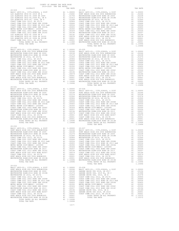| 1.00001 MESTIMINSTER ELEM-Z008 BOND SR 2013B<br>TOTAL RATES ON ALL PROPERTY MESTIMING MESTIMING MESTIMING AT TOTAL RATES ON ALL PROPERTY MESTIMING MESTIMING TOTAL RATES ON ALL PROPERTY AT 1.10496<br>TOTAL TAX RATE MESTIMING TOTA |  |  |  |
|--------------------------------------------------------------------------------------------------------------------------------------------------------------------------------------------------------------------------------------|--|--|--|
| $20 - 031$                                                                                                                                                                                                                           |  |  |  |
|                                                                                                                                                                                                                                      |  |  |  |
|                                                                                                                                                                                                                                      |  |  |  |
|                                                                                                                                                                                                                                      |  |  |  |
|                                                                                                                                                                                                                                      |  |  |  |
|                                                                                                                                                                                                                                      |  |  |  |
|                                                                                                                                                                                                                                      |  |  |  |
|                                                                                                                                                                                                                                      |  |  |  |
|                                                                                                                                                                                                                                      |  |  |  |
|                                                                                                                                                                                                                                      |  |  |  |
|                                                                                                                                                                                                                                      |  |  |  |
|                                                                                                                                                                                                                                      |  |  |  |
|                                                                                                                                                                                                                                      |  |  |  |
|                                                                                                                                                                                                                                      |  |  |  |
|                                                                                                                                                                                                                                      |  |  |  |
|                                                                                                                                                                                                                                      |  |  |  |
|                                                                                                                                                                                                                                      |  |  |  |
|                                                                                                                                                                                                                                      |  |  |  |
|                                                                                                                                                                                                                                      |  |  |  |
| $20 - 032$                                                                                                                                                                                                                           |  |  |  |
|                                                                                                                                                                                                                                      |  |  |  |
|                                                                                                                                                                                                                                      |  |  |  |
|                                                                                                                                                                                                                                      |  |  |  |
|                                                                                                                                                                                                                                      |  |  |  |
|                                                                                                                                                                                                                                      |  |  |  |
|                                                                                                                                                                                                                                      |  |  |  |
|                                                                                                                                                                                                                                      |  |  |  |
|                                                                                                                                                                                                                                      |  |  |  |
|                                                                                                                                                                                                                                      |  |  |  |
|                                                                                                                                                                                                                                      |  |  |  |
|                                                                                                                                                                                                                                      |  |  |  |
|                                                                                                                                                                                                                                      |  |  |  |
|                                                                                                                                                                                                                                      |  |  |  |
|                                                                                                                                                                                                                                      |  |  |  |
|                                                                                                                                                                                                                                      |  |  |  |
|                                                                                                                                                                                                                                      |  |  |  |
|                                                                                                                                                                                                                                      |  |  |  |
| $20 - 033$                                                                                                                                                                                                                           |  |  |  |
|                                                                                                                                                                                                                                      |  |  |  |
|                                                                                                                                                                                                                                      |  |  |  |
|                                                                                                                                                                                                                                      |  |  |  |
|                                                                                                                                                                                                                                      |  |  |  |
|                                                                                                                                                                                                                                      |  |  |  |
|                                                                                                                                                                                                                                      |  |  |  |
|                                                                                                                                                                                                                                      |  |  |  |
|                                                                                                                                                                                                                                      |  |  |  |
|                                                                                                                                                                                                                                      |  |  |  |
|                                                                                                                                                                                                                                      |  |  |  |
|                                                                                                                                                                                                                                      |  |  |  |
|                                                                                                                                                                                                                                      |  |  |  |
|                                                                                                                                                                                                                                      |  |  |  |
|                                                                                                                                                                                                                                      |  |  |  |
|                                                                                                                                                                                                                                      |  |  |  |
|                                                                                                                                                                                                                                      |  |  |  |
|                                                                                                                                                                                                                                      |  |  |  |
|                                                                                                                                                                                                                                      |  |  |  |
|                                                                                                                                                                                                                                      |  |  |  |

| DISTRICT   | TAX RATE | DISTRICT       | TAX RATE |
|------------|----------|----------------|----------|
| $20 - 029$ |          | $20 - 034$     |          |
|            |          |                |          |
|            |          |                |          |
|            |          |                |          |
|            |          |                |          |
|            |          |                |          |
|            |          |                |          |
|            |          |                |          |
|            |          |                |          |
|            |          |                |          |
|            |          |                |          |
|            |          |                |          |
|            |          |                |          |
|            |          |                |          |
|            |          |                |          |
|            |          |                |          |
|            |          |                |          |
|            |          |                |          |
|            |          |                |          |
|            |          |                |          |
|            |          | TOTAL TAX RATE |          |
| $20 - 030$ |          |                |          |
|            |          |                |          |
|            |          |                |          |
|            |          |                |          |
|            |          |                |          |
|            |          |                |          |
|            |          |                |          |
|            |          |                |          |
|            |          |                |          |
|            |          |                |          |
|            |          |                |          |
|            |          |                |          |
|            |          |                |          |
|            |          |                |          |
|            |          |                |          |
|            |          |                |          |
|            |          |                |          |
|            |          |                |          |
|            |          |                |          |
|            |          |                |          |
|            |          |                |          |
|            |          |                |          |
| $20 - 031$ |          |                |          |
|            |          |                |          |
|            |          |                |          |
|            |          |                |          |
|            |          |                |          |
|            |          |                |          |
|            |          |                |          |
|            |          |                |          |
|            |          |                |          |
|            |          |                |          |
|            |          |                |          |
|            |          |                |          |
|            |          |                |          |
|            |          |                |          |
|            |          |                |          |
|            |          |                |          |
|            |          |                |          |
|            |          |                |          |
|            |          |                |          |
|            |          |                |          |
|            |          |                |          |
|            |          |                |          |
| $20 - 032$ |          |                |          |
|            |          |                |          |
|            |          |                |          |
|            |          |                |          |
|            |          |                |          |
|            |          |                |          |
|            |          |                |          |
|            |          |                |          |
|            |          |                |          |
|            |          |                |          |
|            |          |                |          |
|            |          |                |          |
|            |          |                |          |
|            |          |                |          |
|            |          |                |          |
|            |          |                |          |
|            |          |                |          |
|            |          |                |          |
|            |          |                |          |
|            |          |                |          |
|            |          |                |          |
|            |          |                |          |
|            |          |                |          |
| $20 - 033$ |          |                |          |
|            |          |                |          |
|            |          |                |          |
|            |          |                |          |

| HUNT BEACH HIGH SCH 2004 BOND #2007             | <b>A1</b>                                                                                                                                                                                                                      | .00079     | COAST COMM COLL 2012 BOND SER 2016C   | A1 | .00194          |
|-------------------------------------------------|--------------------------------------------------------------------------------------------------------------------------------------------------------------------------------------------------------------------------------|------------|---------------------------------------|----|-----------------|
| COAST COMM COLL 2012, SR 2017E A1               |                                                                                                                                                                                                                                | .00001     | HUNT BEACH HIGH SCH 2004 BOND #2007   | A1 | .00079          |
| HUNT BEACH HIGH SCH 2004 BOND#2005              | A1                                                                                                                                                                                                                             | .00001     | COAST COMM COLL 2012, SR 2017E        | A1 | .00001          |
| WESTMINSTER ELEM-2008 BOND SR 2013B A1 .00001   |                                                                                                                                                                                                                                |            | HUNT BEACH HIGH SCH 2004 BOND#2005    | A1 | .00001          |
| TOTAL RATES ON ALL PROPERTY                     |                                                                                                                                                                                                                                | A1 1.10496 | WESTMINSTER ELEM-2008 BOND SR 2013B   | A1 | .00001          |
| TOTAL TAX RATE                                  |                                                                                                                                                                                                                                | 1.10496    | TOTAL RATES ON ALL PROPERTY           |    | A1 1.10496      |
|                                                 |                                                                                                                                                                                                                                |            | TOTAL TAX RATE                        |    | 1.10496         |
| $20 - 033$                                      |                                                                                                                                                                                                                                |            |                                       |    |                 |
| BASIC LEVY-CO., CITY, SCHOOL, & DIST A1 1.00000 |                                                                                                                                                                                                                                |            | $20 - 038$                            |    |                 |
| HUNT BEACH HIGH SCH 2004 BOND#2004A A1          |                                                                                                                                                                                                                                | .02246     | BASIC LEVY-CO., CITY, SCHOOL, & DIST  |    | A1 1.00000      |
| WESTMINSTER ELEM-2008 BOND SR 2009 A1           |                                                                                                                                                                                                                                | .02238     | GARDEN GROVE USD 2016, SR 2017        | A1 | .03156          |
| WESTMINSTER ELEM-2016 BOND SR 2018B A1          |                                                                                                                                                                                                                                | .01274     | GARDEN GROVE USD, 2010 EL, SR C       | A1 | .01998          |
| WESTMINSTER SD 2016, SR 2017A                   |                                                                                                                                                                                                                                | .01000     | GARDEN GROVE USD, 2010, SR B          | A1 | .01578          |
| COAST COMM COLL 2012, SR 2017D                  | A1                                                                                                                                                                                                                             | .00906     | COAST COMM COLL 2012, SR 2017D        | A1 | .00906          |
| COAST COMM COLL 2002 BOND SER 2006B             | A1                                                                                                                                                                                                                             | .00666     | COAST COMM COLL 2002 BOND SER 2006B   | A1 | .00666          |
| COAST COMM COLL 2012 BOND SR 2013 A&B           | A1                                                                                                                                                                                                                             | .00554     | COAST COMM COLL 2012 BOND SR 2013 A&B | A1 | .00554          |
| COAST COMM COLL 2002 BOND SER 2003A A1          |                                                                                                                                                                                                                                | .00455     | COAST COMM COLL 2002 BOND SER 2003A   | A1 | .00455          |
| METRO WATER DIST-MWDOC- 1205999                 | A1                                                                                                                                                                                                                             | .00350     | METRO WATER DIST-MWDOC- 1205999       | A1 | .00350          |
| COAST COMM COLL 2002 BOND SER 2006C             | A1                                                                                                                                                                                                                             | .00324     | COAST COMM COLL 2002 BOND SER 2006C   | A1 | .00324          |
| WESTMINSTER ELEM-2008 BOND SR 2013              | A1                                                                                                                                                                                                                             | .00207     | COAST COMM COLL 2012 BOND SER 2016C   | A1 | .00194          |
| COAST COMM COLL 2012 BOND SER 2016C             | and the state and a state and a state and a state and a state of the state and a state of the state of the state of the state of the state of the state of the state of the state of the state of the state of the state of th | .00194     | GARDEN GROVE USD, 2010, SR A          | A1 | .00189          |
| HUNT BEACH HIGH SCH 2004 BOND #2007             | and the state and a state and a state and a state and a state of the state and a state of the state of the state of the state of the state of the state of the state of the state of the state of the state of the state of th | .00079     | GARDEN GROVE USD 2016, SR 2019        | A1 | .00001          |
| COAST COMM COLL 2012, SR 2017E                  | A1                                                                                                                                                                                                                             | .00001     | COAST COMM COLL 2012, SR 2017E        | A1 | .00001          |
| HUNT BEACH HIGH SCH 2004 BOND#2005              | A1                                                                                                                                                                                                                             | .00001     | TOTAL RATES ON ALL PROPERTY           |    | A1 1.10372<br>. |
|                                                 |                                                                                                                                                                                                                                |            |                                       |    |                 |

-217-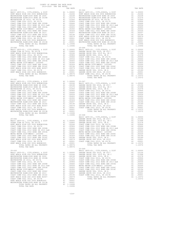| TOTAL TAX RATE                                                              |                                       | 1.08576             |                    |
|-----------------------------------------------------------------------------|---------------------------------------|---------------------|--------------------|
| $20 - 041$                                                                  |                                       |                     |                    |
|                                                                             |                                       |                     |                    |
|                                                                             |                                       |                     |                    |
|                                                                             |                                       |                     |                    |
|                                                                             |                                       |                     |                    |
|                                                                             |                                       |                     |                    |
|                                                                             |                                       |                     |                    |
|                                                                             |                                       |                     |                    |
|                                                                             |                                       |                     |                    |
|                                                                             |                                       |                     |                    |
|                                                                             |                                       |                     |                    |
|                                                                             |                                       |                     |                    |
|                                                                             |                                       |                     |                    |
|                                                                             |                                       |                     |                    |
|                                                                             |                                       |                     |                    |
| TOTAL TAX RATE                                                              |                                       | 1.10496 20-048      |                    |
|                                                                             |                                       |                     | BASIC L            |
|                                                                             |                                       |                     |                    |
|                                                                             |                                       |                     |                    |
|                                                                             |                                       |                     |                    |
|                                                                             |                                       |                     |                    |
|                                                                             |                                       |                     |                    |
|                                                                             |                                       |                     |                    |
|                                                                             |                                       |                     |                    |
|                                                                             |                                       |                     |                    |
|                                                                             |                                       |                     |                    |
|                                                                             |                                       |                     |                    |
|                                                                             |                                       |                     |                    |
|                                                                             |                                       |                     |                    |
|                                                                             |                                       |                     |                    |
|                                                                             |                                       |                     |                    |
| BASIC LEVY-CO., CITY, SCHOOL, & DIST<br>HUNT BEACH HIGH SCH 2004 BOND#2004A | A1 1.00000 GARDEN<br>A1 .02246 GARDEN |                     |                    |
| WESTMINSTER ELEM-2008 BOND SR 2009                                          | A1                                    | .02238              | GARDEN             |
| WESTMINSTER ELEM-2016 BOND SR 2018B                                         | A1                                    | .01274              | COAST C            |
| WESTMINSTER SD 2016, SR 2017A<br>COAST COMM COLL 2012, SR 2017D             | A1<br>A1                              | .01000<br>.00906    | COAST C<br>COAST C |
| COAST COMM COLL 2002 BOND SER 2006B                                         | A1                                    | .00666              | COAST C            |
| COAST COMM COLL 2012 BOND SR 2013 A&B                                       | A1                                    | .00554              | METRO W            |
| COAST COMM COLL 2002 BOND SER 2003A                                         | A1                                    | .00455              | COAST C            |
| METRO WATER DIST-MWDOC- 1205999<br>COAST COMM COLL 2002 BOND SER 2006C      | A1                                    | A1 .00350<br>.00324 | COAST C<br>GARDEN  |
| WESTMINSTER ELEM-2008 BOND SR 2013                                          | A1                                    | .00207              | GARDEN             |
| COAST COMM COLL 2012 BOND SER 2016C                                         | A1                                    | .00194              | COAST C            |
| HUNT BEACH HIGH SCH 2004 BOND #2007                                         | A1                                    | .00079              |                    |
| COAST COMM COLL 2012, SR 2017E<br>HUNT BEACH HIGH SCH 2004 BOND#2005        | A1<br>A1                              | .00001<br>.00001    |                    |
| WESTMINSTER ELEM-2008 BOND SR 2013B                                         | A1                                    | .00001              |                    |
| TOTAL RATES ON ALL PROPERTY                                                 |                                       | A1 1.10496          |                    |
| TOTAL TAX RATE                                                              |                                       | 1.10496             |                    |

| DISTRICT       | CUIDTZUZU INA IAA NAILO<br>TAX RATE | DISTRICT   | TAX RATE |
|----------------|-------------------------------------|------------|----------|
| $20 - 039$     |                                     | $20 - 044$ |          |
| $20 - 041$     |                                     |            |          |
|                |                                     |            |          |
| TOTAL TAX RATE | 1.08576                             |            |          |
|                |                                     | $20 - 049$ |          |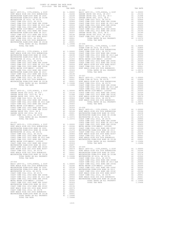|                |                 | COAST C |
|----------------|-----------------|---------|
| $20 - 053$     |                 | COAST C |
|                |                 |         |
|                |                 |         |
|                |                 |         |
|                |                 |         |
|                |                 |         |
|                |                 |         |
|                |                 |         |
|                |                 |         |
|                |                 |         |
|                |                 |         |
|                |                 |         |
|                |                 |         |
|                |                 |         |
|                |                 |         |
|                |                 |         |
|                |                 |         |
|                |                 |         |
| TOTAL TAX RATE | 1.10496 COAST C |         |
|                |                 | COAST C |
| $20 - 054$     |                 | COAST C |
|                |                 |         |
|                |                 |         |
|                |                 |         |
|                |                 |         |
|                |                 |         |
|                |                 |         |
|                |                 |         |
|                |                 |         |
|                |                 |         |
|                |                 |         |
|                |                 |         |
|                |                 |         |
|                |                 |         |
|                |                 |         |
|                |                 |         |
|                |                 |         |
|                |                 |         |
|                |                 |         |
| TOTAL TAX RATE | 1.10496         |         |
|                |                 |         |

| TAITH MITHA AN ITH TIATHITT                           |                                                                                                                                                                                                                                                                                                  |            | ----      |
|-------------------------------------------------------|--------------------------------------------------------------------------------------------------------------------------------------------------------------------------------------------------------------------------------------------------------------------------------------------------|------------|-----------|
| TOTAL TAX RATE                                        |                                                                                                                                                                                                                                                                                                  | 1.10496    | BASIC L   |
|                                                       |                                                                                                                                                                                                                                                                                                  |            | OCEAN V   |
| $20 - 051$                                            |                                                                                                                                                                                                                                                                                                  |            | HUNT BE   |
| BASIC LEVY-CO., CITY, SCHOOL, & DIST                  |                                                                                                                                                                                                                                                                                                  | A1 1.00000 | COAST C   |
| HUNT BEACH HIGH SCH 2004 BOND#2004A                   |                                                                                                                                                                                                                                                                                                  | A1.02246   | COAST C   |
| WESTMINSTER ELEM-2008 BOND SR 2009                    |                                                                                                                                                                                                                                                                                                  | A1 .02238  | COAST C   |
| WESTMINSTER ELEM-2016 BOND SR 2018B                   | A1                                                                                                                                                                                                                                                                                               | .01274     | COAST C   |
| WESTMINSTER SD 2016, SR 2017A                         | A1                                                                                                                                                                                                                                                                                               | .01000     | METRO W   |
| COAST COMM COLL 2012, SR 2017D                        |                                                                                                                                                                                                                                                                                                  | A1 .00906  | COAST C   |
| COAST COMM COLL 2002 BOND SER 2006B                   | A1                                                                                                                                                                                                                                                                                               | .00666     | COAST C   |
| COAST COMM COLL 2012 BOND SR 2013 A&B A1              |                                                                                                                                                                                                                                                                                                  | .00554     | HUNT BE   |
| COAST COMM COLL 2002 BOND SER 2003A                   |                                                                                                                                                                                                                                                                                                  | A1 .00455  | COAST C   |
| METRO WATER DIST-MWDOC- 1205999                       | A1                                                                                                                                                                                                                                                                                               | .00350     | HUNT BE   |
| COAST COMM COLL 2002 BOND SER 2006C                   | A1                                                                                                                                                                                                                                                                                               | .00324     |           |
| WESTMINSTER ELEM-2008 BOND SR 2013                    |                                                                                                                                                                                                                                                                                                  | A1 .00207  |           |
| COAST COMM COLL 2012 BOND SER 2016C                   |                                                                                                                                                                                                                                                                                                  | A1 .00194  |           |
| HUNT BEACH HIGH SCH 2004 BOND #2007                   | A1                                                                                                                                                                                                                                                                                               | .00079     | 20-057    |
| COAST COMM COLL 2012, SR 2017E                        |                                                                                                                                                                                                                                                                                                  | A1 .00001  | BASIC L   |
| HUNT BEACH HIGH SCH 2004 BOND#2005                    |                                                                                                                                                                                                                                                                                                  | A1 .00001  | OCEAN V   |
| WESTMINSTER ELEM-2008 BOND SR 2013B                   |                                                                                                                                                                                                                                                                                                  | A1 .00001  | HUNT BE   |
| TOTAL RATES ON ALL PROPERTY                           |                                                                                                                                                                                                                                                                                                  | A1 1.10496 | COAST C   |
| TOTAL TAX RATE                                        |                                                                                                                                                                                                                                                                                                  | 1.10496    | COAST C   |
|                                                       |                                                                                                                                                                                                                                                                                                  |            | COAST C   |
| $20 - 052$                                            |                                                                                                                                                                                                                                                                                                  |            | COAST C   |
| BASIC LEVY-CO., CITY, SCHOOL, & DIST                  |                                                                                                                                                                                                                                                                                                  | A1 1.00000 | METRO W   |
| GARDEN GROVE USD 2016, SR 2017                        |                                                                                                                                                                                                                                                                                                  | A1 .03156  | COAST C   |
| GARDEN GROVE USD, 2010 EL, SR C                       | A1                                                                                                                                                                                                                                                                                               | .01998     | COAST C   |
| $CADDDRM$ $CDAMP$ $HCD$ $DAD$ $DAD$ $DCD$ $DCD$ $DCD$ | $\mathbb{R}^n$ , $\mathbb{R}^n$ , $\mathbb{R}^n$ , $\mathbb{R}^n$ , $\mathbb{R}^n$ , $\mathbb{R}^n$ , $\mathbb{R}^n$ , $\mathbb{R}^n$ , $\mathbb{R}^n$ , $\mathbb{R}^n$ , $\mathbb{R}^n$ , $\mathbb{R}^n$ , $\mathbb{R}^n$ , $\mathbb{R}^n$ , $\mathbb{R}^n$ , $\mathbb{R}^n$ , $\mathbb{R}^n$ , |            | TITIME DE |

## WESTMINSTER ELEM-2008 BOND SR 2013B A1 .00001 TOTAL RATES ON ALL PROPERTY A1 1.10496 20-056

| DISTRICT | TAX RATE | DISTRICT | TAX RATE |
|----------|----------|----------|----------|
|          |          |          |          |
|          |          |          |          |
|          |          |          |          |
|          |          |          |          |
|          |          |          |          |
|          |          |          |          |
|          |          |          |          |
|          |          |          |          |
|          |          |          |          |
|          |          |          |          |
|          |          |          |          |
|          |          |          |          |
|          |          |          |          |
|          |          |          |          |
|          |          |          |          |
|          |          |          |          |
|          |          |          |          |
|          |          |          |          |
|          |          |          |          |
|          |          |          |          |
|          |          |          |          |
|          |          |          |          |
|          |          |          |          |
|          |          |          |          |
|          |          |          |          |
|          |          |          |          |
|          |          |          |          |
|          |          |          |          |
|          |          |          |          |
|          |          |          |          |
|          |          |          |          |
|          |          |          |          |
|          |          |          |          |
|          |          |          |          |
|          |          |          |          |
|          |          |          |          |
|          |          |          |          |
|          |          |          |          |
|          |          |          |          |
|          |          |          |          |
|          |          |          |          |
|          |          |          |          |
|          |          |          |          |
|          |          |          |          |
|          |          |          |          |
|          |          |          |          |
|          |          |          |          |
|          |          |          |          |
|          |          |          |          |
|          |          |          |          |
|          |          |          |          |
|          |          |          |          |
|          |          |          |          |
|          |          |          |          |
|          |          |          |          |
|          |          |          |          |
|          |          |          |          |
|          |          |          |          |
|          |          |          |          |
|          |          |          |          |
|          |          |          |          |
|          |          |          |          |
|          |          |          |          |
|          |          |          |          |
|          |          |          |          |
|          |          |          |          |
|          |          |          |          |
|          |          |          |          |
|          |          |          |          |
|          |          |          |          |
|          |          |          |          |
|          |          |          |          |
|          |          |          |          |
|          |          |          |          |
|          |          |          |          |
|          |          |          |          |
|          |          |          |          |
|          |          |          |          |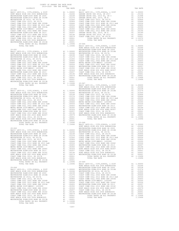| WESTMINSTER ELEM-2008 BOND SR 2013B   |    | A1 .00001  |         |
|---------------------------------------|----|------------|---------|
| TOTAL RATES ON ALL PROPERTY           |    | A1 1.10496 | 20-069  |
| TOTAL TAX RATE                        |    | 1.10496    | BASIC L |
|                                       |    |            | HUNT BE |
| $20 - 064$                            |    |            | WESTMIN |
| BASIC LEVY-CO., CITY, SCHOOL, & DIST  |    | A1 1.00000 | WESTMIN |
| HUNT BEACH HIGH SCH 2004 BOND#2004A   |    | A1 .02246  | WESTMIN |
| WESTMINSTER ELEM-2008 BOND SR 2009    |    | A1 .02238  | COAST C |
| WESTMINSTER ELEM-2016 BOND SR 2018B   |    | A1 .01274  | COAST C |
| WESTMINSTER SD 2016, SR 2017A         |    | A1.01000   | COAST C |
| COAST COMM COLL 2012, SR 2017D        |    | A1.00906   | COAST C |
| COAST COMM COLL 2002 BOND SER 2006B   |    | A1 .00666  | METRO W |
| COAST COMM COLL 2012 BOND SR 2013 A&B |    | A1 .00554  | COAST C |
| COAST COMM COLL 2002 BOND SER 2003A   | A1 | .00455     | WESTMIN |
| METRO WATER DIST-MWDOC- 1205999       |    | A1.00350   | COAST C |
| COAST COMM COLL 2002 BOND SER 2006C   | A1 | .00324     | HUNT BE |
| WESTMINSTER ELEM-2008 BOND SR 2013    |    | A1 .00207  | COAST C |
| COAST COMM COLL 2012 BOND SER 2016C   | A1 | .00194     | HUNT BE |
| HUNT BEACH HIGH SCH 2004 BOND #2007   |    | A1 .00079  | WESTMIN |
| COAST COMM COLL 2012, SR 2017E        | A1 | .00001     |         |
| HUNT BEACH HIGH SCH 2004 BOND#2005    |    | A1 .00001  |         |
| WESTMINSTER ELEM-2008 BOND SR 2013B   |    | A1 .00001  |         |
| TOTAL RATES ON ALL PROPERTY           | A1 | 1,10496    |         |
| TOTAL TAX RATE                        |    | 1,10496    |         |
|                                       |    |            |         |

## WESTMINSTER ELEM-2008 BOND SR 2013B A1 .00001 TOTAL RATES ON ALL PROPERTY A1 1.10496 20-066

| $\begin{tabular}{@{}c@{}}\textbf{20}-0101 & \textbf{20}-0101 & \textbf{20}-0101 & \textbf{20}-0101 & \textbf{20}-0101 & \textbf{20}-0101 & \textbf{20}-0101 & \textbf{20}-0101 & \textbf{20}-0101 & \textbf{20} & \textbf{20} & \textbf{20} & \textbf{20} & \textbf{20} & \textbf{20} & \textbf{20} & \textbf{20} & \textbf{20} & \textbf{20} & \textbf{20} & \textbf{20} & \textbf{$ |  |  |  |
|---------------------------------------------------------------------------------------------------------------------------------------------------------------------------------------------------------------------------------------------------------------------------------------------------------------------------------------------------------------------------------------|--|--|--|
|                                                                                                                                                                                                                                                                                                                                                                                       |  |  |  |
|                                                                                                                                                                                                                                                                                                                                                                                       |  |  |  |
|                                                                                                                                                                                                                                                                                                                                                                                       |  |  |  |
|                                                                                                                                                                                                                                                                                                                                                                                       |  |  |  |
|                                                                                                                                                                                                                                                                                                                                                                                       |  |  |  |
|                                                                                                                                                                                                                                                                                                                                                                                       |  |  |  |
|                                                                                                                                                                                                                                                                                                                                                                                       |  |  |  |
|                                                                                                                                                                                                                                                                                                                                                                                       |  |  |  |
|                                                                                                                                                                                                                                                                                                                                                                                       |  |  |  |
|                                                                                                                                                                                                                                                                                                                                                                                       |  |  |  |
|                                                                                                                                                                                                                                                                                                                                                                                       |  |  |  |
|                                                                                                                                                                                                                                                                                                                                                                                       |  |  |  |
|                                                                                                                                                                                                                                                                                                                                                                                       |  |  |  |
|                                                                                                                                                                                                                                                                                                                                                                                       |  |  |  |
|                                                                                                                                                                                                                                                                                                                                                                                       |  |  |  |
|                                                                                                                                                                                                                                                                                                                                                                                       |  |  |  |
|                                                                                                                                                                                                                                                                                                                                                                                       |  |  |  |
|                                                                                                                                                                                                                                                                                                                                                                                       |  |  |  |
|                                                                                                                                                                                                                                                                                                                                                                                       |  |  |  |
|                                                                                                                                                                                                                                                                                                                                                                                       |  |  |  |
|                                                                                                                                                                                                                                                                                                                                                                                       |  |  |  |
|                                                                                                                                                                                                                                                                                                                                                                                       |  |  |  |
|                                                                                                                                                                                                                                                                                                                                                                                       |  |  |  |
|                                                                                                                                                                                                                                                                                                                                                                                       |  |  |  |
|                                                                                                                                                                                                                                                                                                                                                                                       |  |  |  |
|                                                                                                                                                                                                                                                                                                                                                                                       |  |  |  |
|                                                                                                                                                                                                                                                                                                                                                                                       |  |  |  |
|                                                                                                                                                                                                                                                                                                                                                                                       |  |  |  |
|                                                                                                                                                                                                                                                                                                                                                                                       |  |  |  |
|                                                                                                                                                                                                                                                                                                                                                                                       |  |  |  |
|                                                                                                                                                                                                                                                                                                                                                                                       |  |  |  |
| <b>MORE REGISTER AND A 1990 MAN (1990 M)</b> $\lambda$ 1990 M) The Result of the Result of the Man (1991 M) $\lambda$ 1990 M) $\lambda$ 1990 M) $\lambda$ 1990 M) $\lambda$ 1990 M) $\lambda$ 1990 M) $\lambda$ 1990 M) $\lambda$ 1990 M) $\lambda$ 1990 M) $\lambda$ 1990 M) $\lambda$ 1                                                                                             |  |  |  |
|                                                                                                                                                                                                                                                                                                                                                                                       |  |  |  |
|                                                                                                                                                                                                                                                                                                                                                                                       |  |  |  |
|                                                                                                                                                                                                                                                                                                                                                                                       |  |  |  |
|                                                                                                                                                                                                                                                                                                                                                                                       |  |  |  |
|                                                                                                                                                                                                                                                                                                                                                                                       |  |  |  |
|                                                                                                                                                                                                                                                                                                                                                                                       |  |  |  |
|                                                                                                                                                                                                                                                                                                                                                                                       |  |  |  |
|                                                                                                                                                                                                                                                                                                                                                                                       |  |  |  |
|                                                                                                                                                                                                                                                                                                                                                                                       |  |  |  |
|                                                                                                                                                                                                                                                                                                                                                                                       |  |  |  |
|                                                                                                                                                                                                                                                                                                                                                                                       |  |  |  |
|                                                                                                                                                                                                                                                                                                                                                                                       |  |  |  |
|                                                                                                                                                                                                                                                                                                                                                                                       |  |  |  |
|                                                                                                                                                                                                                                                                                                                                                                                       |  |  |  |
|                                                                                                                                                                                                                                                                                                                                                                                       |  |  |  |
|                                                                                                                                                                                                                                                                                                                                                                                       |  |  |  |
|                                                                                                                                                                                                                                                                                                                                                                                       |  |  |  |
|                                                                                                                                                                                                                                                                                                                                                                                       |  |  |  |
|                                                                                                                                                                                                                                                                                                                                                                                       |  |  |  |
|                                                                                                                                                                                                                                                                                                                                                                                       |  |  |  |
|                                                                                                                                                                                                                                                                                                                                                                                       |  |  |  |
|                                                                                                                                                                                                                                                                                                                                                                                       |  |  |  |
|                                                                                                                                                                                                                                                                                                                                                                                       |  |  |  |
|                                                                                                                                                                                                                                                                                                                                                                                       |  |  |  |
|                                                                                                                                                                                                                                                                                                                                                                                       |  |  |  |
|                                                                                                                                                                                                                                                                                                                                                                                       |  |  |  |
|                                                                                                                                                                                                                                                                                                                                                                                       |  |  |  |
|                                                                                                                                                                                                                                                                                                                                                                                       |  |  |  |
|                                                                                                                                                                                                                                                                                                                                                                                       |  |  |  |
|                                                                                                                                                                                                                                                                                                                                                                                       |  |  |  |
|                                                                                                                                                                                                                                                                                                                                                                                       |  |  |  |
|                                                                                                                                                                                                                                                                                                                                                                                       |  |  |  |
|                                                                                                                                                                                                                                                                                                                                                                                       |  |  |  |
|                                                                                                                                                                                                                                                                                                                                                                                       |  |  |  |
|                                                                                                                                                                                                                                                                                                                                                                                       |  |  |  |
|                                                                                                                                                                                                                                                                                                                                                                                       |  |  |  |
|                                                                                                                                                                                                                                                                                                                                                                                       |  |  |  |
|                                                                                                                                                                                                                                                                                                                                                                                       |  |  |  |
|                                                                                                                                                                                                                                                                                                                                                                                       |  |  |  |
|                                                                                                                                                                                                                                                                                                                                                                                       |  |  |  |
|                                                                                                                                                                                                                                                                                                                                                                                       |  |  |  |
|                                                                                                                                                                                                                                                                                                                                                                                       |  |  |  |
|                                                                                                                                                                                                                                                                                                                                                                                       |  |  |  |
|                                                                                                                                                                                                                                                                                                                                                                                       |  |  |  |
|                                                                                                                                                                                                                                                                                                                                                                                       |  |  |  |
|                                                                                                                                                                                                                                                                                                                                                                                       |  |  |  |
|                                                                                                                                                                                                                                                                                                                                                                                       |  |  |  |
|                                                                                                                                                                                                                                                                                                                                                                                       |  |  |  |
|                                                                                                                                                                                                                                                                                                                                                                                       |  |  |  |
|                                                                                                                                                                                                                                                                                                                                                                                       |  |  |  |
|                                                                                                                                                                                                                                                                                                                                                                                       |  |  |  |
|                                                                                                                                                                                                                                                                                                                                                                                       |  |  |  |
|                                                                                                                                                                                                                                                                                                                                                                                       |  |  |  |
|                                                                                                                                                                                                                                                                                                                                                                                       |  |  |  |
|                                                                                                                                                                                                                                                                                                                                                                                       |  |  |  |
|                                                                                                                                                                                                                                                                                                                                                                                       |  |  |  |
|                                                                                                                                                                                                                                                                                                                                                                                       |  |  |  |
|                                                                                                                                                                                                                                                                                                                                                                                       |  |  |  |
|                                                                                                                                                                                                                                                                                                                                                                                       |  |  |  |
| NEW MACHINE SCRIP (1991 SCRIP COMPROSITE AL. 19905)<br>NEW MACHINE SCRIP (1991 SCRIP COMPROSITE AL. 19905)<br>20–914<br>20–914<br>20–914<br>20–914<br>20–914<br>20–914<br>20–914<br>20–914<br>20–914<br>20–914<br>20–914<br>20–914<br>20–914<br>20–914<br>20–                                                                                                                         |  |  |  |
|                                                                                                                                                                                                                                                                                                                                                                                       |  |  |  |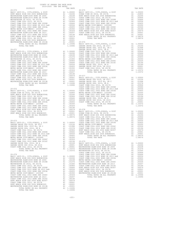| $20 - 070$<br>BASIC LEVY-CO., CITY, SCHOOL, & DIST<br>EUNT BEACH HIGH SCH 2004 BOND#2004A MESTMINSTER ELEM-2008 BOND SR 2009 A1 .02238<br>WESTMINSTER ELEM-2008 BOND SR 2009 A1 .02238<br>WESTMINSTER ELEM-2016 BOND SR 2018B A1 .01274<br>WESTMINSTER SD 2016, SR 2017A<br>COAST COMM COLL 2012, SR 2017D<br>COAST COMM COLL 2002 BOND SR 2006B<br>COAST COMM COLL 2012 BOND SR 2013 A&B<br>COAST COMM COLL 2002 BOND SER 2003A<br>COAST COMM COLL 2002 BOND SER 2003A<br>METRO WATER DIST-MWDOC- 1205999<br>COAST COMM COLL 2002 BOND SER 2006C<br>WESTMINSTER ELEM-2008 BOND SR 2013<br>WORTHOM COLL 2012 BOND SER 2016C<br>RUNT BEACH HIGH SCH 2004 BOND #2007<br>COAST COMM COLL 2012, SR 2017E<br>COAST COMM COLL 2012, SR 2017E<br>HUNT BEACH HIGH SCH 2004 BOND#2005<br>WESTMINSTER ELEM-2008 BOND SR 2013B<br>TOTAL RATES ON ALL PROPERTY<br>TOTAL TAX RATE                |                               | A1 1.00000<br>.02238<br>1.10496                                                                                                                                                                                                                                                                                                                                               |
|-------------------------------------------------------------------------------------------------------------------------------------------------------------------------------------------------------------------------------------------------------------------------------------------------------------------------------------------------------------------------------------------------------------------------------------------------------------------------------------------------------------------------------------------------------------------------------------------------------------------------------------------------------------------------------------------------------------------------------------------------------------------------------------------------------------------------------------------------------------------------------------|-------------------------------|-------------------------------------------------------------------------------------------------------------------------------------------------------------------------------------------------------------------------------------------------------------------------------------------------------------------------------------------------------------------------------|
| $20 - 071$<br>BASIC LEVY-CO., CITY, SCHOOL, & DIST<br>HUNT BEACH HIGH SCH 2004 BOND#2004A<br>WESTMINSTER ELEM-2008 BOND SR 2009<br>WESTMINSTER ELEM-2016 BOND SR 2018B<br>WESTMINSTER SD 2016, SR 2017A<br>COAST COMM COLL 2012, SR 2017D<br>COAST COMM COLL 2002 BOND SER 2006B<br>COAST COMM COLL 2002 BOND SER 2006B<br>COAST COMM COLL 2002 BOND SER 2006B<br>COAST COMM COLL 2002 BOND SER 2003<br>COAST COMM COLL 2002 BOND SER 2003A<br>METRO WATER DIST-MWDOC- 1205999<br>METRO WATER DIST-MWDOC- 1205999<br>COAST COMM COLL 2002 BOND SER 2006C<br>WESTMINSTER ELEM-2008 BOND SR 2013<br>COAST COMM COLL 2012 BOND SER 2016C<br>COAST COMM COLL 2012 BOND SER 2016C<br>HUNT BEACH HIGH SCH 2004 BOND #2007<br>COAST COMM COLL 2012, SR 2017E<br>HUNT BEACH HIGH SCH 2004 BOND#2005<br>WESTMINSTER ELEM-2008 BOND SR 2013B<br>TOTAL RATES ON ALL PROPERTY<br>TOTAL TAX RATE |                               | $\begin{tabular}{cc} \bf A1 & 1.00000 \\ \bf A1 & .02246 \\ \bf A1 & .02238 \\ \bf A1 & .01273 \\ \bf A1 & .01000 \\ \bf A1 & .000066 \\ \bf A1 & .000666 \\ \bf A1 & .00554 \\ \bf A1 & .00554 \\ \bf A1 & .00324 \\ \bf A1 & .00320 \\ \bf A1 & .00320 \\ \bf A1 & .00079 \\ \bf A1 & .00001 \\ \bf A1 & .00001 \\ \bf A1 & .00001 \\ \bf A1 & .00001 \\ \bf A1$<br>1.10496 |
| $20 - 072$<br>BASIC LEVY-CO., CITY, SCHOOL, & DIST<br>OCEAN VIEW SD 2016, SR 2017A<br>HUNT BEACH HIGH SCH 2004 BOND#2004A<br>COAST COMM COLL 2012, SR 2017D<br>COAST COMM COLL 2002 BOND SER 2006B<br>COAST COMM COLL 2012 BOND SER 2013 A&B<br>COAST COMM COLL 2012 BOND SER 2013 A&B<br>COAST COMM COLL 2002 BOND SER 2003A<br>METRO WATER DIGT AWNDO 1905592<br>METRO WATER DIST-MWDOC- 1205999<br>COAST COMM COLL 2002 BOND SER 2006C<br>COAST COMM COLL 2012 BOND SER 2016C<br>HUNT BEACH HIGH SCH 2004 BOND #2007<br>COAST COMM COLL 2012, SR 2017E<br>HUNT BEACH HIGH SCH 2004 BOND#2005<br>TOTAL RATES ON ALL PROPERTY<br>TOTAL TAX RATE                                                                                                                                                                                                                                    |                               | A1 1.00000<br>A1 .02800<br>A1 .02246<br>A1 1.00000<br>A1 .02800<br>A1 .02804<br>A1 .00906<br>A1 .00666<br>A1 .00554<br>A1 .00555<br>A1 .00350<br>A1 .00350<br>A1 .00324<br>A1 .00194<br>A1 .00079<br>A1 .00079<br>A1 .00079<br>A1 .00079<br>A1 .00079<br>A1 .00079<br>A1 .00079<br>A1 .00079<br>1.08576                                                                       |
| $20 - 073$<br>BASIC LEVY-CO., CITY, SCHOOL, & DIST<br>GARDEN GROVE USD 2016, SR 2017<br>GARDEN GROVE USD, 2010 EL, SR C<br>GARDEN GROVE USD, 2010, SR B<br>COAST COMM COLL 2012, SR 2017D<br>COAST COMM COLL 2002 BOND SER 2006B<br>COAST COMM COLL 2012 BOND SR 2013 A&B<br>COAST COMM COLL 2012 BOND SR 2013 A&B<br>COAST COMM COLL 2002 BOND SER 2003A<br>METRO WATER DIST-MWDOC- 1205999<br>COAST COMM COLL 2002 BOND SER 2006C<br>COAST COMM COLL 2012 BOND SER 2016C<br>CARDEN GROVE USD, 2010, SR A<br>GARDEN GROVE USD 2016, SR 2019<br>COAST COMM COLL 2012, SR 2017E<br>TOTAL RATES ON ALL PROPERTY<br>TOTAL TAX RATE                                                                                                                                                                                                                                                     | A1<br>A1                      | A1 1.00000<br>A1 .03156<br>.03156<br>$.01998$<br>$.01578$<br>A1 01578<br>A1 00906<br>A1 00666<br>A1 00666<br>A1 00455<br>A1 00159<br>A1 00194<br>A1 00109<br>A1 00109<br>A1 00001<br>A1 100001<br>A1 100001<br>1.10372                                                                                                                                                        |
| $20 - 074$<br>BASIC LEVY-CO., CITY, SCHOOL, & DIST<br>UUNT PRACH UTCH SCH 2004 POND#20043                                                                                                                                                                                                                                                                                                                                                                                                                                                                                                                                                                                                                                                                                                                                                                                           | A1 1.00000<br>$\mathcal{R}$ 1 | 0224c                                                                                                                                                                                                                                                                                                                                                                         |

COAST COMM COLL 2012 BOND SER 2016C A1 .00194 HUNT BEACH HIGH SCH 2004 BOND #2007 A1 .00079 COAST COMM COLL 2012, SR 2017E A1 .00001 HUNT BEACH HIGH SCH 2004 BOND#2005 A1 .00001 WESTMINSTER ELEM-2008 BOND SR 2013B A1 .00001 TOTAL RATES ON ALL PROPERTY A1 1.10496 TOTAL TAX RATE 1.10496

 COUNTY OF ORANGE TAX RATE BOOK 2019-2020 TRA TAX RATES DISTRICT TAX RATE DISTRICT TAX RATE 20-070 20-075 BASIC LEVY-CO., CITY,SCHOOL, & DIST A1 1.00000 BASIC LEVY-CO., CITY,SCHOOL, & DIST A1 1.00000 HUNT BEACH HIGH SCH 2004 BOND#2004A A1 .02246 OCEAN VIEW SD 2016, SR 2017A A1 .02800 WESTMINSTER ELEM-2008 BOND SR 2009 A1 .02238 HUNT BEACH HIGH SCH 2004 BOND#2004A A1 .02246 WESTMINSTER ELEM-2016 BOND SR 2018B A1 .01274 COAST COMM COLL 2012, SR 2017D A1 .00906 WESTMINSTER SD 2016, SR 2017A A1 .01000 COAST COMM COLL 2002 BOND SER 2006B A1 .00666 COAST COMM COLL 2012, SR 2017D A1 .00906 COAST COMM COLL 2012 BOND SR 2013 A&B A1 .00554 COAST COMM COLL 2002 BOND SER 2006B A1 .00666 COAST COMM COLL 2002 BOND SER 2003A A1 .00455 COAST COMM COLL 2012 BOND SR 2013 A&B A1 .00554 METRO WATER DIST-MWDOC- 1205999 A1 .00350 COAST COMM COLL 2002 BOND SER 2003A A1 .00455 COAST COMM COLL 2002 BOND SER 2006C A1 .00324 METRO WATER DIST-MWDOC- 1205999 A1 .00350 COAST COMM COLL 2012 BOND SER 2016C A1 .00194 COAST COMM COLL 2002 BOND SER 2006C A1 .00324 HUNT BEACH HIGH SCH 2004 BOND #2007 A1 .00079 WESTMINSTER ELEM-2008 BOND SR 2013 A1 .00207 COAST COMM COLL 2012, SR 2017E A1 .00001 COAST COMM COLL 2012 BOND SER 2016C A1 .00194 HUNT BEACH HIGH SCH 2004 BOND#2005 A1 .00001 HUNT BEACH HIGH SCH 2004 BOND #2007 A1 .00079 TOTAL RATES ON ALL PROPERTY A1 1.08576 COAST COMM COLL 2012, SR 2017E A1 .00001 TOTAL TAX RATE 1.08576 WESTWINSTER ELEM-2008 BOND SR 2013 BASIC LEVY-CO., CITY, SCHOOL, & DIST (1.00000111)<br>
TOTAL TAX RATE 1.10496 BASIC LEVY-CO., CITY, SCHOOL, & DIST<br>
TOTAL TAX RATE 1.10496 BASIC LEVY-CO., CITY, SCHOOL, SR B<br>
20-071<br>
BASIC LE HUNT BEACH HIGH SCH 2004 BOND #2007 A1 .00079 20-077 COAST COMM COLL 2012, SR 2017E A1 .00001 BASIC LEVY-CO., CITY,SCHOOL, & DIST A1 1.00000 HUNT BEACH HIGH SCH 2004 BOND#2005 A1 .00001 GARDEN GROVE USD 2016, SR 2017 A1 .03156 WESTMINSTER ELEM-2008 BOND SR 2013B A1 .00001 GARDEN GROVE USD, 2010 EL, SR C A1 .01998 TOTAL RATES ON ALL PROPERTY A1 1.10496 GARDEN GROVE USD, 2010, SR B A1 .01578 TOTAL TAX RATE 1.10496 COAST COMM COLL 2012, SR 2017D A1 .00906 COAST COMM COLL 2002 BOND SER 2006B A1 .00666 20-072 COAST COMM COLL 2012 BOND SR 2013 A&B A1 .00554 BASIC LEVY-CO., CITY,SCHOOL, & DIST A1 1.00000 COAST COMM COLL 2002 BOND SER 2003A A1 .00455 OCEAN VIEW SD 2016, SR 2017A A1 .02800 METRO WATER DIST-MWDOC- 1205999 A1 .00350 HUNT BEACH HIGH SCH 2004 BOND#2004A A1 .02246 COAST COMM COLL 2002 BOND SER 2006C A1 .00324 COAST COMM COLL 2012, SR 2017D A1 .00906 COAST COMM COLL 2012 BOND SER 2016C A1 .00194 COAST COMM COLL 2002 BOND SER 2006B A1 .00666 GARDEN GROVE USD, 2010, SR A A1 .00189 COAST COMM COLL 2012 BOND SR 2013 A&B A1 .00554 GARDEN GROVE USD 2016, SR 2019 A1 .00001 COAST COMM COLL 2002 BOND SER 2003A A1 .00455 COAST COMM COLL 2012, SR 2017E A1 .00001 METRO WATER DIST-MWDOC- 1205999 A1 .00350 TOTAL RATES ON ALL PROPERTY A1 1.10372 COAST COMM COLL 2002 BOND SER 2006C A1 .00324 TOTAL TAX RATE 1.10372 HUNT BEACH HIGH SCH 2004 BOND #2007 A1 .00079 20-078 COAST COMM COLL 2012, SR 2017E A1 .00001 BASIC LEVY-CO., CITY,SCHOOL, & DIST A1 1.00000 HUNT BEACH HIGH SCH 2004 BOND#2005 A1 .00001 OCEAN VIEW SD 2016, SR 2017A A1 .02800 TOTAL RATES ON ALL PROPERTY A1 1.08576 HUNT BEACH HIGH SCH 2004 BOND#2004A A1 .02246 TOTAL TAX RATE 1.08576 COAST COMM COLL 2012, SR 2017D A1 .00906 COAST COMM COLL 2002 BOND SER 2006B A1 .00666 20-073 COAST COMM COLL 2012 BOND SR 2013 A&B A1 .00554 BASIC LEVY-CO., CITY,SCHOOL, & DIST A1 1.00000 COAST COMM COLL 2002 BOND SER 2003A A1 .00455 GARDEN GROVE USD 2016, SR 2017 A1 .03156 METRO WATER DIST-MWDOC- 1205999 A1 .00350 GARDEN GROVE USD, 2010 EL, SR C A1 .01998 COAST COMM COLL 2002 BOND SER 2006C A1 .00324 GARDEN GROVE USD, 2010, SR B A1 .01578 COAST COMM COLL 2012 BOND SER 2016C A1 .00194 COAST COMM COLL 2012, SR 2017D A1 .00906 HUNT BEACH HIGH SCH 2004 BOND #2007 A1 .00079 COAST COMM COLL 2002 BOND SER 2006B A1 .00666 COAST COMM COLL 2012, SR 2017E A1 .00001 COAST COMM COLL 2012 BOND SR 2013 A&B A1 .00554 HUNT BEACH HIGH SCH 2004 BOND#2005 A1 .00001 COAST COMM COLL 2002 BOND SER 2003A A1 .00455 TOTAL RATES ON ALL PROPERTY A1 1.08576 METRO WATER DIST-MWDOC- 1205999 A1 .00350 TOTAL TAX RATE 1.08576 COAST COMM COLL 2012 BOND SER 2016C A1 .00194 20-079 GARDEN GROVE USD, 2010, SR A A1 .00189 BASIC LEVY-CO., CITY,SCHOOL, & DIST A1 1.00000 GARDEN GROVE USD 2016, SR 2019 A1 .00001 HUNT BEACH HIGH SCH 2004 BOND#2004A A1 .02246 COAST COMM COLL 2012, SR 2017E A1 .00001 WESTMINSTER ELEM-2008 BOND SR 2009 A1 .02238 TOTAL RATES ON ALL PROPERTY A1 1.10372 WESTMINSTER ELEM-2016 BOND SR 2018B A1 .01274 TOTAL TAX RATE 1.10372 WESTMINSTER SD 2016, SR 2017A A1 .01000 COAST COMM COLL 2012, SR 2017D A1 .00906 20-074 COAST COMM COLL 2002 BOND SER 2006B A1 .00666 BASIC LEVY-CO., CITY,SCHOOL, & DIST A1 1.00000 COAST COMM COLL 2012 BOND SR 2013 A&B A1 .00554 HUNT BEACH HIGH SCH 2004 BOND#2004A A1 .02246 COAST COMM COLL 2002 BOND SER 2003A A1 .00455 WESTMINSTER ELEM-2008 BOND SR 2009 A1 .02238 METRO WATER DIST-MWDOC- 1205999 A1 .00350 WESTMINSTER ELEM-2016 BOND SR 2018B A1 .01274 COAST COMM COLL 2002 BOND SER 2006C A1 .00324 WESTMINSTER SD 2016, SR 2017A A1 .01000 WESTMINSTER ELEM-2008 BOND SR 2013 A1 .00207 COAST COMM COLL 2012, SR 2017D A1 .00906 COAST COMM COLL 2012 BOND SER 2016C A1 .00194 COAST COMM COLL 2002 BOND SER 2006B A1 .00666 HUNT BEACH HIGH SCH 2004 BOND #2007 A1 .00079 COAST COMM COLL 2012 BOND SR 2013 A&B A1 .00554 COAST COMM COLL 2012, SR 2017E A1 .00001 COAST COMM COLL 2002 BOND SER 2003A A1 .00455 HUNT BEACH HIGH SCH 2004 BOND#2005 A1 .00001 METRO WATER DIST-MWDOC- 1205999 A1 .00350 WESTMINSTER ELEM-2008 BOND SR 2013B A1 .00001 COAST COMM COLL 2002 BOND SER 2006C A1 .00324 TOTAL RATES ON ALL PROPERTY A1 1.10496 WESTMINSTER ELEM-2008 BOND SR 2013 A1 .00207 TOTAL TAX RATE 1.10496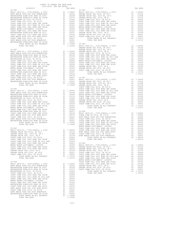| HUNT BEACH HIGH SCH 2004 BOND#2005<br>WESTMINSTER ELEM-2008 BOND SR 2013B | A1 .00001<br>A1 .00001<br>A1 1.10496                                            |                       |                       |
|---------------------------------------------------------------------------|---------------------------------------------------------------------------------|-----------------------|-----------------------|
| TOTAL RATES ON ALL PROPERTY<br>TOTAL TAX RATE                             |                                                                                 | 1.10496               | $20 - 086$<br>BASIC L |
|                                                                           |                                                                                 |                       | GARDEN                |
|                                                                           |                                                                                 |                       |                       |
|                                                                           |                                                                                 |                       |                       |
|                                                                           |                                                                                 |                       |                       |
|                                                                           |                                                                                 |                       |                       |
|                                                                           |                                                                                 |                       |                       |
|                                                                           |                                                                                 |                       |                       |
|                                                                           |                                                                                 |                       |                       |
|                                                                           |                                                                                 |                       |                       |
|                                                                           |                                                                                 |                       |                       |
|                                                                           |                                                                                 |                       |                       |
|                                                                           |                                                                                 |                       |                       |
|                                                                           |                                                                                 |                       |                       |
|                                                                           |                                                                                 |                       |                       |
| $20 - 082$                                                                |                                                                                 |                       | COAST C<br>COAST C    |
|                                                                           |                                                                                 |                       |                       |
|                                                                           |                                                                                 |                       |                       |
|                                                                           |                                                                                 |                       |                       |
|                                                                           |                                                                                 |                       |                       |
|                                                                           |                                                                                 |                       |                       |
|                                                                           |                                                                                 |                       |                       |
|                                                                           |                                                                                 |                       |                       |
|                                                                           |                                                                                 |                       |                       |
|                                                                           |                                                                                 |                       |                       |
|                                                                           |                                                                                 |                       |                       |
|                                                                           |                                                                                 |                       |                       |
|                                                                           |                                                                                 |                       |                       |
|                                                                           |                                                                                 |                       | METRO W               |
| $20 - 083$                                                                |                                                                                 |                       | COAST C               |
|                                                                           |                                                                                 |                       |                       |
|                                                                           |                                                                                 |                       |                       |
|                                                                           |                                                                                 |                       |                       |
|                                                                           |                                                                                 |                       |                       |
|                                                                           |                                                                                 |                       |                       |
|                                                                           |                                                                                 |                       |                       |
|                                                                           |                                                                                 |                       |                       |
|                                                                           |                                                                                 |                       |                       |
|                                                                           |                                                                                 |                       |                       |
|                                                                           |                                                                                 |                       |                       |
|                                                                           |                                                                                 |                       |                       |
| $20 - 084$<br>BASIC LEVY-CO., CITY, SCHOOL, & DIST                        |                                                                                 |                       | COAST C               |
| HUNT BEACH HIGH SCH 2004 BOND#2004A                                       | A1 1.00000 COAST C<br>A1 .02246 GARDEN<br>A1 .02238 GARDEN<br>A1 .01274 COAST C |                       |                       |
| WESTMINSTER ELEM-2008 BOND SR 2009<br>WESTMINSTER ELEM-2016 BOND SR 2018B | <b>All</b>                                                                      |                       |                       |
| WESTMINSTER SD 2016, SR 2017A                                             | A1                                                                              | .01000                |                       |
| COAST COMM COLL 2012, SR 2017D<br>COAST COMM COLL 2002 BOND SER 2006B     | A1<br>A1                                                                        | .00906<br>.00666      |                       |
| COAST COMM COLL 2012 BOND SR 2013 A&B                                     | A1                                                                              | .00554                |                       |
| COAST COMM COLL 2002 BOND SER 2003A<br>METRO WATER DIST-MWDOC- 1205999    | A1<br>A1                                                                        | .00455<br>.00350      |                       |
| COAST COMM COLL 2002 BOND SER 2006C                                       | A1                                                                              | .00324                |                       |
| WESTMINSTER ELEM-2008 BOND SR 2013<br>COAST COMM COLL 2012 BOND SER 2016C | A1<br>A1                                                                        | .00207<br>.00194      |                       |
| HUNT BEACH HIGH SCH 2004 BOND #2007                                       | A1                                                                              | .00079                |                       |
| COAST COMM COLL 2012, SR 2017E<br>HUNT BEACH HIGH SCH 2004 BOND#2005      | A1<br>A1                                                                        | .00001<br>.00001      |                       |
| WESTMINSTER ELEM-2008 BOND SR 2013B                                       | A1                                                                              | .00001                |                       |
| TOTAL RATES ON ALL PROPERTY<br>TOTAL TAX RATE                             |                                                                                 | A1 1.10496<br>1.10496 |                       |
|                                                                           |                                                                                 |                       |                       |

| TAX RATE<br>DISTRICT |  | DISTRICT | TAX RATE |
|----------------------|--|----------|----------|
|                      |  |          |          |
|                      |  |          |          |
|                      |  |          |          |
|                      |  |          |          |
|                      |  |          |          |
|                      |  |          |          |
|                      |  |          |          |
|                      |  |          |          |
|                      |  |          |          |
|                      |  |          |          |
|                      |  |          |          |
|                      |  |          |          |
|                      |  |          |          |
|                      |  |          |          |
|                      |  |          |          |
|                      |  |          |          |
|                      |  |          |          |
|                      |  |          |          |
|                      |  |          |          |
|                      |  |          |          |
|                      |  |          |          |
|                      |  |          |          |
|                      |  |          |          |
|                      |  |          |          |
|                      |  |          |          |
|                      |  |          |          |
|                      |  |          |          |
|                      |  |          |          |
|                      |  |          |          |
|                      |  |          |          |
|                      |  |          |          |
|                      |  |          |          |
|                      |  |          |          |
|                      |  |          |          |
|                      |  |          |          |
|                      |  |          |          |
|                      |  |          |          |
|                      |  |          |          |
|                      |  |          |          |
|                      |  |          |          |
|                      |  |          |          |
|                      |  |          |          |
|                      |  |          |          |
|                      |  |          |          |
|                      |  |          |          |
|                      |  |          |          |
|                      |  |          |          |
|                      |  |          |          |
|                      |  |          |          |
|                      |  |          |          |
|                      |  |          |          |
|                      |  |          |          |
|                      |  |          |          |
|                      |  |          |          |
|                      |  |          |          |
|                      |  |          |          |
|                      |  |          |          |
|                      |  |          |          |
|                      |  |          |          |
|                      |  |          |          |
|                      |  |          |          |
|                      |  |          |          |
|                      |  |          |          |
|                      |  |          |          |
|                      |  |          |          |
|                      |  |          |          |
|                      |  |          |          |
|                      |  |          |          |
|                      |  |          |          |
|                      |  |          |          |
|                      |  |          |          |
|                      |  |          |          |
|                      |  |          |          |
|                      |  |          |          |
|                      |  |          |          |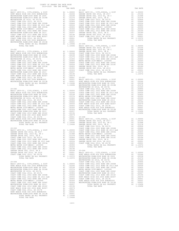| COAST COMM COLL 2002 BOND SER 2003A   | A1 and any | .00455     |
|---------------------------------------|------------|------------|
| METRO WATER DIST-MWDOC- 1205999       | A1         | .00350     |
| COAST COMM COLL 2002 BOND SER 2006C   | A1         | .00324     |
| COAST COMM COLL 2012 BOND SER 2016C   | A1         | .00194     |
| GARDEN GROVE USD, 2010, SR A          | A1         | .00189     |
| GARDEN GROVE USD 2016, SR 2019        | A1         | .00001     |
| COAST COMM COLL 2012, SR 2017E        |            | A1 .00001  |
| TOTAL RATES ON ALL PROPERTY           |            | A1 1.10372 |
| TOTAL TAX RATE                        |            | 1,10372    |
|                                       |            |            |
| $20 - 094$                            |            |            |
| BASIC LEVY-CO., CITY, SCHOOL, & DIST  |            | A1 1.00000 |
| HUNT BEACH HIGH SCH 2004 BOND#2004A   |            | A1 .02246  |
| WESTMINSTER ELEM-2008 BOND SR 2009    |            | A1 .02238  |
| WESTMINSTER ELEM-2016 BOND SR 2018B   | A1         | .01274     |
| WESTMINSTER SD 2016, SR 2017A         | A1         | .01000     |
| COAST COMM COLL 2012, SR 2017D        | A1         | .00906     |
| COAST COMM COLL 2002 BOND SER 2006B   | A1         | .00666     |
| COAST COMM COLL 2012 BOND SR 2013 A&B | A1         | .00554     |
| COAST COMM COLL 2002 BOND SER 2003A   | A1         | .00455     |
| METRO WATER DIST-MWDOC- 1205999       | A1         | .00350     |
| COAST COMM COLL 2002 BOND SER 2006C   | A1         | .00324     |
| WESTMINSTER ELEM-2008 BOND SR 2013    | A1         | .00207     |
| COAST COMM COLL 2012 BOND SER 2016C   | A1         | .00194     |
| HUNT BEACH HIGH SCH 2004 BOND #2007   | A1         | .00079     |
| COAST COMM COLL 2012, SR 2017E        | A1         | .00001     |
| HUNT BEACH HIGH SCH 2004 BOND#2005    | A1         | .00001     |
| WESTMINSTER ELEM-2008 BOND SR 2013B   | A1         | .00001     |
| TOTAL RATES ON ALL PROPERTY           |            | A1 1.10496 |
| TOTAL TAX RATE                        |            | 1.10496    |
|                                       |            |            |

| DISTRICT | TAX RATE | DISTRICT | TAX RATE |
|----------|----------|----------|----------|
|          |          |          |          |
|          |          |          |          |
|          |          |          |          |
|          |          |          |          |
|          |          |          |          |
|          |          |          |          |
|          |          |          |          |
|          |          |          |          |
|          |          |          |          |
|          |          |          |          |
|          |          |          |          |
|          |          |          |          |
|          |          |          |          |
|          |          |          |          |
|          |          |          |          |
|          |          |          |          |
|          |          |          |          |
|          |          |          |          |
|          |          |          |          |
|          |          |          |          |
|          |          |          |          |
|          |          |          |          |
|          |          |          |          |
|          |          |          |          |
|          |          |          |          |
|          |          |          |          |
|          |          |          |          |
|          |          |          |          |
|          |          |          |          |
|          |          |          |          |
|          |          |          |          |
|          |          |          |          |
|          |          |          |          |
|          |          |          |          |
|          |          |          |          |
|          |          |          |          |
|          |          |          |          |
|          |          |          |          |
|          |          |          |          |
|          |          |          |          |
|          |          |          |          |
|          |          |          |          |
|          |          |          |          |
|          |          |          |          |
|          |          |          |          |
|          |          |          |          |
|          |          |          |          |
|          |          |          |          |
|          |          |          |          |
|          |          |          |          |
|          |          |          |          |
|          |          |          |          |
|          |          |          |          |
|          |          |          |          |
|          |          |          |          |
|          |          |          |          |
|          |          |          |          |
|          |          |          |          |
|          |          |          |          |
|          |          |          |          |
|          |          |          |          |
|          |          |          |          |
|          |          |          |          |
|          |          |          |          |
|          |          |          |          |
|          |          |          |          |
|          |          |          |          |
|          |          |          |          |
|          |          |          |          |
|          |          |          |          |
|          |          |          |          |
|          |          |          |          |
|          |          |          |          |
|          |          |          |          |
|          |          |          |          |
|          |          |          |          |
|          |          |          |          |
|          |          |          |          |
|          |          |          |          |
|          |          |          |          |
|          |          |          |          |
|          |          |          |          |
|          |          |          |          |
|          |          |          |          |
|          |          |          |          |
|          |          |          |          |
|          |          |          |          |
|          |          |          |          |
|          |          |          |          |
|          |          |          |          |
|          |          |          |          |
|          |          |          |          |
|          |          |          |          |
|          |          |          |          |

-223-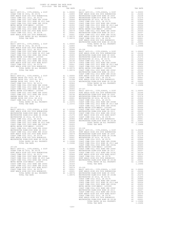| ----------                            |    | ina nais                                                                                     |                 |
|---------------------------------------|----|----------------------------------------------------------------------------------------------|-----------------|
| $20 - 100$                            |    |                                                                                              | $20 - 105$      |
|                                       |    |                                                                                              |                 |
|                                       |    |                                                                                              |                 |
|                                       |    |                                                                                              |                 |
|                                       |    |                                                                                              |                 |
|                                       |    |                                                                                              |                 |
|                                       |    |                                                                                              |                 |
|                                       |    |                                                                                              |                 |
|                                       |    |                                                                                              |                 |
|                                       |    |                                                                                              |                 |
|                                       |    |                                                                                              |                 |
|                                       |    |                                                                                              |                 |
|                                       |    |                                                                                              |                 |
|                                       |    |                                                                                              |                 |
|                                       |    |                                                                                              |                 |
|                                       |    |                                                                                              |                 |
|                                       |    |                                                                                              |                 |
|                                       |    |                                                                                              |                 |
|                                       |    |                                                                                              | HUNT BE         |
| $20 - 101$                            |    |                                                                                              | WESTMIN         |
|                                       |    |                                                                                              |                 |
|                                       |    |                                                                                              |                 |
|                                       |    |                                                                                              |                 |
|                                       |    |                                                                                              |                 |
|                                       |    |                                                                                              |                 |
|                                       |    |                                                                                              |                 |
|                                       |    |                                                                                              |                 |
|                                       |    |                                                                                              |                 |
|                                       |    |                                                                                              |                 |
|                                       |    |                                                                                              |                 |
|                                       |    |                                                                                              |                 |
|                                       |    |                                                                                              |                 |
|                                       |    |                                                                                              |                 |
|                                       |    |                                                                                              |                 |
|                                       |    |                                                                                              |                 |
|                                       |    |                                                                                              |                 |
|                                       |    |                                                                                              |                 |
|                                       |    |                                                                                              | WESTMIN         |
| $20 - 102$                            |    |                                                                                              | COAST C         |
| BASIC LEVY-CO., CITY, SCHOOL, & DIST  |    | COAST C<br>A1 1.00000 HUNT BE<br>A1 .03156 COAST C<br>A1 .01998 HUNT BE<br>A1 .01578 WESTMIN |                 |
|                                       |    |                                                                                              |                 |
| GARDEN GROVE USD 2016, SR 2017        |    |                                                                                              |                 |
| GARDEN GROVE USD, 2010 EL, SR C       |    |                                                                                              |                 |
|                                       |    |                                                                                              |                 |
|                                       |    |                                                                                              |                 |
|                                       |    |                                                                                              |                 |
|                                       |    |                                                                                              |                 |
|                                       |    |                                                                                              |                 |
|                                       |    |                                                                                              |                 |
|                                       |    |                                                                                              |                 |
|                                       |    |                                                                                              |                 |
|                                       |    |                                                                                              |                 |
|                                       |    |                                                                                              |                 |
|                                       |    |                                                                                              |                 |
|                                       |    |                                                                                              |                 |
|                                       |    |                                                                                              |                 |
|                                       |    |                                                                                              |                 |
|                                       |    |                                                                                              |                 |
|                                       |    |                                                                                              |                 |
|                                       |    |                                                                                              |                 |
|                                       |    |                                                                                              |                 |
|                                       |    |                                                                                              |                 |
|                                       |    |                                                                                              |                 |
|                                       |    |                                                                                              |                 |
|                                       |    |                                                                                              |                 |
|                                       |    |                                                                                              |                 |
|                                       |    |                                                                                              |                 |
|                                       |    |                                                                                              |                 |
|                                       |    |                                                                                              |                 |
|                                       |    |                                                                                              |                 |
|                                       |    |                                                                                              |                 |
|                                       |    |                                                                                              |                 |
|                                       |    |                                                                                              |                 |
|                                       |    |                                                                                              |                 |
|                                       |    |                                                                                              |                 |
|                                       |    |                                                                                              |                 |
|                                       |    |                                                                                              |                 |
|                                       |    |                                                                                              |                 |
| WESTMINSTER ELEM-2008 BOND SR 2013B   | A1 | .00001                                                                                       | COAST C         |
| TOTAL RATES ON ALL PROPERTY           |    | A1 1.10496                                                                                   | COAST C         |
| TOTAL TAX RATE                        |    | 1,10496                                                                                      | COAST C         |
|                                       |    |                                                                                              |                 |
|                                       |    |                                                                                              | COAST C         |
| $20 - 104$                            |    |                                                                                              | METRO W         |
| BASIC LEVY-CO., CITY, SCHOOL, & DIST  | A1 | 1.00000                                                                                      | COAST C         |
| OCEAN VIEW SD 2016, SR 2017A          |    | A1 .02800                                                                                    | WESTMIN         |
| HUNT BEACH HIGH SCH 2004 BOND#2004A   | A1 | .02246                                                                                       | COAST C         |
| COAST COMM COLL 2012, SR 2017D        | A1 | .00906                                                                                       | HUNT BE         |
| COAST COMM COLL 2002 BOND SER 2006B   | A1 |                                                                                              | COAST C         |
|                                       |    | .00666                                                                                       |                 |
| COAST COMM COLL 2012 BOND SR 2013 A&B |    | A1 .00554                                                                                    | HUNT BE         |
| COAST COMM COLL 2002 BOND SER 2003A   |    | A1 .00455                                                                                    | WESTMIN         |
| METRO WATER DIST-MWDOC- 1205999       | A1 | .00350                                                                                       |                 |
| COAST COMM COLL 2002 BOND SER 2006C   | A1 | .00324                                                                                       |                 |
| COAST COMM COLL 2012 BOND SER 2016C   | A1 | .00194                                                                                       |                 |
| HUNT BEACH HIGH SCH 2004 BOND #2007   | A1 | .00079                                                                                       | $20 - 109$      |
|                                       |    |                                                                                              |                 |
| COAST COMM COLL 2012, SR 2017E        | A1 | .00001                                                                                       | BASIC L         |
| HUNT BEACH HIGH SCH 2004 BOND#2005    | A1 | .00001                                                                                       | HUNT BE         |
| TOTAL RATES ON ALL PROPERTY           |    | A1 1.08576                                                                                   | WESTMIN         |
| TOTAL TAX RATE                        |    | 1.08576                                                                                      | WESTMIN         |
|                                       |    |                                                                                              | <b>MDO DATM</b> |

| COUNTY OF ORANGE TAX RATE BOOK<br>2019-2020 TRA TAX RATES |  |          |  |
|-----------------------------------------------------------|--|----------|--|
|                                                           |  | DISTRICT |  |
|                                                           |  |          |  |
|                                                           |  |          |  |
|                                                           |  |          |  |
|                                                           |  |          |  |
|                                                           |  |          |  |
|                                                           |  |          |  |
|                                                           |  |          |  |
|                                                           |  |          |  |
|                                                           |  |          |  |
|                                                           |  |          |  |
|                                                           |  |          |  |
|                                                           |  |          |  |
|                                                           |  |          |  |
|                                                           |  |          |  |
|                                                           |  |          |  |
|                                                           |  |          |  |
|                                                           |  |          |  |
|                                                           |  |          |  |
|                                                           |  |          |  |
|                                                           |  |          |  |
|                                                           |  |          |  |
|                                                           |  |          |  |
|                                                           |  |          |  |
|                                                           |  |          |  |
|                                                           |  |          |  |
|                                                           |  |          |  |
|                                                           |  |          |  |
|                                                           |  |          |  |
|                                                           |  |          |  |
|                                                           |  |          |  |
|                                                           |  |          |  |
|                                                           |  |          |  |
|                                                           |  |          |  |
|                                                           |  |          |  |
|                                                           |  |          |  |
|                                                           |  |          |  |
|                                                           |  |          |  |
|                                                           |  |          |  |
|                                                           |  |          |  |
|                                                           |  |          |  |
|                                                           |  |          |  |
|                                                           |  |          |  |
|                                                           |  |          |  |
|                                                           |  |          |  |
|                                                           |  |          |  |
|                                                           |  |          |  |
|                                                           |  |          |  |
|                                                           |  |          |  |
|                                                           |  |          |  |
|                                                           |  |          |  |
|                                                           |  |          |  |
|                                                           |  |          |  |
|                                                           |  |          |  |
|                                                           |  |          |  |
|                                                           |  |          |  |
|                                                           |  |          |  |
|                                                           |  |          |  |
|                                                           |  |          |  |
|                                                           |  |          |  |
|                                                           |  |          |  |
|                                                           |  |          |  |
|                                                           |  |          |  |
|                                                           |  |          |  |
|                                                           |  |          |  |
|                                                           |  |          |  |
|                                                           |  |          |  |
|                                                           |  |          |  |
|                                                           |  |          |  |
|                                                           |  |          |  |
|                                                           |  |          |  |
|                                                           |  |          |  |
|                                                           |  |          |  |
|                                                           |  |          |  |
|                                                           |  |          |  |
|                                                           |  |          |  |
|                                                           |  |          |  |
|                                                           |  |          |  |
|                                                           |  |          |  |
|                                                           |  |          |  |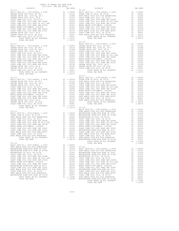| ---------                             |    | TTTT TATTI                                                                                                                                                                              |                                                    |
|---------------------------------------|----|-----------------------------------------------------------------------------------------------------------------------------------------------------------------------------------------|----------------------------------------------------|
| $20 - 110$                            |    |                                                                                                                                                                                         | $20 - 115$                                         |
|                                       |    |                                                                                                                                                                                         |                                                    |
|                                       |    |                                                                                                                                                                                         |                                                    |
|                                       |    |                                                                                                                                                                                         |                                                    |
|                                       |    |                                                                                                                                                                                         |                                                    |
|                                       |    |                                                                                                                                                                                         |                                                    |
|                                       |    |                                                                                                                                                                                         |                                                    |
|                                       |    |                                                                                                                                                                                         |                                                    |
|                                       |    |                                                                                                                                                                                         |                                                    |
|                                       |    |                                                                                                                                                                                         |                                                    |
|                                       |    |                                                                                                                                                                                         |                                                    |
|                                       |    |                                                                                                                                                                                         |                                                    |
|                                       |    |                                                                                                                                                                                         |                                                    |
|                                       |    |                                                                                                                                                                                         |                                                    |
|                                       |    |                                                                                                                                                                                         |                                                    |
|                                       |    |                                                                                                                                                                                         |                                                    |
| TOTAL TAX RATE                        |    | 1.10372                                                                                                                                                                                 |                                                    |
|                                       |    |                                                                                                                                                                                         | $20 - 116$                                         |
| $20 - 111$                            |    |                                                                                                                                                                                         | BASIC L                                            |
|                                       |    |                                                                                                                                                                                         |                                                    |
|                                       |    |                                                                                                                                                                                         |                                                    |
|                                       |    |                                                                                                                                                                                         |                                                    |
|                                       |    |                                                                                                                                                                                         |                                                    |
|                                       |    |                                                                                                                                                                                         |                                                    |
|                                       |    |                                                                                                                                                                                         |                                                    |
|                                       |    |                                                                                                                                                                                         |                                                    |
|                                       |    |                                                                                                                                                                                         |                                                    |
|                                       |    |                                                                                                                                                                                         |                                                    |
|                                       |    |                                                                                                                                                                                         |                                                    |
|                                       |    |                                                                                                                                                                                         |                                                    |
|                                       |    |                                                                                                                                                                                         |                                                    |
|                                       |    |                                                                                                                                                                                         |                                                    |
|                                       |    |                                                                                                                                                                                         |                                                    |
|                                       |    |                                                                                                                                                                                         |                                                    |
|                                       |    |                                                                                                                                                                                         |                                                    |
| TOTAL TAX RATE                        |    | 1.10372                                                                                                                                                                                 |                                                    |
|                                       |    |                                                                                                                                                                                         | $20 - 117$                                         |
|                                       |    |                                                                                                                                                                                         |                                                    |
|                                       |    |                                                                                                                                                                                         |                                                    |
|                                       |    |                                                                                                                                                                                         |                                                    |
|                                       |    |                                                                                                                                                                                         |                                                    |
|                                       |    |                                                                                                                                                                                         |                                                    |
|                                       |    |                                                                                                                                                                                         |                                                    |
|                                       |    |                                                                                                                                                                                         |                                                    |
|                                       |    |                                                                                                                                                                                         |                                                    |
|                                       |    |                                                                                                                                                                                         |                                                    |
|                                       |    |                                                                                                                                                                                         |                                                    |
|                                       |    |                                                                                                                                                                                         |                                                    |
|                                       |    |                                                                                                                                                                                         |                                                    |
|                                       |    |                                                                                                                                                                                         |                                                    |
|                                       |    |                                                                                                                                                                                         |                                                    |
|                                       |    |                                                                                                                                                                                         |                                                    |
|                                       |    |                                                                                                                                                                                         |                                                    |
|                                       |    |                                                                                                                                                                                         |                                                    |
|                                       |    |                                                                                                                                                                                         |                                                    |
|                                       |    |                                                                                                                                                                                         |                                                    |
|                                       |    |                                                                                                                                                                                         |                                                    |
|                                       |    |                                                                                                                                                                                         |                                                    |
|                                       |    |                                                                                                                                                                                         |                                                    |
|                                       |    |                                                                                                                                                                                         |                                                    |
|                                       |    |                                                                                                                                                                                         |                                                    |
|                                       |    |                                                                                                                                                                                         |                                                    |
|                                       |    |                                                                                                                                                                                         |                                                    |
|                                       |    |                                                                                                                                                                                         |                                                    |
|                                       |    |                                                                                                                                                                                         |                                                    |
|                                       |    |                                                                                                                                                                                         |                                                    |
|                                       |    |                                                                                                                                                                                         |                                                    |
|                                       |    |                                                                                                                                                                                         |                                                    |
|                                       |    |                                                                                                                                                                                         |                                                    |
|                                       |    |                                                                                                                                                                                         |                                                    |
|                                       |    |                                                                                                                                                                                         |                                                    |
|                                       |    |                                                                                                                                                                                         |                                                    |
| TOTAL TAX RATE                        |    | 1.08576 WESTMIN                                                                                                                                                                         |                                                    |
|                                       |    |                                                                                                                                                                                         |                                                    |
| $20 - 114$                            |    |                                                                                                                                                                                         |                                                    |
| BASIC LEVY-CO., CITY, SCHOOL, & DIST  |    | A1 1.00000                                                                                                                                                                              |                                                    |
| HUNT BEACH HIGH SCH 2004 BOND#2004A   |    | A1 .02246                                                                                                                                                                               | $20 - 119$                                         |
| WESTMINSTER ELEM-2008 BOND SR 2009    | A1 | .02238                                                                                                                                                                                  | BASIC L                                            |
| WESTMINSTER ELEM-2016 BOND SR 2018B   | A1 |                                                                                                                                                                                         |                                                    |
| WESTMINSTER SD 2016, SR 2017A         | A1 |                                                                                                                                                                                         |                                                    |
| COAST COMM COLL 2012, SR 2017D        | A1 |                                                                                                                                                                                         | .01274 HUNT BE<br>.01000 WESTMIN<br>.00906 WESTMIN |
| COAST COMM COLL 2002 BOND SER 2006B   |    |                                                                                                                                                                                         |                                                    |
| COAST COMM COLL 2012 BOND SR 2013 A&B |    |                                                                                                                                                                                         |                                                    |
| COAST COMM COLL 2002 BOND SER 2003A   |    | A1 .00666 WESTMIN<br>A1 .00554 COAST C<br>A1 .00455 COAST C<br>A1 .00350 COAST C<br>A1 .00324 COAST C<br>A1 .00324 COAST C                                                              |                                                    |
| METRO WATER DIST-MWDOC- 1205999       |    |                                                                                                                                                                                         |                                                    |
|                                       |    |                                                                                                                                                                                         |                                                    |
| COAST COMM COLL 2002 BOND SER 2006C   |    |                                                                                                                                                                                         |                                                    |
| WESTMINSTER ELEM-2008 BOND SR 2013    |    |                                                                                                                                                                                         |                                                    |
| COAST COMM COLL 2012 BOND SER 2016C   |    |                                                                                                                                                                                         |                                                    |
| HUNT BEACH HIGH SCH 2004 BOND #2007   |    |                                                                                                                                                                                         |                                                    |
| COAST COMM COLL 2012, SR 2017E        |    |                                                                                                                                                                                         |                                                    |
| HUNT BEACH HIGH SCH 2004 BOND#2005    |    |                                                                                                                                                                                         |                                                    |
| WESTMINSTER ELEM-2008 BOND SR 2013B   |    |                                                                                                                                                                                         |                                                    |
| TOTAL RATES ON ALL PROPERTY           |    | A1 .00207 METRO WAST CORP .<br>A1 .00207 METRO WEST CORP .<br>A1 .00079 MEST CORP .<br>A1 .00001 COAST C<br>A1 .00001 .<br>COAST C<br>A1 .00001 .<br>COAST C<br>A1 .1.0496 .<br>HUNT BE |                                                    |
| TOTAL TAX RATE                        |    | 1.10496 WESTMIN                                                                                                                                                                         |                                                    |
|                                       |    |                                                                                                                                                                                         |                                                    |

| COUNTY OF ORANGE TAX RATE BOOK<br>2019-2020 TRA TAX RATES |  |            |  |
|-----------------------------------------------------------|--|------------|--|
|                                                           |  |            |  |
|                                                           |  |            |  |
|                                                           |  |            |  |
|                                                           |  | $20 - 116$ |  |
|                                                           |  |            |  |
|                                                           |  |            |  |
|                                                           |  |            |  |
|                                                           |  |            |  |
|                                                           |  |            |  |
|                                                           |  |            |  |
|                                                           |  |            |  |
|                                                           |  |            |  |
|                                                           |  |            |  |
|                                                           |  |            |  |
|                                                           |  |            |  |
|                                                           |  |            |  |
|                                                           |  |            |  |
|                                                           |  |            |  |
|                                                           |  |            |  |
|                                                           |  |            |  |
|                                                           |  |            |  |
|                                                           |  |            |  |
|                                                           |  |            |  |
|                                                           |  |            |  |
|                                                           |  |            |  |
|                                                           |  |            |  |
|                                                           |  |            |  |
|                                                           |  |            |  |
|                                                           |  |            |  |
|                                                           |  |            |  |
|                                                           |  |            |  |
|                                                           |  |            |  |
|                                                           |  |            |  |
|                                                           |  |            |  |
|                                                           |  |            |  |
|                                                           |  |            |  |
|                                                           |  |            |  |
|                                                           |  |            |  |
|                                                           |  |            |  |
|                                                           |  |            |  |
|                                                           |  |            |  |
|                                                           |  |            |  |
|                                                           |  |            |  |
|                                                           |  |            |  |
|                                                           |  |            |  |
|                                                           |  |            |  |
|                                                           |  |            |  |
|                                                           |  |            |  |
|                                                           |  |            |  |
|                                                           |  |            |  |
|                                                           |  |            |  |
|                                                           |  |            |  |
|                                                           |  |            |  |
|                                                           |  |            |  |
|                                                           |  |            |  |